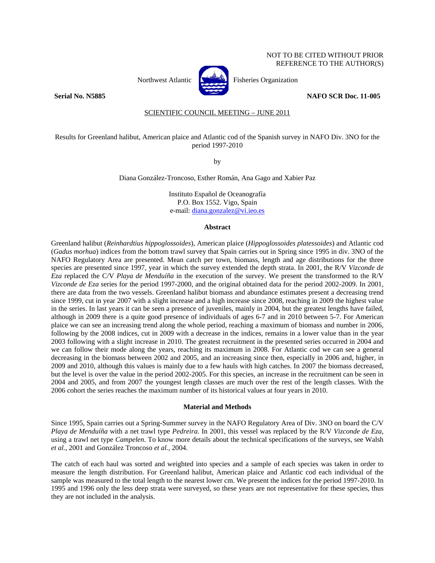## NOT TO BE CITED WITHOUT PRIOR REFERENCE TO THE AUTHOR(S)



Northwest Atlantic  $\begin{bmatrix} 1 & 1 \\ 1 & 1 \end{bmatrix}$  Fisheries Organization

**Serial No. N5885 NAFO SCR Doc. 11-005** 

# SCIENTIFIC COUNCIL MEETING – JUNE 2011

# Results for Greenland halibut, American plaice and Atlantic cod of the Spanish survey in NAFO Div. 3NO for the period 1997-2010

by

Diana González-Troncoso, Esther Román, Ana Gago and Xabier Paz

Instituto Español de Oceanografía P.O. Box 1552. Vigo, Spain e-mail: diana.gonzalez@vi.ieo.es

## **Abstract**

Greenland halibut (*Reinhardtius hippoglossoides*), American plaice (*Hippoglossoides platessoides*) and Atlantic cod (*Gadus morhua*) indices from the bottom trawl survey that Spain carries out in Spring since 1995 in div. 3NO of the NAFO Regulatory Area are presented. Mean catch per town, biomass, length and age distributions for the three species are presented since 1997, year in which the survey extended the depth strata. In 2001, the R/V *Vizconde de Eza* replaced the C/V *Playa de Menduíña* in the execution of the survey. We present the transformed to the R/V *Vizconde de Eza* series for the period 1997-2000, and the original obtained data for the period 2002-2009. In 2001, there are data from the two vessels. Greenland halibut biomass and abundance estimates present a decreasing trend since 1999, cut in year 2007 with a slight increase and a high increase since 2008, reaching in 2009 the highest value in the series. In last years it can be seen a presence of juveniles, mainly in 2004, but the greatest lengths have failed, although in 2009 there is a quite good presence of individuals of ages 6-7 and in 2010 between 5-7. For American plaice we can see an increasing trend along the whole period, reaching a maximum of biomass and number in 2006, following by the 2008 indices, cut in 2009 with a decrease in the indices, remains in a lower value than in the year 2003 following with a slight increase in 2010. The greatest recruitment in the presented series occurred in 2004 and we can follow their mode along the years, reaching its maximum in 2008. For Atlantic cod we can see a general decreasing in the biomass between 2002 and 2005, and an increasing since then, especially in 2006 and, higher, in 2009 and 2010, although this values is mainly due to a few hauls with high catches. In 2007 the biomass decreased, but the level is over the value in the period 2002-2005. For this species, an increase in the recruitment can be seen in 2004 and 2005, and from 2007 the youngest length classes are much over the rest of the length classes. With the 2006 cohort the series reaches the maximum number of its historical values at four years in 2010.

#### **Material and Methods**

Since 1995, Spain carries out a Spring-Summer survey in the NAFO Regulatory Area of Div. 3NO on board the C/V *Playa de Menduíña* with a net trawl type *Pedreira*. In 2001, this vessel was replaced by the R/V *Vizconde de Eza*, using a trawl net type *Campelen*. To know more details about the technical specifications of the surveys, see Walsh *et al.*, 2001 and González Troncoso *et al.*, 2004.

The catch of each haul was sorted and weighted into species and a sample of each species was taken in order to measure the length distribution. For Greenland halibut, American plaice and Atlantic cod each individual of the sample was measured to the total length to the nearest lower cm. We present the indices for the period 1997-2010. In 1995 and 1996 only the less deep strata were surveyed, so these years are not representative for these species, thus they are not included in the analysis.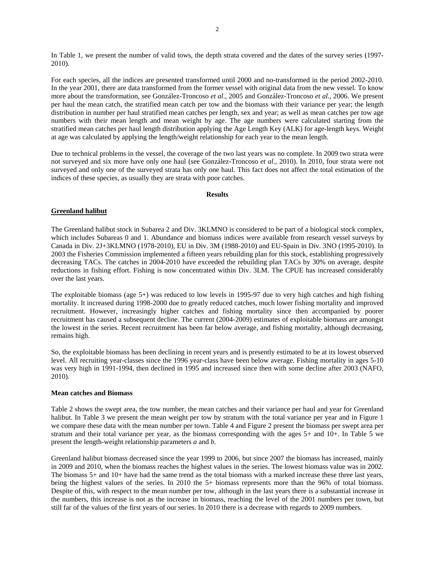In Table 1, we present the number of valid tows, the depth strata covered and the dates of the survey series (1997- 2010).

For each species, all the indices are presented transformed until 2000 and no-transformed in the period 2002-2010. In the year 2001, there are data transformed from the former vessel with original data from the new vessel. To know more about the transformation, see González-Troncoso *et al*., 2005 and González-Troncoso *et al*., 2006. We present per haul the mean catch, the stratified mean catch per tow and the biomass with their variance per year; the length distribution in number per haul stratified mean catches per length, sex and year; as well as mean catches per tow age numbers with their mean length and mean weight by age. The age numbers were calculated starting from the stratified mean catches per haul length distribution applying the Age Length Key (ALK) for age-length keys. Weight at age was calculated by applying the length/weight relationship for each year to the mean length.

Due to technical problems in the vessel, the coverage of the two last years was no complete. In 2009 two strata were not surveyed and six more have only one haul (see González-Troncoso *et al.*, 2010). In 2010, four strata were not surveyed and only one of the surveyed strata has only one haul. This fact does not affect the total estimation of the indices of these species, as usually they are strata with poor catches.

#### **Results**

# **Greenland halibut**

The Greenland halibut stock in Subarea 2 and Div. 3KLMNO is considered to be part of a biological stock complex, which includes Subareas 0 and 1. Abundance and biomass indices were available from research vessel surveys by Canada in Div. 2J+3KLMNO (1978-2010), EU in Div. 3M (1988-2010) and EU-Spain in Div. 3NO (1995-2010). In 2003 the Fisheries Commission implemented a fifteen years rebuilding plan for this stock, establishing progressively decreasing TACs. The catches in 2004-2010 have exceeded the rebuilding plan TACs by 30% on average, despite reductions in fishing effort. Fishing is now concentrated within Div. 3LM. The CPUE has increased considerably over the last years.

The exploitable biomass (age 5+) was reduced to low levels in 1995-97 due to very high catches and high fishing mortality. It increased during 1998-2000 due to greatly reduced catches, much lower fishing mortality and improved recruitment. However, increasingly higher catches and fishing mortality since then accompanied by poorer recruitment has caused a subsequent decline. The current (2004-2009) estimates of exploitable biomass are amongst the lowest in the series. Recent recruitment has been far below average, and fishing mortality, although decreasing, remains high.

So, the exploitable biomass has been declining in recent years and is presently estimated to be at its lowest observed level. All recruiting year-classes since the 1996 year-class have been below average. Fishing mortality in ages 5-10 was very high in 1991-1994, then declined in 1995 and increased since then with some decline after 2003 (NAFO, 2010).

## **Mean catches and Biomass**

Table 2 shows the swept area, the tow number, the mean catches and their variance per haul and year for Greenland halibut. In Table 3 we present the mean weight per tow by stratum with the total variance per year and in Figure 1 we compare these data with the mean number per town. Table 4 and Figure 2 present the biomass per swept area per stratum and their total variance per year, as the biomass corresponding with the ages 5+ and 10+. In Table 5 we present the length-weight relationship parameters *a* and *b*.

Greenland halibut biomass decreased since the year 1999 to 2006, but since 2007 the biomass has increased, mainly in 2009 and 2010, when the biomass reaches the highest values in the series. The lowest biomass value was in 2002. The biomass 5+ and 10+ have had the same trend as the total biomass with a marked increase these three last years, being the highest values of the series. In 2010 the 5+ biomass represents more than the 96% of total biomass. Despite of this, with respect to the mean number per tow, although in the last years there is a substantial increase in the numbers, this increase is not as the increase in biomass, reaching the level of the 2001 numbers per town, but still far of the values of the first years of our series. In 2010 there is a decrease with regards to 2009 numbers.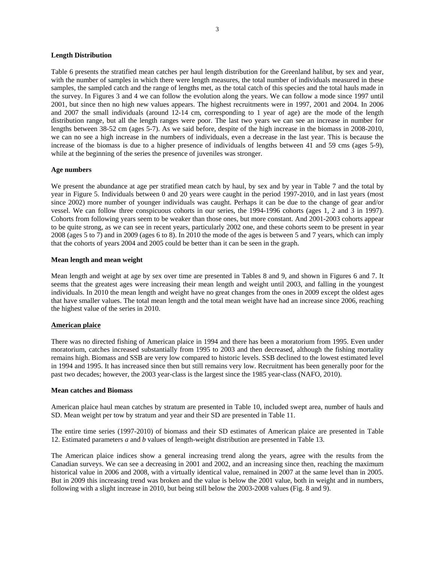### **Length Distribution**

Table 6 presents the stratified mean catches per haul length distribution for the Greenland halibut, by sex and year, with the number of samples in which there were length measures, the total number of individuals measured in these samples, the sampled catch and the range of lengths met, as the total catch of this species and the total hauls made in the survey. In Figures 3 and 4 we can follow the evolution along the years. We can follow a mode since 1997 until 2001, but since then no high new values appears. The highest recruitments were in 1997, 2001 and 2004. In 2006 and 2007 the small individuals (around 12-14 cm, corresponding to 1 year of age) are the mode of the length distribution range, but all the length ranges were poor. The last two years we can see an increase in number for lengths between 38-52 cm (ages 5-7). As we said before, despite of the high increase in the biomass in 2008-2010, we can no see a high increase in the numbers of individuals, even a decrease in the last year. This is because the increase of the biomass is due to a higher presence of individuals of lengths between 41 and 59 cms (ages 5-9), while at the beginning of the series the presence of juveniles was stronger.

## **Age numbers**

We present the abundance at age per stratified mean catch by haul, by sex and by year in Table 7 and the total by year in Figure 5. Individuals between 0 and 20 years were caught in the period 1997-2010, and in last years (most since 2002) more number of younger individuals was caught. Perhaps it can be due to the change of gear and/or vessel. We can follow three conspicuous cohorts in our series, the 1994-1996 cohorts (ages 1, 2 and 3 in 1997). Cohorts from following years seem to be weaker than those ones, but more constant. And 2001-2003 cohorts appear to be quite strong, as we can see in recent years, particularly 2002 one, and these cohorts seem to be present in year 2008 (ages 5 to 7) and in 2009 (ages 6 to 8). In 2010 the mode of the ages is between 5 and 7 years, which can imply that the cohorts of years 2004 and 2005 could be better than it can be seen in the graph.

### **Mean length and mean weight**

Mean length and weight at age by sex over time are presented in Tables 8 and 9, and shown in Figures 6 and 7. It seems that the greatest ages were increasing their mean length and weight until 2003, and falling in the youngest individuals. In 2010 the mean length and weight have no great changes from the ones in 2009 except the oldest ages that have smaller values. The total mean length and the total mean weight have had an increase since 2006, reaching the highest value of the series in 2010.

## **American plaice**

There was no directed fishing of American plaice in 1994 and there has been a moratorium from 1995. Even under moratorium, catches increased substantially from 1995 to 2003 and then decreased, although the fishing mortality remains high. Biomass and SSB are very low compared to historic levels. SSB declined to the lowest estimated level in 1994 and 1995. It has increased since then but still remains very low. Recruitment has been generally poor for the past two decades; however, the 2003 year-class is the largest since the 1985 year-class (NAFO, 2010).

### **Mean catches and Biomass**

American plaice haul mean catches by stratum are presented in Table 10, included swept area, number of hauls and SD. Mean weight per tow by stratum and year and their SD are presented in Table 11.

The entire time series (1997-2010) of biomass and their SD estimates of American plaice are presented in Table 12. Estimated parameters *a* and *b* values of length-weight distribution are presented in Table 13.

The American plaice indices show a general increasing trend along the years, agree with the results from the Canadian surveys. We can see a decreasing in 2001 and 2002, and an increasing since then, reaching the maximum historical value in 2006 and 2008, with a virtually identical value, remained in 2007 at the same level than in 2005. But in 2009 this increasing trend was broken and the value is below the 2001 value, both in weight and in numbers, following with a slight increase in 2010, but being still below the 2003-2008 values (Fig. 8 and 9).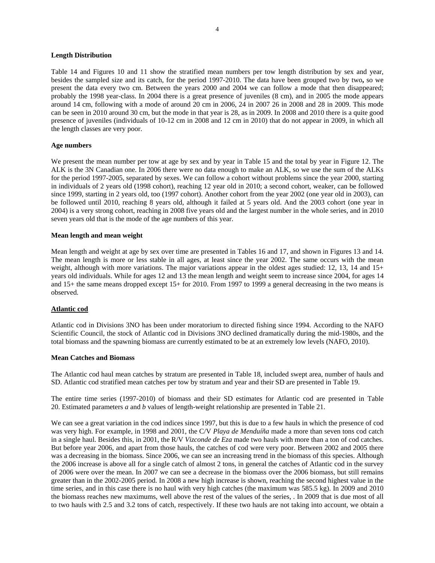### **Length Distribution**

Table 14 and Figures 10 and 11 show the stratified mean numbers per tow length distribution by sex and year, besides the sampled size and its catch, for the period 1997-2010. The data have been grouped two by two**,** so we present the data every two cm. Between the years 2000 and 2004 we can follow a mode that then disappeared; probably the 1998 year-class. In 2004 there is a great presence of juveniles (8 cm), and in 2005 the mode appears around 14 cm, following with a mode of around 20 cm in 2006, 24 in 2007 26 in 2008 and 28 in 2009. This mode can be seen in 2010 around 30 cm, but the mode in that year is 28, as in 2009. In 2008 and 2010 there is a quite good presence of juveniles (individuals of 10-12 cm in 2008 and 12 cm in 2010) that do not appear in 2009, in which all the length classes are very poor.

## **Age numbers**

We present the mean number per tow at age by sex and by year in Table 15 and the total by year in Figure 12. The ALK is the 3N Canadian one. In 2006 there were no data enough to make an ALK, so we use the sum of the ALKs for the period 1997-2005, separated by sexes. We can follow a cohort without problems since the year 2000, starting in individuals of 2 years old (1998 cohort), reaching 12 year old in 2010; a second cohort, weaker, can be followed since 1999, starting in 2 years old, too (1997 cohort). Another cohort from the year 2002 (one year old in 2003), can be followed until 2010, reaching 8 years old, although it failed at 5 years old. And the 2003 cohort (one year in 2004) is a very strong cohort, reaching in 2008 five years old and the largest number in the whole series, and in 2010 seven years old that is the mode of the age numbers of this year.

## **Mean length and mean weight**

Mean length and weight at age by sex over time are presented in Tables 16 and 17, and shown in Figures 13 and 14. The mean length is more or less stable in all ages, at least since the year 2002. The same occurs with the mean weight, although with more variations. The major variations appear in the oldest ages studied: 12, 13, 14 and 15+ years old individuals. While for ages 12 and 13 the mean length and weight seem to increase since 2004, for ages 14 and 15+ the same means dropped except 15+ for 2010. From 1997 to 1999 a general decreasing in the two means is observed.

## **Atlantic cod**

Atlantic cod in Divisions 3NO has been under moratorium to directed fishing since 1994. According to the NAFO Scientific Council, the stock of Atlantic cod in Divisions 3NO declined dramatically during the mid-1980s, and the total biomass and the spawning biomass are currently estimated to be at an extremely low levels (NAFO, 2010).

## **Mean Catches and Biomass**

The Atlantic cod haul mean catches by stratum are presented in Table 18, included swept area, number of hauls and SD. Atlantic cod stratified mean catches per tow by stratum and year and their SD are presented in Table 19.

The entire time series (1997-2010) of biomass and their SD estimates for Atlantic cod are presented in Table 20. Estimated parameters *a* and *b* values of length-weight relationship are presented in Table 21.

We can see a great variation in the cod indices since 1997, but this is due to a few hauls in which the presence of cod was very high. For example, in 1998 and 2001, the C/V *Playa de Menduíña* made a more than seven tons cod catch in a single haul. Besides this, in 2001, the R/V *Vizconde de Eza* made two hauls with more than a ton of cod catches. But before year 2006, and apart from those hauls, the catches of cod were very poor. Between 2002 and 2005 there was a decreasing in the biomass. Since 2006, we can see an increasing trend in the biomass of this species. Although the 2006 increase is above all for a single catch of almost 2 tons, in general the catches of Atlantic cod in the survey of 2006 were over the mean. In 2007 we can see a decrease in the biomass over the 2006 biomass, but still remains greater than in the 2002-2005 period. In 2008 a new high increase is shown, reaching the second highest value in the time series, and in this case there is no haul with very high catches (the maximum was 585.5 kg). In 2009 and 2010 the biomass reaches new maximums, well above the rest of the values of the series, . In 2009 that is due most of all to two hauls with 2.5 and 3.2 tons of catch, respectively. If these two hauls are not taking into account, we obtain a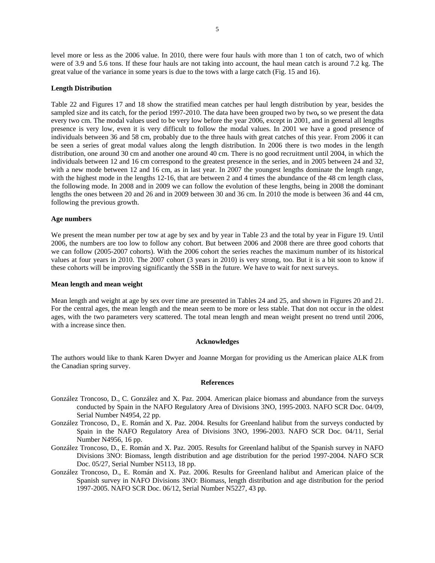level more or less as the 2006 value. In 2010, there were four hauls with more than 1 ton of catch, two of which were of 3.9 and 5.6 tons. If these four hauls are not taking into account, the haul mean catch is around 7.2 kg. The great value of the variance in some years is due to the tows with a large catch (Fig. 15 and 16).

### **Length Distribution**

Table 22 and Figures 17 and 18 show the stratified mean catches per haul length distribution by year, besides the sampled size and its catch, for the period 1997-2010. The data have been grouped two by two**,** so we present the data every two cm. The modal values used to be very low before the year 2006, except in 2001, and in general all lengths presence is very low, even it is very difficult to follow the modal values. In 2001 we have a good presence of individuals between 36 and 58 cm, probably due to the three hauls with great catches of this year. From 2006 it can be seen a series of great modal values along the length distribution. In 2006 there is two modes in the length distribution, one around 30 cm and another one around 40 cm. There is no good recruitment until 2004, in which the individuals between 12 and 16 cm correspond to the greatest presence in the series, and in 2005 between 24 and 32, with a new mode between 12 and 16 cm, as in last year. In 2007 the youngest lengths dominate the length range, with the highest mode in the lengths 12-16, that are between 2 and 4 times the abundance of the 48 cm length class, the following mode. In 2008 and in 2009 we can follow the evolution of these lengths, being in 2008 the dominant lengths the ones between 20 and 26 and in 2009 between 30 and 36 cm. In 2010 the mode is between 36 and 44 cm, following the previous growth.

#### **Age numbers**

We present the mean number per tow at age by sex and by year in Table 23 and the total by year in Figure 19. Until 2006, the numbers are too low to follow any cohort. But between 2006 and 2008 there are three good cohorts that we can follow (2005-2007 cohorts). With the 2006 cohort the series reaches the maximum number of its historical values at four years in 2010. The 2007 cohort (3 years in 2010) is very strong, too. But it is a bit soon to know if these cohorts will be improving significantly the SSB in the future. We have to wait for next surveys.

#### **Mean length and mean weight**

Mean length and weight at age by sex over time are presented in Tables 24 and 25, and shown in Figures 20 and 21. For the central ages, the mean length and the mean seem to be more or less stable. That don not occur in the oldest ages, with the two parameters very scattered. The total mean length and mean weight present no trend until 2006, with a increase since then.

#### **Acknowledges**

The authors would like to thank Karen Dwyer and Joanne Morgan for providing us the American plaice ALK from the Canadian spring survey.

#### **References**

- González Troncoso, D., C. González and X. Paz. 2004. American plaice biomass and abundance from the surveys conducted by Spain in the NAFO Regulatory Area of Divisions 3NO, 1995-2003. NAFO SCR Doc. 04/09, Serial Number N4954, 22 pp.
- González Troncoso, D., E. Román and X. Paz. 2004. Results for Greenland halibut from the surveys conducted by Spain in the NAFO Regulatory Area of Divisions 3NO, 1996-2003. NAFO SCR Doc. 04/11, Serial Number N4956, 16 pp.
- González Troncoso, D., E. Román and X. Paz. 2005. Results for Greenland halibut of the Spanish survey in NAFO Divisions 3NO: Biomass, length distribution and age distribution for the period 1997-2004. NAFO SCR Doc. 05/27, Serial Number N5113, 18 pp.
- González Troncoso, D., E. Román and X. Paz. 2006. Results for Greenland halibut and American plaice of the Spanish survey in NAFO Divisions 3NO: Biomass, length distribution and age distribution for the period 1997-2005. NAFO SCR Doc. 06/12, Serial Number N5227, 43 pp.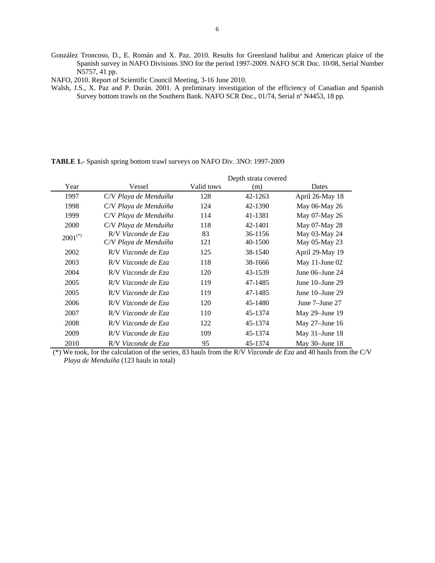- González Troncoso, D., E. Román and X. Paz. 2010. Results for Greenland halibut and American plaice of the Spanish survey in NAFO Divisions 3NO for the period 1997-2009. NAFO SCR Doc. 10/08, Serial Number N5757, 41 pp.
- NAFO, 2010. Report of Scientific Council Meeting, 3-16 June 2010.
- Walsh, J.S., X. Paz and P. Durán. 2001. A preliminary investigation of the efficiency of Canadian and Spanish Survey bottom trawls on the Southern Bank. NAFO SCR Doc., 01/74, Serial nº N4453, 18 pp.

**TABLE 1.-** Spanish spring bottom trawl surveys on NAFO Div. 3NO: 1997-2009

|              |                       |            | Depth strata covered |                      |
|--------------|-----------------------|------------|----------------------|----------------------|
| Year         | Vessel                | Valid tows | (m)                  | Dates                |
| 1997         | C/V Playa de Menduíña | 128        | 42-1263              | April 26-May 18      |
| 1998         | C/V Playa de Menduíña | 124        | 42-1390              | May 06-May 26        |
| 1999         | C/V Playa de Menduíña | 114        | 41-1381              | May 07-May 26        |
| 2000         | C/V Playa de Menduíña | 118        | 42-1401              | May 07-May 28        |
| $2001^{(*)}$ | R/V Vizconde de Eza   | 83         | 36-1156              | May 03-May 24        |
|              | C/V Playa de Menduíña | 121        | 40-1500              | May 05-May 23        |
| 2002         | R/V Vizconde de Eza   | 125        | 38-1540              | April 29-May 19      |
| 2003         | R/V Vizconde de Eza   | 118        | 38-1666              | May 11-June $02$     |
| 2004         | R/V Vizconde de Eza   | 120        | 43-1539              | June $06$ –June $24$ |
| 2005         | R/V Vizconde de Eza   | 119        | 47-1485              | June $10$ -June $29$ |
| 2005         | R/V Vizconde de Eza   | 119        | 47-1485              | June $10$ -June $29$ |
| 2006         | R/V Vizconde de Eza   | 120        | 45-1480              | June 7–June 27       |
| 2007         | R/V Vizconde de Eza   | 110        | 45-1374              | May $29$ –June 19    |
| 2008         | R/V Vizconde de Eza   | 122        | 45-1374              | May $27$ –June 16    |
| 2009         | R/V Vizconde de Eza   | 109        | 45-1374              | May 31-June 18       |
| 2010         | R/V Vizconde de Eza   | 95         | 45-1374              | May 30–June 18       |

 <sup>(\*)</sup> We took, for the calculation of the series, 83 hauls from the R/V *Vizconde de Eza* and 40 hauls from the C/V *Playa de Menduíña* (123 hauls in total)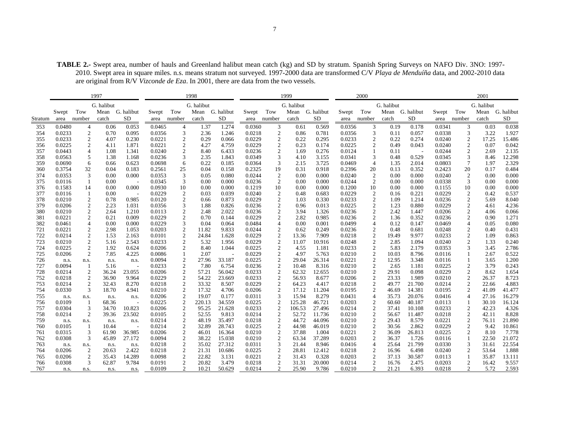**TABLE 2.-** Swept area, number of hauls and Greenland halibut mean catch (kg) and SD by stratum. Spanish Spring Surveys on NAFO Div. 3NO: 1997- 2010. Swept area in square miles. n.s. means stratum not surveyed. 1997-2000 data are transformed C/V *Playa de Menduíña* data, and 2002-2010 data are original from R/V *Vizconde de Eza*. In 2001, there are data from the two vessels.

|            |                  |                  | 1997         |                                   |                  |                                       | 1998            |                |                  |                              | 1999         |                |                  | 2000                     |              |                 |                  |                          | 2001         |                |
|------------|------------------|------------------|--------------|-----------------------------------|------------------|---------------------------------------|-----------------|----------------|------------------|------------------------------|--------------|----------------|------------------|--------------------------|--------------|-----------------|------------------|--------------------------|--------------|----------------|
|            |                  |                  | G. halibut   |                                   |                  |                                       | G. halibut      |                |                  |                              | G. halibut   |                |                  |                          | G. halibut   |                 |                  |                          | G. halibut   |                |
|            | Swept            | Tow              | Mean         | G. halibut                        | Swept            | Tow                                   | Mean G. halibut |                | Swept            | Tow                          | Mean         | G. halibut     | Swept            | Tow                      |              | Mean G. halibut | Swept            | Tow                      | Mean         | G. halibut     |
| Stratum    | area             | number           | catch        | <b>SD</b>                         | area             | number                                | catch           | <b>SD</b>      | area             | number                       | catch        | <b>SD</b>      | area             | number                   | catch        | <b>SD</b>       | area             | number                   | catch        | SD             |
| 353        | 0.0480           | 4                | 0.06         | 0.053                             | 0.0465           | $\overline{4}$                        | 1.37            | 1.274          | 0.0360           | 3                            | 0.61         | 0.569          | 0.0356           | 3                        | 0.19         | 0.178           | 0.0341           | 3                        | 0.03         | 0.038          |
| 354        | 0.0233           | $\boldsymbol{2}$ | 0.70         | 0.095                             | 0.0356           | 3                                     | 2.36            | 1.246          | 0.0218           | $\overline{c}$               | 0.86         | 0.781          | 0.0356           | $\mathfrak{Z}$           | 0.11         | 0.057           | 0.0338           | 3                        | 3.22         | 1.927          |
| 355        | 0.0233           | $\sqrt{2}$       | 4.07         | 0.230                             | 0.0221           | $\boldsymbol{2}$                      | 0.29            | 0.066          | 0.0229           | $\sqrt{2}$                   | 0.22         | 0.295          | 0.0233           | $\sqrt{2}$               | 0.22         | 0.274           | 0.0240           | $\sqrt{2}$               | 17.25        | 15.486         |
| 356        | 0.0225           | $\overline{c}$   | 4.11         | 1.871                             | 0.0221           | $\overline{c}$                        | 4.27            | 4.759          | 0.0229           | $\sqrt{2}$                   | 0.23         | 0.174          | 0.0225           | $\sqrt{2}$               | 0.49         | 0.043           | 0.0240           | $\sqrt{2}$               | 0.07         | 0.042          |
| 357        | 0.0443           | $\overline{4}$   | 1.08         | 1.341                             | 0.0240           | $\sqrt{2}$                            | 8.40            | 6.433          | 0.0236           | $\sqrt{2}$                   | 1.69         | 0.276          | 0.0124           |                          | 0.11         |                 | 0.0244           | $\overline{c}$           | 2.69         | 2.135          |
| 358        | 0.0563           | 5                | 1.38         | 1.168                             | 0.0236           | 3                                     | 2.35            | 1.843          | 0.0349           | 3                            | 4.10         | 3.155          | 0.0341           | 3                        | 0.48         | 0.529           | 0.0345           | 3                        | 8.46         | 12.298         |
| 359        | 0.0690           | 6                | 0.66         | 0.623                             | 0.0698           | 6                                     | 0.22            | 0.185          | 0.0364           | $\mathfrak{Z}$               | 2.15         | 3.725          | 0.0469           | $\overline{4}$           | 1.35         | 2.014           | 0.0803           | $\tau$                   | 1.97         | 2.329          |
| 360        | 0.3754           | 32               | 0.04         | 0.183                             | 0.2561           | 25                                    | 0.04            | 0.158          | 0.2325           | 19                           | 0.31         | 0.918          | 0.2396           | 20                       | 0.13         | 0.352           | 0.2423           | 20                       | 0.17         | 0.484          |
| 374        | 0.0353           | 3                | 0.00         | 0.000                             | 0.0353           | $\mathfrak{Z}$                        | 0.05            | 0.080          | 0.0244           | $\sqrt{2}$                   | 0.00         | 0.000          | 0.0240           | $\sqrt{2}$               | 0.00         | 0.000           | 0.0240           | $\sqrt{2}$               | 0.00         | 0.000          |
| 375        | 0.0116           | $\mathbf{1}$     | 0.00         | $\overline{\phantom{a}}$<br>0.000 | 0.0345           | 3                                     | 0.00<br>0.00    | 0.000          | 0.0236           | $\overline{c}$               | 0.00         | 0.000          | 0.0244           | 2                        | 0.00         | 0.000           | 0.0338           | 3                        | 0.00         | 0.000          |
| 376<br>377 | 0.1583<br>0.0116 | 14               | 0.00<br>0.00 |                                   | 0.0930<br>0.0229 | 10                                    | 0.03            | 0.000<br>0.039 | 0.1219<br>0.0240 | 10                           | 0.00<br>0.48 | 0.000<br>0.683 | 0.1200<br>0.0229 | 10                       | 0.00<br>0.16 | 0.000<br>0.221  | 0.1155           | 10                       | 0.00<br>0.42 | 0.000<br>0.537 |
| 378        | 0.0210           | 1<br>$\sqrt{2}$  | 0.78         | $\overline{\phantom{a}}$<br>0.985 | 0.0120           | $\overline{\mathbf{c}}$<br>$\sqrt{2}$ | 0.66            | 0.873          | 0.0229           | $\sqrt{2}$<br>$\overline{c}$ | 1.03         | 0.330          | 0.0233           | $\sqrt{2}$<br>$\sqrt{2}$ | 1.09         | 1.214           | 0.0229<br>0.0236 | $\sqrt{2}$<br>$\sqrt{2}$ | 5.69         | 8.040          |
| 379        | 0.0206           | $\sqrt{2}$       | 2.23         | 1.031                             | 0.0356           | 3                                     | 1.88            | 0.826          | 0.0236           | $\sqrt{2}$                   | 0.96         | 0.013          | 0.0225           | $\overline{c}$           | 1.23         | 0.880           | 0.0229           | $\sqrt{2}$               | 4.61         | 4.236          |
| 380        | 0.0210           | $\sqrt{2}$       | 2.64         | 1.210                             | 0.0113           | $\sqrt{2}$                            | 2.48            | 2.022          | 0.0236           | $\sqrt{2}$                   | 3.94         | 1.326          | 0.0236           | $\sqrt{2}$               | 2.42         | 1.447           | 0.0206           | $\overline{c}$           | 4.06         | 0.066          |
| 381        | 0.0221           | $\sqrt{2}$       | 0.21         | 0.009                             | 0.0229           | $\sqrt{2}$                            | 0.70            | 0.144          | 0.0229           | $\overline{c}$               | 2.82         | 0.985          | 0.0236           | $\sqrt{2}$               | 1.36         | 0.352           | 0.0236           | $\sqrt{2}$               | 0.90         | 1.271          |
| 382        | 0.0461           | $\overline{4}$   | 0.00         | 0.000                             | 0.0229           | 3                                     | 0.04            | 0.064          | 0.0484           | $\overline{4}$               | 0.00         | 0.001          | 0.0499           | $\overline{4}$           | 0.12         | 0.147           | 0.0469           | $\overline{4}$           | 0.05         | 0.080          |
| 721        | 0.0221           | $\sqrt{2}$       | 2.98         | 1.053                             | 0.0203           | $\sqrt{2}$                            | 11.82           | 9.833          | 0.0244           | $\sqrt{2}$                   | 0.62         | 0.249          | 0.0236           | $\boldsymbol{2}$         | 0.48         | 0.681           | 0.0248           | $\overline{c}$           | 0.40         | 0.431          |
| 722        | 0.0214           | $\sqrt{2}$       | 1.53         | 2.163                             | 0.0101           | $\overline{c}$                        | 24.84           | 1.628          | 0.0229           | $\overline{c}$               | 13.36        | 7.909          | 0.0218           | $\mathfrak{2}$           | 19.49        | 9.977           | 0.0233           | $\overline{c}$           | 1.09         | 0.863          |
| 723        | 0.0210           | $\boldsymbol{2}$ | 5.16         | 2.543                             | 0.0233           | $\sqrt{2}$                            | 5.32            | 1.956          | 0.0229           | $\sqrt{2}$                   | 11.07        | 10.916         | 0.0248           | $\sqrt{2}$               | 2.85         | 1.094           | 0.0240           | 2                        | 1.33         | 0.240          |
| 724        | 0.0225           | $\sqrt{2}$       | 1.92         | 0.624                             | 0.0206           | $\overline{c}$                        | 8.40            | 1.044          | 0.0225           | $\overline{\mathbf{c}}$      | 4.55         | 1.181          | 0.0233           | $\overline{c}$           | 5.83         | 2.179           | 0.0353           | 3                        | 3.45         | 2.786          |
| 725        | 0.0206           | $\sqrt{2}$       | 7.85         | 4.225                             | 0.0086           | 1                                     | 2.07            |                | 0.0229           | $\sqrt{2}$                   | 4.97         | 5.763          | 0.0210           | $\sqrt{2}$               | 10.03        | 8.796           | 0.0116           | $\mathbf{1}$             | 2.67         | 0.522          |
| 726        | n.s.             | n.s.             | n.s.         | n.s.                              | 0.0094           | $\overline{c}$                        | 27.96           | 33.187         | 0.0225           | $\sqrt{2}$                   | 29.04        | 26.314         | 0.0221           | $\overline{c}$           | 12.95        | 3.348           | 0.0116           | $\mathbf{1}$             | 3.65         | 1.200          |
| 727        | 0.0094           | 1                | 5.16         | $\overline{\phantom{a}}$          | 0.0233           | $\overline{c}$                        | 7.80            | 6.754          | 0.0236           | $\sqrt{2}$                   | 10.48        | 8.316          | 0.0210           | $\boldsymbol{2}$         | 2.65         | 1.181           | 0.0225           | $\mathfrak{2}$           | 3.79         | 0.243          |
| 728        | 0.0214           |                  | 36.24        | 23.055                            | 0.0206           |                                       | 57.21           | 56.042         | 0.0233           | $\overline{\mathbf{c}}$      | 62.32        | 12.655         | 0.0210           |                          | 29.91        | 0.098           | 0.0229           | $\sqrt{2}$               | 8.62         | 1.654          |
| 752        | 0.0218           | $\frac{2}{2}$    | 36.90        | 9.964                             | 0.0229           | $\frac{2}{2}$                         | 54.22           | 23.669         | 0.0233           | $\sqrt{2}$                   | 56.93        | 8.677          | 0.0206           | $\frac{2}{2}$            | 23.33        | 1.989           | 0.0210           | $\sqrt{2}$               | 26.37        | 8.723          |
| 753        | 0.0214           | $\sqrt{2}$       | 32.43        | 8.270                             | 0.0218           | $\sqrt{2}$                            | 33.32           | 8.507          | 0.0229           | $\sqrt{2}$                   | 64.23        | 4.417          | 0.0218           | $\sqrt{2}$               | 49.77        | 21.700          | 0.0214           | $\sqrt{2}$               | 22.66        | 4.883          |
| 754        | 0.0330           | 3                | 18.70        | 4.941                             | 0.0210           | $\sqrt{2}$                            | 17.32           | 4.706          | 0.0206           | $\overline{2}$               | 17.12        | 11.204         | 0.0195           | $\sqrt{2}$               | 46.69        | 14.381          | 0.0195           | $\overline{c}$           | 41.09        | 41.477         |
| 755        | n.s.             | n.s.             | n.s.         | n.s.                              | 0.0206           | $\sqrt{2}$                            | 19.07           | 0.177          | 0.0311           | 3                            | 15.94        | 8.279          | 0.0431           | 4                        | 35.73        | 20.076          | 0.0416           | $\overline{4}$           | 27.16        | 16.279         |
| 756        | 0.0109           | $\mathbf{1}$     | 68.36        | $\overline{\phantom{a}}$          | 0.0225           | $\sqrt{2}$                            | 220.13          | 34.559         | 0.0225           | $\sqrt{2}$                   | 125.28       | 46.721         | 0.0203           | $\sqrt{2}$               | 60.60        | 40.187          | 0.0113           | $\mathbf{1}$             | 30.10        | 16.124         |
| 757        | 0.0304           | 3                | 34.70        | 10.823                            | 0.0206           | $\sqrt{2}$                            | 95.25           | 21.628         | 0.0233           | $\overline{c}$               | 106.53       | 27.496         | 0.0214           | $\sqrt{2}$               | 37.41        | 10.108          | 0.0233           | $\overline{2}$           | 42.23        | 4.326          |
| 758        | 0.0214           | $\overline{2}$   | 39.36        | 23.502                            | 0.0105           | $\overline{c}$                        | 52.55           | 9.813          | 0.0214           | $\overline{c}$               | 52.72        | 11.736         | 0.0210           | $\overline{c}$           | 56.67        | 11.487          | 0.0218           | $\overline{2}$           | 42.11        | 8.828          |
| 759        | n.s.             | n.s.             | n.s.         | n.s.                              | 0.0214           | $\sqrt{2}$                            | 48.19           | 35.497         | 0.0218           | $\overline{c}$               | 44.72        | 44.096         | 0.0210           | $\sqrt{2}$               | 29.43        | 8.579           | 0.0221           | $\overline{c}$           | 76.11        | 21.890         |
| 760        | 0.0105           | 1                | 10.44        | $\overline{\phantom{a}}$          | 0.0214           | $\frac{2}{2}$                         | 32.89           | 28.743         | 0.0225           | $\sqrt{2}$                   | 44.98        | 46.019         | 0.0210           | $\sqrt{2}$               | 30.56        | 2.862           | 0.0229           | $\sqrt{2}$               | 9.42         | 10.861         |
| 761        | 0.0315           | $\mathfrak{Z}$   | 61.90        | 36.985                            | 0.0206           |                                       | 46.01           | 16.364         | 0.0210           | $\sqrt{2}$                   | 37.88        | 1.004          | 0.0221           | $\sqrt{2}$               | 36.09        | 26.813          | 0.0225           | $\sqrt{2}$               | 8.10         | 7.778          |
| 762        | 0.0308           | 3                | 45.89        | 27.172                            | 0.0094           | $\sqrt{2}$                            | 38.22           | 15.038         | 0.0210           | $\sqrt{2}$                   | 63.34        | 37.289         | 0.0203           | $\boldsymbol{2}$         | 36.37        | 1.726           | 0.0116           | 1                        | 22.50        | 21.072         |
| 763        | n.s.             | n.s.             | n.s.         | n.s.                              | 0.0218           | $\sqrt{2}$                            | 35.02           | 27.312         | 0.0311           | 3                            | 21.44        | 8.946          | 0.0416           | 4                        | 25.64        | 21.799          | 0.0330           | 3                        | 31.61        | 22.554         |
| 764        | 0.0206           | $\overline{c}$   | 20.63        | 2.422                             | 0.0218           | $\frac{2}{2}$                         | 21.31           | 10.686         | 0.0225           | $\sqrt{2}$                   | 28.81        | 12.412         | 0.0218           | $\overline{c}$           | 16.96        | 6.498           | 0.0240           | $\overline{c}$           | 53.64        | 1.888          |
| 765        | 0.0206           | $\sqrt{2}$       | 35.43        | 14.289                            | 0.0098           |                                       | 22.82           | 3.131          | 0.0221           | $\sqrt{2}$                   | 31.43        | 0.328          | 0.0203           | $\overline{\mathbf{c}}$  | 37.13        | 30.587          | 0.0113           | $\mathbf{1}$             | 35.87        | 13.111         |
| 766        | 0.0308           | 3                | 62.87        | 9.784                             | 0.0191           | $\sqrt{2}$                            | 20.82           | 3.479          | 0.0218           | $\overline{c}$               | 31.31        | 20.000         | 0.0214           | $\sqrt{2}$               | 16.76        | 2.475           | 0.0203           | $\sqrt{2}$               | 16.42        | 9.557          |
| 767        | n.s.             | n.s.             | n.s.         | n.s.                              | 0.0109           | $\overline{c}$                        | 10.21           | 50.629         | 0.0214           | $\overline{2}$               | 25.90        | 9.786          | 0.0210           | 2                        | 21.21        | 6.393           | 0.0218           | 2                        | 5.72         | 2.593          |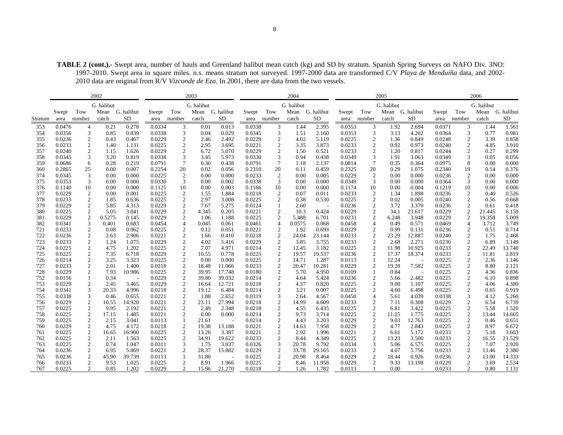**TABLE 2 (cont.).-** Swept area, number of hauls and Greenland halibut mean catch (kg) and SD by stratum. Spanish Spring Surveys on NAFO Div. 3NO: 1997-2010. Swept area in square miles. n.s. means stratum not surveyed. 1997-2000 data are transformed C/V *Playa de Menduíña* data, and 2002- 2010 data are original from R/V *Vizconde de Eza*. In 2001, there are data from the two vessels.

|            |                  |                                               | 2002         |                          |                  |                                                   | 2003            |                  |                  |                             | 2004           |                 |                  |                                            | 2005           |                 |                  |                                            | 2006         |                 |
|------------|------------------|-----------------------------------------------|--------------|--------------------------|------------------|---------------------------------------------------|-----------------|------------------|------------------|-----------------------------|----------------|-----------------|------------------|--------------------------------------------|----------------|-----------------|------------------|--------------------------------------------|--------------|-----------------|
|            |                  |                                               | G. halibut   |                          |                  |                                                   | G. halibut      |                  |                  |                             | G. halibut     |                 |                  |                                            | G. halibut     |                 |                  |                                            | G. halibut   |                 |
|            | Swept            | Tow                                           | Mean         | G. halibut               | Swept            | Tow                                               | Mean G. halibut |                  | Swept            | Tow                         |                | Mean G. halibut | Swept            | Tow                                        |                | Mean G. halibut | Swept            | Tow                                        |              | Mean G. halibut |
| Stratum    | area             | number                                        | catch        | <b>SD</b>                | area             | number                                            | catch           | <b>SD</b>        | area             | number                      | catch          | SD              | area             | number                                     | catch          | SD              | area             | number                                     | catch        | SD              |
| 353        | 0.0476           | 4                                             | 0.21         | 0.278                    | 0.0334           | 3                                                 | 0.01            | 0.013            | 0.0338           | 3                           | 1.44           | 2.395           | 0.0353           | 3                                          | 1.92           | 2.694           | 0.0371           | 3                                          | 1.44         | 1.561           |
| 354        | 0.0356           | $\ensuremath{\mathfrak{Z}}$                   | 0.85         | 0.839                    | 0.0338           | $\ensuremath{\mathfrak{Z}}$                       | 0.04            | 0.029            | 0.0345           | 3                           | 1.51           | 2.160           | 0.0353           | $\ensuremath{\mathfrak{Z}}$                | 3.13           | 4.202           | 0.0364           | $\mathfrak{Z}$                             | 0.77         | 0.981           |
| 355        | 0.0236           |                                               | 0.43         | 0.467                    | 0.0229           | $\boldsymbol{2}$                                  | 2.46            | 2.492            | 0.0229           | $\overline{\mathbf{c}}$     | 4.02           | 5.119           | 0.0225           |                                            | 1.36           | 0.849           | 0.0248           |                                            | 3.39         | 0.858           |
| 356        | 0.0233           | $\begin{array}{c} 2 \\ 2 \\ 2 \end{array}$    | 1.40         | 1.131                    | 0.0225           | $\frac{2}{2}$                                     | 2.95            | 3.695            | 0.0221           | $\sqrt{2}$                  | 3.35           | 3.873           | 0.0233           | $\begin{array}{c} 2 \\ 2 \\ 2 \end{array}$ | 0.92           | 0.973           | 0.0240           | $\frac{2}{2}$                              | 4.85         | 3.910           |
| 357        | 0.0240           |                                               | 1.15         | 1.626                    | 0.0229           |                                                   | 6.72            | 5.070            | 0.0229           | $\sqrt{2}$                  | 1.50           | 0.521           | 0.0233           |                                            | 1.20           | 0.817           | 0.0244           | $\sqrt{2}$                                 | 0.27         | 0.299           |
| 358        | 0.0345           | $\ensuremath{\mathfrak{Z}}$                   | 3.20         | 0.819                    | 0.0338           | $\ensuremath{\mathfrak{Z}}$                       | 3.45            | 5.973            | 0.0330           | $\mathfrak{Z}$              | 0.94           | 0.438           | 0.0349           | $\mathfrak{Z}$                             | 1.91           | 3.063           | 0.0349           | $\ensuremath{\mathfrak{Z}}$                | 0.05         | 0.056           |
| 359        | 0.0686           | $\sqrt{6}$                                    | 0.28         | 0.219                    | 0.0791           | $\boldsymbol{7}$                                  | 0.30            | 0.438            | 0.0791           | $\boldsymbol{7}$            | 1.18           | 2.137           | 0.0814           | $\boldsymbol{7}$                           | 0.35           | 0.364           | 0.0975           | $\,8\,$                                    | 0.00         | 0.000           |
| 360        | 0.2865           | $25\,$                                        | 0.00         | 0.007                    | 0.2254           | $20\,$                                            | 0.02            | 0.056            | 0.2310           | $20\,$                      | 0.11           | 0.459           | 0.2325           | 20                                         | 0.29           | 1.075           | 0.2340           | 19                                         | 0.14         | 0.376           |
| 374        | 0.0345           | 3                                             | 0.00         | 0.000                    | 0.0225           | 2                                                 | 0.00            | 0.000            | 0.0233           | $\overline{c}$              | 0.00           | 0.005           | 0.0229           | $\overline{2}$                             | 0.00           | 0.000           | 0.0236           | $\overline{c}$                             | 0.00         | 0.000           |
| 375        | 0.0353           | 3                                             | 0.00         | 0.000                    | 0.0330           | 3                                                 | 0.00            | 0.002            | 0.0338           | 3                           | 0.00           | 0.000           | 0.0349           | 3                                          | 0.00           | 0.000           | 0.0364           | 3                                          | 0.00         | 0.000           |
| 376        | 0.1140           | 10                                            | 0.00         | 0.000                    | 0.1125           | 10                                                | 0.00            | 0.003            | 0.1166           | 10                          | 0.00           | 0.000           | 0.1174           | 10                                         | 0.00           | 0.004           | 0.1219           | 10                                         | 0.00         | 0.006           |
| 377        | 0.0229           | $\sqrt{2}$                                    | 0.00         | 0.001                    | 0.0225           | $\begin{array}{c} 2 \\ 2 \\ 2 \end{array}$        | 1.55            | 1.884            | 0.0218           | $\overline{\mathbf{c}}$     | 0.07           | 0.011           | 0.0233           | $\boldsymbol{2}$                           | 1.34           | 1.898           | 0.0236           | $\sqrt{2}$                                 | 0.40         | 0.526           |
| 378        | 0.0233           | $\sqrt{2}$                                    | 1.85         | 0.636                    | 0.0225           |                                                   | 2.97            | 3.008            | 0.0225           | $\sqrt{2}$                  | 0.38           | 0.530           | 0.0225           | $\sqrt{2}$                                 | 0.02           | 0.005           | 0.0240           | $\sqrt{2}$                                 | 0.56         | 0.668           |
| 379        | 0.0229           | $\sqrt{2}$                                    | 5.85         | 4.313                    | 0.0229           |                                                   | 7.67            | 5.275            | 0.0124           | $\mathbf{1}$                | 2.60           | $\sim$          | 0.0236           | $\sqrt{2}$                                 | 3.72           | 3.370           | 0.0236           | $\mathfrak{2}$                             | 0.61         | 0.418           |
| 380        | 0.0225           | $\sqrt{2}$                                    | 5.05         | 3.041                    | 0.0229           | $\sqrt{2}$                                        | 4.345           | 0.205            | 0.0221           | $\sqrt{2}$                  | 10.3           | 0.424           | 0.0229           | $\sqrt{2}$                                 | 34.1           | 23.617          | 0.0229           | $\mathbf{2}$                               | 21.445       | 6.159           |
| 381        | 0.0229           | $\sqrt{2}$                                    | 0.5275       | 0.145                    | 0.0229           | $\boldsymbol{2}$                                  | 1.06            | 1.188            | 0.0225           | $\sqrt{2}$                  | 5.488          | 6.701           | 0.0233           | $\overline{c}$                             | 6.248          | 3.948           | 0.0229           | $\boldsymbol{2}$                           | 19.358       | 5.009           |
| 382        | 0.0341           | $\ensuremath{\mathfrak{Z}}$                   | 0.401        | 0.683                    | 0.0454           | $\sqrt{4}$                                        | 0.045           | 0.061            | 0.0461           | $\overline{4}$              | 0.0575         | 0.068           | 0.0458           | $\overline{4}$                             | 0.49           | 0.571           | 0.0469           | $\overline{4}$                             | 3.712        | 3.749           |
| 721        | 0.0233           | $\overline{c}$                                | 0.08         | 0.062                    | 0.0225           | $\sqrt{2}$                                        | 0.12            | 0.051            | 0.0221           | $\boldsymbol{2}$            | 1.92           | 0.693           | 0.0229           | $\boldsymbol{2}$                           | 0.99           | 0.131           | 0.0236           | $\overline{c}$                             | 0.51         | 0.714           |
| 722        | 0.0236           | $\sqrt{2}$                                    | 2.63         | 2.906                    | 0.0221           | $\begin{array}{c}\n2 \\ 2 \\ 2 \\ 2\n\end{array}$ | 1.66            | 0.410            | 0.0218           | $\boldsymbol{2}$            | 24.04          | 23.144          | 0.0233           | $\sqrt{2}$                                 | 23.29          | 12.887          | 0.0240           | $\sqrt{2}$                                 | 1.75         | 2.468           |
| 723        | 0.0233           | $\sqrt{2}$                                    | 1.24         | 1.075                    | 0.0229           |                                                   | 4.02            | 5.416            | 0.0229           | $\sqrt{2}$                  | 3.85           | 3.755           | 0.0233           | $\boldsymbol{2}$                           | 2.68           | 2.271           | 0.0236           | $\sqrt{2}$                                 | 6.89         | 3.149           |
| 724        | 0.0225           | $\overline{c}$                                | 4.75         | 1.202                    | 0.0225           |                                                   | 7.07            | 4.971            | 0.0214           | $\sqrt{2}$                  | 12.45          | 3.182           | 0.0225           | $\boldsymbol{2}$                           | 11.98          | 10.925          | 0.0233           | $\sqrt{2}$                                 | 22.49        | 13.740          |
| 725<br>726 | 0.0225           | $\frac{2}{2}$                                 | 7.35<br>3.25 | 6.718                    | 0.0229           |                                                   | 10.55<br>0.00   | 0.778<br>0.000   | 0.0225           | $\frac{2}{2}$               | 19.57<br>14.71 | 19.537<br>1.287 | 0.0236           | $\sqrt{2}$                                 | 17.37<br>12.24 | 18.374          | 0.0233           | $\sqrt{2}$                                 | 11.81        | 2.819           |
|            | 0.0214           |                                               |              | 3.323                    | 0.0225           | $\sqrt{2}$                                        |                 |                  | 0.0225           |                             |                |                 | 0.0113           | $\mathbf{1}$                               |                |                 | 0.0225           | $\sqrt{2}$                                 | 2.36         | 1.146           |
| 727<br>728 | 0.0233<br>0.0229 | $\sqrt{2}$<br>$\sqrt{2}$                      | 2.01<br>7.93 | 1.400<br>10.986          | 0.0218<br>0.0225 |                                                   | 18.48<br>39.95  | 11.066<br>17.748 | 0.0233<br>0.0180 | $\sqrt{2}$<br>$\sqrt{2}$    | 20.47<br>5.70  | 10.281<br>4.950 | 0.0229<br>0.0109 | $\overline{2}$<br>$\mathbf{1}$             | 19.28<br>0.84  | 7.582           | 0.0225<br>0.0225 | $\sqrt{2}$<br>$\sqrt{2}$                   | 8.80<br>4.36 | 2.121<br>0.836  |
| 752        | 0.0116           | $\mathbf{1}$                                  | 0.34         | $\overline{\phantom{a}}$ | 0.0229           | $\frac{2}{2}$                                     | 39.80           | 39.032           | 0.0214           | $\sqrt{2}$                  | 4.64           | 5.424           | 0.0236           |                                            | 5.66           | 2.482           | 0.0225           | $\sqrt{2}$                                 | 6.10         | 0.898           |
| 753        | 0.0229           | $\overline{2}$                                | 2.45         | 3.465                    | 0.0229           |                                                   | 16.64           | 12.721           | 0.0218           | $\sqrt{2}$                  | 4.37           | 0.820           | 0.0225           | $\overline{c}$<br>$\sqrt{2}$               | 9.00           | 1.107           | 0.0225           | $\sqrt{2}$                                 | 4.06         | 4.380           |
| 754        | 0.0341           | $\mathfrak{Z}$                                | 20.33        | 4.996                    | 0.0218           | $\frac{2}{2}$                                     | 19.12           | 6.484            | 0.0214           | $\sqrt{2}$                  | 3.21           | 0.007           | 0.0225           | $\sqrt{2}$                                 | 4.60           | 6.498           | 0.0225           | $\sqrt{2}$                                 | 0.65         | 0.919           |
| 755        | 0.0338           | 3                                             | 0.46         | 0.655                    | 0.0221           |                                                   | 1.88            | 2.652            | 0.0319           | $\ensuremath{\mathfrak{Z}}$ | 2.64           | 4.567           | 0.0450           | $\overline{4}$                             | 5.61           | 4.039           | 0.0338           | $\sqrt{3}$                                 | 4.12         | 5.260           |
| 756        | 0.0229           | $\sqrt{2}$                                    | 10.55        | 14.920                   | 0.0221           | $\begin{array}{c} 2 \\ 2 \\ 2 \\ 2 \end{array}$   | 23.11           | 27.994           | 0.0218           | $\sqrt{2}$                  | 14.99          | 4.609           | 0.0233           | $\boldsymbol{2}$                           | 7.11           | 0.308           | 0.0229           | $\sqrt{2}$                                 | 6.54         | 6.739           |
| 757        | 0.0225           | $\sqrt{2}$                                    | 9.95         | 2.192                    | 0.0221           |                                                   | 2.49            | 2.348            | 0.0218           | $\sqrt{2}$                  | 4.55           | 6.435           | 0.0225           | $\sqrt{2}$                                 | 6.81           | 3.422           | 0.0225           | $\sqrt{2}$                                 | 5.58         | 1.520           |
| 758        | 0.0225           | $\sqrt{2}$                                    | 17.15        | 1.485                    | 0.0221           |                                                   | 0.00            | 0.000            | 0.0214           | $\boldsymbol{2}$            | 9.73           | 3.714           | 0.0225           | $\sqrt{2}$                                 | 11.25          | 1.775           | 0.0225           | $\sqrt{2}$                                 | 13.44        | 14.665          |
| 759        | 0.0225           | $\sqrt{2}$                                    | 2.15         | 3.041                    | 0.0113           | $\,1\,$                                           | 21.61           |                  | 0.0214           | $\sqrt{2}$                  | 4.43           | 3.203           | 0.0229           | $\sqrt{2}$                                 | 9.03           | 12.763          | 0.0225           |                                            | 0.46         | 0.651           |
| 760        | 0.0229           | $\sqrt{2}$                                    | 4.75         | 4.172                    | 0.0218           | $\sqrt{2}$                                        | 19.38           | 13.188           | 0.0221           | $\sqrt{2}$                  | 14.63          | 7.958           | 0.0229           | $\sqrt{2}$                                 | 4.77           | 2.843           | 0.0225           | $\begin{smallmatrix}2\\2\end{smallmatrix}$ | 8.97         | 6.672           |
| 761        | 0.0225           | $\sqrt{2}$                                    | 16.65        | 16.900                   | 0.0225           | $\sqrt{2}$                                        | 13.26           | 3.387            | 0.0221           | $\sqrt{2}$                  | 2.92           | 1.996           | 0.0221           | $\sqrt{2}$                                 | 6.61           | 5.172           | 0.0233           | $\sqrt{2}$                                 | 5.18         | 3.603           |
| 762        | 0.0225           | $\overline{c}$                                | 2.11         | 1.563                    | 0.0225           | $\sqrt{2}$                                        | 34.91           | 19.622           | 0.0233           | $\boldsymbol{2}$            | 8.44           | 4.349           | 0.0225           | $\overline{c}$                             | 13.23          | 3.500           | 0.0233           | $\overline{2}$                             | 16.55        | 21.529          |
| 763        | 0.0225           | $\sqrt{2}$                                    | 0.74         | 1.047                    | 0.0311           | $\ensuremath{\mathfrak{Z}}$                       | 1.75            | 3.037            | 0.0326           | $\ensuremath{\mathfrak{Z}}$ | 20.78          | 9.792           | 0.0334           | 3                                          | 5.06           | 6.575           | 0.0225           | $\mathfrak{2}$                             | 7.07         | 2.920           |
| 764        | 0.0236           |                                               | 6.95         | 5.869                    | 0.0221           |                                                   | 28.37           | 15.882           | 0.0229           |                             | 33.78          | 29.165          | 0.0233           | $\boldsymbol{2}$                           | 4.07           | 5.756           | 0.0233           | $\sqrt{2}$                                 | 13.46        | 2.380           |
| 765        | 0.0236           |                                               | 45.90        | 39.739                   | 0.0113           | $\begin{smallmatrix}2\\1\end{smallmatrix}$        | 31.80           |                  | 0.0225           | $\frac{2}{2}$               | 20.98          | 8.464           | 0.0229           | $\sqrt{2}$                                 | 18.44          | 0.926           | 0.0236           | $\sqrt{2}$                                 | 13.00        | 14.333          |
| 766        | 0.0233           | $\begin{smallmatrix}2\\2\\2\end{smallmatrix}$ | 9.53         | 1.025                    | 0.0225           | $\sqrt{2}$                                        | 8.91            | 1.966            | 0.0225           | $\sqrt{2}$                  | 8.46           | 11.958          | 0.0229           | $\sqrt{2}$                                 | 9.33           | 13.198          | 0.0229           | $\sqrt{2}$                                 | 3.69         | 2.534           |
| 767        | 0.0225           | $\overline{2}$                                | 0.85         | 1.202                    | 0.0229           | $\overline{c}$                                    | 15.96           | 21.270           | 0.0218           | $\mathbf{2}$                | 1.26           | 1.782           | 0.0113           |                                            | 0.00           | $\sim$          | 0.0233           | $\overline{2}$                             | 0.80         | 1.131           |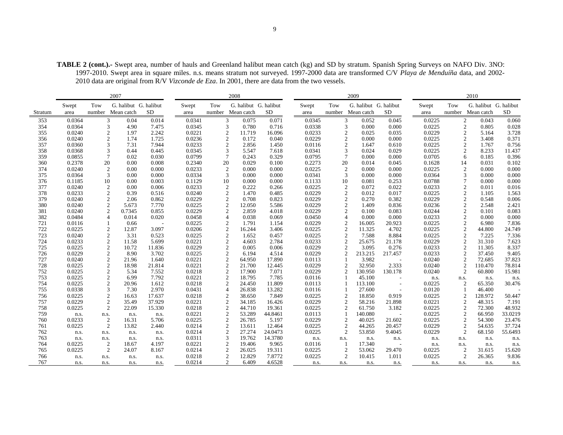**TABLE 2 (cont.).-** Swept area, number of hauls and Greenland halibut mean catch (kg) and SD by stratum. Spanish Spring Surveys on NAFO Div. 3NO: 1997-2010. Swept area in square miles. n.s. means stratum not surveyed. 1997-2000 data are transformed C/V *Playa de Menduíña* data, and 2002- 2010 data are original from R/V *Vizconde de Eza*. In 2001, there are data from the two vessels.

|            |               |                | 2007                                |           |                  |                                  | 2008                                       |                 |                |                     | 2009                                |                          |                |                     | 2010                                       |           |
|------------|---------------|----------------|-------------------------------------|-----------|------------------|----------------------------------|--------------------------------------------|-----------------|----------------|---------------------|-------------------------------------|--------------------------|----------------|---------------------|--------------------------------------------|-----------|
| Stratum    | Swept<br>area | Tow<br>number  | G. halibut G. halibut<br>Mean catch | <b>SD</b> | Swept<br>area    | Tow                              | G. halibut G. halibut<br>number Mean catch | <b>SD</b>       | Swept<br>area  | Tow<br>number       | G. halibut G. halibut<br>Mean catch | <b>SD</b>                | Swept<br>area  | Tow                 | G. halibut G. halibut<br>number Mean catch | <b>SD</b> |
| 353        | 0.0364        |                | 3<br>0.04                           | 0.014     | 0.0341           | 3                                | 0.075                                      | 0.071           | 0.0345         |                     | 3<br>0.052                          | 0.045                    | 0.0225         | $\boldsymbol{2}$    | 0.043                                      | 0.060     |
| 354        | 0.0364        |                | 3<br>4.90                           | 7.475     | 0.0345           | 3                                | 0.780                                      | 0.716           | 0.0338         | 3                   | 0.000                               | 0.000                    | 0.0225         | $\overline{c}$      | 0.805                                      | 0.028     |
| 355        | 0.0240        |                | $\mathfrak{2}$<br>1.97              | 2.242     | 0.0221           | $\mathfrak{2}$                   | 11.719                                     | 16.096          | 0.0233         | $\mathfrak{2}$      | 0.025                               | 0.035                    | 0.0229         | $\mathfrak{2}$      | 5.164                                      | 3.728     |
| 356        | 0.0240        |                | $\mathfrak{2}$<br>1.74              | 1.725     | 0.0236           | $\mathfrak{2}$                   | 0.172                                      | 0.040           | 0.0229         | $\mathfrak{2}$      | 0.000                               | 0.000                    | 0.0225         | $\mathfrak{2}$      | 3.408                                      | 0.371     |
| 357        | 0.0360        |                | 3<br>7.31                           | 7.944     | 0.0233           | 2                                | 2.856                                      | 1.450           | 0.0116         | 2                   | 1.647                               | 0.610                    | 0.0225         | 2                   | 1.767                                      | 0.756     |
| 358        | 0.0368        |                | 3<br>0.44                           | 0.445     | 0.0345           | 3                                | 5.547                                      | 7.618           | 0.0341         | 3                   | 0.024                               | 0.029                    | 0.0225         | $\mathfrak{2}$      | 8.233                                      | 11.437    |
| 359        | 0.0855        | $\overline{7}$ | 0.02                                | 0.030     | 0.0799           | 7                                | 0.243                                      | 0.329           | 0.0795         | $\tau$              | 0.000                               | 0.000                    | 0.0705         | 6                   | 0.185                                      | 0.396     |
| 360        | 0.2378        | 20             | 0.00                                | 0.008     | 0.2340           | 20                               | 0.029                                      | 0.100           | 0.2273         | 20                  | 0.014                               | 0.045                    | 0.1628         | 14                  | 0.031                                      | 0.102     |
| 374        | 0.0240        | 2              | 0.00                                | 0.000     | 0.0233           | 2                                | 0.000                                      | 0.000           | 0.0225         | $\overline{2}$      | 0.000                               | 0.000                    | 0.0225         | 2                   | 0.000                                      | 0.000     |
| 375        | 0.0364        |                | 3<br>0.00                           | 0.000     | 0.0334           | 3                                | 0.000                                      | 0.000           | 0.0341         | 3                   | 0.000                               | 0.000                    | 0.0364         | 3                   | 0.000                                      | 0.000     |
| 376        | 0.1185        | 10             | 0.00                                | 0.003     | 0.1129           | 10                               | 0.000                                      | 0.000           | 0.1133         | 10                  | 0.081                               | 0.253                    | 0.0788         | $\overline{7}$      | 0.000                                      | 0.000     |
| 377        | 0.0240        |                | 2<br>0.00                           | 0.006     | 0.0233           | 2                                | 0.222                                      | 0.266           | 0.0225         | $\overline{2}$      | 0.072                               | 0.022                    | 0.0233         | $\overline{2}$      | 0.011                                      | 0.016     |
| 378        | 0.0233        |                | $\mathfrak{2}$<br>0.39              | 0.516     | 0.0240           | $\mathfrak{2}$                   | 1.470                                      | 0.485           | 0.0229         | $\mathfrak{2}$      | 0.012                               | 0.017                    | 0.0225         | $\mathfrak{2}$      | 1.105                                      | 1.563     |
| 379        | 0.0240        |                | $\mathfrak{2}$<br>2.06              | 0.862     | 0.0229           | $\boldsymbol{2}$                 | 0.708                                      | 0.823           | 0.0229         | $\overline{2}$      | 0.270                               | 0.382                    | 0.0229         | $\boldsymbol{2}$    | 0.548                                      | 0.006     |
| 380        | 0.0240        |                | $\overline{c}$<br>5.673             | 7.770     | 0.0225           | $\mathfrak{2}$                   | 12.050                                     | 5.586           | 0.0229         | $\overline{2}$      | 1.409                               | 0.836                    | 0.0236         | $\mathfrak{2}$      | 2.548                                      | 2.421     |
| 381        | 0.0240        |                | $\mathfrak{2}$<br>0.7345            | 0.855     | 0.0229           | $\mathfrak{2}$                   | 2.859                                      | 4.018           | 0.0229         | $\overline{2}$      | 0.100                               | 0.083                    | 0.0244         | $\mathfrak{2}$      | 0.101                                      | 0.083     |
| 382        | 0.0484        |                | 0.014<br>4                          | 0.020     | 0.0458           | 4                                | 0.038                                      | 0.069           | 0.0450         | 4                   | 0.000                               | 0.000                    | 0.0233         | $\mathfrak{2}$      | 0.000                                      | 0.000     |
| 721        | 0.0116        |                | 0.66                                |           | 0.0225           | $\overline{c}$                   | 1.791                                      | 1.154           | 0.0229         | $\overline{2}$      | 16.005                              | 20.923                   | 0.0225         | $\mathfrak{D}$      | 6.980                                      | 7.836     |
| 722        | 0.0225        |                | 2<br>12.87                          | 3.097     | 0.0206           | $\boldsymbol{2}$                 | 16.244                                     | 3.406           | 0.0225         | $\overline{2}$      | 11.325                              | 4.702                    | 0.0225         | $\overline{c}$      | 44.800                                     | 24.749    |
| 723        | 0.0240        |                | $\mathfrak{2}$<br>3.31              | 0.523     | 0.0225           | $\mathfrak{2}$                   | 1.652                                      | 0.457           | 0.0225         | $\overline{2}$      | 7.588                               | 8.884                    | 0.0225         | $\overline{c}$      | 7.225                                      | 7.336     |
| 724        | 0.0233        |                | $\overline{2}$<br>11.58             | 5.699     | 0.0221           | $\overline{2}$                   | 4.603                                      | 2.784           | 0.0233         | $\overline{2}$      | 25.675                              | 21.178                   | 0.0229         | $\overline{c}$      | 31.310                                     | 7.623     |
| 725        | 0.0225        |                | $\mathfrak{2}$<br>10.72             | 11.836    | 0.0229           | $\mathfrak{2}$                   | 0.005                                      | 0.006           | 0.0229         | $\overline{2}$      | 3.095                               | 0.276                    | 0.0233         | $\overline{2}$      | 11.305                                     | 8.337     |
| 726        | 0.0229        |                | $\mathfrak{2}$<br>8.90              | 3.702     | 0.0225           | $\mathfrak{2}$                   | 6.194                                      | 4.514           | 0.0229         | $\overline{2}$      | 213.215                             | 217.457                  | 0.0233         | $\mathfrak{2}$      | 37.450                                     | 9.405     |
| 727        | 0.0240        |                | $\mathfrak{2}$<br>21.96             | 1.640     | 0.0221           | $\overline{c}$                   | 64.950                                     | 17.890          | 0.0113         | $\mathbf{1}$        | 3.982                               |                          | 0.0240         | 2                   | 72.685                                     | 37.823    |
| 728        | 0.0225        |                | $\mathfrak{2}$<br>18.98             | 21.814    | 0.0221           | 2                                | 21.700                                     | 12.445          | 0.0229         | 2                   | 32.950                              | 2.333                    | 0.0240         | $\overline{c}$      | 110.470                                    | 78.814    |
| 752        | 0.0225        |                | $\boldsymbol{2}$<br>5.34            | 7.552     | 0.0218           | $\mathfrak{2}$                   | 17.900                                     | 7.071           | 0.0229         | $\overline{2}$      | 130.950                             | 130.178                  | 0.0240         | 2                   | 60.800                                     | 15.981    |
| 753        | 0.0225        |                | $\overline{c}$<br>6.99              | 7.792     | 0.0221           | $\overline{c}$                   | 18.795                                     | 7.785           | 0.0116         |                     | 45.100                              |                          | n.s.           | n.s.                | n.s.                                       | n.s.      |
| 754        | 0.0225        |                | $\mathfrak{2}$<br>20.96             | 1.612     | 0.0218           | $\mathfrak{2}$                   | 24.450                                     | 11.809          | 0.0113         |                     | 113.100                             | $\overline{\phantom{a}}$ | 0.0225         | 2                   | 65.350                                     | 30.476    |
| 755        | 0.0338        |                | 3<br>7.30                           | 2.970     | 0.0431           | 4                                | 26.838                                     | 13.282          | 0.0116         |                     | 27.600                              |                          | 0.0120         |                     | 46.400                                     |           |
| 756        | 0.0225        |                | $\overline{2}$<br>16.63             | 17.637    | 0.0218           | $\overline{c}$                   | 38.650                                     | 7.849           | 0.0225         | $\overline{2}$      | 18.850                              | 0.919                    | 0.0225         | $\overline{c}$      | 128.972                                    | 50.447    |
| 757        | 0.0229        |                | $\mathfrak{2}$<br>35.49             | 37.929    | 0.0221           | $\overline{c}$                   | 34.185                                     | 16.426          | 0.0229         | $\overline{2}$      | 58.216                              | 21.898                   | 0.0221         | $\overline{2}$      | 48.315                                     | 7.191     |
| 758        | 0.0225        |                | $\overline{c}$<br>22.09             | 15.330    | 0.0218           | $\boldsymbol{2}$                 | 44.710                                     | 19.361          | 0.0225         | $\overline{2}$      | 61.750                              | 3.182                    | 0.0225         | $\mathfrak{2}$      | 72.300                                     | 48.932    |
| 759        | n.s.          | n.s.           | n.s.                                | n.s.      | 0.0221           | $\mathfrak{2}$                   | 53.289                                     | 44.8461         | 0.0113         |                     | 140.080                             |                          | 0.0225         | $\mathfrak{2}$      | 66.950                                     | 33.0219   |
| 760        | 0.0233        | $\overline{2}$ | 16.31                               | 5.706     | 0.0225           | $\mathfrak{2}$                   | 26.785                                     | 5.197           | 0.0229         | 2                   | 40.025                              | 21.602                   | 0.0225         | $\mathfrak{2}$      | 54.300                                     | 23.476    |
| 761        | 0.0225        |                | $\overline{c}$<br>13.82             | 2.440     | 0.0214           | $\boldsymbol{2}$                 | 13.611                                     | 12.464          | 0.0225         | $\boldsymbol{2}$    | 44.265                              | 20.457                   | 0.0229         | $\mathfrak{2}$      | 54.635                                     | 37.724    |
| 762        | n.s.          | n.s.           | n.s.                                | n.s.      | 0.0214           | $\mathfrak{2}$                   | 27.274                                     | 24.0473         | 0.0225         | $\overline{c}$      | 53.850                              | 9.4045                   | 0.0229         | 2                   | 68.150                                     | 55.6493   |
| 763        | n.s.          | n.s.           | n.s.                                | n.s.      | 0.0311           | 3                                | 19.762                                     | 14.3780         | n.s.<br>0.0116 | n.s.                | n.s.                                | n.s.                     | n.s.           | n.s.                | n.s.                                       | n.s.      |
| 764        | 0.0225        | $\overline{2}$ | 18.67                               | 4.197     | 0.0221<br>0.0214 | $\mathfrak{2}$                   | 19.406                                     | 9.965<br>19.311 | 0.0225         |                     | 17.340                              | $\sim$                   | n.s.<br>0.0225 | n.s.                | n.s.                                       | n.s.      |
| 765<br>766 | 0.0225        |                | $\overline{c}$<br>24.07             | 8.167     | 0.0218           | $\mathfrak{2}$<br>$\overline{2}$ | 26.025<br>12.829                           | 7.8772          | 0.0225         | 2<br>$\overline{2}$ | 53.062<br>10.415                    | 29.470<br>1.011          |                | 2<br>$\overline{2}$ | 31.615<br>26.365                           | 15.620    |
| 767        | n.s.          | n.s.           | n.s.                                | n.s.      | 0.0214           | 2                                | 6.409                                      | 4.6528          |                |                     |                                     |                          | 0.0225         |                     |                                            | 9.836     |
|            | n.s.          | n.s.           | n.s.                                | n.s.      |                  |                                  |                                            |                 | n.s.           | n.s.                | n.s.                                | n.s.                     | n.s.           | n.s.                | n.s.                                       | n.s.      |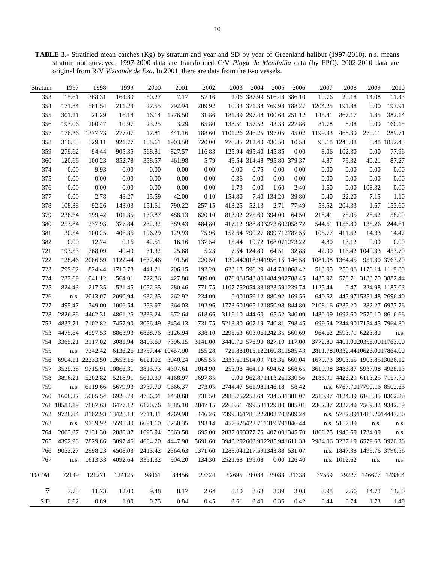**TABLE 3.-** Stratified mean catches (Kg) by stratum and year and SD by year of Greenland halibut (1997-2010). n.s. means stratum not surveyed. 1997-2000 data are transformed C/V *Playa de Menduíña* data (by FPC). 2002-2010 data are original from R/V *Vizconde de Eza*. In 2001, there are data from the two vessels.

| Stratum        | 1997         | 1998                      | 1999             | 2000                      | 2001    | 2002    | 2003                                 | 2004                        | 2005                | 2006        | 2007                            | 2008                    | 2009                            | 2010           |
|----------------|--------------|---------------------------|------------------|---------------------------|---------|---------|--------------------------------------|-----------------------------|---------------------|-------------|---------------------------------|-------------------------|---------------------------------|----------------|
| 353            | 15.61        | 368.31                    | 164.80           | 50.27                     | 7.17    | 57.16   |                                      | 2.06 387.99 516.48 386.10   |                     |             | 10.76                           | 20.18                   | 14.08                           | 11.43          |
| 354            | 171.84       | 581.54                    | 211.23           | 27.55                     | 792.94  | 209.92  |                                      | 10.33 371.38 769.98 188.27  |                     |             | 1204.25                         | 191.88                  | 0.00                            | 197.91         |
| 355            | 301.21       | 21.29                     | 16.18            | 16.14                     | 1276.50 | 31.86   |                                      | 181.89 297.48 100.64 251.12 |                     |             | 145.41                          | 867.17                  | 1.85                            | 382.14         |
| 356            | 193.06       | 200.47                    | 10.97            | 23.25                     | 3.29    | 65.80   |                                      | 138.51 157.52 43.33 227.86  |                     |             | 81.78                           | 8.08                    | 0.00                            | 160.15         |
| 357            | 176.36       | 1377.73                   | 277.07           | 17.81                     | 441.16  | 188.60  | 1101.26 246.25 197.05                |                             |                     | 45.02       | 1199.33                         | 468.30                  | 270.11                          | 289.71         |
| 358            | 310.53       | 529.11                    | 921.77           | 108.61                    | 1903.50 | 720.00  |                                      | 776.85 212.40 430.50        |                     | 10.58       |                                 | 98.18 1248.08           |                                 | 5.48 1852.43   |
| 359            | 279.62       | 94.44                     | 905.35           | 568.81                    | 827.57  | 116.83  |                                      | 125.94 495.40 145.85        |                     | 0.00        | 8.06                            | 102.30                  | 0.00                            | 77.96          |
| 360            | 120.66       | 100.23                    | 852.78           | 358.57                    | 461.98  | 5.79    |                                      | 49.54 314.48 795.80 379.37  |                     |             | 4.87                            | 79.32                   | 40.21                           | 87.27          |
| 374            | 0.00         | 9.93                      | 0.00             | 0.00                      | 0.00    | 0.00    | 0.00                                 | 0.75                        | 0.00                | 0.00        | 0.00                            | 0.00                    | 0.00                            | 0.00           |
| 375            | 0.00         | 0.00                      | 0.00             | 0.00                      | 0.00    | 0.00    | 0.36                                 | 0.00                        | 0.00                | 0.00        | 0.00                            | 0.00                    | 0.00                            | 0.00           |
| 376            | 0.00         | 0.00                      | 0.00             | 0.00                      | 0.00    | 0.00    | 1.73                                 | 0.00                        | 1.60                | 2.40        | 1.60                            | 0.00                    | 108.32                          | 0.00           |
| 377            | 0.00         | 2.78                      | 48.27            | 15.59                     | 42.00   | 0.10    | 154.80                               |                             | 7.40 134.20         | 39.80       | 0.40                            | 22.20                   | 7.15                            | 1.10           |
| 378            | 108.38       | 92.26                     | 143.03           | 151.61                    | 790.22  | 257.15  | 413.25                               | 52.13                       | 2.71                | 77.49       | 53.52                           | 204.33                  | 1.67                            | 153.60         |
| 379            | 236.64       | 199.42                    | 101.35           | 130.87                    | 488.13  | 620.10  |                                      | 813.02 275.60 394.00        |                     | 64.50       | 218.41                          | 75.05                   | 28.62                           | 58.09          |
| 380            | 253.84       | 237.93                    | 377.84           | 232.32                    | 389.43  | 484.80  |                                      | 417.12 988.803273.602058.72 |                     |             |                                 | 544.61 1156.80          | 135.26                          | 244.61         |
| 381            | 30.54        | 100.25                    | 406.36           | 196.29                    | 129.93  | 75.96   |                                      | 152.64 790.27 899.712787.55 |                     |             | 105.77                          | 411.62                  | 14.33                           | 14.47          |
| 382            | 0.00         | 12.74                     | 0.16             | 42.51                     | 16.16   | 137.54  | 15.44                                |                             | 19.72 168.071273.22 |             | 4.80                            | 13.12                   | 0.00                            | 0.00           |
| 721            | 193.53       | 768.09                    | 40.40            | 31.32                     | 25.68   | 5.23    |                                      | 7.54 124.80 64.51 32.83     |                     |             | 42.90                           |                         | 116.42 1040.33                  | 453.70         |
| 722            | 128.46       | 2086.59                   | 1122.44          | 1637.46                   | 91.56   | 220.50  |                                      | 139.442018.941956.15 146.58 |                     |             |                                 | 1081.08 1364.45         |                                 | 951.30 3763.20 |
| 723            | 799.62       | 824.44                    | 1715.78          | 441.21                    | 206.15  | 192.20  |                                      | 623.18 596.29 414.781068.42 |                     |             | 513.05                          |                         | 256.06 1176.14 1119.80          |                |
| 724            | 237.69       | 1041.12                   | 564.01           | 722.86                    | 427.80  | 589.00  |                                      | 876.061543.801484.902788.45 |                     |             | 1435.92                         |                         | 570.71 3183.70 3882.44          |                |
| 725            | 824.43       | 217.35                    | 521.45           | 1052.65                   | 280.46  | 771.75  | 1107.752054.331823.591239.74         |                             |                     |             | 1125.44                         | 0.47                    |                                 | 324.98 1187.03 |
| 726            | n.s.         | 2013.07                   | 2090.94          | 932.35                    | 262.92  | 234.00  |                                      | 0.001059.12 880.92 169.56   |                     |             | 640.62                          |                         | 445.9715351.48 2696.40          |                |
| 727            | 495.47       | 749.00                    | 1006.54          | 253.97                    | 364.03  | 192.96  | 1773.601965.121850.98 844.80         |                             |                     |             |                                 | 2108.16 6235.20         |                                 | 382.27 6977.76 |
| 728            | 2826.86      | 4462.31                   | 4861.26          | 2333.24                   | 672.64  | 618.66  | 3116.10 444.60 65.52 340.00          |                             |                     |             |                                 |                         | 1480.09 1692.60 2570.10 8616.66 |                |
| 752            | 4833.71      | 7102.82                   | 7457.90          | 3056.49                   | 3454.13 | 1731.75 | 5213.80 607.19 740.81 798.45         |                             |                     |             |                                 |                         | 699.54 2344.9017154.45 7964.80  |                |
| 753            | 4475.84      | 4597.53                   | 8863.93          | 6868.76                   | 3126.94 | 338.10  | 2295.63 603.061242.35 560.69         |                             |                     |             |                                 | 964.62 2593.71 6223.80  |                                 | n.s.           |
| 754            | 3365.21      | 3117.02                   | 3081.94          | 8403.69                   | 7396.15 | 3141.00 | 3440.70 576.90 827.10 117.00         |                             |                     |             |                                 |                         | 3772.80 4401.0020358.0011763.00 |                |
| 755            | n.s.         | 7342.42                   |                  | 6136.26 13757.44 10457.90 |         | 155.28  |                                      | 721.881015.122160.811585.43 |                     |             |                                 |                         | 2811.7810332.4410626.0017864.00 |                |
| 756            |              | 6904.11 22233.50 12653.16 |                  | 6121.02                   | 3040.24 | 1065.55 | 2333.611514.09 718.36 660.04         |                             |                     |             |                                 |                         | 1679.73 3903.65 1903.8513026.12 |                |
| 757            | 3539.38      |                           | 9715.91 10866.31 | 3815.73                   | 4307.61 | 1014.90 |                                      | 253.98 464.10 694.62 568.65 |                     |             |                                 |                         | 3619.98 3486.87 5937.98 4928.13 |                |
| 758            | 3896.21      | 5202.82                   | 5218.91          | 5610.39                   | 4168.97 | 1697.85 |                                      | 0.00 962.871113.261330.56   |                     |             |                                 |                         | 2186.91 4426.29 6113.25 7157.70 |                |
| 759            | n.s.         | 6119.66                   | 5679.93          | 3737.70                   | 9666.37 | 273.05  | 2744.47 561.981146.18 58.42          |                             |                     |             |                                 |                         | n.s. 6767.7017790.16 8502.65    |                |
| 760            | 1608.22      | 5065.54                   | 6926.79          | 4706.01                   | 1450.68 | 731.50  | 2983.752252.64 734.581381.07         |                             |                     |             |                                 |                         | 2510.97 4124.89 6163.85 8362.20 |                |
|                | 761 10584.19 |                           | 7867.63 6477.12  | 6170.76                   | 1385.10 |         | 2847.15 2266.61 499.581129.80 885.01 |                             |                     |             | 2362.37 2327.40 7569.32 9342.59 |                         |                                 |                |
| 762            | 9728.04      |                           | 8102.93 13428.13 | 7711.31                   | 4769.98 | 446.26  | 7399.861788.222803.703509.24         |                             |                     |             |                                 |                         | n.s. 5782.0911416.2014447.80    |                |
| 763            | n.s.         |                           | 9139.92 5595.80  | 6691.10                   | 8250.35 | 193.14  |                                      | 457.625422.711319.791846.44 |                     |             |                                 | n.s. 5157.80            | n.s.                            | n.s.           |
| 764            | 2063.07      | 2131.30                   | 2880.87          | 1695.94                   | 5363.50 | 695.00  | 2837.003377.75 407.001345.70         |                             |                     |             |                                 | 1866.75 1940.60 1734.00 |                                 | n.s.           |
| 765            | 4392.98      | 2829.86                   | 3897.46          | 4604.20                   | 4447.98 | 5691.60 | 3943.202600.902285.941611.38         |                             |                     |             |                                 |                         | 2984.06 3227.10 6579.63 3920.26 |                |
| 766            | 9053.27      | 2998.23                   | 4508.03          | 2413.42                   | 2364.63 | 1371.60 | 1283.041217.591343.88 531.07         |                             |                     |             |                                 |                         | n.s. 1847.38 1499.76 3796.56    |                |
| 767            | n.s.         | 1613.33                   | 4092.64          | 3351.32                   | 904.20  | 134.30  | 2521.68 199.08                       |                             |                     | 0.00 126.40 |                                 | n.s. 1012.62            | n.s.                            | n.s.           |
| TOTAL          | 72149        | 121271                    | 124125           | 98061                     | 84456   | 27324   |                                      | 52695 38088 35083 31338     |                     |             | 37569                           |                         | 79227 146677 143304             |                |
| $\overline{Y}$ | 7.73         | 11.73                     | 12.00            | 9.48                      | 8.17    | 2.64    | 5.10                                 | 3.68                        | 3.39                | 3.03        | 3.98                            | 7.66                    | 14.78                           | 14.80          |
| S.D.           | 0.62         | 0.89                      | 1.00             | 0.75                      | 0.84    | 0.45    | 0.61                                 | 0.40                        | 0.36                | 0.42        | 0.44                            | 0.74                    | 1.73                            | 1.40           |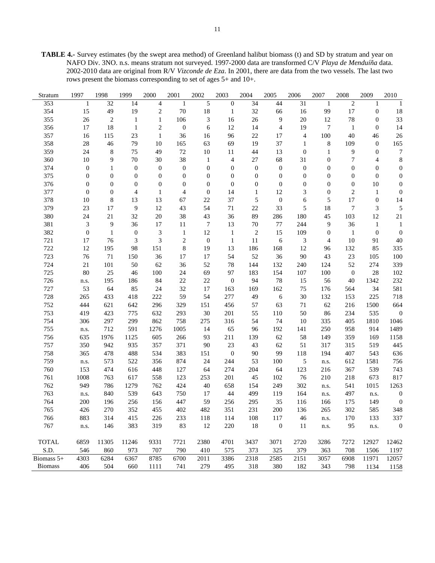**TABLE 4.-** Survey estimates (by the swept area method) of Greenland halibut biomass (t) and SD by stratum and year on NAFO Div. 3NO. n.s. means stratum not surveyed. 1997-2000 data are transformed C/V *Playa de Menduíña* data. 2002-2010 data are original from R/V *Vizconde de Eza*. In 2001, there are data from the two vessels. The last two rows present the biomass corresponding to set of ages 5+ and 10+.

| Stratum        | 1997                        | 1998             | 1999             | 2000             | 2001                    | 2002             | 2003             | 2004             | 2005             | 2006             | 2007             | 2008             | 2009             | 2010             |
|----------------|-----------------------------|------------------|------------------|------------------|-------------------------|------------------|------------------|------------------|------------------|------------------|------------------|------------------|------------------|------------------|
| 353            | $\mathbf{1}$                | 32               | 14               | $\overline{4}$   | 1                       | 5                | $\boldsymbol{0}$ | 34               | 44               | 31               | $\mathbf{1}$     | $\sqrt{2}$       | 1                | $\mathbf{1}$     |
| 354            | 15                          | 49               | 19               | $\sqrt{2}$       | $70\,$                  | 18               | $\mathbf{1}$     | 32               | 66               | 16               | 99               | 17               | $\boldsymbol{0}$ | 18               |
| 355            | $26\,$                      | $\overline{c}$   | $\mathbf{1}$     | $\mathbf{1}$     | 106                     | 3                | 16               | 26               | 9                | $20\,$           | 12               | $78\,$           | $\mathbf{0}$     | 33               |
| 356            | 17                          | 18               | $\mathbf{1}$     | $\overline{2}$   | $\boldsymbol{0}$        | 6                | 12               | 14               | $\overline{4}$   | 19               | $\tau$           | $\mathbf{1}$     | $\mathbf{0}$     | 14               |
| 357            | 16                          | 115              | $23\,$           | $\mathbf{1}$     | 36                      | 16               | 96               | $22\,$           | 17               | $\overline{4}$   | 100              | 40               | 46               | 26               |
| 358            | 28                          | 46               | 79               | 10               | 165                     | 63               | 69               | 19               | 37               | $\mathbf{1}$     | $\,8\,$          | 109              | $\boldsymbol{0}$ | 165              |
| 359            | 24                          | 8                | 75               | 49               | $72\,$                  | 10               | 11               | 44               | 13               | $\mathbf{0}$     | $\mathbf{1}$     | 9                | $\boldsymbol{0}$ | $\boldsymbol{7}$ |
| 360            | $10\,$                      | 9                | 70               | 30               | 38                      | $\mathbf{1}$     | 4                | $27\,$           | 68               | 31               | $\boldsymbol{0}$ | 7                | 4                | $\,$ 8 $\,$      |
| 374            | $\boldsymbol{0}$            | $\mathbf{1}$     | $\boldsymbol{0}$ | $\boldsymbol{0}$ | $\boldsymbol{0}$        | $\boldsymbol{0}$ | $\boldsymbol{0}$ | $\boldsymbol{0}$ | $\boldsymbol{0}$ | $\boldsymbol{0}$ | $\boldsymbol{0}$ | $\boldsymbol{0}$ | $\boldsymbol{0}$ | $\boldsymbol{0}$ |
| 375            | $\boldsymbol{0}$            | $\boldsymbol{0}$ | $\boldsymbol{0}$ | $\boldsymbol{0}$ | $\boldsymbol{0}$        | $\boldsymbol{0}$ | $\boldsymbol{0}$ | $\boldsymbol{0}$ | $\boldsymbol{0}$ | $\mathbf{0}$     | $\boldsymbol{0}$ | $\boldsymbol{0}$ | $\mathbf{0}$     | $\boldsymbol{0}$ |
| 376            | $\boldsymbol{0}$            | $\boldsymbol{0}$ | $\boldsymbol{0}$ | $\boldsymbol{0}$ | $\boldsymbol{0}$        | $\boldsymbol{0}$ | $\boldsymbol{0}$ | $\boldsymbol{0}$ | $\boldsymbol{0}$ | $\mathbf{0}$     | $\boldsymbol{0}$ | $\boldsymbol{0}$ | $10\,$           | $\boldsymbol{0}$ |
| 377            | $\boldsymbol{0}$            | $\boldsymbol{0}$ | 4                | $\mathbf{1}$     | 4                       | $\boldsymbol{0}$ | 14               | $\mathbf{1}$     | 12               | 3                | $\boldsymbol{0}$ | $\overline{c}$   | $\mathbf{1}$     | $\boldsymbol{0}$ |
| 378            | 10                          | $\,$ 8 $\,$      | 13               | 13               | 67                      | 22               | 37               | 5                | $\boldsymbol{0}$ | 6                | 5                | 17               | $\boldsymbol{0}$ | 14               |
| 379            | 23                          | 17               | 9                | 12               | 43                      | 54               | $71\,$           | $22\,$           | 33               | $\mathfrak s$    | 18               | $\boldsymbol{7}$ | $\mathfrak{Z}$   | 5                |
| 380            | 24                          | $21\,$           | 32               | $20\,$           | 38                      | 43               | 36               | 89               | 286              | 180              | 45               | 103              | $12\,$           | $21\,$           |
| 381            | $\ensuremath{\mathfrak{Z}}$ | 9                | 36               | 17               | 11                      | 7                | 13               | $70\,$           | $77\,$           | 244              | 9                | 36               | $\mathbf{1}$     | $\mathbf{1}$     |
| 382            | $\boldsymbol{0}$            | $\mathbf{1}$     | $\boldsymbol{0}$ | $\mathfrak{Z}$   | $\mathbf{1}$            | 12               | $\mathbf{1}$     | $\sqrt{2}$       | 15               | 109              | $\boldsymbol{0}$ | $\mathbf{1}$     | $\boldsymbol{0}$ | $\boldsymbol{0}$ |
| 721            | 17                          | 76               | 3                | 3                | $\overline{\mathbf{c}}$ | $\boldsymbol{0}$ | $\mathbf{1}$     | 11               | 6                | 3                | 4                | 10               | 91               | $40\,$           |
| 722            | 12                          | 195              | 98               | 151              | 8                       | 19               | 13               | 186              | 168              | 12               | 96               | 132              | 85               | 335              |
| 723            | 76                          | 71               | 150              | 36               | 17                      | 17               | 54               | 52               | 36               | $90\,$           | 43               | 23               | 105              | 100              |
| 724            | $21\,$                      | 101              | 50               | 62               | 36                      | 52               | 78               | 144              | 132              | 240              | 124              | 52               | 274              | 339              |
| 725            | 80                          | 25               | 46               | 100              | 24                      | 69               | 97               | 183              | 154              | 107              | 100              | $\boldsymbol{0}$ | 28               | 102              |
| 726            | n.s.                        | 195              | 186              | 84               | 22                      | $22\,$           | $\boldsymbol{0}$ | 94               | 78               | 15               | 56               | 40               | 1342             | 232              |
| 727            | 53                          | 64               | 85               | 24               | 32                      | 17               | 163              | 169              | 162              | 75               | 176              | 564              | 34               | 581              |
| 728            | 265                         | 433              | 418              | 222              | 59                      | 54               | 277              | 49               | 6                | $30\,$           | 132              | 153              | 225              | 718              |
| 752            | 444                         | 621              | 642              | 296              | 329                     | 151              | 456              | 57               | 63               | 71               | 62               | 216              | 1500             | 664              |
| 753            | 419                         | 423              | 775              | 632              | 293                     | 30               | 201              | 55               | 110              | 50               | 86               | 234              | 535              | $\boldsymbol{0}$ |
| 754            | 306                         | 297              | 299              | 862              | 758                     | 275              | 316              | 54               | 74               | 10               | 335              | 405              | 1810             | 1046             |
| 755            | n.s.                        | 712              | 591              | 1276             | 1005                    | 14               | 65               | 96               | 192              | 141              | 250              | 958              | 914              | 1489             |
| 756            | 635                         | 1976             | 1125             | 605              | 266                     | 93               | 211              | 139              | 62               | 58               | 149              | 359              | 169              | 1158             |
| 757            | 350                         | 942              | 935              | 357              | 371                     | 90               | 23               | 43               | 62               | 51               | 317              | 315              | 519              | 445              |
| 758            | 365                         | 478              | 488              | 534              | 383                     | 151              | $\boldsymbol{0}$ | 90               | 99               | 118              | 194              | 407              | 543              | 636              |
| 759            | n.s.                        | 573              | 522              | 356              | 874                     | 24               | 244              | 53               | 100              | 5                | n.s.             | 612              | 1581             | 756              |
| 760            | 153                         | 474              | 616              | 448              | 127                     | 64               | 274              | 204              | 64               | 123              | 216              | 367              | 539              | 743              |
| 761            | 1008                        | 763              | 617              | 558              | 123                     | 253              | 201              | 45               | 102              | 76               | 210              | 218              | 673              | 817              |
| 762            | 949                         | 786              | 1279             | 762              | 424                     | 40               | 658              | 154              | 249              | 302              | n.s.             | 541              | 1015             | 1263             |
| 763            | n.s.                        | 840              | 539              | 643              | 750                     | 17               | 44               | 499              | 119              | 164              | n.s.             | 497              | n.s.             | $\boldsymbol{0}$ |
| 764            | 200                         | 196              | 256              | 156              | 447                     | 59               | 256              | 295              | 35               | 116              | 166              | 175              | 149              | $\boldsymbol{0}$ |
| 765            | 426                         | 270              | 352              | 455              | 402                     | 482              | 351              | 231              | 200              | 136              | 265              | 302              | 585              | 348              |
| 766            | 883                         | 314              | 415              | 226              | 233                     | 118              | 114              | 108              | 117              | 46               | n.s.             | 170              | 133              | 337              |
| 767            | n.s.                        | 146              | 383              | 319              | 83                      | 12               | 220              | 18               | $\boldsymbol{0}$ | 11               | n.s.             | 95               | n.s.             | $\boldsymbol{0}$ |
|                |                             |                  |                  |                  |                         |                  |                  |                  |                  |                  |                  |                  |                  |                  |
| <b>TOTAL</b>   | 6859                        | 11305            | 11246            | 9331             | 7721                    | 2380             | 4701             | 3437             | 3071             | 2720             | 3286             | 7272             | 12927            | 12462            |
| S.D.           | 546                         | 860              | 973              | 707              | 790                     | 410              | 575              | 373              | 325              | 379              | 363              | 708              | 1506             | 1197             |
| Biomass 5+     | 4303                        | 6284             | 6367             | 8785             | 6700                    | 2011             | 3386             | 2318             | 2585             | 2151             | 3057             | 6908             | 11971            | 12057            |
| <b>Biomass</b> | 406                         | 504              | 660              | 1111             | 741                     | 279              | 495              | 318              | 380              | 182              | 343              | 798              | 1134             | 1158             |
|                |                             |                  |                  |                  |                         |                  |                  |                  |                  |                  |                  |                  |                  |                  |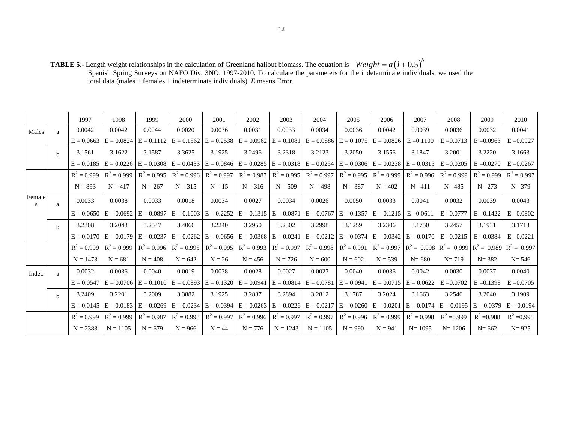**TABLE 5.-** Length weight relationships in the calculation of Greenland halibut biomass. The equation is Spanish Spring Surveys on NAFO Div. 3NO: 1997-2010. To calculate the parameters for the indeterminate individuals, we used the total data (males + females + indeterminate individuals). *E* means Error.  $Weight = a(l + 0.5)^b$ 

|             |              | 1997          | 1998                                   | 1999                      | 2000                                                | 2001                                   | 2002          | 2003          | 2004                      | 2005                                                             | 2006          | 2007                      | 2008          | 2009                      | 2010          |
|-------------|--------------|---------------|----------------------------------------|---------------------------|-----------------------------------------------------|----------------------------------------|---------------|---------------|---------------------------|------------------------------------------------------------------|---------------|---------------------------|---------------|---------------------------|---------------|
| Males       | $\mathbf{a}$ | 0.0042        | 0.0042                                 | 0.0044                    | 0.0020                                              | 0.0036                                 | 0.0031        | 0.0033        | 0.0034                    | 0.0036                                                           | 0.0042        | 0.0039                    | 0.0036        | 0.0032                    | 0.0041        |
|             |              | $E = 0.0663$  |                                        | $E = 0.0824$ $E = 0.1112$ | $E = 0.1562$                                        | $E = 0.2538$                           | $E = 0.0962$  | $E = 0.1081$  | $E = 0.0886$              | $E = 0.1075$                                                     | $E = 0.0826$  | $E = 0.1100$              | $E = 0.0713$  | $E = 0.0963$              | $E = 0.0927$  |
|             | h            | 3.1561        | 3.1622                                 | 3.1587                    | 3.3625                                              | 3.1925                                 | 3.2496        | 3.2318        | 3.2123                    | 3.2050                                                           | 3.1556        | 3.1847                    | 3.2001        | 3.2220                    | 3.1663        |
|             |              | $E = 0.0185$  |                                        | $E = 0.0226$ $E = 0.0308$ | $E = 0.0433$                                        | $E = 0.0846$ $E = 0.0285$              |               |               |                           | $E = 0.0318$ $E = 0.0254$ $E = 0.0306$                           |               | $E = 0.0238$ $E = 0.0315$ | $E = 0.0205$  | $E = 0.0270$              | $E = 0.0267$  |
|             |              | $R^2 = 0.999$ | $R^2 = 0.999$                          | $R^2 = 0.995$             | $R^2 = 0.996$                                       | $R^2 = 0.997$                          | $R^2 = 0.987$ | $R^2 = 0.995$ | $R^2 = 0.997$             | $R^2 = 0.995$                                                    | $R^2 = 0.999$ | $R^2 = 0.996$             | $R^2 = 0.999$ | $R^2 = 0.999$             | $R^2 = 0.997$ |
|             |              | $N = 893$     | $N = 417$                              | $N = 267$                 | $N = 315$                                           | $N = 15$                               | $N = 316$     | $N = 509$     | $N = 498$                 | $N = 387$                                                        | $N = 402$     | $N = 411$                 | $N = 485$     | $N = 273$                 | $N = 379$     |
| Female<br>S | a            | 0.0033        | 0.0038                                 | 0.0033                    | 0.0018                                              | 0.0034                                 | 0.0027        | 0.0034        | 0.0026                    | 0.0050                                                           | 0.0033        | 0.0041                    | 0.0032        | 0.0039                    | 0.0043        |
|             |              |               | $E = 0.0650$ $E = 0.0692$ $E = 0.0897$ |                           | $E = 0.1003$ $E = 0.2252$                           |                                        |               |               |                           | $E = 0.1315$ $E = 0.0871$ $E = 0.0767$ $E = 0.1357$ $E = 0.1215$ |               | $E = 0.0611$              | $E = 0.0777$  | $E = 0.1422$              | $E = 0.0802$  |
|             | <sub>b</sub> | 3.2308        | 3.2043                                 | 3.2547                    | 3.4066                                              | 3.2240                                 | 3.2950        | 3.2302        | 3.2998                    | 3.1259                                                           | 3.2306        | 3.1750                    | 3.2457        | 3.1931                    | 3.1713        |
|             |              | $E = 0.0170$  | $E = 0.0179$ $E = 0.0237$              |                           |                                                     | $E = 0.0262$ $E = 0.0656$ $E = 0.0368$ |               | $E = 0.0241$  | $E = 0.0212$              | $E = 0.0374$                                                     | $E = 0.0342$  | $E = 0.0170$              | $E = 0.0215$  | $E = 0.0384$              | $E = 0.0221$  |
|             |              | $R^2 = 0.999$ | $R^2 = 0.999$                          | $R^2 = 0.996$             | $R^2 = 0.995$                                       | $R^2 = 0.995$                          | $R^2 = 0.993$ | $R^2 = 0.997$ | $R^2 = 0.998$             | $R^2 = 0.991$                                                    | $R^2 = 0.997$ | $R^2 = 0.998$             | $R^2 = 0.999$ | $R^2 = 0.989$             | $R^2 = 0.997$ |
|             |              | $N = 1473$    | $N = 681$                              | $N = 408$                 | $N = 642$                                           | $N = 26$                               | $N = 456$     | $N = 726$     | $N = 600$                 | $N = 602$                                                        | $N = 539$     | $N = 680$                 | $N = 719$     | $N = 382$                 | $N = 546$     |
| Indet.      | $\mathbf{a}$ | 0.0032        | 0.0036                                 | 0.0040                    | 0.0019                                              | 0.0038                                 | 0.0028        | 0.0027        | 0.0027                    | 0.0040                                                           | 0.0036        | 0.0042                    | 0.0030        | 0.0037                    | 0.0040        |
|             |              | $E = 0.0547$  |                                        |                           | $E = 0.0706$ $E = 0.1010$ $E = 0.0893$ $E = 0.1320$ |                                        | $E = 0.0941$  |               | $E = 0.0814$ $E = 0.0781$ | $E = 0.0941$                                                     |               | $E = 0.0715$ $E = 0.0622$ | $E = 0.0702$  | $E = 0.1398$              | $E = 0.0705$  |
|             | h            | 3.2409        | 3.2201                                 | 3.2009                    | 3.3882                                              | 3.1925                                 | 3.2837        | 3.2894        | 3.2812                    | 3.1787                                                           | 3.2024        | 3.1663                    | 3.2546        | 3.2040                    | 3.1909        |
|             |              | $E = 0.0145$  |                                        | $E = 0.0183$ $E = 0.0269$ |                                                     | $E = 0.0234$ $E = 0.0394$ $E = 0.0263$ |               |               |                           | $E = 0.0226$ $E = 0.0217$ $E = 0.0260$ $E = 0.0201$              |               | $E = 0.0174$              |               | $E = 0.0195$ $E = 0.0379$ | $E = 0.0194$  |
|             |              | $R^2 = 0.999$ | $R^2 = 0.999$                          | $R^2 = 0.987$             | $R^2 = 0.998$                                       | $R^2 = 0.997$                          | $R^2 = 0.996$ | $R^2 = 0.997$ | $R^2 = 0.997$             | $R^2 = 0.996$                                                    | $R^2 = 0.999$ | $R^2 = 0.998$             | $R^2 = 0.999$ | $R^2 = 0.988$             | $R^2 = 0.998$ |
|             |              | $N = 2383$    | $N = 1105$                             | $N = 679$                 | $N = 966$                                           | $N = 44$                               | $N = 776$     | $N = 1243$    | $N = 1105$                | $N = 990$                                                        | $N = 941$     | $N = 1095$                | $N = 1206$    | $N = 662$                 | $N = 925$     |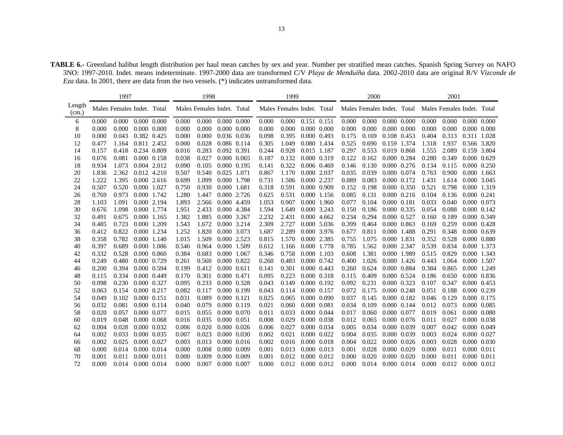**TABLE 6.-** Greenland halibut length distribution per haul mean catches by sex and year. Number per stratified mean catches. Spanish Spring Survey on NAFO 3NO: 1997-2010. Indet. means indeterminate. 1997-2000 data are transformed C/V *Playa de Menduíña* data. 2002-2010 data are original R/V *Vizconde de Eza* data. In 2001, there are data from the two vessels. (\*) indicates untransformed data.

|                 |       | 1997                       |             |                     |       | 1998                       |             |                     |       | 1999                       |             |                     |       | 2000  |             |                     |                                                       | 2001  |                     |  |
|-----------------|-------|----------------------------|-------------|---------------------|-------|----------------------------|-------------|---------------------|-------|----------------------------|-------------|---------------------|-------|-------|-------------|---------------------|-------------------------------------------------------|-------|---------------------|--|
| Length<br>(cm.) |       | Males Females Indet. Total |             |                     |       | Males Females Indet. Total |             |                     |       | Males Females Indet. Total |             |                     |       |       |             |                     | Males Females Indet. Total Males Females Indet. Total |       |                     |  |
| 6               | 0.000 | 0.000                      |             | $0.000\ 0.000$      | 0.000 | 0.000                      | 0.000 0.000 |                     | 0.000 | 0.000                      |             | 0.151 0.151         | 0.000 | 0.000 |             | $0.000\ 0.000$      | 0.000                                                 | 0.000 | $0.000 \quad 0.000$ |  |
| 8               | 0.000 | 0.000                      |             | $0.000 \quad 0.000$ | 0.000 | 0.000                      |             | $0.000 \quad 0.000$ | 0.000 | 0.000                      |             | $0.000 \quad 0.000$ | 0.000 | 0.000 |             | $0.000 \quad 0.000$ | 0.000                                                 | 0.000 | $0.000 \quad 0.000$ |  |
| 10              | 0.000 | 0.043                      |             | 0.382 0.425         | 0.000 | 0.000                      |             | 0.036 0.036         | 0.098 | 0.395                      |             | 0.000 0.493         | 0.175 | 0.169 |             | 0.108 0.453         | 0.404                                                 | 0.313 | 0.311 1.028         |  |
| 12              | 0.477 | 1.164                      |             | 0.811 2.452         | 0.000 | 0.028                      | 0.086 0.114 |                     | 0.305 | 1.049                      |             | 0.080 1.434         | 0.525 | 0.690 | 0.159 1.374 |                     | 1.318                                                 | 1.937 | 0.566 3.820         |  |
| 14              | 0.157 | 0.418                      | 0.234 0.809 |                     | 0.016 | 0.283                      | 0.092 0.391 |                     | 0.244 | 0.928                      |             | 0.015 1.187         | 0.297 | 0.553 | 0.019 0.868 |                     | 1.555                                                 | 2.089 | 0.159 3.804         |  |
| 16              | 0.076 | 0.081                      | 0.000 0.158 |                     | 0.038 | 0.027                      | 0.000 0.065 |                     | 0.187 | 0.132                      |             | 0.000 0.319         | 0.122 | 0.162 | 0.000 0.284 |                     | 0.280                                                 | 0.349 | 0.000 0.629         |  |
| 18              | 0.934 | 1.073                      |             | 0.004 2.012         | 0.090 | 0.105                      | 0.000 0.195 |                     | 0.141 | 0.322                      |             | 0.006 0.469         | 0.146 | 0.130 |             | 0.000 0.276         | 0.134                                                 | 0.115 | 0.000 0.250         |  |
| 20              | 1.836 | 2.362                      |             | 0.012 4.210         | 0.507 | 0.540                      | 0.025 1.071 |                     | 0.867 | 1.170                      |             | 0.000 2.037         | 0.035 | 0.039 | 0.000 0.074 |                     | 0.763                                                 | 0.900 | 0.000 1.663         |  |
| 22              | 1.222 | 1.395                      |             | $0.000$ 2.616       | 0.699 | 1.099                      | 0.000 1.798 |                     | 0.731 | 1.506                      |             | 0.000 2.237         | 0.089 | 0.083 | 0.000 0.172 |                     | 1.431                                                 | 1.614 | 0.000 3.045         |  |
| 24              | 0.507 | 0.520                      | 0.000 1.027 |                     | 0.750 | 0.930                      | 0.000 1.681 |                     | 0.318 | 0.591                      |             | 0.000 0.909         | 0.152 | 0.198 |             | 0.000 0.350         | 0.521                                                 | 0.798 | 0.000 1.319         |  |
| 26              | 0.769 | 0.973                      |             | 0.000 1.742         | 1.280 | 1.447                      |             | 0.000 2.726         | 0.625 | 0.531                      |             | 0.000 1.156         | 0.085 | 0.131 |             | $0.000$ $0.216$     | 0.104                                                 | 0.136 | 0.000 0.241         |  |
| 28              | 1.103 | 1.091                      |             | 0.000 2.194         | 1.893 | 2.566                      |             | 0.000 4.459         | 1.053 | 0.907                      |             | 0.000 1.960         | 0.077 | 0.104 | 0.000 0.181 |                     | 0.033                                                 | 0.040 | 0.000 0.073         |  |
| 30              | 0.676 | 1.098                      |             | 0.000 1.774         | 1.951 | 2.433                      |             | 0.000 4.384         | 1.594 | 1.649                      |             | 0.000 3.243         | 0.150 | 0.186 |             | 0.000 0.335         | 0.054                                                 | 0.088 | 0.000 0.142         |  |
| 32              | 0.491 | 0.675                      |             | 0.000 1.165         | 1.382 | 1.885                      | 0.000 3.267 |                     | 2.232 | 2.431                      |             | 0.000 4.662         | 0.234 | 0.294 | 0.000 0.527 |                     | 0.160                                                 | 0.189 | 0.000 0.349         |  |
| 34              | 0.485 | 0.723                      |             | 0.000 1.209         | 1.543 | 1.672                      |             | 0.000 3.214         | 2.309 | 2.727                      |             | 0.000 5.036         | 0.399 | 0.464 | 0.000 0.863 |                     | 0.169                                                 | 0.259 | 0.000 0.428         |  |
| 36              | 0.412 | 0.822                      |             | 0.000 1.234         | 1.252 | 1.820                      | 0.000 3.073 |                     | 1.687 | 2.289                      |             | 0.000 3.976         | 0.677 | 0.811 | 0.000 1.488 |                     | 0.291                                                 | 0.348 | 0.000 0.639         |  |
| 38              | 0.358 | 0.782                      |             | 0.000 1.140         | 1.015 | 1.509                      | 0.000 2.523 |                     | 0.815 | 1.570                      |             | 0.000 2.385         | 0.755 | 1.075 | 0.000 1.831 |                     | 0.352                                                 | 0.528 | 0.000 0.880         |  |
| 40              | 0.397 | 0.689                      |             | 0.000 1.086         | 0.546 | 0.964                      | 0.000 1.509 |                     | 0.612 | 1.166                      |             | 0.000 1.778         | 0.785 | 1.562 | 0.000 2.347 |                     | 0.539                                                 | 0.834 | 0.000 1.373         |  |
| 42              | 0.332 | 0.528                      |             | 0.000 0.860         | 0.384 | 0.683                      | 0.000 1.067 |                     | 0.346 | 0.758                      |             | 0.000 1.103         | 0.608 | 1.381 | 0.000 1.989 |                     | 0.515                                                 | 0.829 | 0.000 1.343         |  |
| 44              | 0.249 | 0.480                      |             | 0.000 0.729         | 0.261 | 0.560                      | 0.000 0.822 |                     | 0.260 | 0.483                      |             | 0.000 0.742         | 0.400 | 1.026 |             | 0.000 1.426         | 0.443                                                 | 1.064 | 0.000 1.507         |  |
| 46              | 0.200 | 0.394                      |             | 0.000 0.594         | 0.199 | 0.412                      | 0.000 0.611 |                     | 0.141 | 0.301                      |             | 0.000 0.443         | 0.260 | 0.624 | 0.000 0.884 |                     | 0.384                                                 | 0.865 | 0.000 1.249         |  |
| 48              | 0.115 | 0.334                      | 0.000 0.449 |                     | 0.170 | 0.301                      | 0.000 0.471 |                     | 0.095 | 0.223                      |             | 0.000 0.318         | 0.115 | 0.409 | 0.000 0.524 |                     | 0.186                                                 | 0.650 | 0.000 0.836         |  |
| 50              | 0.098 | 0.230                      | 0.000 0.327 |                     | 0.095 | 0.233                      | 0.000 0.328 |                     | 0.043 | 0.149                      |             | 0.000 0.192         | 0.092 | 0.231 | 0.000 0.323 |                     | 0.107                                                 | 0.347 | 0.000 0.453         |  |
| 52              | 0.063 | 0.154                      | 0.000 0.217 |                     | 0.082 | 0.117                      | 0.000 0.199 |                     | 0.043 | 0.114                      |             | 0.000 0.157         | 0.072 | 0.175 | 0.000 0.248 |                     | 0.051                                                 | 0.188 | 0.000 0.239         |  |
| 54              | 0.049 | 0.102                      | 0.000 0.151 |                     | 0.031 | 0.089                      | 0.000 0.121 |                     | 0.025 | 0.065                      |             | 0.000 0.090         | 0.037 | 0.145 | 0.000 0.182 |                     | 0.046                                                 | 0.129 | 0.000 0.175         |  |
| 56              | 0.032 | 0.081                      |             | 0.000 0.114         | 0.040 | 0.079                      | 0.000 0.119 |                     | 0.021 | 0.060                      | 0.000 0.081 |                     | 0.034 | 0.109 | 0.000 0.144 |                     | 0.012                                                 | 0.073 | 0.000 0.085         |  |
| 58              | 0.020 | 0.057                      | 0.000 0.077 |                     | 0.015 | 0.055                      | 0.000 0.070 |                     | 0.011 | 0.033                      |             | $0.000 \quad 0.044$ | 0.017 | 0.060 |             | 0.000 0.077         | 0.019                                                 | 0.061 | $0.000 \quad 0.080$ |  |
| 60              | 0.019 | 0.048                      |             | 0.000 0.068         | 0.016 | 0.035                      | 0.000 0.051 |                     | 0.008 | 0.029                      |             | 0.000 0.038         | 0.012 | 0.065 |             | 0.000 0.076         | 0.011                                                 | 0.027 | 0.000 0.038         |  |
| 62              | 0.004 | 0.028                      |             | 0.000 0.032         | 0.006 | 0.020                      |             | 0.000 0.026         | 0.006 | 0.027                      |             | 0.000 0.034         | 0.005 | 0.034 |             | 0.000 0.039         | 0.007                                                 | 0.042 | 0.000 0.049         |  |
| 64              | 0.002 | 0.033                      |             | 0.000 0.035         | 0.007 | 0.023                      |             | 0.000 0.030         | 0.002 | 0.021                      |             | 0.000 0.022         | 0.004 | 0.035 |             | 0.000 0.039         | 0.003                                                 | 0.024 | 0.000 0.027         |  |
| 66              | 0.002 | 0.025                      | 0.000 0.027 |                     | 0.003 | 0.013                      |             | $0.000$ $0.016$     | 0.002 | 0.016                      |             | 0.000 0.018         | 0.004 | 0.022 |             | $0.000 \quad 0.026$ | 0.003                                                 | 0.028 | 0.000 0.030         |  |
| 68              | 0.000 | 0.014                      | 0.000 0.014 |                     | 0.000 | 0.008                      | 0.000 0.009 |                     | 0.001 | 0.013                      |             | 0.000 0.013         | 0.001 | 0.028 |             | 0.000 0.029         | 0.000                                                 | 0.011 | 0.000 0.011         |  |
| 70              | 0.001 | 0.011                      | 0.000 0.011 |                     | 0.000 | 0.009                      | 0.000 0.009 |                     | 0.001 | 0.012                      |             | 0.000 0.012         | 0.000 | 0.020 | 0.000 0.020 |                     | 0.000                                                 | 0.011 | 0.000 0.011         |  |
| 72              | 0.000 | 0.014                      | 0.000 0.014 |                     | 0.000 | 0.007                      | 0.000 0.007 |                     | 0.000 | 0.012                      |             | 0.000 0.012         | 0.000 | 0.014 | 0.000 0.014 |                     | 0.000                                                 | 0.012 | 0.000 0.012         |  |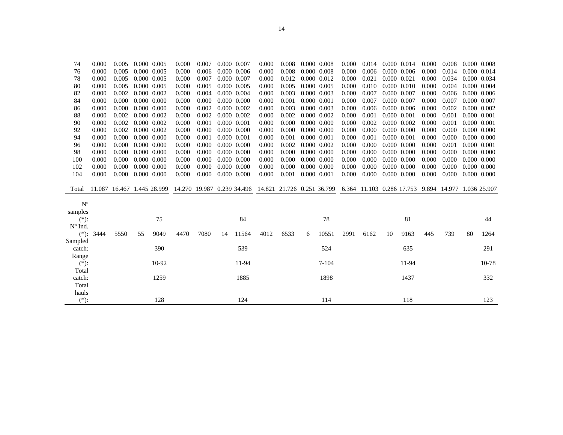| 74      | 0.000  | 0.005               |    | 0.000 0.005         | 0.000 | 0.007 |             | 0.000 0.007    | 0.000                                                 | 0.008 |             | 0.000 0.008     | 0.000 | 0.014                                  |             | 0.000 0.014         | 0.000 | 0.008 |    | 0.000 0.008         |
|---------|--------|---------------------|----|---------------------|-------|-------|-------------|----------------|-------------------------------------------------------|-------|-------------|-----------------|-------|----------------------------------------|-------------|---------------------|-------|-------|----|---------------------|
| 76      | 0.000  | 0.005               |    | 0.000 0.005         | 0.000 | 0.006 |             | 0.000 0.006    | 0.000                                                 | 0.008 |             | 0.000 0.008     | 0.000 | 0.006                                  |             | 0.000 0.006         | 0.000 | 0.014 |    | 0.000 0.014         |
| 78      | 0.000  | 0.005               |    | 0.000 0.005         | 0.000 | 0.007 |             | 0.000 0.007    | 0.000                                                 | 0.012 |             | 0.000 0.012     | 0.000 | 0.021                                  | 0.000 0.021 |                     | 0.000 | 0.034 |    | 0.000 0.034         |
| 80      | 0.000  | 0.005               |    | 0.000 0.005         | 0.000 | 0.005 |             | 0.000 0.005    | 0.000                                                 | 0.005 |             | 0.000 0.005     | 0.000 | 0.010                                  |             | $0.000$ $0.010$     | 0.000 | 0.004 |    | 0.000 0.004         |
| 82      | 0.000  | 0.002               |    | 0.000 0.002         | 0.000 | 0.004 |             | 0.000 0.004    | 0.000                                                 | 0.003 |             | 0.000 0.003     | 0.000 | 0.007                                  | 0.000 0.007 |                     | 0.000 | 0.006 |    | 0.000 0.006         |
| 84      | 0.000  | 0.000               |    | $0.000 \quad 0.000$ | 0.000 | 0.000 |             | 0.000 0.000    | 0.000                                                 | 0.001 | 0.000 0.001 |                 | 0.000 | 0.007                                  |             | 0.000 0.007         | 0.000 | 0.007 |    | 0.000 0.007         |
| 86      | 0.000  | 0.000               |    | $0.000 \quad 0.000$ | 0.000 | 0.002 |             | 0.000 0.002    | 0.000                                                 | 0.003 | 0.000 0.003 |                 | 0.000 | 0.006                                  |             | 0.000 0.006         | 0.000 | 0.002 |    | 0.000 0.002         |
| 88      | 0.000  | 0.002               |    | 0.000 0.002         | 0.000 | 0.002 |             | 0.000 0.002    | 0.000                                                 | 0.002 | 0.000 0.002 |                 | 0.000 | 0.001                                  | 0.000 0.001 |                     | 0.000 | 0.001 |    | 0.000 0.001         |
| 90      | 0.000  | 0.002               |    | 0.000 0.002         | 0.000 | 0.001 |             | 0.000 0.001    | 0.000                                                 | 0.000 |             | 0.000 0.000     | 0.000 | 0.002                                  |             | 0.000 0.002         | 0.000 | 0.001 |    | 0.000 0.001         |
| 92      | 0.000  | 0.002               |    | 0.000 0.002         | 0.000 | 0.000 |             | 0.000 0.000    | 0.000                                                 | 0.000 |             | $0.000$ $0.000$ | 0.000 | 0.000                                  |             | 0.000 0.000         | 0.000 | 0.000 |    | $0.000$ $0.000$     |
| 94      | 0.000  | 0.000               |    | $0.000 \quad 0.000$ | 0.000 | 0.001 | 0.000 0.001 |                | 0.000                                                 | 0.001 | 0.000 0.001 |                 | 0.000 | 0.001                                  |             | 0.000 0.001         | 0.000 | 0.000 |    | $0.000$ $0.000$     |
| 96      | 0.000  | 0.000               |    | 0.000 0.000         | 0.000 | 0.000 |             | 0.000 0.000    | 0.000                                                 | 0.002 | 0.000 0.002 |                 | 0.000 | 0.000                                  |             | $0.000 \quad 0.000$ | 0.000 | 0.001 |    | 0.000 0.001         |
| 98      | 0.000  | 0.000               |    | 0.000 0.000         | 0.000 | 0.000 |             | 0.000 0.000    | 0.000                                                 | 0.000 |             | 0.000 0.000     | 0.000 | 0.000                                  |             | 0.000 0.000         | 0.000 | 0.000 |    | $0.000 \quad 0.000$ |
| 100     | 0.000  | 0.000               |    | 0.000 0.000         | 0.000 | 0.000 |             | 0.000 0.000    | 0.000                                                 | 0.000 |             | 0.000 0.000     | 0.000 | 0.000                                  |             | $0.000 \quad 0.000$ | 0.000 | 0.000 |    | $0.000 \quad 0.000$ |
| 102     | 0.000  | 0.000               |    | $0.000 \quad 0.000$ | 0.000 | 0.000 |             | $0.000\ 0.000$ | 0.000                                                 | 0.000 |             | $0.000\ 0.000$  | 0.000 | 0.000                                  |             | $0.000\ 0.000$      | 0.000 | 0.000 |    | 0.000 0.000         |
| 104     | 0.000  | 0.000               |    | $0.000 \quad 0.000$ | 0.000 | 0.000 |             | 0.000 0.000    | 0.000                                                 | 0.001 | 0.000 0.001 |                 | 0.000 | 0.000                                  |             | $0.000$ $0.000$     | 0.000 | 0.000 |    | 0.000 0.000         |
| Total   | 11.087 | 16.467 1.445 28.999 |    |                     |       |       |             |                | 14.270 19.987 0.239 34.496 14.821 21.726 0.251 36.799 |       |             |                 |       | 6.364 11.103 0.286 17.753 9.894 14.977 |             |                     |       |       |    | 1.036 25.907        |
|         |        |                     |    |                     |       |       |             |                |                                                       |       |             |                 |       |                                        |             |                     |       |       |    |                     |
| $N^{o}$ |        |                     |    |                     |       |       |             |                |                                                       |       |             |                 |       |                                        |             |                     |       |       |    |                     |
| samples |        |                     |    |                     |       |       |             |                |                                                       |       |             |                 |       |                                        |             |                     |       |       |    |                     |
| $(*)$ : |        |                     |    | 75                  |       |       |             | 84             |                                                       |       |             | 78              |       |                                        |             | 81                  |       |       |    | 44                  |
| N° Ind. |        |                     |    |                     |       |       |             |                |                                                       |       |             |                 |       |                                        |             |                     |       |       |    |                     |
| $(*)$ : | 3444   | 5550                | 55 | 9049                | 4470  | 7080  | 14          | 11564          | 4012                                                  | 6533  | 6           | 10551           | 2991  | 6162                                   | 10          | 9163                | 445   | 739   | 80 | 1264                |
| Sampled |        |                     |    |                     |       |       |             |                |                                                       |       |             |                 |       |                                        |             |                     |       |       |    |                     |
| catch:  |        |                     |    | 390                 |       |       |             | 539            |                                                       |       |             | 524             |       |                                        |             | 635                 |       |       |    | 291                 |
| Range   |        |                     |    |                     |       |       |             |                |                                                       |       |             |                 |       |                                        |             |                     |       |       |    |                     |
| $(*)$ : |        |                     |    | 10-92               |       |       |             | 11-94          |                                                       |       |             | $7 - 104$       |       |                                        |             | 11-94               |       |       |    | 10-78               |
| Total   |        |                     |    |                     |       |       |             |                |                                                       |       |             |                 |       |                                        |             |                     |       |       |    |                     |
| catch:  |        |                     |    | 1259                |       |       |             | 1885           |                                                       |       |             | 1898            |       |                                        |             | 1437                |       |       |    | 332                 |
| Total   |        |                     |    |                     |       |       |             |                |                                                       |       |             |                 |       |                                        |             |                     |       |       |    |                     |
| hauls   |        |                     |    |                     |       |       |             |                |                                                       |       |             |                 |       |                                        |             |                     |       |       |    |                     |
| $(*)$ : |        |                     |    | 128                 |       |       |             | 124            |                                                       |       |             | 114             |       |                                        |             | 118                 |       |       |    | 123                 |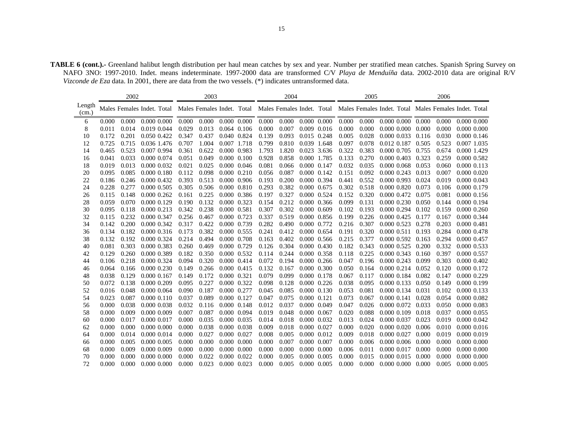**TABLE 6 (cont.).-** Greenland halibut length distribution per haul mean catches by sex and year. Number per stratified mean catches. Spanish Spring Survey on NAFO 3NO: 1997-2010. Indet. means indeterminate. 1997-2000 data are transformed C/V *Playa de Menduíña* data. 2002-2010 data are original R/V *Vizconde de Eza* data. In 2001, there are data from the two vessels. (\*) indicates untransformed data.

|                 |       | 2002  |                            |       | 2003  |                     |                     |       | 2004  |             |             |       | 2005                |                 |                |                         | 2006  |                                                                                                             |
|-----------------|-------|-------|----------------------------|-------|-------|---------------------|---------------------|-------|-------|-------------|-------------|-------|---------------------|-----------------|----------------|-------------------------|-------|-------------------------------------------------------------------------------------------------------------|
| Length<br>(cm.) |       |       | Males Females Indet. Total |       |       |                     |                     |       |       |             |             |       |                     |                 |                |                         |       | Males Females Indet. Total Males Females Indet. Total Males Females Indet. Total Males Females Indet. Total |
| 6               | 0.000 | 0.000 | 0.000 0.000                | 0.000 | 0.000 |                     | 0.000 0.000         | 0.000 | 0.000 |             | 0.000 0.000 |       | $0.000 \quad 0.000$ |                 |                | $0.000$ $0.000$ $0.000$ | 0.000 | 0.000 0.000                                                                                                 |
| 8               | 0.011 | 0.014 | 0.019 0.044                | 0.029 | 0.013 | $0.064$ 0.106       |                     | 0.000 | 0.007 |             | 0.009 0.016 | 0.000 | 0.000               |                 | 0.000 0.000    | 0.000                   | 0.000 | $0.000\ 0.000$                                                                                              |
| 10              | 0.172 | 0.201 | 0.050 0.422                | 0.347 | 0.437 | 0.040 0.824         |                     | 0.139 | 0.093 | 0.015 0.248 |             | 0.005 | 0.028               | 0.000 0.033     |                | 0.116                   | 0.030 | 0.000 0.146                                                                                                 |
| 12              | 0.725 | 0.715 | 0.036 1.476                | 0.707 | 1.004 | 0.007 1.718         |                     | 0.799 | 0.810 | 0.039 1.648 |             | 0.097 | 0.078               | 0.012 0.187     |                | 0.505                   | 0.523 | 0.007 1.035                                                                                                 |
| 14              | 0.465 | 0.523 | 0.007 0.994                | 0.361 | 0.622 | 0.000 0.983         |                     | 1.793 | 1.820 |             | 0.023 3.636 | 0.322 | 0.383               | 0.000 0.705     |                | 0.755                   | 0.674 | 0.000 1.429                                                                                                 |
| 16              | 0.041 | 0.033 | 0.000 0.074                | 0.051 | 0.049 |                     | $0.000 \quad 0.100$ | 0.928 | 0.858 | 0.000 1.785 |             | 0.133 | 0.270               | 0.000 0.403     |                | 0.323                   | 0.259 | 0.000 0.582                                                                                                 |
| 18              | 0.019 | 0.013 | 0.000 0.032                | 0.021 | 0.025 |                     | $0.000 \quad 0.046$ | 0.081 | 0.066 | 0.000 0.147 |             | 0.032 | 0.035               | 0.000 0.068     |                | 0.053                   | 0.060 | 0.000 0.113                                                                                                 |
| 20              | 0.095 | 0.085 | 0.000 0.180                | 0.112 | 0.098 |                     | $0.000$ $0.210$     | 0.056 | 0.087 | 0.000 0.142 |             | 0.151 | 0.092               | $0.000$ $0.243$ |                | 0.013                   | 0.007 | 0.000 0.020                                                                                                 |
| 22              | 0.186 | 0.246 | 0.000 0.432                | 0.393 | 0.513 | 0.000 0.906         |                     | 0.193 | 0.200 |             | 0.000 0.394 | 0.441 | 0.552               | 0.000 0.993     |                | 0.024                   | 0.019 | 0.000 0.043                                                                                                 |
| 24              | 0.228 | 0.277 | 0.000 0.505                | 0.305 | 0.506 |                     | 0.000 0.810         | 0.293 | 0.382 | 0.000 0.675 |             | 0.302 | 0.518               |                 | 0.000 0.820    | 0.073                   | 0.106 | 0.000 0.179                                                                                                 |
| 26              | 0.115 | 0.148 | $0.000$ $0.262$            | 0.161 | 0.225 |                     | 0.000 0.386         | 0.197 | 0.327 | 0.000 0.524 |             | 0.152 | 0.320               | 0.000 0.472     |                | 0.075                   | 0.081 | 0.000 0.156                                                                                                 |
| 28              | 0.059 | 0.070 | 0.000 0.129                | 0.190 | 0.132 | 0.000 0.323         |                     | 0.154 | 0.212 |             | 0.000 0.366 | 0.099 | 0.131               |                 | 0.000 0.230    | 0.050                   | 0.144 | 0.000 0.194                                                                                                 |
| 30              | 0.095 | 0.118 | 0.000 0.213                | 0.342 | 0.238 | 0.000 0.581         |                     | 0.307 | 0.302 | 0.000 0.609 |             | 0.102 | 0.193               |                 | 0.000 0.294    | 0.102                   | 0.159 | 0.000 0.260                                                                                                 |
| 32              | 0.115 | 0.232 | 0.000 0.347                | 0.256 | 0.467 | 0.000 0.723         |                     | 0.337 | 0.519 |             | 0.000 0.856 | 0.199 | 0.226               | 0.000 0.425     |                | 0.177                   | 0.167 | 0.000 0.344                                                                                                 |
| 34              | 0.142 | 0.200 | 0.000 0.342                | 0.317 | 0.422 | 0.000 0.739         |                     | 0.282 | 0.490 |             | 0.000 0.772 | 0.216 | 0.307               | 0.000 0.523     |                | 0.278                   | 0.203 | 0.000 0.481                                                                                                 |
| 36              | 0.134 | 0.182 | 0.000 0.316                | 0.173 | 0.382 | 0.000 0.555         |                     | 0.241 | 0.412 | 0.000 0.654 |             | 0.191 | 0.320               |                 | 0.000 0.511    | 0.193                   | 0.284 | 0.000 0.478                                                                                                 |
| 38              | 0.132 | 0.192 | 0.000 0.324                | 0.214 | 0.494 | 0.000 0.708         |                     | 0.163 | 0.402 |             | 0.000 0.566 | 0.215 | 0.377               |                 | 0.000 0.592    | 0.163                   | 0.294 | 0.000 0.457                                                                                                 |
| 40              | 0.081 | 0.303 | 0.000 0.383                | 0.260 | 0.469 | 0.000 0.729         |                     | 0.126 | 0.304 |             | 0.000 0.430 | 0.182 | 0.343               | 0.000 0.525     |                | 0.200                   | 0.332 | 0.000 0.533                                                                                                 |
| 42              | 0.129 | 0.260 | 0.000 0.389                | 0.182 | 0.350 | 0.000 0.532         |                     | 0.114 | 0.244 | 0.000 0.358 |             | 0.118 | 0.225               | 0.000 0.343     |                | 0.160                   | 0.397 | 0.000 0.557                                                                                                 |
| 44              | 0.106 | 0.218 | 0.000 0.324                | 0.094 | 0.320 | 0.000 0.414         |                     | 0.072 | 0.194 |             | 0.000 0.266 | 0.047 | 0.196               | 0.000 0.243     |                | 0.099                   | 0.303 | 0.000 0.402                                                                                                 |
| 46              | 0.064 | 0.166 | 0.000 0.230                | 0.149 | 0.266 | 0.000 0.415         |                     | 0.132 | 0.167 |             | 0.000 0.300 | 0.050 | 0.164               |                 | 0.000 0.214    | 0.052                   | 0.120 | 0.000 0.172                                                                                                 |
| 48              | 0.038 | 0.129 | $0.000\ 0.167$             | 0.149 | 0.172 | 0.000 0.321         |                     | 0.079 | 0.099 | 0.000 0.178 |             | 0.067 | 0.117               |                 | 0.000 0.184    | 0.082                   | 0.147 | 0.000 0.229                                                                                                 |
| 50              | 0.072 | 0.138 | 0.000 0.209                | 0.095 | 0.227 | 0.000 0.322         |                     | 0.098 | 0.128 | 0.000 0.226 |             | 0.038 | 0.095               | $0.000$ $0.133$ |                | 0.050                   | 0.149 | 0.000 0.199                                                                                                 |
| 52              | 0.016 | 0.048 | 0.000 0.064                | 0.090 | 0.187 | 0.000 0.277         |                     | 0.045 | 0.085 |             | 0.000 0.130 | 0.053 | 0.081               |                 | 0.000 0.134    | 0.031                   | 0.102 | 0.000 0.133                                                                                                 |
| 54              | 0.023 | 0.087 | $0.000$ $0.110$            | 0.037 | 0.089 | 0.000 0.127         |                     | 0.047 | 0.075 | 0.000 0.121 |             | 0.073 | 0.067               | 0.000 0.141     |                | 0.028                   | 0.054 | 0.000 0.082                                                                                                 |
| 56              | 0.000 | 0.038 | 0.000 0.038                | 0.032 | 0.116 | 0.000 0.148         |                     | 0.012 | 0.037 |             | 0.000 0.049 | 0.047 | 0.026               | 0.000 0.072     |                | 0.033                   | 0.050 | 0.000 0.083                                                                                                 |
| 58              | 0.000 | 0.009 | $0.000\ 0.009$             | 0.007 | 0.087 | 0.000 0.094         |                     | 0.019 | 0.048 | 0.000 0.067 |             | 0.020 | 0.088               | 0.000 0.109     |                | 0.018                   | 0.037 | 0.000 0.055                                                                                                 |
| 60              | 0.000 | 0.017 | 0.000 0.017                | 0.000 | 0.035 | 0.000 0.035         |                     | 0.014 | 0.018 | 0.000 0.032 |             | 0.013 | 0.024               | 0.000 0.037     |                | 0.023                   | 0.019 | 0.000 0.042                                                                                                 |
| 62              | 0.000 | 0.000 | 0.000 0.000                | 0.000 | 0.038 | 0.000 0.038         |                     | 0.009 | 0.018 | 0.000 0.027 |             | 0.000 | 0.020               | 0.000 0.020     |                | 0.006                   | 0.010 | 0.000 0.016                                                                                                 |
| 64              | 0.000 | 0.014 | 0.000 0.014                | 0.000 | 0.027 | 0.000 0.027         |                     | 0.008 | 0.005 | 0.000 0.012 |             | 0.009 | 0.018               | 0.000 0.027     |                | 0.000                   | 0.019 | 0.000 0.019                                                                                                 |
| 66              | 0.000 | 0.005 | 0.000 0.005                | 0.000 | 0.000 | $0.000 \quad 0.000$ |                     | 0.000 | 0.007 | 0.000 0.007 |             | 0.000 | 0.006               | $0.000$ $0.006$ |                | 0.000                   | 0.000 | 0.000 0.000                                                                                                 |
| 68              | 0.000 | 0.009 | 0.000 0.009                | 0.000 | 0.000 | 0.000 0.000         |                     | 0.000 | 0.000 | 0.000 0.000 |             | 0.006 | 0.011               | 0.000 0.017     |                | 0.000                   | 0.000 | 0.000 0.000                                                                                                 |
| 70              | 0.000 | 0.000 | $0.000\ 0.000$             | 0.000 | 0.022 | 0.000 0.022         |                     | 0.000 | 0.005 | 0.000 0.005 |             | 0.000 | 0.015               | 0.000 0.015     |                | 0.000                   | 0.000 | 0.000 0.000                                                                                                 |
| 72              | 0.000 | 0.000 | 0.000 0.000                | 0.000 | 0.023 | 0.000 0.023         |                     | 0.000 | 0.005 | 0.000 0.005 |             | 0.000 | 0.000               |                 | $0.000\ 0.000$ | 0.000                   | 0.005 | 0.000 0.005                                                                                                 |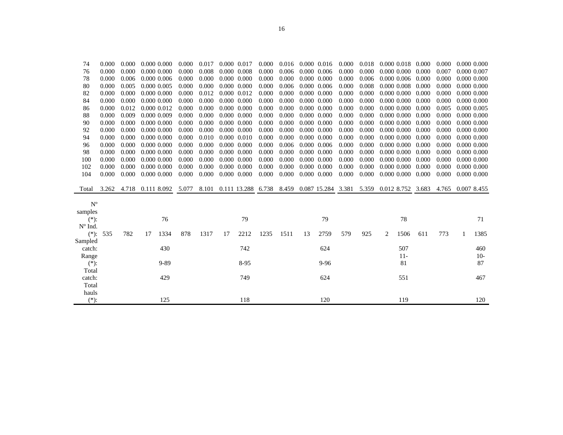| 0.000<br>0.000<br>0.000<br>0.000 0.000<br>0.000<br>0.008<br>0.000 0.008<br>0.000<br>0.006<br>0.000 0.006<br>0.000<br>0.000 0.000<br>0.000<br>0.007<br>76<br>0.006<br>0.000<br>0.000<br>0.000<br>0.000 0.000<br>0.000<br>0.000 0.006<br>0.000<br>78<br>0.000<br>$0.000$ $0.006$<br>0.000<br>$0.000 \quad 0.000$<br>0.006<br>0.000<br>0.000<br>0.006<br>0.000<br>0.000<br>0.005<br>0.000 0.005<br>0.000<br>0.000<br>0.000 0.000<br>0.000 0.006<br>0.008<br>0.00000008<br>0.000<br>0.000<br>80<br>0.000<br>0.000<br>$0.000\ 0.000$<br>0.000<br>0.012<br>0.000 0.012<br>0.000<br>0.000<br>0.000 0.000<br>0.000<br>0.000<br>$0.000\ 0.000$<br>0.000<br>82<br>0.000<br>0.000<br>0.000<br>0.000<br>0.000 0.000<br>0.000<br>0.000<br>0.000 0.000<br>0.000<br>0.000<br>0.000 0.000<br>0.000<br>0.000 0.000<br>0.000<br>0.000<br>84<br>0.012<br>0.000<br>0.000<br>0.000 0.000<br>0.000<br>0.000<br>0.000 0.000<br>0.000<br>0.000<br>0.0000000<br>0.000<br>0.000<br>0.000 0.012<br>0.005<br>86<br>0.000<br>0.000<br>0.009<br>0.000 0.009<br>0.000<br>0.000<br>0.000 0.000<br>0.000<br>0.000 0.000<br>0.000<br>0.000 0.000<br>0.000<br>0.000<br>88<br>0.000<br>0.000<br>0.000<br>0.000 0.000<br>0.000<br>0.000<br>0.000 0.000<br>0.000<br>0.000<br>0.000 0.000<br>0.000<br>0.000<br>0.000 0.000<br>0.000<br>0.000<br>90<br>0.000<br>0.000<br>92<br>0.000<br>0.000<br>0.000 0.000<br>0.000<br>0.000<br>0.000 0.000<br>0.000<br>0.000 0.000<br>0.000<br>0.000 0.000<br>0.000<br>0.000<br>0.000<br>0.000<br>0.0000000<br>0.000<br>0.010<br>0.000 0.010<br>0.000<br>0.000<br>0.000 0.000<br>0.000<br>0.000<br>0.000 0.000<br>0.000<br>0.000<br>94<br>0.000<br>0.000<br>0.006<br>0.000<br>0.000<br>0.000<br>0.000<br>0.000<br>0.000 0.000<br>0.000<br>0.000 0.000<br>0.000 0.006<br>0.000 0.000<br>0.000<br>96<br>0.000<br>0.000<br>0.000 0.000<br>0.000<br>0.000<br>0.000 0.000<br>0.000<br>0.000<br>$0.000 \quad 0.000$<br>0.000<br>0.000<br>0.000 0.000<br>0.000<br>0.000<br>98<br>0.000<br>0.000<br>0.000<br>0.000<br>0.000<br>0.000<br>0.000 0.000<br>0.000<br>0.000<br>$0.000 \quad 0.000$<br>$0.000 \quad 0.000$<br>0.000 0.000<br>0.000<br>0.000<br>100<br>0.000<br>0.000<br>0.000<br>$0.000$ $0.000$<br>0.000<br>0.000<br>0.000 0.000<br>0.000<br>0.000<br>0.000 0.000<br>0.000<br>102<br>0.000<br>0.000 0.000<br>0.000<br>0.000<br>0.000<br>0.000<br>104<br>0.000<br>0.000<br>0.000 0.000<br>0.000<br>$0.000$ $0.000$<br>0.000<br>0.000 0.000<br>0.000<br>$0.000\ 0.000$<br>0.000<br>0.000<br>8.101<br>6.738<br>8.459<br>0.087 15.284 3.381<br>5.359<br>0.012 8.752<br>3.262<br>4.718<br>0.111 8.092<br>5.077<br>0.111 13.288<br>3.683<br>4.765<br>Total<br>$N^{\circ}$<br>samples<br>79<br>79<br>76<br>78<br>$(*)$ :<br>$No$ Ind.<br>1334<br>878<br>1235<br>2759<br>579<br>1506<br>773<br>$(*):$<br>782<br>1317<br>2212<br>1511<br>925<br>611<br>535<br>17<br>17<br>13<br>2<br>1<br>Sampled<br>430<br>742<br>624<br>507<br>catch:<br>$11-$<br>Range<br>81<br>$(*)$ :<br>$9 - 89$<br>$8-95$<br>9-96<br>Total<br>429<br>749<br>624<br>551<br>catch:<br>Total<br>hauls | 74      | 0.000 | 0.000 | 0.000 0.000 |     | 0.000 | 0.017 | 0.000 0.017 |     | 0.000 | 0.016 | 0.000 | 0.016 | 0.000 | 0.018 | 0.000 0.018 | 0.000 | 0.000 | 0.000 0.000     |
|---------------------------------------------------------------------------------------------------------------------------------------------------------------------------------------------------------------------------------------------------------------------------------------------------------------------------------------------------------------------------------------------------------------------------------------------------------------------------------------------------------------------------------------------------------------------------------------------------------------------------------------------------------------------------------------------------------------------------------------------------------------------------------------------------------------------------------------------------------------------------------------------------------------------------------------------------------------------------------------------------------------------------------------------------------------------------------------------------------------------------------------------------------------------------------------------------------------------------------------------------------------------------------------------------------------------------------------------------------------------------------------------------------------------------------------------------------------------------------------------------------------------------------------------------------------------------------------------------------------------------------------------------------------------------------------------------------------------------------------------------------------------------------------------------------------------------------------------------------------------------------------------------------------------------------------------------------------------------------------------------------------------------------------------------------------------------------------------------------------------------------------------------------------------------------------------------------------------------------------------------------------------------------------------------------------------------------------------------------------------------------------------------------------------------------------------------------------------------------------------------------------------------------------------------------------------------------------------------------------------------------------------------------------------------------------------------------------------------------------------------------------------------------------------------------------------------------------------------------------------------------------------------------------------------------------------------------------------------------------------------------------------------------------------------------------|---------|-------|-------|-------------|-----|-------|-------|-------------|-----|-------|-------|-------|-------|-------|-------|-------------|-------|-------|-----------------|
|                                                                                                                                                                                                                                                                                                                                                                                                                                                                                                                                                                                                                                                                                                                                                                                                                                                                                                                                                                                                                                                                                                                                                                                                                                                                                                                                                                                                                                                                                                                                                                                                                                                                                                                                                                                                                                                                                                                                                                                                                                                                                                                                                                                                                                                                                                                                                                                                                                                                                                                                                                                                                                                                                                                                                                                                                                                                                                                                                                                                                                                               |         |       |       |             |     |       |       |             |     |       |       |       |       |       |       |             |       |       | 0.000 0.007     |
|                                                                                                                                                                                                                                                                                                                                                                                                                                                                                                                                                                                                                                                                                                                                                                                                                                                                                                                                                                                                                                                                                                                                                                                                                                                                                                                                                                                                                                                                                                                                                                                                                                                                                                                                                                                                                                                                                                                                                                                                                                                                                                                                                                                                                                                                                                                                                                                                                                                                                                                                                                                                                                                                                                                                                                                                                                                                                                                                                                                                                                                               |         |       |       |             |     |       |       |             |     |       |       |       |       |       |       |             |       |       | 0.000 0.000     |
|                                                                                                                                                                                                                                                                                                                                                                                                                                                                                                                                                                                                                                                                                                                                                                                                                                                                                                                                                                                                                                                                                                                                                                                                                                                                                                                                                                                                                                                                                                                                                                                                                                                                                                                                                                                                                                                                                                                                                                                                                                                                                                                                                                                                                                                                                                                                                                                                                                                                                                                                                                                                                                                                                                                                                                                                                                                                                                                                                                                                                                                               |         |       |       |             |     |       |       |             |     |       |       |       |       |       |       |             |       |       | $0.000$ $0.000$ |
|                                                                                                                                                                                                                                                                                                                                                                                                                                                                                                                                                                                                                                                                                                                                                                                                                                                                                                                                                                                                                                                                                                                                                                                                                                                                                                                                                                                                                                                                                                                                                                                                                                                                                                                                                                                                                                                                                                                                                                                                                                                                                                                                                                                                                                                                                                                                                                                                                                                                                                                                                                                                                                                                                                                                                                                                                                                                                                                                                                                                                                                               |         |       |       |             |     |       |       |             |     |       |       |       |       |       |       |             |       |       | 0.000 0.000     |
|                                                                                                                                                                                                                                                                                                                                                                                                                                                                                                                                                                                                                                                                                                                                                                                                                                                                                                                                                                                                                                                                                                                                                                                                                                                                                                                                                                                                                                                                                                                                                                                                                                                                                                                                                                                                                                                                                                                                                                                                                                                                                                                                                                                                                                                                                                                                                                                                                                                                                                                                                                                                                                                                                                                                                                                                                                                                                                                                                                                                                                                               |         |       |       |             |     |       |       |             |     |       |       |       |       |       |       |             |       |       | 0.000 0.000     |
|                                                                                                                                                                                                                                                                                                                                                                                                                                                                                                                                                                                                                                                                                                                                                                                                                                                                                                                                                                                                                                                                                                                                                                                                                                                                                                                                                                                                                                                                                                                                                                                                                                                                                                                                                                                                                                                                                                                                                                                                                                                                                                                                                                                                                                                                                                                                                                                                                                                                                                                                                                                                                                                                                                                                                                                                                                                                                                                                                                                                                                                               |         |       |       |             |     |       |       |             |     |       |       |       |       |       |       |             |       |       | 0.000 0.005     |
|                                                                                                                                                                                                                                                                                                                                                                                                                                                                                                                                                                                                                                                                                                                                                                                                                                                                                                                                                                                                                                                                                                                                                                                                                                                                                                                                                                                                                                                                                                                                                                                                                                                                                                                                                                                                                                                                                                                                                                                                                                                                                                                                                                                                                                                                                                                                                                                                                                                                                                                                                                                                                                                                                                                                                                                                                                                                                                                                                                                                                                                               |         |       |       |             |     |       |       |             |     |       |       |       |       |       |       |             |       |       | $0.000$ $0.000$ |
|                                                                                                                                                                                                                                                                                                                                                                                                                                                                                                                                                                                                                                                                                                                                                                                                                                                                                                                                                                                                                                                                                                                                                                                                                                                                                                                                                                                                                                                                                                                                                                                                                                                                                                                                                                                                                                                                                                                                                                                                                                                                                                                                                                                                                                                                                                                                                                                                                                                                                                                                                                                                                                                                                                                                                                                                                                                                                                                                                                                                                                                               |         |       |       |             |     |       |       |             |     |       |       |       |       |       |       |             |       |       | 0.0000000       |
|                                                                                                                                                                                                                                                                                                                                                                                                                                                                                                                                                                                                                                                                                                                                                                                                                                                                                                                                                                                                                                                                                                                                                                                                                                                                                                                                                                                                                                                                                                                                                                                                                                                                                                                                                                                                                                                                                                                                                                                                                                                                                                                                                                                                                                                                                                                                                                                                                                                                                                                                                                                                                                                                                                                                                                                                                                                                                                                                                                                                                                                               |         |       |       |             |     |       |       |             |     |       |       |       |       |       |       |             |       |       | 0.000 0.000     |
|                                                                                                                                                                                                                                                                                                                                                                                                                                                                                                                                                                                                                                                                                                                                                                                                                                                                                                                                                                                                                                                                                                                                                                                                                                                                                                                                                                                                                                                                                                                                                                                                                                                                                                                                                                                                                                                                                                                                                                                                                                                                                                                                                                                                                                                                                                                                                                                                                                                                                                                                                                                                                                                                                                                                                                                                                                                                                                                                                                                                                                                               |         |       |       |             |     |       |       |             |     |       |       |       |       |       |       |             |       |       | 0.000 0.000     |
|                                                                                                                                                                                                                                                                                                                                                                                                                                                                                                                                                                                                                                                                                                                                                                                                                                                                                                                                                                                                                                                                                                                                                                                                                                                                                                                                                                                                                                                                                                                                                                                                                                                                                                                                                                                                                                                                                                                                                                                                                                                                                                                                                                                                                                                                                                                                                                                                                                                                                                                                                                                                                                                                                                                                                                                                                                                                                                                                                                                                                                                               |         |       |       |             |     |       |       |             |     |       |       |       |       |       |       |             |       |       | $0.000$ $0.000$ |
|                                                                                                                                                                                                                                                                                                                                                                                                                                                                                                                                                                                                                                                                                                                                                                                                                                                                                                                                                                                                                                                                                                                                                                                                                                                                                                                                                                                                                                                                                                                                                                                                                                                                                                                                                                                                                                                                                                                                                                                                                                                                                                                                                                                                                                                                                                                                                                                                                                                                                                                                                                                                                                                                                                                                                                                                                                                                                                                                                                                                                                                               |         |       |       |             |     |       |       |             |     |       |       |       |       |       |       |             |       |       | 0.000 0.000     |
|                                                                                                                                                                                                                                                                                                                                                                                                                                                                                                                                                                                                                                                                                                                                                                                                                                                                                                                                                                                                                                                                                                                                                                                                                                                                                                                                                                                                                                                                                                                                                                                                                                                                                                                                                                                                                                                                                                                                                                                                                                                                                                                                                                                                                                                                                                                                                                                                                                                                                                                                                                                                                                                                                                                                                                                                                                                                                                                                                                                                                                                               |         |       |       |             |     |       |       |             |     |       |       |       |       |       |       |             |       |       | 0.000 0.000     |
|                                                                                                                                                                                                                                                                                                                                                                                                                                                                                                                                                                                                                                                                                                                                                                                                                                                                                                                                                                                                                                                                                                                                                                                                                                                                                                                                                                                                                                                                                                                                                                                                                                                                                                                                                                                                                                                                                                                                                                                                                                                                                                                                                                                                                                                                                                                                                                                                                                                                                                                                                                                                                                                                                                                                                                                                                                                                                                                                                                                                                                                               |         |       |       |             |     |       |       |             |     |       |       |       |       |       |       |             |       |       | 0.000 0.000     |
|                                                                                                                                                                                                                                                                                                                                                                                                                                                                                                                                                                                                                                                                                                                                                                                                                                                                                                                                                                                                                                                                                                                                                                                                                                                                                                                                                                                                                                                                                                                                                                                                                                                                                                                                                                                                                                                                                                                                                                                                                                                                                                                                                                                                                                                                                                                                                                                                                                                                                                                                                                                                                                                                                                                                                                                                                                                                                                                                                                                                                                                               |         |       |       |             |     |       |       |             |     |       |       |       |       |       |       |             |       |       | 0.000 0.000     |
|                                                                                                                                                                                                                                                                                                                                                                                                                                                                                                                                                                                                                                                                                                                                                                                                                                                                                                                                                                                                                                                                                                                                                                                                                                                                                                                                                                                                                                                                                                                                                                                                                                                                                                                                                                                                                                                                                                                                                                                                                                                                                                                                                                                                                                                                                                                                                                                                                                                                                                                                                                                                                                                                                                                                                                                                                                                                                                                                                                                                                                                               |         |       |       |             |     |       |       |             |     |       |       |       |       |       |       |             |       |       | 0.007 8.455     |
|                                                                                                                                                                                                                                                                                                                                                                                                                                                                                                                                                                                                                                                                                                                                                                                                                                                                                                                                                                                                                                                                                                                                                                                                                                                                                                                                                                                                                                                                                                                                                                                                                                                                                                                                                                                                                                                                                                                                                                                                                                                                                                                                                                                                                                                                                                                                                                                                                                                                                                                                                                                                                                                                                                                                                                                                                                                                                                                                                                                                                                                               |         |       |       |             |     |       |       |             |     |       |       |       |       |       |       |             |       |       |                 |
|                                                                                                                                                                                                                                                                                                                                                                                                                                                                                                                                                                                                                                                                                                                                                                                                                                                                                                                                                                                                                                                                                                                                                                                                                                                                                                                                                                                                                                                                                                                                                                                                                                                                                                                                                                                                                                                                                                                                                                                                                                                                                                                                                                                                                                                                                                                                                                                                                                                                                                                                                                                                                                                                                                                                                                                                                                                                                                                                                                                                                                                               |         |       |       |             |     |       |       |             |     |       |       |       |       |       |       |             |       |       |                 |
|                                                                                                                                                                                                                                                                                                                                                                                                                                                                                                                                                                                                                                                                                                                                                                                                                                                                                                                                                                                                                                                                                                                                                                                                                                                                                                                                                                                                                                                                                                                                                                                                                                                                                                                                                                                                                                                                                                                                                                                                                                                                                                                                                                                                                                                                                                                                                                                                                                                                                                                                                                                                                                                                                                                                                                                                                                                                                                                                                                                                                                                               |         |       |       |             |     |       |       |             |     |       |       |       |       |       |       |             |       |       | 71              |
|                                                                                                                                                                                                                                                                                                                                                                                                                                                                                                                                                                                                                                                                                                                                                                                                                                                                                                                                                                                                                                                                                                                                                                                                                                                                                                                                                                                                                                                                                                                                                                                                                                                                                                                                                                                                                                                                                                                                                                                                                                                                                                                                                                                                                                                                                                                                                                                                                                                                                                                                                                                                                                                                                                                                                                                                                                                                                                                                                                                                                                                               |         |       |       |             |     |       |       |             |     |       |       |       |       |       |       |             |       |       |                 |
|                                                                                                                                                                                                                                                                                                                                                                                                                                                                                                                                                                                                                                                                                                                                                                                                                                                                                                                                                                                                                                                                                                                                                                                                                                                                                                                                                                                                                                                                                                                                                                                                                                                                                                                                                                                                                                                                                                                                                                                                                                                                                                                                                                                                                                                                                                                                                                                                                                                                                                                                                                                                                                                                                                                                                                                                                                                                                                                                                                                                                                                               |         |       |       |             |     |       |       |             |     |       |       |       |       |       |       |             |       |       | 1385            |
|                                                                                                                                                                                                                                                                                                                                                                                                                                                                                                                                                                                                                                                                                                                                                                                                                                                                                                                                                                                                                                                                                                                                                                                                                                                                                                                                                                                                                                                                                                                                                                                                                                                                                                                                                                                                                                                                                                                                                                                                                                                                                                                                                                                                                                                                                                                                                                                                                                                                                                                                                                                                                                                                                                                                                                                                                                                                                                                                                                                                                                                               |         |       |       |             |     |       |       |             |     |       |       |       |       |       |       |             |       |       |                 |
|                                                                                                                                                                                                                                                                                                                                                                                                                                                                                                                                                                                                                                                                                                                                                                                                                                                                                                                                                                                                                                                                                                                                                                                                                                                                                                                                                                                                                                                                                                                                                                                                                                                                                                                                                                                                                                                                                                                                                                                                                                                                                                                                                                                                                                                                                                                                                                                                                                                                                                                                                                                                                                                                                                                                                                                                                                                                                                                                                                                                                                                               |         |       |       |             |     |       |       |             |     |       |       |       |       |       |       |             |       |       | 460             |
|                                                                                                                                                                                                                                                                                                                                                                                                                                                                                                                                                                                                                                                                                                                                                                                                                                                                                                                                                                                                                                                                                                                                                                                                                                                                                                                                                                                                                                                                                                                                                                                                                                                                                                                                                                                                                                                                                                                                                                                                                                                                                                                                                                                                                                                                                                                                                                                                                                                                                                                                                                                                                                                                                                                                                                                                                                                                                                                                                                                                                                                               |         |       |       |             |     |       |       |             |     |       |       |       |       |       |       |             |       |       | $10-$           |
|                                                                                                                                                                                                                                                                                                                                                                                                                                                                                                                                                                                                                                                                                                                                                                                                                                                                                                                                                                                                                                                                                                                                                                                                                                                                                                                                                                                                                                                                                                                                                                                                                                                                                                                                                                                                                                                                                                                                                                                                                                                                                                                                                                                                                                                                                                                                                                                                                                                                                                                                                                                                                                                                                                                                                                                                                                                                                                                                                                                                                                                               |         |       |       |             |     |       |       |             |     |       |       |       |       |       |       |             |       |       | 87              |
|                                                                                                                                                                                                                                                                                                                                                                                                                                                                                                                                                                                                                                                                                                                                                                                                                                                                                                                                                                                                                                                                                                                                                                                                                                                                                                                                                                                                                                                                                                                                                                                                                                                                                                                                                                                                                                                                                                                                                                                                                                                                                                                                                                                                                                                                                                                                                                                                                                                                                                                                                                                                                                                                                                                                                                                                                                                                                                                                                                                                                                                               |         |       |       |             |     |       |       |             |     |       |       |       |       |       |       |             |       |       |                 |
|                                                                                                                                                                                                                                                                                                                                                                                                                                                                                                                                                                                                                                                                                                                                                                                                                                                                                                                                                                                                                                                                                                                                                                                                                                                                                                                                                                                                                                                                                                                                                                                                                                                                                                                                                                                                                                                                                                                                                                                                                                                                                                                                                                                                                                                                                                                                                                                                                                                                                                                                                                                                                                                                                                                                                                                                                                                                                                                                                                                                                                                               |         |       |       |             |     |       |       |             |     |       |       |       |       |       |       |             |       |       | 467             |
|                                                                                                                                                                                                                                                                                                                                                                                                                                                                                                                                                                                                                                                                                                                                                                                                                                                                                                                                                                                                                                                                                                                                                                                                                                                                                                                                                                                                                                                                                                                                                                                                                                                                                                                                                                                                                                                                                                                                                                                                                                                                                                                                                                                                                                                                                                                                                                                                                                                                                                                                                                                                                                                                                                                                                                                                                                                                                                                                                                                                                                                               |         |       |       |             |     |       |       |             |     |       |       |       |       |       |       |             |       |       |                 |
|                                                                                                                                                                                                                                                                                                                                                                                                                                                                                                                                                                                                                                                                                                                                                                                                                                                                                                                                                                                                                                                                                                                                                                                                                                                                                                                                                                                                                                                                                                                                                                                                                                                                                                                                                                                                                                                                                                                                                                                                                                                                                                                                                                                                                                                                                                                                                                                                                                                                                                                                                                                                                                                                                                                                                                                                                                                                                                                                                                                                                                                               |         |       |       |             |     |       |       |             |     |       |       |       |       |       |       |             |       |       |                 |
|                                                                                                                                                                                                                                                                                                                                                                                                                                                                                                                                                                                                                                                                                                                                                                                                                                                                                                                                                                                                                                                                                                                                                                                                                                                                                                                                                                                                                                                                                                                                                                                                                                                                                                                                                                                                                                                                                                                                                                                                                                                                                                                                                                                                                                                                                                                                                                                                                                                                                                                                                                                                                                                                                                                                                                                                                                                                                                                                                                                                                                                               | $(*)$ : |       |       |             | 125 |       |       |             | 118 |       |       |       | 120   |       |       | 119         |       |       | 120             |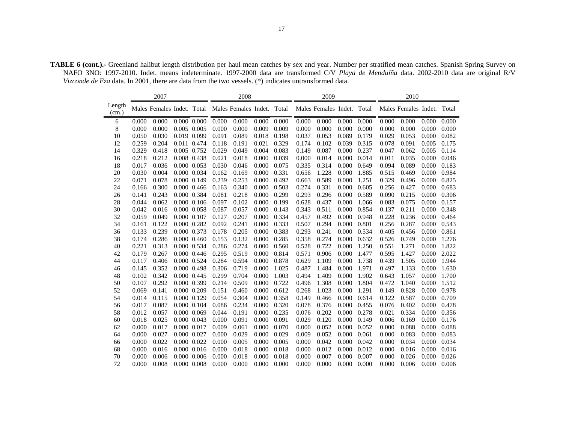**TABLE 6 (cont.).-** Greenland halibut length distribution per haul mean catches by sex and year. Number per stratified mean catches. Spanish Spring Survey on NAFO 3NO: 1997-2010. Indet. means indeterminate. 1997-2000 data are transformed C/V *Playa de Menduíña* data. 2002-2010 data are original R/V *Vizconde de Eza* data. In 2001, there are data from the two vessels. (\*) indicates untransformed data.

|                 |       | 2007  |             |       |       | 2008                                                  |       |       |       | 2009                       |       |       |       | 2010                       |       |       |
|-----------------|-------|-------|-------------|-------|-------|-------------------------------------------------------|-------|-------|-------|----------------------------|-------|-------|-------|----------------------------|-------|-------|
| Length<br>(cm.) |       |       |             |       |       | Males Females Indet. Total Males Females Indet. Total |       |       |       | Males Females Indet. Total |       |       |       | Males Females Indet. Total |       |       |
| 6               | 0.000 | 0.000 | 0.000 0.000 |       | 0.000 | 0.000                                                 | 0.000 | 0.000 | 0.000 | 0.000                      | 0.000 | 0.000 | 0.000 | 0.000                      | 0.000 | 0.000 |
| 8               | 0.000 | 0.000 | 0.005 0.005 |       | 0.000 | 0.000                                                 | 0.009 | 0.009 | 0.000 | 0.000                      | 0.000 | 0.000 | 0.000 | 0.000                      | 0.000 | 0.000 |
| 10              | 0.050 | 0.030 | 0.019 0.099 |       | 0.091 | 0.089                                                 | 0.018 | 0.198 | 0.037 | 0.053                      | 0.089 | 0.179 | 0.029 | 0.053                      | 0.000 | 0.082 |
| 12              | 0.259 | 0.204 | 0.011 0.474 |       | 0.118 | 0.191                                                 | 0.021 | 0.329 | 0.174 | 0.102                      | 0.039 | 0.315 | 0.078 | 0.091                      | 0.005 | 0.175 |
| 14              | 0.329 | 0.418 | 0.005 0.752 |       | 0.029 | 0.049                                                 | 0.004 | 0.083 | 0.149 | 0.087                      | 0.000 | 0.237 | 0.047 | 0.062                      | 0.005 | 0.114 |
| 16              | 0.218 | 0.212 | 0.008 0.438 |       | 0.021 | 0.018                                                 | 0.000 | 0.039 | 0.000 | 0.014                      | 0.000 | 0.014 | 0.011 | 0.035                      | 0.000 | 0.046 |
| 18              | 0.017 | 0.036 | 0.000 0.053 |       | 0.030 | 0.046                                                 | 0.000 | 0.075 | 0.335 | 0.314                      | 0.000 | 0.649 | 0.094 | 0.089                      | 0.000 | 0.183 |
| 20              | 0.030 | 0.004 | 0.000 0.034 |       | 0.162 | 0.169                                                 | 0.000 | 0.331 | 0.656 | 1.228                      | 0.000 | 1.885 | 0.515 | 0.469                      | 0.000 | 0.984 |
| 22              | 0.071 | 0.078 | 0.000 0.149 |       | 0.239 | 0.253                                                 | 0.000 | 0.492 | 0.663 | 0.589                      | 0.000 | 1.251 | 0.329 | 0.496                      | 0.000 | 0.825 |
| 24              | 0.166 | 0.300 | 0.000 0.466 |       | 0.163 | 0.340                                                 | 0.000 | 0.503 | 0.274 | 0.331                      | 0.000 | 0.605 | 0.256 | 0.427                      | 0.000 | 0.683 |
| 26              | 0.141 | 0.243 | 0.000 0.384 |       | 0.081 | 0.218                                                 | 0.000 | 0.299 | 0.293 | 0.296                      | 0.000 | 0.589 | 0.090 | 0.215                      | 0.000 | 0.306 |
| 28              | 0.044 | 0.062 | 0.000 0.106 |       | 0.097 | 0.102                                                 | 0.000 | 0.199 | 0.628 | 0.437                      | 0.000 | 1.066 | 0.083 | 0.075                      | 0.000 | 0.157 |
| 30              | 0.042 | 0.016 | 0.000 0.058 |       | 0.087 | 0.057                                                 | 0.000 | 0.143 | 0.343 | 0.511                      | 0.000 | 0.854 | 0.137 | 0.211                      | 0.000 | 0.348 |
| 32              | 0.059 | 0.049 | 0.000 0.107 |       | 0.127 | 0.207                                                 | 0.000 | 0.334 | 0.457 | 0.492                      | 0.000 | 0.948 | 0.228 | 0.236                      | 0.000 | 0.464 |
| 34              | 0.161 | 0.122 | 0.000 0.282 |       | 0.092 | 0.241                                                 | 0.000 | 0.333 | 0.507 | 0.294                      | 0.000 | 0.801 | 0.256 | 0.287                      | 0.000 | 0.543 |
| 36              | 0.133 | 0.239 | 0.000 0.373 |       | 0.178 | 0.205                                                 | 0.000 | 0.383 | 0.293 | 0.241                      | 0.000 | 0.534 | 0.405 | 0.456                      | 0.000 | 0.861 |
| 38              | 0.174 | 0.286 | 0.000 0.460 |       | 0.153 | 0.132                                                 | 0.000 | 0.285 | 0.358 | 0.274                      | 0.000 | 0.632 | 0.526 | 0.749                      | 0.000 | 1.276 |
| 40              | 0.221 | 0.313 | 0.000 0.534 |       | 0.286 | 0.274                                                 | 0.000 | 0.560 | 0.528 | 0.722                      | 0.000 | 1.250 | 0.551 | 1.271                      | 0.000 | 1.822 |
| 42              | 0.179 | 0.267 | 0.000 0.446 |       | 0.295 | 0.519                                                 | 0.000 | 0.814 | 0.571 | 0.906                      | 0.000 | 1.477 | 0.595 | 1.427                      | 0.000 | 2.022 |
| 44              | 0.117 | 0.406 | 0.000 0.524 |       | 0.284 | 0.594                                                 | 0.000 | 0.878 | 0.629 | 1.109                      | 0.000 | 1.738 | 0.439 | 1.505                      | 0.000 | 1.944 |
| 46              | 0.145 | 0.352 | 0.000 0.498 |       | 0.306 | 0.719                                                 | 0.000 | 1.025 | 0.487 | 1.484                      | 0.000 | 1.971 | 0.497 | 1.133                      | 0.000 | 1.630 |
| 48              | 0.102 | 0.342 | 0.000 0.445 |       | 0.299 | 0.704                                                 | 0.000 | 1.003 | 0.494 | 1.409                      | 0.000 | 1.902 | 0.643 | 1.057                      | 0.000 | 1.700 |
| 50              | 0.107 | 0.292 | 0.000 0.399 |       | 0.214 | 0.509                                                 | 0.000 | 0.722 | 0.496 | 1.308                      | 0.000 | 1.804 | 0.472 | 1.040                      | 0.000 | 1.512 |
| 52              | 0.069 | 0.141 | 0.000 0.209 |       | 0.151 | 0.460                                                 | 0.000 | 0.612 | 0.268 | 1.023                      | 0.000 | 1.291 | 0.149 | 0.828                      | 0.000 | 0.978 |
| 54              | 0.014 | 0.115 | 0.000 0.129 |       | 0.054 | 0.304                                                 | 0.000 | 0.358 | 0.149 | 0.466                      | 0.000 | 0.614 | 0.122 | 0.587                      | 0.000 | 0.709 |
| 56              | 0.017 | 0.087 | 0.000 0.104 |       | 0.086 | 0.234                                                 | 0.000 | 0.320 | 0.078 | 0.376                      | 0.000 | 0.455 | 0.076 | 0.402                      | 0.000 | 0.478 |
| 58              | 0.012 | 0.057 | 0.000 0.069 |       | 0.044 | 0.191                                                 | 0.000 | 0.235 | 0.076 | 0.202                      | 0.000 | 0.278 | 0.021 | 0.334                      | 0.000 | 0.356 |
| 60              | 0.018 | 0.025 | 0.000 0.043 |       | 0.000 | 0.091                                                 | 0.000 | 0.091 | 0.029 | 0.120                      | 0.000 | 0.149 | 0.006 | 0.169                      | 0.000 | 0.176 |
| 62              | 0.000 | 0.017 | 0.000 0.017 |       | 0.009 | 0.061                                                 | 0.000 | 0.070 | 0.000 | 0.052                      | 0.000 | 0.052 | 0.000 | 0.088                      | 0.000 | 0.088 |
| 64              | 0.000 | 0.027 | 0.000 0.027 |       | 0.000 | 0.029                                                 | 0.000 | 0.029 | 0.009 | 0.052                      | 0.000 | 0.061 | 0.000 | 0.083                      | 0.000 | 0.083 |
| 66              | 0.000 | 0.022 | 0.000 0.022 |       | 0.000 | 0.005                                                 | 0.000 | 0.005 | 0.000 | 0.042                      | 0.000 | 0.042 | 0.000 | 0.034                      | 0.000 | 0.034 |
| 68              | 0.000 | 0.016 | 0.000 0.016 |       | 0.000 | 0.018                                                 | 0.000 | 0.018 | 0.000 | 0.012                      | 0.000 | 0.012 | 0.000 | 0.016                      | 0.000 | 0.016 |
| 70              | 0.000 | 0.006 | 0.000       | 0.006 | 0.000 | 0.018                                                 | 0.000 | 0.018 | 0.000 | 0.007                      | 0.000 | 0.007 | 0.000 | 0.026                      | 0.000 | 0.026 |
| 72              | 0.000 | 0.008 | 0.000 0.008 |       | 0.000 | 0.000                                                 | 0.000 | 0.000 | 0.000 | 0.000                      | 0.000 | 0.000 | 0.000 | 0.006                      | 0.000 | 0.006 |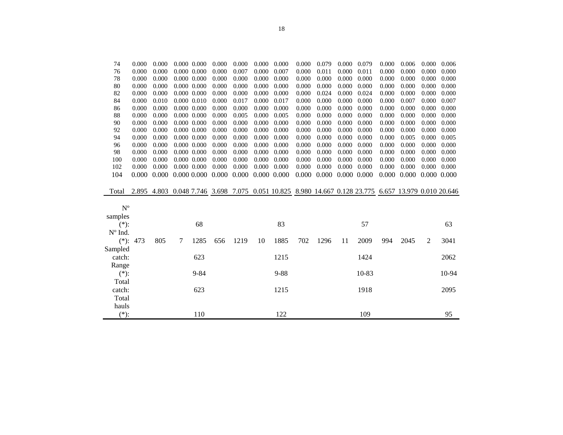| 76          | 0.000 | 0.000 |   | $0.000$ $0.000$ | 0.000 | 0.007 | 0.000           | 0.007    | 0.000 | 0.011 | 0.000       | 0.011                                                                                    | 0.000 | 0.000 | 0.000 | 0.000 |
|-------------|-------|-------|---|-----------------|-------|-------|-----------------|----------|-------|-------|-------------|------------------------------------------------------------------------------------------|-------|-------|-------|-------|
| 78          | 0.000 | 0.000 |   | 0.000 0.000     | 0.000 | 0.000 | 0.000           | 0.000    | 0.000 | 0.000 | 0.000       | 0.000                                                                                    | 0.000 | 0.000 | 0.000 | 0.000 |
| 80          | 0.000 | 0.000 |   | 0.000 0.000     | 0.000 | 0.000 | 0.000           | 0.000    | 0.000 | 0.000 | 0.000       | 0.000                                                                                    | 0.000 | 0.000 | 0.000 | 0.000 |
| 82          | 0.000 | 0.000 |   | $0.000$ $0.000$ | 0.000 | 0.000 | 0.000           | 0.000    | 0.000 | 0.024 | 0.000       | 0.024                                                                                    | 0.000 | 0.000 | 0.000 | 0.000 |
| 84          | 0.000 | 0.010 |   | 0.000 0.010     | 0.000 | 0.017 | 0.000           | 0.017    | 0.000 | 0.000 | 0.000       | 0.000                                                                                    | 0.000 | 0.007 | 0.000 | 0.007 |
| 86          | 0.000 | 0.000 |   | $0.000$ $0.000$ | 0.000 | 0.000 | 0.000           | 0.000    | 0.000 | 0.000 | 0.000       | 0.000                                                                                    | 0.000 | 0.000 | 0.000 | 0.000 |
| 88          | 0.000 | 0.000 |   | $0.000$ $0.000$ | 0.000 | 0.005 | 0.000           | 0.005    | 0.000 | 0.000 | 0.000       | 0.000                                                                                    | 0.000 | 0.000 | 0.000 | 0.000 |
| 90          | 0.000 | 0.000 |   | $0.000$ $0.000$ | 0.000 | 0.000 | 0.000           | 0.000    | 0.000 | 0.000 | 0.000       | 0.000                                                                                    | 0.000 | 0.000 | 0.000 | 0.000 |
| 92          | 0.000 | 0.000 |   | 0.000 0.000     | 0.000 | 0.000 | 0.000           | 0.000    | 0.000 | 0.000 | 0.000       | 0.000                                                                                    | 0.000 | 0.000 | 0.000 | 0.000 |
| 94          | 0.000 | 0.000 |   | $0.000$ $0.000$ | 0.000 | 0.000 | 0.000           | 0.000    | 0.000 | 0.000 | 0.000       | 0.000                                                                                    | 0.000 | 0.005 | 0.000 | 0.005 |
| 96          | 0.000 | 0.000 |   | 0.000 0.000     | 0.000 | 0.000 | 0.000           | 0.000    | 0.000 | 0.000 | 0.000       | 0.000                                                                                    | 0.000 | 0.000 | 0.000 | 0.000 |
| 98          | 0.000 | 0.000 |   | 0.000 0.000     | 0.000 | 0.000 | 0.000           | 0.000    | 0.000 | 0.000 | 0.000       | 0.000                                                                                    | 0.000 | 0.000 | 0.000 | 0.000 |
| 100         | 0.000 | 0.000 |   | $0.000$ $0.000$ | 0.000 | 0.000 | 0.000           | 0.000    | 0.000 | 0.000 | 0.000       | 0.000                                                                                    | 0.000 | 0.000 | 0.000 | 0.000 |
| 102         | 0.000 | 0.000 |   | 0.000 0.000     | 0.000 | 0.000 | 0.000           | 0.000    | 0.000 | 0.000 | 0.000       | 0.000                                                                                    | 0.000 | 0.000 | 0.000 | 0.000 |
| 104         | 0.000 | 0.000 |   | 0.000 0.000     | 0.000 | 0.000 | $0.000$ $0.000$ |          | 0.000 | 0.000 | 0.000 0.000 |                                                                                          | 0.000 | 0.000 | 0.000 | 0.000 |
|             |       |       |   |                 |       |       |                 |          |       |       |             |                                                                                          |       |       |       |       |
| Total       | 2.895 | 4.803 |   |                 |       |       |                 |          |       |       |             | 0.048 7.746 3.698 7.075 0.051 10.825 8.980 14.667 0.128 23.775 6.657 13.979 0.010 20.646 |       |       |       |       |
|             |       |       |   |                 |       |       |                 |          |       |       |             |                                                                                          |       |       |       |       |
| $N^{\circ}$ |       |       |   |                 |       |       |                 |          |       |       |             |                                                                                          |       |       |       |       |
| samples     |       |       |   |                 |       |       |                 |          |       |       |             |                                                                                          |       |       |       |       |
| $(*)$ :     |       |       |   | 68              |       |       |                 | 83       |       |       |             | 57                                                                                       |       |       |       | 63    |
| N° Ind.     |       |       |   |                 |       |       |                 |          |       |       |             |                                                                                          |       |       |       |       |
| $(*)$ :     | 473   | 805   | 7 | 1285            | 656   | 1219  | 10              | 1885     | 702   | 1296  | 11          | 2009                                                                                     | 994   | 2045  | 2     | 3041  |
| Sampled     |       |       |   |                 |       |       |                 |          |       |       |             |                                                                                          |       |       |       |       |
| catch:      |       |       |   | 623             |       |       |                 | 1215     |       |       |             | 1424                                                                                     |       |       |       | 2062  |
| Range       |       |       |   |                 |       |       |                 |          |       |       |             |                                                                                          |       |       |       |       |
| $(*)$ :     |       |       |   | $9 - 84$        |       |       |                 | $9 - 88$ |       |       |             | 10-83                                                                                    |       |       |       | 10-94 |
| Total       |       |       |   |                 |       |       |                 |          |       |       |             |                                                                                          |       |       |       |       |
| catch:      |       |       |   | 623             |       |       |                 | 1215     |       |       |             | 1918                                                                                     |       |       |       | 2095  |
| Total       |       |       |   |                 |       |       |                 |          |       |       |             |                                                                                          |       |       |       |       |
| hauls       |       |       |   |                 |       |       |                 |          |       |       |             |                                                                                          |       |       |       |       |
| $(*)$ :     |       |       |   | 110             |       |       |                 | 122      |       |       |             | 109                                                                                      |       |       |       | 95    |

74 0.000 0.000 0.000 0.000 0.000 0.000 0.000 0.000 0.000 0.079 0.000 0.079 0.000 0.006 0.000 0.006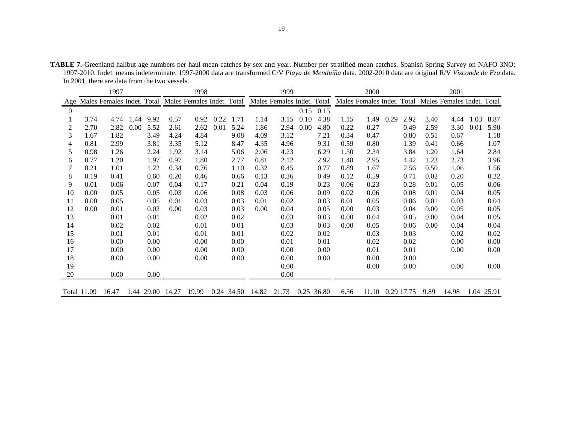**TABLE 7.-**Greenland halibut age numbers per haul mean catches by sex and year. Number per stratified mean catches. Spanish Spring Survey on NAFO 3NO: 1997-2010. Indet. means indeterminate. 1997-2000 data are transformed C/V *Playa de Menduíña* data. 2002-2010 data are original R/V *Vizconde de Eza* data. In 2001, there are data from the two vessels.

|          |                    | 1997                                                  |      |       |       | 1998  |      |            |       | 1999                       |      |            |                            | 2000  |      |            |      | 2001                       |      |            |
|----------|--------------------|-------------------------------------------------------|------|-------|-------|-------|------|------------|-------|----------------------------|------|------------|----------------------------|-------|------|------------|------|----------------------------|------|------------|
| Age      |                    | Males Females Indet. Total Males Females Indet. Total |      |       |       |       |      |            |       | Males Females Indet. Total |      |            | Males Females Indet. Total |       |      |            |      | Males Females Indet. Total |      |            |
| $\theta$ |                    |                                                       |      |       |       |       |      |            |       |                            | 0.15 | 0.15       |                            |       |      |            |      |                            |      |            |
|          | 3.74               | 4.74                                                  | 1.44 | 9.92  | 0.57  | 0.92  | 0.22 | 1.71       | 1.14  | 3.15                       | 0.10 | 4.38       | 1.15                       | 1.49  | 0.29 | 2.92       | 3.40 | 4.44                       | 1.03 | 8.87       |
| 2        | 2.70               | 2.82                                                  | 0.00 | 5.52  | 2.61  | 2.62  | 0.01 | 5.24       | 1.86  | 2.94                       | 0.00 | 4.80       | 0.22                       | 0.27  |      | 0.49       | 2.59 | 3.30                       | 0.01 | 5.90       |
| 3        | 1.67               | 1.82                                                  |      | 3.49  | 4.24  | 4.84  |      | 9.08       | 4.09  | 3.12                       |      | 7.21       | 0.34                       | 0.47  |      | 0.80       | 0.51 | 0.67                       |      | 1.18       |
| 4        | 0.81               | 2.99                                                  |      | 3.81  | 3.35  | 5.12  |      | 8.47       | 4.35  | 4.96                       |      | 9.31       | 0.59                       | 0.80  |      | 1.39       | 0.41 | 0.66                       |      | 1.07       |
| 5        | 0.98               | 1.26                                                  |      | 2.24  | 1.92  | 3.14  |      | 5.06       | 2.06  | 4.23                       |      | 6.29       | 1.50                       | 2.34  |      | 3.84       | 1.20 | 1.64                       |      | 2.84       |
| 6        | 0.77               | 1.20                                                  |      | 1.97  | 0.97  | 1.80  |      | 2.77       | 0.81  | 2.12                       |      | 2.92       | 1.48                       | 2.95  |      | 4.42       | 1.23 | 2.73                       |      | 3.96       |
|          | 0.21               | 1.01                                                  |      | 1.22  | 0.34  | 0.76  |      | 1.10       | 0.32  | 0.45                       |      | 0.77       | 0.89                       | 1.67  |      | 2.56       | 0.50 | 1.06                       |      | 1.56       |
| 8        | 0.19               | 0.41                                                  |      | 0.60  | 0.20  | 0.46  |      | 0.66       | 0.13  | 0.36                       |      | 0.49       | 0.12                       | 0.59  |      | 0.71       | 0.02 | 0.20                       |      | 0.22       |
| 9        | 0.01               | 0.06                                                  |      | 0.07  | 0.04  | 0.17  |      | 0.21       | 0.04  | 0.19                       |      | 0.23       | 0.06                       | 0.23  |      | 0.28       | 0.01 | 0.05                       |      | 0.06       |
| 10       | 0.00               | 0.05                                                  |      | 0.05  | 0.03  | 0.06  |      | 0.08       | 0.03  | 0.06                       |      | 0.09       | 0.02                       | 0.06  |      | 0.08       | 0.01 | 0.04                       |      | 0.05       |
| 11       | 0.00               | 0.05                                                  |      | 0.05  | 0.01  | 0.03  |      | 0.03       | 0.01  | 0.02                       |      | 0.03       | 0.01                       | 0.05  |      | 0.06       | 0.01 | 0.03                       |      | 0.04       |
| 12       | 0.00               | 0.01                                                  |      | 0.02  | 0.00  | 0.03  |      | 0.03       | 0.00  | 0.04                       |      | 0.05       | 0.00                       | 0.03  |      | 0.04       | 0.00 | 0.05                       |      | 0.05       |
| 13       |                    | 0.01                                                  |      | 0.01  |       | 0.02  |      | 0.02       |       | 0.03                       |      | 0.03       | 0.00                       | 0.04  |      | 0.05       | 0.00 | 0.04                       |      | 0.05       |
| 14       |                    | 0.02                                                  |      | 0.02  |       | 0.01  |      | 0.01       |       | 0.03                       |      | 0.03       | 0.00                       | 0.05  |      | 0.06       | 0.00 | 0.04                       |      | 0.04       |
| 15       |                    | 0.01                                                  |      | 0.01  |       | 0.01  |      | 0.01       |       | 0.02                       |      | 0.02       |                            | 0.03  |      | 0.03       |      | 0.02                       |      | 0.02       |
| 16       |                    | 0.00                                                  |      | 0.00  |       | 0.00  |      | 0.00       |       | 0.01                       |      | 0.01       |                            | 0.02  |      | 0.02       |      | 0.00                       |      | 0.00       |
| 17       |                    | 0.00                                                  |      | 0.00  |       | 0.00  |      | 0.00       |       | 0.00                       |      | 0.00       |                            | 0.01  |      | 0.01       |      | 0.00                       |      | 0.00       |
| 18       |                    | 0.00                                                  |      | 0.00  |       | 0.00  |      | 0.00       |       | 0.00                       |      | 0.00       |                            | 0.00  |      | 0.00       |      |                            |      |            |
| 19       |                    |                                                       |      |       |       |       |      |            |       | 0.00                       |      |            |                            | 0.00  |      | 0.00       |      | 0.00                       |      | 0.00       |
| 20       |                    | 0.00                                                  |      | 0.00  |       |       |      |            |       | 0.00                       |      |            |                            |       |      |            |      |                            |      |            |
|          | <b>Total 11.09</b> | 16.47                                                 | 1.44 | 29.00 | 14.27 | 19.99 |      | 0.24 34.50 | 14.82 | 21.73                      |      | 0.25 36.80 | 6.36                       | 11.10 |      | 0.29 17.75 | 9.89 | 14.98                      |      | 1.04 25.91 |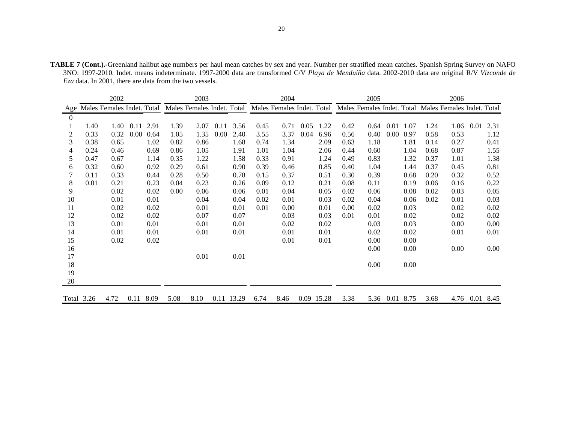| <b>TABLE 7 (Cont.).-</b> Greenland halibut age numbers per haul mean catches by sex and year. Number per stratified mean catches. Spanish Spring Survey on NAFO |
|-----------------------------------------------------------------------------------------------------------------------------------------------------------------|
| 3NO: 1997-2010. Indet. means indeterminate. 1997-2000 data are transformed C/V Playa de Menduíña data. 2002-2010 data are original R/V Vizconde de              |
| <i>Eza</i> data. In 2001, there are data from the two vessels.                                                                                                  |

|          |            | 2002                       |      |      |      | 2003                       |      |            |      | 2004                       |      |            |      | 2005 |          |           |      | 2006                                                  |                |          |
|----------|------------|----------------------------|------|------|------|----------------------------|------|------------|------|----------------------------|------|------------|------|------|----------|-----------|------|-------------------------------------------------------|----------------|----------|
| Age      |            | Males Females Indet. Total |      |      |      | Males Females Indet. Total |      |            |      | Males Females Indet. Total |      |            |      |      |          |           |      | Males Females Indet. Total Males Females Indet. Total |                |          |
| $\theta$ |            |                            |      |      |      |                            |      |            |      |                            |      |            |      |      |          |           |      |                                                       |                |          |
|          | 1.40       | 1.40                       | 0.11 | 2.91 | 1.39 | 2.07                       | 0.11 | 3.56       | 0.45 | 0.71                       | 0.05 | 1.22       | 0.42 | 0.64 | 0.01     | 1.07      | 1.24 | 1.06                                                  | 0.01           | 2.31     |
| 2        | 0.33       | 0.32                       | 0.00 | 0.64 | 1.05 | 1.35                       | 0.00 | 2.40       | 3.55 | 3.37                       | 0.04 | 6.96       | 0.56 | 0.40 | $0.00\,$ | 0.97      | 0.58 | 0.53                                                  |                | 1.12     |
| 3        | 0.38       | 0.65                       |      | 1.02 | 0.82 | 0.86                       |      | 1.68       | 0.74 | 1.34                       |      | 2.09       | 0.63 | 1.18 |          | 1.81      | 0.14 | 0.27                                                  |                | 0.41     |
| 4        | 0.24       | 0.46                       |      | 0.69 | 0.86 | 1.05                       |      | 1.91       | 1.01 | 1.04                       |      | 2.06       | 0.44 | 0.60 |          | 1.04      | 0.68 | 0.87                                                  |                | 1.55     |
| 5        | 0.47       | 0.67                       |      | 1.14 | 0.35 | 1.22                       |      | 1.58       | 0.33 | 0.91                       |      | 1.24       | 0.49 | 0.83 |          | 1.32      | 0.37 | 1.01                                                  |                | 1.38     |
| 6        | 0.32       | 0.60                       |      | 0.92 | 0.29 | 0.61                       |      | 0.90       | 0.39 | 0.46                       |      | 0.85       | 0.40 | 1.04 |          | 1.44      | 0.37 | 0.45                                                  |                | 0.81     |
|          | 0.11       | 0.33                       |      | 0.44 | 0.28 | 0.50                       |      | 0.78       | 0.15 | 0.37                       |      | 0.51       | 0.30 | 0.39 |          | 0.68      | 0.20 | 0.32                                                  |                | 0.52     |
| 8        | 0.01       | 0.21                       |      | 0.23 | 0.04 | 0.23                       |      | 0.26       | 0.09 | 0.12                       |      | 0.21       | 0.08 | 0.11 |          | 0.19      | 0.06 | 0.16                                                  |                | 0.22     |
| 9        |            | 0.02                       |      | 0.02 | 0.00 | 0.06                       |      | 0.06       | 0.01 | 0.04                       |      | 0.05       | 0.02 | 0.06 |          | 0.08      | 0.02 | 0.03                                                  |                | 0.05     |
| 10       |            | 0.01                       |      | 0.01 |      | 0.04                       |      | 0.04       | 0.02 | 0.01                       |      | 0.03       | 0.02 | 0.04 |          | 0.06      | 0.02 | 0.01                                                  |                | 0.03     |
| 11       |            | 0.02                       |      | 0.02 |      | 0.01                       |      | 0.01       | 0.01 | 0.00                       |      | 0.01       | 0.00 | 0.02 |          | 0.03      |      | 0.02                                                  |                | $0.02\,$ |
| 12       |            | 0.02                       |      | 0.02 |      | 0.07                       |      | 0.07       |      | 0.03                       |      | 0.03       | 0.01 | 0.01 |          | 0.02      |      | 0.02                                                  |                | 0.02     |
| 13       |            | 0.01                       |      | 0.01 |      | 0.01                       |      | 0.01       |      | 0.02                       |      | 0.02       |      | 0.03 |          | 0.03      |      | 0.00                                                  |                | 0.00     |
| 14       |            | 0.01                       |      | 0.01 |      | 0.01                       |      | 0.01       |      | 0.01                       |      | 0.01       |      | 0.02 |          | 0.02      |      | 0.01                                                  |                | 0.01     |
| 15       |            | 0.02                       |      | 0.02 |      |                            |      |            |      | 0.01                       |      | 0.01       |      | 0.00 |          | 0.00      |      |                                                       |                |          |
| 16       |            |                            |      |      |      |                            |      |            |      |                            |      |            |      | 0.00 |          | 0.00      |      | 0.00                                                  |                | 0.00     |
| 17       |            |                            |      |      |      | 0.01                       |      | 0.01       |      |                            |      |            |      |      |          |           |      |                                                       |                |          |
| 18       |            |                            |      |      |      |                            |      |            |      |                            |      |            |      | 0.00 |          | 0.00      |      |                                                       |                |          |
| 19       |            |                            |      |      |      |                            |      |            |      |                            |      |            |      |      |          |           |      |                                                       |                |          |
| 20       |            |                            |      |      |      |                            |      |            |      |                            |      |            |      |      |          |           |      |                                                       |                |          |
|          | Total 3.26 | 4.72                       | 0.11 | 8.09 | 5.08 | 8.10                       |      | 0.11 13.29 | 6.74 | 8.46                       |      | 0.09 15.28 | 3.38 | 5.36 |          | 0.01 8.75 | 3.68 |                                                       | 4.76 0.01 8.45 |          |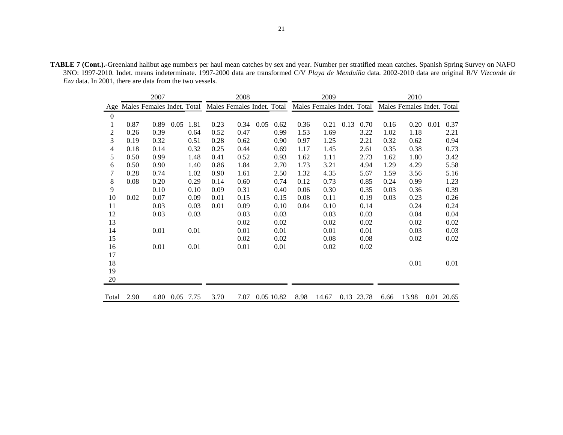**TABLE 7 (Cont.).-**Greenland halibut age numbers per haul mean catches by sex and year. Number per stratified mean catches. Spanish Spring Survey on NAFO 3NO: 1997-2010. Indet. means indeterminate. 1997-2000 data are transformed C/V *Playa de Menduíña* data. 2002-2010 data are original R/V *Vizconde de Eza* data. In 2001, there are data from the two vessels.

|                |      | 2007                       |      |      |      | 2008                       |      |            |      | 2009                       |      |            |      | 2010                       |      |       |
|----------------|------|----------------------------|------|------|------|----------------------------|------|------------|------|----------------------------|------|------------|------|----------------------------|------|-------|
| Age            |      | Males Females Indet. Total |      |      |      | Males Females Indet. Total |      |            |      | Males Females Indet. Total |      |            |      | Males Females Indet. Total |      |       |
| $\mathbf{0}$   |      |                            |      |      |      |                            |      |            |      |                            |      |            |      |                            |      |       |
|                | 0.87 | 0.89                       | 0.05 | 1.81 | 0.23 | 0.34                       | 0.05 | 0.62       | 0.36 | 0.21                       | 0.13 | 0.70       | 0.16 | 0.20                       | 0.01 | 0.37  |
| $\overline{c}$ | 0.26 | 0.39                       |      | 0.64 | 0.52 | 0.47                       |      | 0.99       | 1.53 | 1.69                       |      | 3.22       | 1.02 | 1.18                       |      | 2.21  |
| 3              | 0.19 | 0.32                       |      | 0.51 | 0.28 | 0.62                       |      | 0.90       | 0.97 | 1.25                       |      | 2.21       | 0.32 | 0.62                       |      | 0.94  |
| 4              | 0.18 | 0.14                       |      | 0.32 | 0.25 | 0.44                       |      | 0.69       | 1.17 | 1.45                       |      | 2.61       | 0.35 | 0.38                       |      | 0.73  |
| 5              | 0.50 | 0.99                       |      | 1.48 | 0.41 | 0.52                       |      | 0.93       | 1.62 | 1.11                       |      | 2.73       | 1.62 | 1.80                       |      | 3.42  |
| 6              | 0.50 | 0.90                       |      | 1.40 | 0.86 | 1.84                       |      | 2.70       | 1.73 | 3.21                       |      | 4.94       | 1.29 | 4.29                       |      | 5.58  |
| 7              | 0.28 | 0.74                       |      | 1.02 | 0.90 | 1.61                       |      | 2.50       | 1.32 | 4.35                       |      | 5.67       | 1.59 | 3.56                       |      | 5.16  |
| 8              | 0.08 | 0.20                       |      | 0.29 | 0.14 | 0.60                       |      | 0.74       | 0.12 | 0.73                       |      | 0.85       | 0.24 | 0.99                       |      | 1.23  |
| 9              |      | 0.10                       |      | 0.10 | 0.09 | 0.31                       |      | 0.40       | 0.06 | 0.30                       |      | 0.35       | 0.03 | 0.36                       |      | 0.39  |
| 10             | 0.02 | 0.07                       |      | 0.09 | 0.01 | 0.15                       |      | 0.15       | 0.08 | 0.11                       |      | 0.19       | 0.03 | 0.23                       |      | 0.26  |
| 11             |      | 0.03                       |      | 0.03 | 0.01 | 0.09                       |      | 0.10       | 0.04 | 0.10                       |      | 0.14       |      | 0.24                       |      | 0.24  |
| 12             |      | 0.03                       |      | 0.03 |      | 0.03                       |      | 0.03       |      | 0.03                       |      | 0.03       |      | 0.04                       |      | 0.04  |
| 13             |      |                            |      |      |      | 0.02                       |      | 0.02       |      | 0.02                       |      | 0.02       |      | 0.02                       |      | 0.02  |
| 14             |      | 0.01                       |      | 0.01 |      | 0.01                       |      | 0.01       |      | 0.01                       |      | 0.01       |      | 0.03                       |      | 0.03  |
| 15             |      |                            |      |      |      | 0.02                       |      | 0.02       |      | 0.08                       |      | 0.08       |      | 0.02                       |      | 0.02  |
| 16             |      | 0.01                       |      | 0.01 |      | 0.01                       |      | 0.01       |      | 0.02                       |      | 0.02       |      |                            |      |       |
| 17             |      |                            |      |      |      |                            |      |            |      |                            |      |            |      |                            |      |       |
| 18             |      |                            |      |      |      |                            |      |            |      |                            |      |            |      | 0.01                       |      | 0.01  |
| 19             |      |                            |      |      |      |                            |      |            |      |                            |      |            |      |                            |      |       |
| 20             |      |                            |      |      |      |                            |      |            |      |                            |      |            |      |                            |      |       |
| Total          | 2.90 | 4.80                       | 0.05 | 7.75 | 3.70 | 7.07                       |      | 0.05 10.82 | 8.98 | 14.67                      |      | 0.13 23.78 | 6.66 | 13.98                      | 0.01 | 20.65 |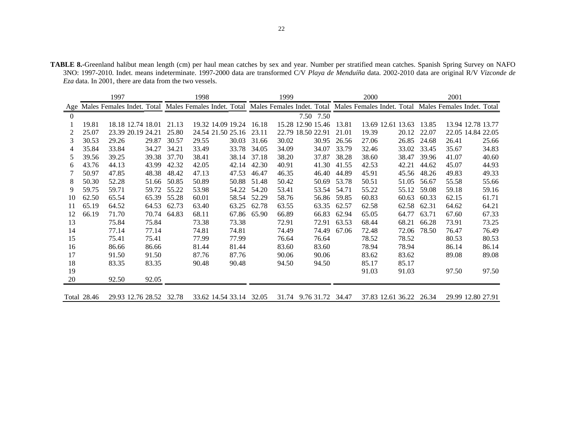**TABLE 8.-**Greenland halibut mean length (cm) per haul mean catches by sex and year. Number per stratified mean catches. Spanish Spring Survey on NAFO 3NO: 1997-2010. Indet. means indeterminate. 1997-2000 data are transformed C/V *Playa de Menduíña* data. 2002-2010 data are original R/V *Vizconde de Eza* data. In 2001, there are data from the two vessels.

|          |             | 1997              |                         |       | 1998                                                                                                        |       |       | 1999  |                        |       | 2000                    |       |       | 2001  |                            |
|----------|-------------|-------------------|-------------------------|-------|-------------------------------------------------------------------------------------------------------------|-------|-------|-------|------------------------|-------|-------------------------|-------|-------|-------|----------------------------|
| Age      |             |                   |                         |       | Males Females Indet. Total Males Females Indet. Total Males Females Indet. Total Males Females Indet. Total |       |       |       |                        |       |                         |       |       |       | Males Females Indet. Total |
| $\Omega$ |             |                   |                         |       |                                                                                                             |       |       |       | 7.50 7.50              |       |                         |       |       |       |                            |
|          | 19.81       | 18.18 12.74 18.01 |                         | 21.13 | 19.32 14.09 19.24                                                                                           |       | 16.18 |       | 15.28 12.90 15.46      | 13.81 | 13.69 12.61 13.63       |       | 13.85 |       | 13.94 12.78 13.77          |
| 2        | 25.07       | 23.39 20.19 24.21 |                         | 25.80 | 24.54 21.50 25.16                                                                                           |       | 23.11 |       | 22.79 18.50 22.91      | 21.01 | 19.39                   | 20.12 | 22.07 |       | 22.05 14.84 22.05          |
| 3        | 30.53       | 29.26             | 29.87                   | 30.57 | 29.55                                                                                                       | 30.03 | 31.66 | 30.02 | 30.95                  | 26.56 | 27.06                   | 26.85 | 24.68 | 26.41 | 25.66                      |
| 4        | 35.84       | 33.84             | 34.27                   | 34.21 | 33.49                                                                                                       | 33.78 | 34.05 | 34.09 | 34.07                  | 33.79 | 32.46                   | 33.02 | 33.45 | 35.67 | 34.83                      |
| 5        | 39.56       | 39.25             | 39.38                   | 37.70 | 38.41                                                                                                       | 38.14 | 37.18 | 38.20 | 37.87                  | 38.28 | 38.60                   | 38.47 | 39.96 | 41.07 | 40.60                      |
| 6        | 43.76       | 44.13             | 43.99                   | 42.32 | 42.05                                                                                                       | 42.14 | 42.30 | 40.91 | 41.30                  | 41.55 | 42.53                   | 42.21 | 44.62 | 45.07 | 44.93                      |
|          | 50.97       | 47.85             | 48.38                   | 48.42 | 47.13                                                                                                       | 47.53 | 46.47 | 46.35 | 46.40                  | 44.89 | 45.91                   | 45.56 | 48.26 | 49.83 | 49.33                      |
| 8        | 50.30       | 52.28             | 51.66                   | 50.85 | 50.89                                                                                                       | 50.88 | 51.48 | 50.42 | 50.69                  | 53.78 | 50.51                   | 51.05 | 56.67 | 55.58 | 55.66                      |
| 9        | 59.75       | 59.71             | 59.72                   | 55.22 | 53.98                                                                                                       | 54.22 | 54.20 | 53.41 | 53.54                  | 54.71 | 55.22                   | 55.12 | 59.08 | 59.18 | 59.16                      |
| 10       | 62.50       | 65.54             | 65.39                   | 55.28 | 60.01                                                                                                       | 58.54 | 52.29 | 58.76 | 56.86                  | 59.85 | 60.83                   | 60.63 | 60.33 | 62.15 | 61.71                      |
| 11       | 65.19       | 64.52             | 64.53                   | 62.73 | 63.40                                                                                                       | 63.25 | 62.78 | 63.55 | 63.35                  | 62.57 | 62.58                   | 62.58 | 62.31 | 64.62 | 64.21                      |
| 12       | 66.19       | 71.70             | 70.74                   | 64.83 | 68.11                                                                                                       | 67.86 | 65.90 | 66.89 | 66.83                  | 62.94 | 65.05                   | 64.77 | 63.71 | 67.60 | 67.33                      |
| 13       |             | 75.84             | 75.84                   |       | 73.38                                                                                                       | 73.38 |       | 72.91 | 72.91                  | 63.53 | 68.44                   | 68.21 | 66.28 | 73.91 | 73.25                      |
| 14       |             | 77.14             | 77.14                   |       | 74.81                                                                                                       | 74.81 |       | 74.49 | 74.49                  | 67.06 | 72.48                   | 72.06 | 78.50 | 76.47 | 76.49                      |
| 15       |             | 75.41             | 75.41                   |       | 77.99                                                                                                       | 77.99 |       | 76.64 | 76.64                  |       | 78.52                   | 78.52 |       | 80.53 | 80.53                      |
| 16       |             | 86.66             | 86.66                   |       | 81.44                                                                                                       | 81.44 |       | 83.60 | 83.60                  |       | 78.94                   | 78.94 |       | 86.14 | 86.14                      |
| 17       |             | 91.50             | 91.50                   |       | 87.76                                                                                                       | 87.76 |       | 90.06 | 90.06                  |       | 83.62                   | 83.62 |       | 89.08 | 89.08                      |
| 18       |             | 83.35             | 83.35                   |       | 90.48                                                                                                       | 90.48 |       | 94.50 | 94.50                  |       | 85.17                   | 85.17 |       |       |                            |
| 19       |             |                   |                         |       |                                                                                                             |       |       |       |                        |       | 91.03                   | 91.03 |       | 97.50 | 97.50                      |
| 20       |             | 92.50             | 92.05                   |       |                                                                                                             |       |       |       |                        |       |                         |       |       |       |                            |
|          | Total 28.46 |                   | 29.93 12.76 28.52 32.78 |       | 33.62 14.54 33.14 32.05                                                                                     |       |       |       | 31.74 9.76 31.72 34.47 |       | 37.83 12.61 36.22 26.34 |       |       |       | 29.99 12.80 27.91          |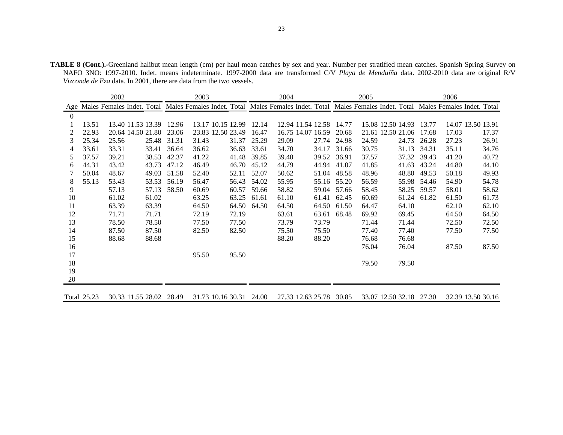**TABLE 8 (Cont.).-**Greenland halibut mean length (cm) per haul mean catches by sex and year. Number per stratified mean catches. Spanish Spring Survey on NAFO 3NO: 1997-2010. Indet. means indeterminate. 1997-2000 data are transformed C/V *Playa de Menduíña* data. 2002-2010 data are original R/V *Vizconde de Eza* data. In 2001, there are data from the two vessels.

|                 |       | 2002                                                                                                        |       |       | 2003          |                   |       | 2004  |                   |       | 2005  |                   |       | 2006                       |                   |
|-----------------|-------|-------------------------------------------------------------------------------------------------------------|-------|-------|---------------|-------------------|-------|-------|-------------------|-------|-------|-------------------|-------|----------------------------|-------------------|
| Age             |       | Males Females Indet. Total Males Females Indet. Total Males Females Indet. Total Males Females Indet. Total |       |       |               |                   |       |       |                   |       |       |                   |       | Males Females Indet. Total |                   |
| $\Omega$        |       |                                                                                                             |       |       |               |                   |       |       |                   |       |       |                   |       |                            |                   |
|                 | 13.51 | 13.40 11.53 13.39                                                                                           |       | 12.96 |               | 13.17 10.15 12.99 | 12.14 |       | 12.94 11.54 12.58 | 14.77 |       | 15.08 12.50 14.93 | 13.77 |                            | 14.07 13.50 13.91 |
| 2               | 22.93 | 20.64 14.50 21.80                                                                                           |       | 23.06 |               | 23.83 12.50 23.49 | 16.47 |       | 16.75 14.07 16.59 | 20.68 |       | 21.61 12.50 21.06 | 17.68 | 17.03                      | 17.37             |
| 3               | 25.34 | 25.56                                                                                                       | 25.48 | 31.31 | 31.43         | 31.37             | 25.29 | 29.09 | 27.74             | 24.98 | 24.59 | 24.73             | 26.28 | 27.23                      | 26.91             |
| 4               | 33.61 | 33.31                                                                                                       | 33.41 | 36.64 | 36.62         | 36.63             | 33.61 | 34.70 | 34.17             | 31.66 | 30.75 | 31.13             | 34.31 | 35.11                      | 34.76             |
| 5               | 37.57 | 39.21                                                                                                       | 38.53 | 42.37 | 41.22         | 41.48             | 39.85 | 39.40 | 39.52             | 36.91 | 37.57 | 37.32             | 39.43 | 41.20                      | 40.72             |
| 6               | 44.31 | 43.42                                                                                                       | 43.73 | 47.12 | 46.49         | 46.70             | 45.12 | 44.79 | 44.94             | 41.07 | 41.85 | 41.63             | 43.24 | 44.80                      | 44.10             |
|                 | 50.04 | 48.67                                                                                                       | 49.03 | 51.58 | 52.40         | 52.11             | 52.07 | 50.62 | 51.04             | 48.58 | 48.96 | 48.80             | 49.53 | 50.18                      | 49.93             |
| 8               | 55.13 | 53.43                                                                                                       | 53.53 | 56.19 | 56.47         | 56.43             | 54.02 | 55.95 | 55.16             | 55.20 | 56.59 | 55.98             | 54.46 | 54.90                      | 54.78             |
| 9               |       | 57.13                                                                                                       | 57.13 | 58.50 | 60.69         | 60.57             | 59.66 | 58.82 | 59.04             | 57.66 | 58.45 | 58.25             | 59.57 | 58.01                      | 58.62             |
| 10              |       | 61.02                                                                                                       | 61.02 |       | 63.25         | 63.25             | 61.61 | 61.10 | 61.41             | 62.45 | 60.69 | 61.24             | 61.82 | 61.50                      | 61.73             |
| 11              |       | 63.39                                                                                                       | 63.39 |       | 64.50         | 64.50             | 64.50 | 64.50 | 64.50             | 61.50 | 64.47 | 64.10             |       | 62.10                      | 62.10             |
| 12              |       | 71.71                                                                                                       | 71.71 |       | 72.19         | 72.19             |       | 63.61 | 63.61             | 68.48 | 69.92 | 69.45             |       | 64.50                      | 64.50             |
| 13              |       | 78.50                                                                                                       | 78.50 |       | 77.50         | 77.50             |       | 73.79 | 73.79             |       | 71.44 | 71.44             |       | 72.50                      | 72.50             |
| 14              |       | 87.50                                                                                                       | 87.50 |       | 82.50         | 82.50             |       | 75.50 | 75.50             |       | 77.40 | 77.40             |       | 77.50                      | 77.50             |
| 15              |       | 88.68                                                                                                       | 88.68 |       |               |                   |       | 88.20 | 88.20             |       | 76.68 | 76.68             |       |                            |                   |
| 16              |       |                                                                                                             |       |       |               |                   |       |       |                   |       | 76.04 | 76.04             |       | 87.50                      | 87.50             |
| 17              |       |                                                                                                             |       |       | 95.50         | 95.50             |       |       |                   |       |       |                   |       |                            |                   |
| 18              |       |                                                                                                             |       |       |               |                   |       |       |                   |       | 79.50 | 79.50             |       |                            |                   |
| 19              |       |                                                                                                             |       |       |               |                   |       |       |                   |       |       |                   |       |                            |                   |
| 20              |       |                                                                                                             |       |       |               |                   |       |       |                   |       |       |                   |       |                            |                   |
| $\sim$ $\sim$ 1 |       |                                                                                                             |       |       | 31. 53. 10. 1 |                   |       |       |                   |       |       | 12.502            |       | 22.20                      |                   |

Total 25.23 30.33 11.55 28.02 28.49 31.73 10.16 30.31 24.00 27.33 12.63 25.78 30.85 33.07 12.50 32.18 27.30 32.39 13.50 30.16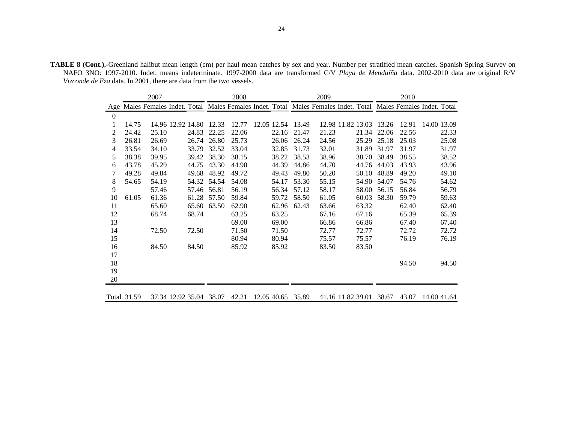**TABLE 8 (Cont.).-**Greenland halibut mean length (cm) per haul mean catches by sex and year. Number per stratified mean catches. Spanish Spring Survey on NAFO 3NO: 1997-2010. Indet. means indeterminate. 1997-2000 data are transformed C/V *Playa de Menduíña* data. 2002-2010 data are original R/V *Vizconde de Eza* data. In 2001, there are data from the two vessels.

|                  |             | 2007  |                                                                                                             |             | 2008  |             |                   | 2009  |                   |       | 2010  |             |       |
|------------------|-------------|-------|-------------------------------------------------------------------------------------------------------------|-------------|-------|-------------|-------------------|-------|-------------------|-------|-------|-------------|-------|
| Age              |             |       | Males Females Indet. Total Males Females Indet. Total Males Females Indet. Total Males Females Indet. Total |             |       |             |                   |       |                   |       |       |             |       |
| $\boldsymbol{0}$ |             |       |                                                                                                             |             |       |             |                   |       |                   |       |       |             |       |
| 1                | 14.75       |       | 14.96 12.92 14.80                                                                                           | 12.33       | 12.77 | 12.05 12.54 | 13.49             |       | 12.98 11.82 13.03 | 13.26 | 12.91 | 14.00 13.09 |       |
| 2                | 24.42       | 25.10 | 24.83                                                                                                       | 22.25       | 22.06 | 22.16       | 21.47             | 21.23 | 21.34             | 22.06 | 22.56 |             | 22.33 |
| 3                | 26.81       | 26.69 |                                                                                                             | 26.74 26.80 | 25.73 | 26.06       | 26.24             | 24.56 | 25.29             | 25.18 | 25.03 |             | 25.08 |
| 4                | 33.54       | 34.10 | 33.79                                                                                                       | 32.52       | 33.04 | 32.85       | 31.73             | 32.01 | 31.89             | 31.97 | 31.97 |             | 31.97 |
| 5                | 38.38       | 39.95 | 39.42                                                                                                       | 38.30       | 38.15 | 38.22       | 38.53             | 38.96 | 38.70             | 38.49 | 38.55 |             | 38.52 |
| 6                | 43.78       | 45.29 | 44.75                                                                                                       | 43.30       | 44.90 | 44.39       | 44.86             | 44.70 | 44.76             | 44.03 | 43.93 |             | 43.96 |
| 7                | 49.28       | 49.84 | 49.68                                                                                                       | 48.92       | 49.72 | 49.43       | 49.80             | 50.20 | 50.10             | 48.89 | 49.20 |             | 49.10 |
| 8                | 54.65       | 54.19 | 54.32                                                                                                       | 54.54       | 54.08 | 54.17       | 53.30             | 55.15 | 54.90             | 54.07 | 54.76 |             | 54.62 |
| 9                |             | 57.46 | 57.46                                                                                                       | 56.81       | 56.19 | 56.34       | 57.12             | 58.17 | 58.00             | 56.15 | 56.84 |             | 56.79 |
| 10               | 61.05       | 61.36 | 61.28                                                                                                       | 57.50       | 59.84 | 59.72       | 58.50             | 61.05 | 60.03             | 58.30 | 59.79 |             | 59.63 |
| 11               |             | 65.60 | 65.60                                                                                                       | 63.50       | 62.90 | 62.96       | 62.43             | 63.66 | 63.32             |       | 62.40 |             | 62.40 |
| 12               |             | 68.74 | 68.74                                                                                                       |             | 63.25 | 63.25       |                   | 67.16 | 67.16             |       | 65.39 |             | 65.39 |
| 13               |             |       |                                                                                                             |             | 69.00 | 69.00       |                   | 66.86 | 66.86             |       | 67.40 |             | 67.40 |
| 14               |             | 72.50 | 72.50                                                                                                       |             | 71.50 | 71.50       |                   | 72.77 | 72.77             |       | 72.72 |             | 72.72 |
| 15               |             |       |                                                                                                             |             | 80.94 | 80.94       |                   | 75.57 | 75.57             |       | 76.19 |             | 76.19 |
| 16               |             | 84.50 | 84.50                                                                                                       |             | 85.92 | 85.92       |                   | 83.50 | 83.50             |       |       |             |       |
| 17               |             |       |                                                                                                             |             |       |             |                   |       |                   |       |       |             |       |
| 18               |             |       |                                                                                                             |             |       |             |                   |       |                   |       | 94.50 |             | 94.50 |
| 19               |             |       |                                                                                                             |             |       |             |                   |       |                   |       |       |             |       |
| 20               |             |       |                                                                                                             |             |       |             |                   |       |                   |       |       |             |       |
|                  | Total 31.59 |       | 37.34 12.92 35.04 38.07                                                                                     |             | 42.21 |             | 12.05 40.65 35.89 |       | 41.16 11.82 39.01 | 38.67 | 43.07 | 14.00 41.64 |       |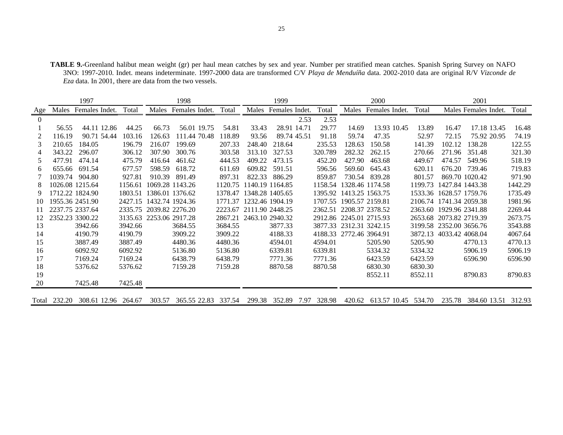**TABLE 9.-**Greenland halibut mean weight (gr) per haul mean catches by sex and year. Number per stratified mean catches. Spanish Spring Survey on NAFO 3NO: 1997-2010. Indet. means indeterminate. 1997-2000 data are transformed C/V *Playa de Menduíña* data. 2002-2010 data are original R/V *Vizconde de Eza* data. In 2001, there are data from the two vessels.

|                |              | 1997                |         |                 | 1999           |         |                         |                 | 2000 |         |                         | 2001           |         |                 |                      |         |
|----------------|--------------|---------------------|---------|-----------------|----------------|---------|-------------------------|-----------------|------|---------|-------------------------|----------------|---------|-----------------|----------------------|---------|
| Age            | Males        | Females Indet.      | Total   | Males           | Females Indet. | Total   | Males                   | Females Indet.  |      | Total   | Males                   | Females Indet. | Total   |                 | Males Females Indet. | Total   |
| $\overline{0}$ |              |                     |         |                 |                |         |                         |                 | 2.53 | 2.53    |                         |                |         |                 |                      |         |
|                | 56.55        | 44.11 12.86         | 44.25   | 66.73           | 56.01 19.75    | 54.81   | 33.43                   | 28.91 14.71     |      | 29.77   | 14.69                   | 13.93 10.45    | 13.89   | 16.47           | 17.18 13.45          | 16.48   |
| 2              | 116.19       | 90.71 54.44         | 103.16  | 126.63          | 111.44 70.48   | 118.89  | 93.56                   | 89.74 45.51     |      | 91.18   | 59.74                   | 47.35          | 52.97   | 72.15           | 75.92 20.95          | 74.19   |
| 3              | 210.65       | 184.05              | 196.79  | 216.07          | 199.69         | 207.33  | 248.40                  | 218.64          |      | 235.53  | 128.63                  | 150.58         | 141.39  | 102.12          | 138.28               | 122.55  |
| 4              | 343.22       | 296.07              | 306.12  | 307.90          | 300.76         | 303.58  | 313.10                  | 327.53          |      | 320.789 | 282.32                  | 262.15         | 270.66  | 271.96          | 351.48               | 321.30  |
| 5              | 477.91       | 474.14              | 475.79  | 416.64          | 461.62         | 444.53  | 409.22                  | 473.15          |      | 452.20  | 427.90                  | 463.68         | 449.67  | 474.57          | 549.96               | 518.19  |
| 6              | 655.66       | 691.54              | 677.57  | 598.59          | 618.72         | 611.69  | 609.82                  | 591.51          |      | 596.56  | 569.60                  | 645.43         | 620.11  | 676.20          | 739.46               | 719.83  |
|                | 1039.74      | 904.80              | 927.81  | 910.39          | 891.49         | 897.31  | 822.33                  | 886.29          |      | 859.87  | 730.54                  | 839.28         | 801.57  |                 | 869.70 1020.42       | 971.90  |
| 8              |              | 1026.08 1215.64     | 1156.61 | 1069.28 1143.26 |                | 1120.75 |                         | 1140.19 1164.85 |      | 1158.54 | 1328.46 1174.58         |                | 1199.73 | 1427.84 1443.38 |                      | 1442.29 |
| 9              |              | 1712.22 1824.90     | 1803.51 | 1386.01 1376.62 |                | 1378.47 |                         | 1348.28 1405.65 |      | 1395.92 | 1413.25 1563.75         |                | 1533.36 | 1628.57 1759.76 |                      | 1735.49 |
| 10             |              | 1955.36 2451.90     | 2427.15 | 1432.74 1924.36 |                | 1771.37 |                         | 1232.46 1904.19 |      | 1707.55 | 1905.57 2159.81         |                | 2106.74 | 1741.34 2059.38 |                      | 1981.96 |
| 11             |              | 2237.75 2337.64     | 2335.75 | 2039.82 2276.20 |                |         | 2223.67 2111.90 2448.25 |                 |      | 2362.51 | 2208.37 2378.52         |                | 2363.60 | 1929.96 2341.88 |                      | 2269.44 |
| 12             |              | 2352.23 3300.22     | 3135.63 | 2253.06 2917.28 |                | 2867.21 | 2463.10 2940.32         |                 |      |         | 2912.86 2245.01 2715.93 |                | 2653.68 | 2073.82 2719.39 |                      | 2673.75 |
| 13             |              | 3942.66             | 3942.66 |                 | 3684.55        | 3684.55 |                         | 3877.33         |      | 3877.33 | 2312.31 3242.15         |                | 3199.58 | 2352.00 3656.76 |                      | 3543.88 |
| 14             |              | 4190.79             | 4190.79 |                 | 3909.22        | 3909.22 |                         | 4188.33         |      | 4188.33 | 2772.46 3964.91         |                | 3872.13 | 4033.42 4068.04 |                      | 4067.64 |
| 15             |              | 3887.49             | 3887.49 |                 | 4480.36        | 4480.36 |                         | 4594.01         |      | 4594.01 |                         | 5205.90        | 5205.90 |                 | 4770.13              | 4770.13 |
| 16             |              | 6092.92             | 6092.92 |                 | 5136.80        | 5136.80 |                         | 6339.81         |      | 6339.81 |                         | 5334.32        | 5334.32 |                 | 5906.19              | 5906.19 |
| 17             |              | 7169.24             | 7169.24 |                 | 6438.79        | 6438.79 |                         | 7771.36         |      | 7771.36 |                         | 6423.59        | 6423.59 |                 | 6596.90              | 6596.90 |
| 18             |              | 5376.62             | 5376.62 |                 | 7159.28        | 7159.28 |                         | 8870.58         |      | 8870.58 |                         | 6830.30        | 6830.30 |                 |                      |         |
| 19             |              |                     |         |                 |                |         |                         |                 |      |         |                         | 8552.11        | 8552.11 |                 | 8790.83              | 8790.83 |
| 20             |              | 7425.48             | 7425.48 |                 |                |         |                         |                 |      |         |                         |                |         |                 |                      |         |
|                |              |                     |         |                 |                |         |                         |                 |      |         |                         |                |         |                 |                      |         |
|                | Total 232.20 | 308.61 12.96 264.67 |         | 303.57          | 365.55 22.83   | 337.54  | 299.38                  | 352.89          | 7.97 | 328.98  | 420.62                  | 613.57 10.45   | 534.70  | 235.78          | 384.60 13.51         | 312.93  |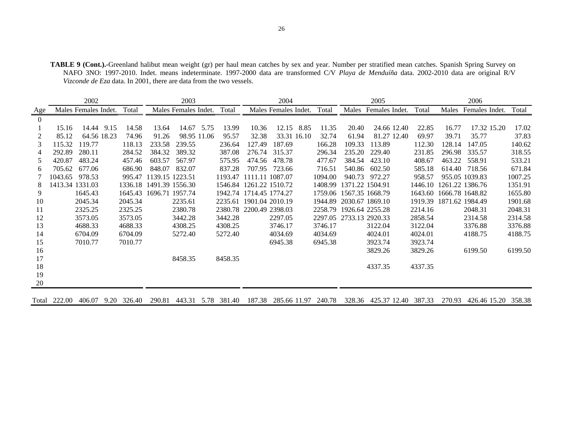| <b>TABLE 9 (Cont.).-Greenland halibut mean weight (gr) per haul mean catches by sex and year. Number per stratified mean catches. Spanish Spring Survey on</b> |  |
|----------------------------------------------------------------------------------------------------------------------------------------------------------------|--|
| NAFO 3NO: 1997-2010. Indet. means indeterminate. 1997-2000 data are transformed C/V Playa de Menduíña data. 2002-2010 data are original R/V                    |  |
| <i>Vizconde de Eza</i> data. In 2001, there are data from the two vessels.                                                                                     |  |

|          |         | 2002                 |      |         |                         | 2003                 |             |         |                         | 2004                 |             |         |                         | 2005            |         |                         | 2006           |         |
|----------|---------|----------------------|------|---------|-------------------------|----------------------|-------------|---------|-------------------------|----------------------|-------------|---------|-------------------------|-----------------|---------|-------------------------|----------------|---------|
| Age      |         | Males Females Indet. |      | Total   |                         | Males Females Indet. |             | Total   |                         | Males Females Indet. |             | Total   | Males                   | Females Indet.  | Total   | Males                   | Females Indet. | Total   |
| $\Omega$ |         |                      |      |         |                         |                      |             |         |                         |                      |             |         |                         |                 |         |                         |                |         |
|          | 15.16   | 14.44                | 9.15 | 14.58   | 13.64                   |                      | 14.67 5.75  | 13.99   | 10.36                   |                      | 12.15 8.85  | 11.35   | 20.40                   | 24.66 12.40     | 22.85   | 16.77                   | 17.32 15.20    | 17.02   |
|          | 85.12   | 64.56 18.23          |      | 74.96   | 91.26                   |                      | 98.95 11.06 | 95.57   | 32.38                   |                      | 33.31 16.10 | 32.74   | 61.94                   | 81.27 12.40     | 69.97   | 39.71                   | 35.77          | 37.83   |
| 3        | 115.32  | 119.77               |      | 118.13  | 233.58                  | 239.55               |             | 236.64  | 127.49                  | 187.69               |             | 166.28  | 109.33                  | 113.89          | 112.30  | 128.14                  | 147.05         | 140.62  |
| 4        | 292.89  | 280.11               |      | 284.52  | 384.32                  | 389.32               |             | 387.08  |                         | 276.74 315.37        |             | 296.34  | 235.20                  | 229.40          | 231.85  | 296.98                  | 335.57         | 318.55  |
| 5        | 420.87  | 483.24               |      | 457.46  | 603.57                  | 567.97               |             | 575.95  | 474.56                  | 478.78               |             | 477.67  | 384.54                  | 423.10          | 408.67  | 463.22                  | 558.91         | 533.21  |
| 6        | 705.62  | 677.06               |      | 686.90  | 848.07                  | 832.07               |             | 837.28  | 707.95                  | 723.66               |             | 716.51  | 540.86                  | 602.50          | 585.18  | 614.40                  | 718.56         | 671.84  |
|          | 1043.65 | 978.53               |      | 995.47  | 1139.15 1223.51         |                      |             | 1193.47 | 1111.11 1087.07         |                      |             | 1094.00 | 940.73                  | 972.27          | 958.57  |                         | 955.05 1039.83 | 1007.25 |
| 8        |         | 1413.34 1331.03      |      |         | 1336.18 1491.39 1556.30 |                      |             |         | 1546.84 1261.22 1510.72 |                      |             | 1408.99 | 1371.22 1504.91         |                 | 1446.10 | 1261.22 1386.76         |                | 1351.91 |
| 9        |         | 1645.43              |      |         | 1645.43 1696.71 1957.74 |                      |             |         | 1942.74 1714.45 1774.27 |                      |             | 1759.06 | 1567.35 1668.79         |                 | 1643.60 | 1666.78 1648.82         |                | 1655.80 |
| 10       |         | 2045.34              |      | 2045.34 |                         | 2235.61              |             |         | 2235.61 1901.04 2010.19 |                      |             | 1944.89 |                         | 2030.67 1869.10 |         | 1919.39 1871.62 1984.49 |                | 1901.68 |
| 11       |         | 2325.25              |      | 2325.25 |                         | 2380.78              |             |         | 2380.78 2200.49 2398.03 |                      |             | 2258.79 |                         | 1926.64 2255.28 | 2214.16 |                         | 2048.31        | 2048.31 |
| 12       |         | 3573.05              |      | 3573.05 |                         | 3442.28              |             | 3442.28 |                         | 2297.05              |             |         | 2297.05 2733.13 2920.33 |                 | 2858.54 |                         | 2314.58        | 2314.58 |
| 13       |         | 4688.33              |      | 4688.33 |                         | 4308.25              |             | 4308.25 |                         | 3746.17              |             | 3746.17 |                         | 3122.04         | 3122.04 |                         | 3376.88        | 3376.88 |
| 14       |         | 6704.09              |      | 6704.09 |                         | 5272.40              |             | 5272.40 |                         | 4034.69              |             | 4034.69 |                         | 4024.01         | 4024.01 |                         | 4188.75        | 4188.75 |
| 15       |         | 7010.77              |      | 7010.77 |                         |                      |             |         |                         | 6945.38              |             | 6945.38 |                         | 3923.74         | 3923.74 |                         |                |         |
| 16       |         |                      |      |         |                         |                      |             |         |                         |                      |             |         |                         | 3829.26         | 3829.26 |                         | 6199.50        | 6199.50 |
| 17       |         |                      |      |         |                         | 8458.35              |             | 8458.35 |                         |                      |             |         |                         |                 |         |                         |                |         |
| 18       |         |                      |      |         |                         |                      |             |         |                         |                      |             |         |                         | 4337.35         | 4337.35 |                         |                |         |
| 19       |         |                      |      |         |                         |                      |             |         |                         |                      |             |         |                         |                 |         |                         |                |         |
| 20       |         |                      |      |         |                         |                      |             |         |                         |                      |             |         |                         |                 |         |                         |                |         |
|          |         |                      |      |         |                         |                      |             |         |                         |                      |             |         |                         |                 |         |                         |                |         |

Total 222.00 406.07 9.20 326.40 290.81 443.31 5.78 381.40 187.38 285.66 11.97 240.78 328.36 425.37 12.40 387.33 270.93 426.46 15.20 358.38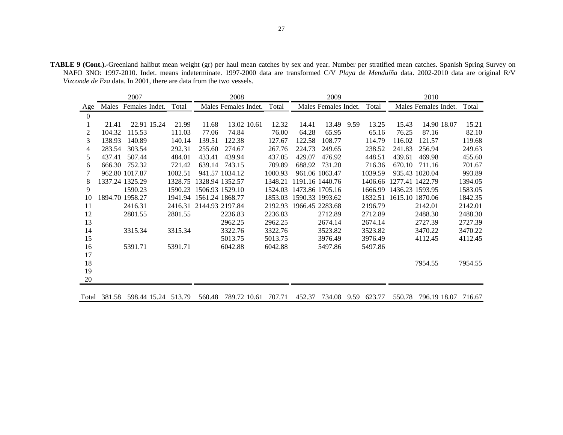**TABLE 9 (Cont.).-**Greenland halibut mean weight (gr) per haul mean catches by sex and year. Number per stratified mean catches. Spanish Spring Survey on NAFO 3NO: 1997-2010. Indet. means indeterminate. 1997-2000 data are transformed C/V *Playa de Menduíña* data. 2002-2010 data are original R/V *Vizconde de Eza* data. In 2001, there are data from the two vessels.

|                  |              | 2007            |         |                 | 2008                 |             |         |        | 2009                 |      |         |                 | 2010                 |         |
|------------------|--------------|-----------------|---------|-----------------|----------------------|-------------|---------|--------|----------------------|------|---------|-----------------|----------------------|---------|
| Age              | Males        | Females Indet.  | Total   |                 | Males Females Indet. |             | Total   |        | Males Females Indet. |      | Total   |                 | Males Females Indet. | Total   |
| $\boldsymbol{0}$ |              |                 |         |                 |                      |             |         |        |                      |      |         |                 |                      |         |
|                  | 21.41        | 22.91 15.24     | 21.99   | 11.68           |                      | 13.02 10.61 | 12.32   | 14.41  | 13.49                | 9.59 | 13.25   | 15.43           | 14.90 18.07          | 15.21   |
| 2                | 104.32       | 115.53          | 111.03  | 77.06           | 74.84                |             | 76.00   | 64.28  | 65.95                |      | 65.16   | 76.25           | 87.16                | 82.10   |
| 3                | 138.93       | 140.89          | 140.14  | 139.51          | 122.38               |             | 127.67  | 122.58 | 108.77               |      | 114.79  | 116.02          | 121.57               | 119.68  |
| 4                | 283.54       | 303.54          | 292.31  | 255.60          | 274.67               |             | 267.76  | 224.73 | 249.65               |      | 238.52  | 241.83          | 256.94               | 249.63  |
| 5                | 437.41       | 507.44          | 484.01  | 433.41          | 439.94               |             | 437.05  | 429.07 | 476.92               |      | 448.51  | 439.61          | 469.98               | 455.60  |
| 6                | 666.30       | 752.32          | 721.42  | 639.14          | 743.15               |             | 709.89  | 688.92 | 731.20               |      | 716.36  | 670.10          | 711.16               | 701.67  |
|                  |              | 962.80 1017.87  | 1002.51 |                 | 941.57 1034.12       |             | 1000.93 |        | 961.06 1063.47       |      | 1039.59 |                 | 935.43 1020.04       | 993.89  |
| 8                |              | 1337.24 1325.29 | 1328.75 |                 | 1328.94 1352.57      |             | 1348.21 |        | 1191.16 1440.76      |      | 1406.66 | 1277.41 1422.79 |                      | 1394.05 |
| 9                |              | 1590.23         | 1590.23 | 1506.93 1529.10 |                      |             | 1524.03 |        | 1473.86 1705.16      |      | 1666.99 | 1436.23 1593.95 |                      | 1583.05 |
| 10               |              | 1894.70 1958.27 | 1941.94 | 1561.24 1868.77 |                      |             | 1853.03 |        | 1590.33 1993.62      |      | 1832.51 | 1615.10 1870.06 |                      | 1842.35 |
| 11               |              | 2416.31         | 2416.31 | 2144.93 2197.84 |                      |             | 2192.93 |        | 1966.45 2283.68      |      | 2196.79 |                 | 2142.01              | 2142.01 |
| 12               |              | 2801.55         | 2801.55 |                 | 2236.83              |             | 2236.83 |        | 2712.89              |      | 2712.89 |                 | 2488.30              | 2488.30 |
| 13               |              |                 |         |                 | 2962.25              |             | 2962.25 |        | 2674.14              |      | 2674.14 |                 | 2727.39              | 2727.39 |
| 14               |              | 3315.34         | 3315.34 |                 | 3322.76              |             | 3322.76 |        | 3523.82              |      | 3523.82 |                 | 3470.22              | 3470.22 |
| 15               |              |                 |         |                 | 5013.75              |             | 5013.75 |        | 3976.49              |      | 3976.49 |                 | 4112.45              | 4112.45 |
| 16               |              | 5391.71         | 5391.71 |                 | 6042.88              |             | 6042.88 |        | 5497.86              |      | 5497.86 |                 |                      |         |
| 17               |              |                 |         |                 |                      |             |         |        |                      |      |         |                 |                      |         |
| 18               |              |                 |         |                 |                      |             |         |        |                      |      |         |                 | 7954.55              | 7954.55 |
| 19               |              |                 |         |                 |                      |             |         |        |                      |      |         |                 |                      |         |
| 20               |              |                 |         |                 |                      |             |         |        |                      |      |         |                 |                      |         |
|                  | Total 381.58 | 598.44 15.24    | 513.79  | 560.48          | 789.72 10.61         |             | 707.71  | 452.37 | 734.08               | 9.59 | 623.77  | 550.78          | 796.19 18.07         | 716.67  |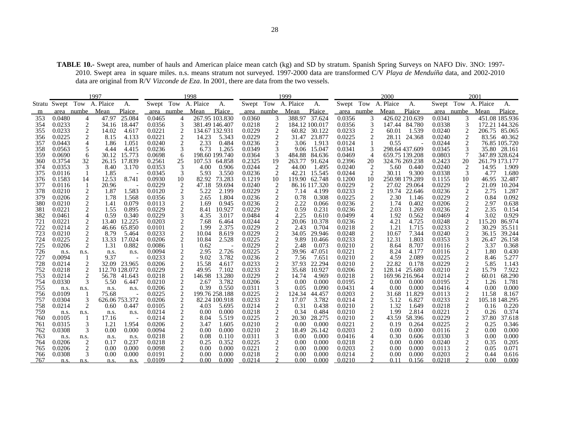TABLE 10.- Swept area, number of hauls and American plaice mean catch (kg) and SD by stratum. Spanish Spring Surveys on NAFO Div. 3NO: 1997-2010. Swept area in square miles. n.s. means stratum not surveyed. 1997-2000 data are transformed C/V *Playa de Menduíña* data, and 2002-2010 data are original from R/V *Vizconde de Eza*. In 2001, there are data from the two vessels.

|            |                  |                  | 1997                       |                 |                  |                                  | 1998                |                 |                  |                         | 1999                |                |                  |                     | 2000                |                         |                  |                       | 2001                |                 |
|------------|------------------|------------------|----------------------------|-----------------|------------------|----------------------------------|---------------------|-----------------|------------------|-------------------------|---------------------|----------------|------------------|---------------------|---------------------|-------------------------|------------------|-----------------------|---------------------|-----------------|
|            |                  |                  | Stratu Swept Tow A. Plaice | А.              |                  |                                  | Swept Tow A. Plaice | Α.              |                  |                         | Swept Tow A. Plaice | А.             |                  |                     | Swept Tow A. Plaice | A.                      |                  |                       | Swept Tow A. Plaice | A.              |
|            |                  | area numbe Mean  |                            | Plaice          |                  | area numbe                       | Mean                | Plaice          | area numbe       |                         | Mean                | Plaice         |                  | area numbe          | Mean                | Plaice                  |                  | area numbe            | Mean                | Plaice          |
| 353        | 0.0480           | 4                | 47.97                      | 25.084          | 0.0465           | 4                                |                     | 267.95 103.830  | 0.0360           | 3                       |                     | 388.97 37.624  | 0.0356           | 3                   |                     | 426.02 210.639          | 0.0341           | 3                     |                     | 451.08 185.936  |
| 354        | 0.0233           | $\overline{2}$   | 34.16                      | 18.447          | 0.0356           | 3                                |                     | 381.49 146.407  | 0.0218           | $\overline{2}$          |                     | 184.12 100.017 | 0.0356           | 3                   |                     | 147.44 84.780           | 0.0338           | 3                     |                     | 172.21 144.326  |
| 355        | 0.0233           | $\boldsymbol{2}$ | 14.02                      | 4.617           | 0.0221           | $\overline{c}$                   |                     | 134.67 132.931  | 0.0229           | $\overline{\mathbf{c}}$ |                     | 60.82 30.122   | 0.0233           | $\overline{c}$      | 60.01               | 1.539                   | 0.0240           | 2                     |                     | 206.75 85.065   |
| 356        | 0.0225           | $\overline{c}$   | 8.15                       | 4.133           | 0.0221           | $\overline{2}$                   | 14.23               | 5.343           | 0.0229           | $\overline{2}$          | 31.47               | 23.877         | 0.0225           |                     | 28.11               | 24.368                  | 0.0240           | $\overline{2}$        | 83.56               | 40.362          |
| 357        | 0.0443           | 4                | 1.86                       | 1.051           | 0.0240           | 2                                | 2.33                | 0.484           | 0.0236           | 2                       | 3.06                | 1.913          | 0.0124           |                     | 0.55                |                         | 0.0244           | 2                     |                     | 76.85 105.720   |
| 358        | 0.0563           | 5                | 4.44                       | 4.415           | 0.0236           | 3                                | 6.73                | 1.265           | 0.0349           | 3                       | 9.06                | 15.047         | 0.0341           |                     |                     | 298.64 437.609          | 0.0345           |                       |                     | 35.80 28.161    |
| 359        | 0.0690           | 6                | 30.12                      | 15.773          | 0.0698           | 6                                |                     | 198.60 199.740  | 0.0364           | 3                       | 484.88              | 84.636         | 0.0469           | $\overline{4}$      |                     | 659.75 139.208          | 0.0803           |                       |                     | 347.89 328.624  |
| 360        | 0.3754           | 32               | 26.15                      | 17.839          | 0.2561           | 25                               |                     | 107.53 64.858   | 0.2325           | 19                      | 263.77              | 91.624         | 0.2396           | 20                  |                     | 324.76 269.238          | 0.2423           | 20                    |                     | 261.79 173.177  |
| 374        | 0.0353           | 3                | 8.40                       | 3.170           | 0.0353           |                                  | 4.00                | 0.906           | 0.0244           | $\overline{c}$          | 44.00               | 1.495          | 0.0240           | $\overline{2}$      | 5.60                | 0.440                   | 0.0240           | 2                     | 14.95               | 1.909           |
| 375        | 0.0116           |                  | 1.85                       |                 | 0.0345           | 3                                | 5.93                | 3.550           | 0.0236           | $\overline{2}$          | 42.21               | 15.545         | 0.0244           | $\overline{2}$      | 30.11               | 9.300                   | 0.0338           | 3                     | 4.77                | 1.680           |
| 376        | 0.1583           | 14               | 12.53                      | 8.741           | 0.0930           | 10                               | 82.92               | 73.283          | 0.1219           | 10                      |                     | 119.90 62.748  | 0.1200           | 10                  |                     | 250.98 179.289          | 0.1155           | 10                    | 46.95               | 32.487          |
| 377        | 0.0116           |                  | 20.96                      |                 | 0.0229           | $\overline{c}$                   | 47.18               | 59.694          | 0.0240           | $\overline{2}$          |                     | 86.16 117.320  | 0.0229           | $\overline{c}$      | 27.02               | 29.064                  | 0.0229           | 2                     | 21.09               | 10.204          |
| 378        | 0.0210           | 2                | 1.87                       | 1.583           | 0.0120           | $\overline{2}$                   | 5.22                | 2.199           | 0.0229           | $\overline{2}$          | 7.14                | 4.199          | 0.0233           | $\sqrt{2}$          | 19.74               | 22.646                  | 0.0236           | 2                     | 2.75                | 1.287           |
| 379        | 0.0206           | 2                | 1.78                       | 1.568           | 0.0356           | 3                                | 2.65                | 1.804           | 0.0236           | 2                       | 0.78                | 0.308          | 0.0225           | $\overline{2}$      | 2.30                | 1.146                   | 0.0229           | 2                     | 0.84                | 0.092           |
| 380        | 0.0210           | $\overline{c}$   | 1.41                       | 0.079           | 0.0113           | $\frac{2}{2}$                    | 1.69                | 0.945           | 0.0236           | $\boldsymbol{2}$        | 2.22                | 0.066          | 0.0236           | $\overline{c}$      | 1.74                | 0.402                   | 0.0206           | $\overline{c}$        | 2.97                | 0.638           |
| 381        | 0.0221           | $\overline{c}$   | 1.55                       | 0.895           | 0.0229           |                                  | 8.41                | 10.927          | 0.0229           | $\sqrt{2}$              | 0.59                | 0.231          | 0.0236           | $\overline{c}$      | 2.03                | 1.269                   | 0.0236           | $\overline{c}$        | 2.35                | 0.154           |
| 382        | 0.0461           | 4                | 0.59                       | 0.340           | 0.0229           | 3                                | 4.35                | 3.017           | 0.0484           | $\overline{4}$          | 2.25                | 0.610          | 0.0499           | 4                   | 1.92                | 0.562                   | 0.0469           | 4                     | 3.02                | 0.929           |
| 721        | 0.0221           | $\overline{c}$   | 13.40                      | 12.225          | 0.0203           | $\frac{2}{2}$                    | 7.68                | 6.464           | 0.0244           | $\frac{2}{2}$           | 20.06               | 10.378         | 0.0236           | $\overline{c}$      | 4.21                | 4.725                   | 0.0248           | 2                     | 115.20              | 86.974          |
| 722        | 0.0214           | $\overline{2}$   | 46.66                      | 65.850          | 0.0101           |                                  | 1.99                | 2.375           | 0.0229           |                         | 2.43                | 0.704          | 0.0218           | $\sqrt{2}$          | 1.21                | 1.715                   | 0.0233           | $\boldsymbol{2}$      | 30.29               | 35.511          |
| 723        | 0.0210           | 2                | 8.79                       | 5.464           | 0.0233           | $\overline{2}$                   | 10.04               | 8.619           | 0.0229           | $\overline{2}$          | 34.05               | 29.946         | 0.0248           | $\overline{2}$      | 10.67               | 7.344                   | 0.0240           | 2                     | 36.15               | 39.244          |
| 724        | 0.0225           | $\overline{2}$   | 13.33                      | 17.024          | 0.0206           | $\overline{2}$                   | 10.84               | 2.528           | 0.0225           | $\sqrt{2}$              | 9.89                | 10.466         | 0.0233           | $\overline{c}$      | 12.31               | 1.803                   | 0.0353           |                       | 26.47               | 26.158          |
| 725        | 0.0206           | $\overline{c}$   | 1.31                       | 0.882           | 0.0086           |                                  | 0.62                |                 | 0.0229           | $\overline{c}$          | 2.48                | 0.073          | 0.0210           | $\overline{c}$      | 8.64                | 8.707                   | 0.0116           | 2                     | 3.37                | 0.368           |
| 726        | n.s.             | n.s.             | n.s.                       | n.s.            | 0.0094           | $\overline{c}$                   | 2.95                | 2.726           | 0.0225           | $\overline{2}$          | 39.96               | 47.051         | 0.0221           | $\overline{2}$      | 8.24                | 4.177                   | 0.0116           | 2                     | 1.80                | 0.430           |
| 727        | 0.0094           |                  | 9.37                       |                 | 0.0233           | $\overline{2}$                   | 9.02                | 3.782           | 0.0236           | $\frac{2}{2}$           | 7.56                | 7.651          | 0.0210           | $\overline{2}$      | 4.59                | 2.089                   | 0.0225           | $\overline{c}$        | 8.46                | 5.277           |
| 728        | 0.0214           | $\overline{2}$   |                            | 32.09 23.965    | 0.0206           | $\sqrt{2}$                       | 15.58               | 4.617           | 0.0233           |                         | 37.93               | 22.294         | 0.0210           | $\overline{2}$      | 22.82               | 0.178                   | 0.0229           | $\boldsymbol{2}$      | 5.85                | 1.143           |
| 752        | 0.0218           | $\overline{2}$   |                            | 112.70 128.072  | 0.0229           |                                  | 49.95               | 7.102           | 0.0233           | $\sqrt{2}$              | 35.68               | 10.927         | 0.0206           | $\overline{2}$      | 128.14              | 25.680                  | 0.0210           | 2                     | 15.79               | 7.922           |
| 753<br>754 | 0.0214<br>0.0330 | 2<br>3           | 56.78<br>5.50              | 41.643<br>6.447 | 0.0218<br>0.0210 | $\overline{c}$<br>$\overline{2}$ | 146.98<br>2.67      | 13.280<br>3.782 | 0.0229<br>0.0206 | $\frac{2}{2}$           | 14.74<br>0.00       | 4.969<br>0.000 | 0.0218<br>0.0195 | $\overline{2}$      |                     | 169.96 216.964<br>0.000 | 0.0214<br>0.0195 | $\boldsymbol{2}$<br>2 | 60.01<br>1.26       | 68.290<br>1.781 |
| 755        |                  |                  |                            |                 | 0.0206           | $\overline{2}$                   | 0.39                | 0.550           | 0.0311           | 3                       | 0.05                | 0.090          | 0.0431           | 2<br>$\overline{4}$ | 0.00<br>0.00        | 0.000                   | 0.0416           | $\overline{4}$        | 0.00                | 0.000           |
| 756        | n.s.<br>0.0109   | n.s.             | n.s.<br>75.68              | n.s.            | 0.0225           | $\overline{2}$                   |                     | 199.76 258.188  | 0.0225           | $\overline{2}$          | 124.34              | 44.457         | 0.0203           | $\overline{c}$      | 31.68               | 11.829                  | 0.0113           | 2                     | 11.58               | 8.167           |
| 757        | 0.0304           | 3                |                            | 626.06 753.372  | 0.0206           | $\overline{c}$                   |                     | 82.24 100.918   | 0.0233           | $\overline{2}$          | 17.07               | 3.782          | 0.0214           | $\overline{c}$      | 5.12                | 6.827                   | 0.0233           | $\boldsymbol{2}$      |                     | 105.18 148.295  |
| 758        | 0.0214           | 2                | 0.60                       | 0.447           | 0.0105           | $\overline{c}$                   | 4.03                | 5.695           | 0.0214           | $\overline{2}$          | 0.31                | 0.438          | 0.0210           | $\overline{2}$      | 1.32                | 1.649                   | 0.0218           | 2                     | 0.16                | 0.220           |
| 759        | n.s.             |                  |                            |                 | 0.0214           |                                  | 0.00                | 0.000           | 0.0218           | 2                       | 0.34                | 0.484          | 0.0210           | 2                   | 1.99                | 2.814                   | 0.0221           | 2                     | 0.26                | 0.374           |
| 760        | 0.0105           | n.s.             | n.s.<br>17.16              | n.s.            | 0.0214           | $\frac{2}{2}$                    | 8.04                | 5.519           | 0.0225           | $\overline{c}$          | 20.30               | 28.275         | 0.0210           | $\overline{c}$      | 43.59               | 58.396                  | 0.0229           | $\overline{c}$        | 37.80               | 37.618          |
| 761        | 0.0315           | 3                | 1.21                       | 1.954           | 0.0206           | $\overline{c}$                   | 3.47                | 1.605           | 0.0210           | $\overline{c}$          | 0.00                | 0.000          | 0.0221           | $\overline{2}$      | 0.19                | 0.264                   | 0.0225           | $\overline{c}$        | 0.25                | 0.346           |
| 762        | 0.0308           | 3                | 0.00                       | 0.000           | 0.0094           |                                  | 0.00                | 0.000           | 0.0210           | $\overline{c}$          | 18.49               | 26.142         | 0.0203           | $\overline{c}$      | 0.00                | 0.000                   | 0.0116           | 2                     | 0.00                | 0.000           |
| 763        | n.s.             | n.s.             | n.s.                       | n.s.            | 0.0218           | $\frac{2}{2}$                    | 0.08                | 0.110           | 0.0311           | 3                       | 0.00                | 0.000          | 0.0416           | 4                   | 0.30                | 0.606                   | 0.0330           | $\mathfrak{Z}$        | 0.00                | 0.000           |
| 764        | 0.0206           | $\overline{2}$   | 0.17                       | 0.237           | 0.0218           | $\overline{c}$                   | 0.25                | 0.352           | 0.0225           | $\overline{2}$          | 0.00                | 0.000          | 0.0218           | $\overline{2}$      | 0.00                | 0.000                   | 0.0240           | $\boldsymbol{2}$      | 0.35                | 0.205           |
| 765        | 0.0206           | 2                | 0.00                       | 0.000           | 0.0098           | $\sqrt{2}$                       | 0.00                | 0.000           | 0.0221           | $\overline{c}$          | 0.00                | 0.000          | 0.0203           | 2                   | 0.00                | 0.000                   | 0.0113           | 2                     | 0.05                | 0.071           |
| 766        | 0.0308           | 3                | 0.00                       | 0.000           | 0.0191           | $\overline{c}$                   | 0.00                | 0.000           | 0.0218           |                         | 0.00                | 0.000          | 0.0214           |                     | 0.00                | 0.000                   | 0.0203           | $\overline{2}$        | 0.44                | 0.616           |
| 767        | n.s.             | n.s.             | n.s.                       | n.s.            | 0.0109           |                                  | 0.00                | 0.000           | 0.0214           |                         | $0.00 -$            | 0.000          | 0.0210           |                     | 0.11                | 0.156                   | 0.0218           |                       | 0.00                | 0.000           |
|            |                  |                  |                            |                 |                  |                                  |                     |                 |                  |                         |                     |                |                  |                     |                     |                         |                  |                       |                     |                 |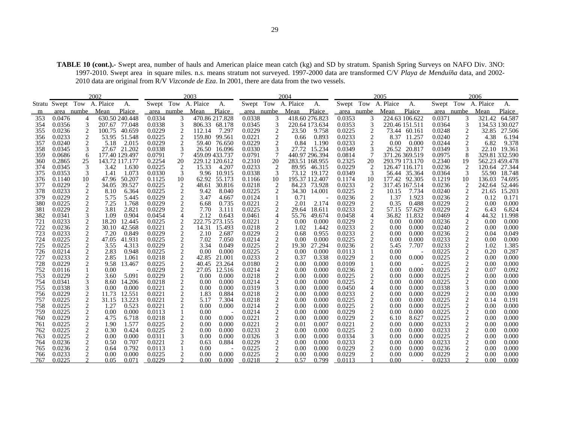**TABLE 10 (cont.).-** Swept area, number of hauls and American plaice mean catch (kg) and SD by stratum. Spanish Spring Surveys on NAFO Div. 3NO: 1997-2010. Swept area in square miles. n.s. means stratum not surveyed. 1997-2000 data are transformed C/V *Playa de Menduíña* data, and 2002- 2010 data are original from R/V *Vizconde de Eza*. In 2001, there are data from the two vessels.

|            |                  |                                  | 2002                       |                  |                  |                              | 2003                |                 |                  |                                       | 2004                |                        |                  |                              | 2005                |                         |                  |                       | 2006                |                  |
|------------|------------------|----------------------------------|----------------------------|------------------|------------------|------------------------------|---------------------|-----------------|------------------|---------------------------------------|---------------------|------------------------|------------------|------------------------------|---------------------|-------------------------|------------------|-----------------------|---------------------|------------------|
|            |                  |                                  | Stratu Swept Tow A. Plaice | А.               |                  |                              | Swept Tow A. Plaice | A.              |                  |                                       | Swept Tow A. Plaice | А.                     |                  |                              | Swept Tow A. Plaice | A.                      |                  |                       | Swept Tow A. Plaice | А.               |
| m          |                  | area numbe                       | Mean                       | Plaice           |                  | area numbe                   | Mean                | Plaice          | area numbe       |                                       | Mean                | Plaice                 |                  | area numbe                   | Mean                | Plaice                  |                  | area numbe            | Mean                | Plaice           |
| 353        | 0.0476           | $\overline{4}$                   |                            | 630.50 240.448   | 0.0334           | 3                            |                     | 470.86 217.828  | 0.0338           | 3                                     |                     | 418.60 276.823         | 0.0353           | 3                            |                     | 224.63 106.622          | 0.0371           |                       |                     | 321.42 64.587    |
| 354        | 0.0356           | 3                                |                            | 207.67 77.048    | 0.0338           | 3                            |                     | 806.33 68.178   | 0.0345           | 3                                     |                     | 220.64 173.634         | 0.0353           | 3                            |                     | 220.46 151.511          | 0.0364           | 3                     |                     | 134.53 130.027   |
| 355        | 0.0236           | 2                                | 100.75                     | 40.659           | 0.0229           | $\overline{2}$               | 112.14              | 7.297           | 0.0229           | 2                                     | 23.50               | 9.758                  | 0.0225           | $\overline{2}$               |                     | 73.44 60.161            | 0.0248           | 2                     | 32.85               | 27.506           |
| 356        | 0.0233           | 2                                |                            | 53.95 51.548     | 0.0225           | $\overline{2}$               | 159.80              | 99.561          | 0.0221           | $\overline{2}$                        | 0.66                | 0.893                  | 0.0233           | 2                            | 8.37                | 11.257                  | 0.0240           | 2                     | 4.38                | 6.194            |
| 357        | 0.0240           | 2                                | 5.18                       | 2.015            | 0.0229           | 2                            | 59.40               | 76.650          | 0.0229           | 2                                     | 0.84                | 1.190                  | 0.0233           | $\overline{2}$               | 0.00                | 0.000                   | 0.0244           | $\mathbf{2}$          | 6.82                | 9.378            |
| 358        | 0.0345           | 3                                |                            | 27.67 21.202     | 0.0338           |                              | 26.50               | 16.096          | 0.0330           | 3                                     | 27.72               | 15.234                 | 0.0349           |                              |                     | 26.52 20.817            | 0.0349           | 3                     | 22.10               | 19.361           |
| 359        | 0.0686           | 6                                |                            | 177.40 129.497   | 0.0791           |                              |                     | 459.09 433.737  | 0.0791           | 7                                     |                     | 440.97 296.394         | 0.0814           | 7                            |                     | 371.26 369.519          | 0.0975           | 8                     |                     | 329.81 332.590   |
| 360        | 0.2865           | 25                               |                            | 143.72 117.177   | 0.2254           | 20                           |                     | 229.12 120.612  | 0.2310           | 20                                    |                     | 283.51 168.955         | 0.2325           | 20                           |                     | 293.79 173.170          | 0.2340           | 19                    |                     | 562.23 459.478   |
| 374        | 0.0345           | 3                                | 3.42                       | 1.630            | 0.0225           | $\overline{2}$               | 15.33               | 4.207           | 0.0233           | 2                                     |                     | 89.95 46.315           | 0.0229           | 2                            |                     | 126.47 116.171          | 0.0236           | 2                     |                     | 120.64 27.344    |
| 375        | 0.0353           | 3                                | 1.41                       | 1.073            | 0.0330           | 3                            | 9.96                | 10.915          | 0.0338           | 3                                     |                     | 73.12 19.172           | 0.0349           | 3                            |                     | 56.44 35.364            | 0.0364           |                       | 55.90               | 18.748           |
| 376        | 0.1140           | 10                               | 47.96                      | 50.207           | 0.1125           | 10                           | 62.92               | 55.173          | 0.1166           | 10                                    |                     | 195.37 112.407         | 0.1174           | 10                           |                     | 177.42 92.305           | 0.1219           | 10                    | 136.03              | 74.695           |
| 377<br>378 | 0.0229<br>0.0233 | 2<br>2                           | 34.05<br>8.10              | 39.527<br>6.364  | 0.0225<br>0.0225 | 2<br>$\overline{2}$          | 48.61<br>9.42       | 30.816<br>8.040 | 0.0218<br>0.0225 | 2<br>2                                | 34.30               | 84.23 73.928<br>14.001 | 0.0233<br>0.0225 | 2<br>2                       | 10.15               | 317.45 167.514<br>7.734 | 0.0236<br>0.0240 | 2                     | 242.64<br>21.65     | 52.446<br>15.203 |
| 379        | 0.0229           | $\overline{c}$                   | 5.75                       | 5.445            | 0.0229           | $\sqrt{2}$                   | 3.47                | 4.667           | 0.0124           | $\mathbf{1}$                          | 0.71                |                        | 0.0236           | 2                            | 1.37                | 1.923                   | 0.0236           | 2                     | 0.12                | 0.171            |
| 380        | 0.0225           | $\overline{c}$                   | 7.25                       | 1.768            | 0.0229           | $\overline{c}$               | 6.68                | 0.735           | 0.0221           | $\overline{2}$                        | 2.01                | 2.174                  | 0.0229           | $\overline{2}$               | 0.35                | 0.488                   | 0.0229           | $\overline{2}$        | 0.00                | 0.000            |
| 381        | 0.0229           | $\overline{c}$                   | 3.81                       | 2.821            | 0.0229           | $\overline{2}$               | 7.70                | 3.111           | 0.0225           | $\overline{2}$                        | 29.64               | 18.611                 | 0.0233           | 2                            | 57.15               | 57.629                  | 0.0229           | 2                     | 6.43                | 6.824            |
| 382        | 0.0341           | 3                                | 1.09                       | 0.904            | 0.0454           | $\overline{4}$               | 2.12                | 0.643           | 0.0461           | $\overline{4}$                        | 55.76               | 49.674                 | 0.0458           | $\overline{4}$               | 36.82               | 11.832                  | 0.0469           | 4                     | 44.32               | 11.998           |
| 721        | 0.0233           | 2                                | 18.20                      | 12.445           | 0.0225           | $\overline{2}$               |                     | 222.75 273.155  | 0.0221           | $\overline{c}$                        | 0.00                | 0.000                  | 0.0229           | $\overline{c}$               | 0.00                | 0.000                   | 0.0236           | 2                     | 0.00                | 0.000            |
| 722        | 0.0236           | $\overline{c}$                   | 30.10                      | 42.568           | 0.0221           | $\overline{2}$               | 14.31               | 15.493          | 0.0218           | $\overline{2}$                        | 1.02                | 1.442                  | 0.0233           | $\overline{c}$               | 0.00                | 0.000                   | 0.0240           | $\mathbf{2}$          | 0.00                | 0.000            |
| 723        | 0.0233           | 2                                | 7.20                       | 0.849            | 0.0229           | 2                            | 2.10                | 2.687           | 0.0229           | 2                                     | 0.68                | 0.955                  | 0.0233           | 2                            | 0.00                | 0.000                   | 0.0236           | 2                     | 0.04                | 0.049            |
| 724        | 0.0225           | $\overline{c}$                   | 47.05                      | 41.931           | 0.0225           | $\overline{c}$               | 7.02                | 7.050           | 0.0214           | $\overline{2}$                        | 0.00                | 0.000                  | 0.0225           | $\overline{c}$               | 0.00                | 0.000                   | 0.0233           | 2                     | 0.00                | 0.000            |
| 725        | 0.0225           | $\overline{c}$                   | 3.55                       | 4.313            | 0.0229           | $\overline{c}$               | 3.34                | 0.049           | 0.0225           | $\overline{2}$                        | 19.30               | 27.294                 | 0.0236           | $\overline{c}$               | 5.45                | 7.707                   | 0.0233           | $\overline{c}$        | 1.02                | 1.385            |
| 726        | 0.0214           | 2                                | 2.83                       | 0.948            | 0.0225           | $\overline{c}$               | 0.00                | 0.000           | 0.0225           | $\mathbf{2}$                          | 0.00                | 0.000                  | 0.0113           |                              | 0.00                |                         | 0.0225           | 2                     | 0.20                | 0.287            |
| 727        | 0.0233           | $\sqrt{2}$                       | 2.85                       | 1.061            | 0.0218           | $\sqrt{2}$                   | 42.85               | 21.001          | 0.0233           | $\boldsymbol{2}$                      | 0.37                | 0.338                  | 0.0229           | 2                            | 0.00                | 0.000                   | 0.0225           | $\overline{c}$        | 0.00                | 0.000            |
| 728        | 0.0229           | $\overline{c}$                   | 9.58                       | 13.467           | 0.0225           | $\overline{2}$               | 40.45               | 23.264          | 0.0180           | $\overline{2}$                        | 0.00                | 0.000                  | 0.0109           |                              | 0.00                |                         | 0.0225           | $\overline{c}$        | 0.00                | 0.000            |
| 752        | 0.0116           | 1                                | 0.00                       |                  | 0.0229           | 2                            | 27.05               | 12.516          | 0.0214           | $\overline{2}$                        | 0.00                | 0.000                  | 0.0236           | 2                            | 0.00                | 0.000                   | 0.0225           | 2                     | 0.07                | 0.092            |
| 753        | 0.0229           | $\overline{c}$                   | 3.60                       | 5.091            | 0.0229           | $\overline{c}$               | 0.00                | 0.000           | 0.0218           | $\frac{2}{2}$                         | 0.00                | 0.000                  | 0.0225           | $\overline{c}$               | 0.00                | 0.000                   | 0.0225           | $\overline{c}$        | 0.00                | 0.000            |
| 754        | 0.0341           | 3                                | 8.60                       | 14.206           | 0.0218           | $\overline{c}$               | 0.00                | 0.000           | 0.0214           |                                       | 0.00                | 0.000                  | 0.0225           | $\overline{c}$               | 0.00                | 0.000                   | 0.0225           | $\overline{c}$        | 0.00                | 0.000            |
| 755        | 0.0338           | 3                                | 0.00                       | 0.000            | 0.0221           | 2                            | 0.00                | 0.000           | 0.0319           | 3                                     | 0.00                | 0.000                  | 0.0450           | 4                            | 0.00                | 0.000                   | 0.0338           | 3                     | 0.00                | 0.000            |
| 756<br>757 | 0.0229<br>0.0225 | $\overline{c}$<br>$\overline{2}$ | 11.73<br>31.15             | 12.551<br>13.223 | 0.0221<br>0.0221 | $\sqrt{2}$<br>$\overline{c}$ | 1.83<br>5.17        | 0.884<br>7.304  | 0.0218<br>0.0218 | $\overline{\mathbf{c}}$<br>$\sqrt{2}$ | 0.00<br>0.00        | 0.000<br>0.000         | 0.0233<br>0.0225 | $\overline{c}$<br>$\sqrt{2}$ | 0.00<br>0.00        | 0.000<br>0.000          | 0.0229<br>0.0225 | 2<br>$\boldsymbol{2}$ | 0.00<br>0.14        | 0.000<br>0.191   |
| 758        | 0.0225           | $\overline{c}$                   | 1.27                       | 0.523            | 0.0221           | $\overline{2}$               | 0.00                | 0.000           | 0.0214           | $\sqrt{2}$                            | 0.00                | 0.000                  | 0.0225           | $\sqrt{2}$                   | 0.00                | 0.000                   | 0.0225           | 2                     | 0.00                | 0.000            |
| 759        | 0.0225           |                                  | 0.00                       | 0.000            | 0.0113           |                              | 0.00                |                 | 0.0214           |                                       | 0.00                | 0.000                  | 0.0229           | $\sqrt{2}$                   | 0.00                | 0.000                   | 0.0225           | $\overline{c}$        | 0.00                | 0.000            |
| 760        | 0.0229           | $\frac{2}{2}$                    | 4.75                       | 6.718            | 0.0218           | $\overline{c}$               | 0.00                | 0.000           | 0.0221           | $\frac{2}{2}$                         | 0.00                | 0.000                  | 0.0229           | $\overline{c}$               | 6.10                | 8.627                   | 0.0225           | $\overline{c}$        | 0.00                | 0.000            |
| 761        | 0.0225           | 2                                | 1.90                       | 1.577            | 0.0225           | $\overline{2}$               | 0.00                | 0.000           | 0.0221           | $\overline{2}$                        | 0.01                | 0.007                  | 0.0221           | $\overline{2}$               | 0.00                | 0.000                   | 0.0233           | 2                     | 0.00                | 0.000            |
| 762        | 0.0225           |                                  | 0.30                       | 0.424            | 0.0225           | $\overline{c}$               | 0.00                | 0.000           | 0.0233           | $\overline{2}$                        | 0.00                | 0.000                  | 0.0225           | 2                            | 0.00                | 0.000                   | 0.0233           | 2                     | 0.00                | 0.000            |
| 763        | 0.0225           | $\frac{2}{2}$                    | 0.00                       | 0.000            | 0.0311           | 3                            | 0.00                | 0.000           | 0.0326           | 3                                     | 0.00                | 0.000                  | 0.0334           | 3                            | 0.00                | 0.000                   | 0.0225           | $\overline{c}$        | 0.00                | 0.000            |
| 764        | 0.0236           | $\overline{c}$                   | 0.50                       | 0.707            | 0.0221           | $\overline{2}$               | 0.63                | 0.884           | 0.0229           | $\overline{2}$                        | 0.00                | 0.000                  | 0.0233           | 2                            | 0.00                | 0.000                   | 0.0233           | 2                     | 0.00                | 0.000            |
| 765        | 0.0236           | 2                                | 0.64                       | 0.792            | 0.0113           |                              | 0.00                |                 | 0.0225           | $\overline{2}$                        | 0.00                | 0.000                  | 0.0229           | 2                            | 0.00                | 0.000                   | 0.0236           | 2                     | 0.00                | 0.000            |
| 766        | 0.0233           | $\sqrt{2}$                       | 0.00                       | 0.000            | 0.0225           | $\overline{c}$               | 0.00                | 0.000           | 0.0225           | $\sqrt{2}$                            | 0.00                | 0.000                  | 0.0229           |                              | 0.00                | 0.000                   | 0.0229           | 2                     | 0.00                | 0.000            |
| 767        | 0.0225           |                                  | 0.05                       | 0.071            | 0.0229           |                              | 0.00                | 0.000           | 0.0218           |                                       | 0.57                | 0.799                  | 0.0113           |                              | 0.00                |                         | 0.0233           |                       | 0.00                | 0.000            |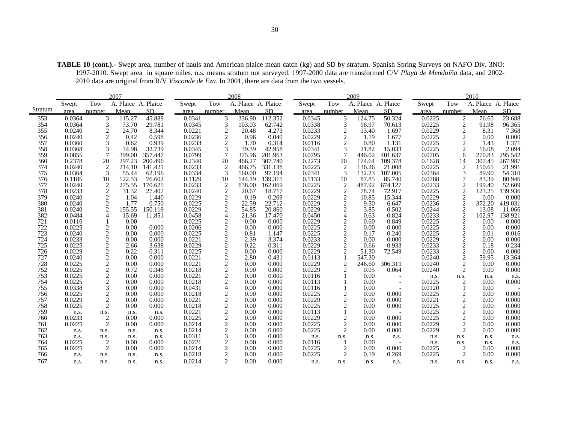**TABLE 10 (cont.).-** Swept area, number of hauls and American plaice mean catch (kg) and SD by stratum. Spanish Spring Surveys on NAFO Div. 3NO: 1997-2010. Swept area in square miles. n.s. means stratum not surveyed. 1997-2000 data are transformed C/V *Playa de Menduíña* data, and 2002- 2010 data are original from R/V *Vizconde de Eza*. In 2001, there are data from the two vessels.

|            |                  |                              | 2007                |               |                  |                                | 2008                |                |                  |                                                                                                                                                                                                                                                                                                                                                                                                             | 2009                |           |                  |                   | 2010                |                |
|------------|------------------|------------------------------|---------------------|---------------|------------------|--------------------------------|---------------------|----------------|------------------|-------------------------------------------------------------------------------------------------------------------------------------------------------------------------------------------------------------------------------------------------------------------------------------------------------------------------------------------------------------------------------------------------------------|---------------------|-----------|------------------|-------------------|---------------------|----------------|
|            | Swept            | Tow                          | A. Plaice A. Plaice |               | Swept            | Tow                            | A. Plaice A. Plaice |                | Swept            | Tow                                                                                                                                                                                                                                                                                                                                                                                                         | A. Plaice A. Plaice |           | Swept            | Tow               | A. Plaice A. Plaice |                |
| Stratum    | area             | number                       | Mean                | <b>SD</b>     | area             | number                         | Mean                | <b>SD</b>      | area             | number                                                                                                                                                                                                                                                                                                                                                                                                      | Mean                | <b>SD</b> | area             | number            | Mean                | SD.            |
| 353        | 0.0364           | 3                            | 115.27              | 45.889        | 0.0341           | 3                              | 336.90              | 112.352        | 0.0345           | 3                                                                                                                                                                                                                                                                                                                                                                                                           | 124.75              | 50.324    | 0.0225           | $\overline{c}$    | 76.65               | 23.688         |
| 354        | 0.0364           | 3                            | 73.70               | 29.781        | 0.0345           | 3                              | 103.03              | 62.742         | 0.0338           | 3                                                                                                                                                                                                                                                                                                                                                                                                           | 96.97               | 70.613    | 0.0225           | $\overline{c}$    | 91.98               | 96.365         |
| 355        | 0.0240           | $\sqrt{2}$                   | 24.70               | 8.344         | 0.0221           | $\overline{\mathbf{c}}$        | 20.48               | 4.273          | 0.0233           | $\sqrt{2}$                                                                                                                                                                                                                                                                                                                                                                                                  | 13.40               | 1.697     | 0.0229           | $\overline{c}$    | 8.31                | 7.368          |
| 356        | 0.0240           | $\overline{c}$               | 0.42                | 0.598         | 0.0236           | $\overline{c}$                 | 0.96                | 0.040          | 0.0229           | $\overline{c}$                                                                                                                                                                                                                                                                                                                                                                                              | 1.19                | 1.677     | 0.0225           | $\overline{c}$    | 0.00                | 0.000          |
| 357        | 0.0360           | 3                            | 0.62                | 0.939         | 0.0233           | $\overline{c}$                 | 1.70                | 0.314          | 0.0116           | 2                                                                                                                                                                                                                                                                                                                                                                                                           | 0.80                | 1.131     | 0.0225           | 2                 | 1.43                | 1.371          |
| 358        | 0.0368           | 3                            | 34.98               | 32.739        | 0.0345           | 3                              | 39.39               | 42.958         | 0.0341           | 3                                                                                                                                                                                                                                                                                                                                                                                                           | 21.82               | 15.033    | 0.0225           | 2                 | 16.08               | 2.094          |
| 359        | 0.0855           | 7                            | 399.00              | 357.447       | 0.0799           | 7                              | 375.96              | 201.963        | 0.0795           | 7                                                                                                                                                                                                                                                                                                                                                                                                           | 446.02              | 401.637   | 0.0705           | 6                 | 270.83              | 295.542        |
| 360        | 0.2378           | 20                           | 297.23              | 200.496       | 0.2340           | 20                             | 466.27              | 307.740        | 0.2273           | 20                                                                                                                                                                                                                                                                                                                                                                                                          | 174.64              | 109.378   | 0.1628           | 14                | 307.45              | 267.987        |
| 374        | 0.0240           | 2                            | 214.10              | 141.421       | 0.0233           | $\overline{2}$                 | 466.75              | 331.138        | 0.0225           | 2                                                                                                                                                                                                                                                                                                                                                                                                           | 136.26              | 21.008    | 0.0225           | 2                 | 150.65              | 21.991         |
| 375        | 0.0364           | 3                            | 55.44               | 62.196        | 0.0334           | 3                              | 160.00              | 97.194         | 0.0341           | 3                                                                                                                                                                                                                                                                                                                                                                                                           | 132.23              | 107.005   | 0.0364           | 3                 | 89.90               | 54.310         |
| 376        | 0.1185           | 10                           | 122.53              | 76.602        | 0.1129           | 10                             | 144.19              | 139.315        | 0.1133           | 10                                                                                                                                                                                                                                                                                                                                                                                                          | 87.85               | 85.740    | 0.0788           |                   | 83.39               | 80.946         |
| 377        | 0.0240           | 2                            | 275.55              | 170.625       | 0.0233           | 2                              | 638.00              | 162.069        | 0.0225           | 2                                                                                                                                                                                                                                                                                                                                                                                                           | 487.92              | 674.127   | 0.0233           | $\overline{c}$    | 199.40              | 52.609         |
| 378        | 0.0233           | $\overline{c}$               | 31.32               | 27.407        | 0.0240           | $\overline{2}$                 | 20.67               | 18.717         | 0.0229           | $\overline{c}$                                                                                                                                                                                                                                                                                                                                                                                              | 78.74               | 72.917    | 0.0225           | 2                 | 123.25              | 139.936        |
| 379        | 0.0240           | $\overline{2}$               | 1.04                | 1.440         | 0.0229           | $\overline{c}$                 | 0.19                | 0.269          | 0.0229           | $\overline{2}$                                                                                                                                                                                                                                                                                                                                                                                              | 10.85               | 15.344    | 0.0229           | 2                 | 0.00                | 0.000          |
| 380        | 0.0240           | $\overline{2}$               | 1.77                | 0.750         | 0.0225           | $\overline{2}$                 | 22.59               | 22.712         | 0.0229           | $\overline{2}$                                                                                                                                                                                                                                                                                                                                                                                              | 9.50                | 6.647     | 0.0236           | $\overline{c}$    | 372.20              | 419.031        |
| 381        | 0.0240           | $\overline{2}$               | 155.55              | 150.119       | 0.0229           | 2                              | 54.85               | 20.860         | 0.0229           | $\overline{c}$                                                                                                                                                                                                                                                                                                                                                                                              | 3.85                | 0.502     | 0.0244           | 2                 | 13.08               | 11.066         |
| 382        | 0.0484           | 4                            | 15.69               | 11.851        | 0.0458           | 4                              | 21.36               | 17.470         | 0.0450           | $\overline{4}$                                                                                                                                                                                                                                                                                                                                                                                              | 0.63                | 0.824     | 0.0233           | $\overline{c}$    | 102.97              | 138.921        |
| 721        | 0.0116           |                              | 0.00                |               | 0.0225           | $\overline{c}$                 | 0.00                | 0.000          | 0.0229           | $\overline{c}$                                                                                                                                                                                                                                                                                                                                                                                              | 0.60                | 0.849     | 0.0225           | 2                 | 0.00                | 0.000          |
| 722        | 0.0225           | 2                            | 0.00                | 0.000         | 0.0206           | $\overline{c}$                 | 0.00                | 0.000          | 0.0225           | 2                                                                                                                                                                                                                                                                                                                                                                                                           | 0.00                | 0.000     | 0.0225           | 2                 | 0.00                | 0.000          |
| 723        | 0.0240           | $\overline{2}$               | 0.00                | 0.000         | 0.0225           | $\overline{c}$                 | 0.81                | 1.147          | 0.0225           | $\overline{2}$                                                                                                                                                                                                                                                                                                                                                                                              | 0.17                | 0.240     | 0.0225           | $\overline{c}$    | 0.01                | 0.016          |
| 724        | 0.0233           | $\overline{c}$               | 0.00                | 0.000         | 0.0221           | $\overline{c}$                 | 2.39                | 3.374          | 0.0233           | $\overline{2}$                                                                                                                                                                                                                                                                                                                                                                                              | 0.00                | 0.000     | 0.0229           | 2                 | 0.00                | 0.000          |
| 725        | 0.0225           | $\overline{c}$               | 2.66                | 3.638         | 0.0229           | $\mathbf{2}$                   | 0.22                | 0.311          | 0.0229           | $\overline{2}$                                                                                                                                                                                                                                                                                                                                                                                              | 0.66                | 0.933     | 0.0233           | $\overline{c}$    | 0.18                | 0.234          |
| 726        | 0.0229           | $\mathbf{2}$                 | 0.22                | 0.311         | 0.0225           | $\mathbf{2}$                   | 0.00                | 0.000          | 0.0229           | $\mathfrak{D}_{1}^{(1)} = \mathfrak{D}_{2}^{(1)} = \mathfrak{D}_{2}^{(1)} = \mathfrak{D}_{2}^{(1)} = \mathfrak{D}_{2}^{(1)} = \mathfrak{D}_{2}^{(1)} = \mathfrak{D}_{2}^{(1)} = \mathfrak{D}_{2}^{(1)} = \mathfrak{D}_{2}^{(1)} = \mathfrak{D}_{2}^{(1)} = \mathfrak{D}_{2}^{(1)} = \mathfrak{D}_{2}^{(1)} = \mathfrak{D}_{2}^{(1)} = \mathfrak{D}_{2}^{(1)} = \mathfrak{D}_{2}^{(1)} = \mathfrak{D}_{2}^{$ | 51.30               | 72.549    | 0.0233           | $\overline{c}$    | 0.00                | 0.000          |
| 727        | 0.0240           | $\overline{c}$               | 0.00                | 0.000         | 0.0221           | 2                              | 2.80                | 0.431          | 0.0113           |                                                                                                                                                                                                                                                                                                                                                                                                             | 547.30              |           | 0.0240           | 2                 | 59.95               | 13.364         |
| 728        | 0.0225           | $\overline{c}$               | 0.00                | 0.000         | 0.0221           | $\overline{c}$                 | 0.00                | 0.000          | 0.0229           | $\overline{2}$                                                                                                                                                                                                                                                                                                                                                                                              | 246.60              | 306.319   | 0.0240           | $\overline{c}$    | 0.00                | 0.000          |
| 752        | 0.0225           | $\mathbf{2}$                 | 0.72                | 0.346         | 0.0218           | $\mathbf{2}$                   | 0.00                | 0.000          | 0.0229           | $\mathfrak{D}$                                                                                                                                                                                                                                                                                                                                                                                              | 0.05                | 0.064     | 0.0240           | 2                 | 0.00                | 0.000          |
| 753        | 0.0225           | $\overline{c}$               | 0.00                | 0.000         | 0.0221           | $\mathbf{2}$                   | 0.00                | 0.000          | 0.0116           |                                                                                                                                                                                                                                                                                                                                                                                                             | 0.00                |           | n.s.             | n.s.              | n.s.                | n.s.           |
| 754        | 0.0225           | $\sqrt{2}$                   | 0.00                | 0.000         | 0.0218           | $\mathbf{2}$                   | 0.00                | 0.000          | 0.0113           |                                                                                                                                                                                                                                                                                                                                                                                                             | 0.00                |           | 0.0225           |                   | 0.00                | 0.000          |
| 755        | 0.0338           | 3                            | 0.00                | 0.000         | 0.0431           | 4                              | 0.00                | 0.000          | 0.0116           |                                                                                                                                                                                                                                                                                                                                                                                                             | 0.00                |           | 0.0120           |                   | 0.00                |                |
| 756        | 0.0225           | $\overline{c}$               | 0.00                | 0.000         | 0.0218           | $\overline{c}$                 | 0.00                | 0.000          | 0.0225           | $\overline{2}$                                                                                                                                                                                                                                                                                                                                                                                              | 0.00                | 0.000     | 0.0225           | 2                 | 0.00                | 0.000          |
| 757        | 0.0229<br>0.0225 | $\sqrt{2}$<br>$\overline{2}$ | 0.00                | 0.000         | 0.0221<br>0.0218 | $\overline{c}$<br>$\mathbf{2}$ | 0.00                | 0.000          | 0.0229<br>0.0225 | $\overline{c}$<br>$\overline{c}$                                                                                                                                                                                                                                                                                                                                                                            | 0.00                | 0.000     | 0.0221<br>0.0225 | 2<br>2            | 0.00                | 0.000          |
| 758<br>759 |                  |                              | 0.00                | 0.000         | 0.0221           | 2                              | 0.00                | 0.000<br>0.000 | 0.0113           |                                                                                                                                                                                                                                                                                                                                                                                                             | 0.00                | 0.000     | 0.0225           |                   | 0.00                | 0.000<br>0.000 |
| 760        | n.s.<br>0.0233   | n.s.<br>$\overline{c}$       | n.s.<br>0.00        | n.s.<br>0.000 | 0.0225           | $\overline{2}$                 | 0.00<br>0.00        | 0.000          | 0.0229           | $\overline{c}$                                                                                                                                                                                                                                                                                                                                                                                              | 0.00<br>0.00        | 0.000     | 0.0225           | 2<br>$\mathbf{2}$ | 0.00<br>0.00        | 0.000          |
| 761        | 0.0225           | $\overline{2}$               | 0.00                | 0.000         | 0.0214           | $\overline{2}$                 | 0.00                | 0.000          | 0.0225           | $\overline{c}$                                                                                                                                                                                                                                                                                                                                                                                              | 0.00                | 0.000     | 0.0229           | $\overline{c}$    | 0.00                | 0.000          |
| 762        |                  |                              |                     |               | 0.0214           | 2                              | 0.00                | 0.000          | 0.0225           | $\overline{c}$                                                                                                                                                                                                                                                                                                                                                                                              | 0.00                | 0.000     | 0.0229           | 2                 | 0.00                | 0.000          |
| 763        | n.s.             | n.s.                         | n.s.                | n.s.          | 0.0311           | 3                              | 0.00                | 0.000          |                  |                                                                                                                                                                                                                                                                                                                                                                                                             |                     |           |                  |                   |                     |                |
| 764        | n.s.<br>0.0225   | n.s.<br>$\overline{2}$       | n.s.<br>0.00        | n.s.<br>0.000 | 0.0221           | $\overline{c}$                 | 0.00                | 0.000          | n.s.<br>0.0116   | n.s.                                                                                                                                                                                                                                                                                                                                                                                                        | n.s.<br>0.00        | n.s.      | n.s.             | n.s.              | n.s.                | n.s.           |
| 765        | 0.0225           | $\overline{c}$               | 0.00                | 0.000         | 0.0214           | $\overline{c}$                 | 0.00                | 0.000          | 0.0225           | 2                                                                                                                                                                                                                                                                                                                                                                                                           | 0.00                | 0.000     | n.s.<br>0.0225   | n.s.<br>2         | n.s.<br>0.00        | n.s.<br>0.000  |
| 766        | n.s.             | n.s.                         | n.s.                | n.s.          | 0.0218           | $\overline{c}$                 | 0.00                | 0.000          | 0.0225           | $\overline{c}$                                                                                                                                                                                                                                                                                                                                                                                              | 0.19                | 0.269     | 0.0225           | 2                 | 0.00                | 0.000          |
| 767        | n.s.             | n.s.                         | n.s.                | n.s.          | 0.0214           | $\mathcal{D}$                  | 0.00                | 0.000          | n.s.             | n.s.                                                                                                                                                                                                                                                                                                                                                                                                        | n.s.                | n.s.      | n.s.             | n.s.              | n.s.                | n.s.           |
|            |                  |                              |                     |               |                  |                                |                     |                |                  |                                                                                                                                                                                                                                                                                                                                                                                                             |                     |           |                  |                   |                     |                |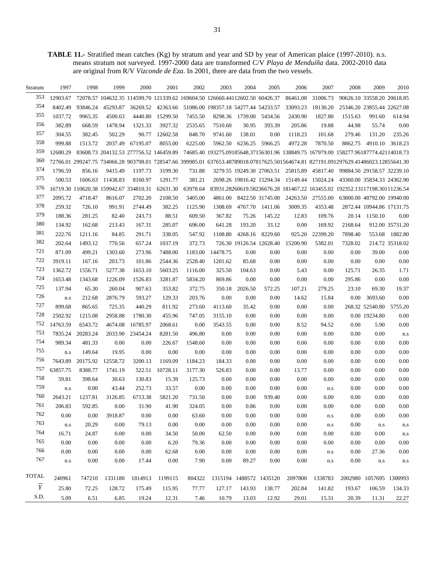**TABLE 11.-** Stratified mean catches (Kg) by stratum and year and SD by year of American plaice (1997-2010). n.s. means stratum not surveyed. 1997-2000 data are transformed C/V *Playa de Menduíña* data. 2002-2010 data are original from R/V *Vizconde de Eza*. In 2001, there are data from the two vessels.

| Stratum        | 1997     | 1998     | 1999                                   | 2000                                   | 2001     | 2002     | 2003                                                                         | 2004    | 2005                      | 2006     | 2007                                        | 2008                                                                                                                                   | 2009                       | 2010            |
|----------------|----------|----------|----------------------------------------|----------------------------------------|----------|----------|------------------------------------------------------------------------------|---------|---------------------------|----------|---------------------------------------------|----------------------------------------------------------------------------------------------------------------------------------------|----------------------------|-----------------|
| 353            | 12903.67 |          |                                        |                                        |          |          | 72078.57 104632.35 114599.70 121339.62 169604.50 126660.44112602.50 60426.37 |         |                           | 86461.08 | 31006.73                                    |                                                                                                                                        | 90626.10 33558.20 20618.85 |                 |
| 354            | 8402.49  | 93846.24 | 45293.87                               |                                        |          |          | 36269.52 42363.66 51086.00 198357.18 54277.44 54233.57                       |         |                           | 33093.23 | 18130.20                                    |                                                                                                                                        | 25346.20 23855.44 22627.08 |                 |
| 355            | 1037.72  | 9965.35  | 4500.63                                | 4440.80                                | 15299.50 | 7455.50  | 8298.36                                                                      |         | 1739.00 5434.56           | 2430.90  | 1827.80                                     | 1515.63                                                                                                                                | 991.60                     | 614.94          |
| 356            | 382.89   | 668.59   | 1478.94                                | 1321.33                                | 3927.32  | 2535.65  | 7510.60                                                                      | 30.95   | 393.39                    | 205.86   | 19.88                                       | 44.98                                                                                                                                  | 55.74                      | 0.00            |
| 357            | 304.55   | 382.45   | 502.29                                 | 90.77                                  | 12602.58 | 848.70   | 9741.60                                                                      | 138.01  | 0.00                      | 1118.23  | 101.68                                      | 279.46                                                                                                                                 | 131.20                     | 235.26          |
| 358            | 999.88   | 1513.72  | 2037.49                                | 67195.07                               | 8055.00  | 6225.00  | 5962.50                                                                      | 6236.25 | 5966.25                   | 4972.28  | 7870.50                                     | 8862.75                                                                                                                                | 4910.10                    | 3618.23         |
| 359            | 12680.29 |          |                                        | 83608.73 204132.53 277756.52 146459.89 |          |          |                                                                              |         |                           |          |                                             | 74685.40 193275.09185648.37156301.96 138849.75 167979.00 158277.96187774.42114018.73                                                   |                            |                 |
| 360            |          |          |                                        |                                        |          |          |                                                                              |         |                           |          |                                             | 72766.01 299247.75 734066.28 903798.01 728547.66 399985.01 637653.48789018.07817625.501564674.81 827191.091297629.41486023.12855641.30 |                            |                 |
| 374            | 1796.59  | 856.16   | 9415.49                                | 1197.73                                | 3199.30  | 731.88   |                                                                              |         |                           |          | 3279.55 19249.30 27063.51 25815.89 45817.40 | 99884.50 29158.57 32239.10                                                                                                             |                            |                 |
| 375            | 500.53   | 1606.63  | 11438.83                               | 8160.97                                | 1291.77  | 381.21   |                                                                              |         | 2698.26 19816.42 15294.34 | 15149.44 | 15024.24                                    |                                                                                                                                        | 43360.00 35834.33 24362.90 |                 |
| 376            |          |          | 16719.30 110620.38 159942.67 334810.31 |                                        | 62631.30 | 63978.64 |                                                                              |         |                           |          |                                             | 83931.28260619.58236676.28 181467.22 163455.02 192352.13117198.30111236.54                                                             |                            |                 |
| 377            | 2095.72  | 4718.47  | 8616.07                                | 2702.20                                | 2108.50  | 3405.00  | 4861.00                                                                      |         | 8422.50 31745.00          | 24263.50 | 27555.00                                    |                                                                                                                                        | 63800.00 48792.00 19940.00 |                 |
| 378            | 259.32   | 726.10   | 991.91                                 | 2744.49                                | 382.25   | 1125.90  | 1308.69                                                                      | 4767.70 | 1411.06                   | 3009.35  | 4353.48                                     |                                                                                                                                        | 2872.44 10944.86 17131.75  |                 |
| 379            | 188.36   | 281.25   | 82.40                                  | 243.73                                 | 88.51    | 609.50   | 367.82                                                                       | 75.26   | 145.22                    | 12.83    | 109.76                                      | 20.14                                                                                                                                  | 1150.10                    | 0.00            |
| 380            | 134.92   | 162.68   | 213.43                                 | 167.31                                 | 285.07   | 696.00   | 641.28                                                                       | 193.20  | 33.12                     | 0.00     | 169.92                                      | 2168.64                                                                                                                                |                            | 912.00 35731.20 |
| 381            | 222.76   | 1211.16  | 84.85                                  | 291.71                                 | 338.05   | 547.92   | 1108.80                                                                      | 4268.16 | 8229.60                   | 925.20   | 22399.20                                    | 7898.40                                                                                                                                |                            | 553.68 1882.80  |
| 382            | 202.64   | 1493.12  | 770.56                                 | 657.24                                 | 1037.19  | 372.73   |                                                                              |         | 726.30 19126.54 12628.40  | 15200.90 | 5382.01                                     | 7328.02                                                                                                                                |                            | 214.72 35318.02 |
| 721            | 871.09   | 499.21   | 1303.60                                | 273.96                                 | 7488.00  | 1183.00  | 14478.75                                                                     | 0.00    | 0.00                      | 0.00     | 0.00                                        | 0.00                                                                                                                                   | 39.00                      | 0.00            |
| 722            | 3919.11  | 167.16   | 203.73                                 | 101.86                                 | 2544.36  | 2528.40  | 1201.62                                                                      | 85.68   | 0.00                      | 0.00     | 0.00                                        | 0.00                                                                                                                                   | 0.00                       | 0.00            |
| 723            | 1362.72  | 1556.71  | 5277.38                                | 1653.10                                | 5603.25  | 1116.00  | 325.50                                                                       | 104.63  | 0.00                      | 5.43     | 0.00                                        | 125.71                                                                                                                                 | 26.35                      | 1.71            |
| 724            | 1653.48  | 1343.68  | 1226.09                                | 1526.83                                | 3281.87  | 5834.20  | 869.86                                                                       | 0.00    | 0.00                      | 0.00     | 0.00                                        | 295.86                                                                                                                                 | 0.00                       | 0.00            |
| 725            | 137.94   | 65.30    | 260.04                                 | 907.63                                 | 353.82   | 372.75   | 350.18                                                                       | 2026.50 | 572.25                    | 107.21   | 279.25                                      | 23.10                                                                                                                                  | 69.30                      | 19.37           |
| 726            | n.s      | 212.68   | 2876.79                                | 593.27                                 | 129.33   | 203.76   | 0.00                                                                         | 0.00    | 0.00                      | 14.62    | 15.84                                       | 0.00                                                                                                                                   | 3693.60                    | 0.00            |
| 727            | 899.68   | 865.65   | 725.35                                 | 440.29                                 | 811.92   | 273.60   | 4113.60                                                                      | 35.42   | 0.00                      | 0.00     | 0.00                                        |                                                                                                                                        | 268.32 52540.80            | 5755.20         |
| 728            | 2502.92  | 1215.08  | 2958.88                                | 1780.30                                | 455.96   | 747.05   | 3155.10                                                                      | 0.00    | 0.00                      | 0.00     | 0.00                                        |                                                                                                                                        | 0.00 19234.80              | 0.00            |
| 752            | 14763.59 | 6543.72  | 4674.08                                | 16785.97                               | 2068.61  | 0.00     | 3543.55                                                                      | 0.00    | 0.00                      | 8.52     | 94.52                                       | 0.00                                                                                                                                   | 5.90                       | 0.00            |
| 753            | 7835.24  | 20283.24 | 2033.90                                | 23454.24                               | 8281.50  | 496.80   | 0.00                                                                         | 0.00    | 0.00                      | 0.00     | 0.00                                        | 0.00                                                                                                                                   | 0.00                       | n.s             |
| 754            | 989.34   | 481.33   | 0.00                                   | 0.00                                   | 226.67   | 1548.60  | 0.00                                                                         | 0.00    | 0.00                      | 0.00     | 0.00                                        | 0.00                                                                                                                                   | 0.00                       | 0.00            |
| 755            | n.s      | 149.64   | 19.95                                  | 0.00                                   | 0.00     | 0.00     | 0.00                                                                         | 0.00    | 0.00                      | 0.00     | 0.00                                        | 0.00                                                                                                                                   | 0.00                       | 0.00            |
| 756            | 7643.89  | 20175.92 | 12558.72                               | 3200.13                                | 1169.09  | 1184.23  | 184.33                                                                       | 0.00    | 0.00                      | 0.00     | 0.00                                        | 0.00                                                                                                                                   | 0.00                       | 0.00            |
| 757            | 63857.75 | 8388.77  | 1741.19                                | 522.51                                 | 10728.11 | 3177.30  | 526.83                                                                       | 0.00    | 0.00                      | 13.77    | 0.00                                        | 0.00                                                                                                                                   | 0.00                       | 0.00            |
| 758            | 59.81    | 398.64   | 30.63                                  | 130.83                                 | 15.39    | 125.73   | 0.00                                                                         | 0.00    | 0.00                      | 0.00     | 0.00                                        | 0.00                                                                                                                                   | 0.00                       | 0.00            |
| 759            | n.s      | 0.00     | 43.44                                  | 252.73                                 | 33.57    | 0.00     | 0.00                                                                         | 0.00    | 0.00                      | 0.00     | n.s                                         | 0.00                                                                                                                                   | 0.00                       | 0.00            |
| 760            | 2643.21  | 1237.81  | 3126.85                                | 6713.38                                | 5821.20  | 731.50   | 0.00                                                                         | 0.00    | 939.40                    | 0.00     | 0.00                                        | 0.00                                                                                                                                   | 0.00                       | 0.00            |
| 761            | 206.83   | 592.85   | $0.00\,$                               | 31.90                                  | 41.90    | 324.05   | 0.00                                                                         | 0.86    | 0.00                      | 0.00     | 0.00                                        | 0.00                                                                                                                                   | 0.00                       | 0.00            |
| 762            | 0.00     | 0.00     | 3918.87                                | 0.00                                   | 0.00     | 63.60    | 0.00                                                                         | 0.00    | 0.00                      | 0.00     | n.s                                         | 0.00                                                                                                                                   | 0.00                       | 0.00            |
| 763            | n.s      | 20.29    | 0.00                                   | 79.13                                  | 0.00     | 0.00     | 0.00                                                                         | 0.00    | 0.00                      | 0.00     | n.s                                         | 0.00                                                                                                                                   | n.s                        | n.s             |
| 764            | 16.71    | 24.87    | 0.00                                   | 0.00                                   | 34.50    | 50.00    | 62.50                                                                        | 0.00    | 0.00                      | 0.00     | 0.00                                        | 0.00                                                                                                                                   | 0.00                       | n.s             |
| 765            | 0.00     | 0.00     | 0.00                                   | $0.00\,$                               | 6.20     | 79.36    | 0.00                                                                         | 0.00    | 0.00                      | 0.00     | 0.00                                        | 0.00                                                                                                                                   | 0.00                       | 0.00            |
| 766            | 0.00     | 0.00     | 0.00                                   | 0.00                                   | 62.68    | 0.00     | 0.00                                                                         | 0.00    | 0.00                      | 0.00     | n.s                                         | 0.00                                                                                                                                   | 27.36                      | 0.00            |
| 767            | n.s      | $0.00\,$ | 0.00                                   | 17.44                                  | 0.00     | 7.90     | 0.00                                                                         | 89.27   | 0.00                      | 0.00     | ${\bf n}.{\bf s}$                           | 0.00                                                                                                                                   | n.s                        | n.s             |
|                |          |          |                                        |                                        |          |          |                                                                              |         |                           |          |                                             |                                                                                                                                        |                            |                 |
| <b>TOTAL</b>   | 240961   | 747210   | 1331180                                | 1814913                                | 1199115  | 804322   |                                                                              |         | 1315194 1488572 1435120   | 2097800  | 1338783                                     |                                                                                                                                        | 2002980 1057695 1300993    |                 |
| $\overline{Y}$ | 25.80    | 72.25    | 128.72                                 | 175.49                                 | 115.95   | 77.77    | 127.17                                                                       | 143.93  | 138.77                    | 202.84   | 141.82                                      | 193.67                                                                                                                                 | 106.59                     | 134.33          |
| S.D.           | 5.09     | 6.51     | 6.85                                   | 19.24                                  | 12.31    | 7.46     | 10.79                                                                        | 13.03   | 12.92                     | 29.01    | 15.31                                       | 20.39                                                                                                                                  | 11.31                      | 22.27           |
|                |          |          |                                        |                                        |          |          |                                                                              |         |                           |          |                                             |                                                                                                                                        |                            |                 |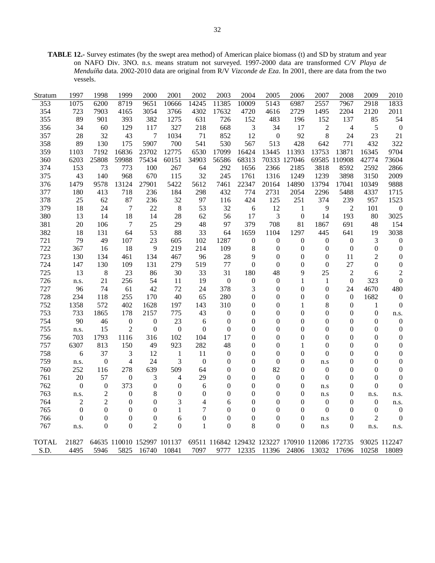**TABLE 12.-** Survey estimates (by the swept area method) of American plaice biomass (t) and SD by stratum and year on NAFO Div. 3NO. n.s. means stratum not surveyed. 1997-2000 data are transformed C/V *Playa de Menduíña* data. 2002-2010 data are original from R/V *Vizconde de Eza*. In 2001, there are data from the two vessels.

| Stratum      | 1997             | 1998             | 1999             | 2000                       | 2001             | 2002             | 2003             | 2004             | 2005             | 2006                                            | 2007             | 2008             | 2009             | 2010             |
|--------------|------------------|------------------|------------------|----------------------------|------------------|------------------|------------------|------------------|------------------|-------------------------------------------------|------------------|------------------|------------------|------------------|
| 353          | 1075             | 6200             | 8719             | 9651                       | 10666            | 14245            | 11385            | 10009            | 5143             | 6987                                            | 2557             | 7967             | 2918             | 1833             |
| 354          | 723              | 7903             | 4165             | 3054                       | 3766             | 4302             | 17632            | 4720             | 4616             | 2729                                            | 1495             | 2204             | 2120             | 2011             |
| 355          | 89               | 901              | 393              | 382                        | 1275             | 631              | 726              | 152              | 483              | 196                                             | 152              | 137              | 85               | 54               |
| 356          | 34               | 60               | 129              | 117                        | 327              | 218              | 668              | $\sqrt{3}$       | 34               | 17                                              | $\mathfrak{2}$   | 4                | 5                | $\boldsymbol{0}$ |
| 357          | 28               | 32               | 43               | 7                          | 1034             | 71               | 852              | 12               | $\boldsymbol{0}$ | 92                                              | 8                | 24               | 23               | 21               |
| 358          | 89               | 130              | 175              | 5907                       | 700              | 541              | 530              | 567              | 513              | 428                                             | 642              | 771              | 432              | 322              |
| 359          | 1103             | 7192             | 16836            | 23702                      | 12775            | 6530             | 17099            | 16424            | 13445            | 11393                                           | 13753            | 13871            | 16345            | 9704             |
| 360          | 6203             | 25808            | 59988            | 75434                      | 60151            | 34903            | 56586            | 68313            |                  | 70333 127046                                    |                  | 69585 110908     | 42774            | 73604            |
| 374          | 153              | 73               | 773              | 100                        | 267              | 64               | 292              | 1656             | 2366             | 2185                                            | 3818             | 8592             | 2592             | 2866             |
| 375          | 43               | 140              | 968              | 670                        | 115              | 32               | 245              | 1761             | 1316             | 1249                                            | 1239             | 3898             | 3150             | 2009             |
| 376          | 1479             | 9578             | 13124            | 27901                      | 5422             | 5612             | 7461             | 22347            | 20164            | 14890                                           | 13794            | 17041            | 10349            | 9888             |
| 377          | 180              | 413              | 718              | 236                        | 184              | 298              | 432              | 774              | 2731             | 2054                                            | 2296             | 5488             | 4337             | 1715             |
| 378          | 25               | 62               | 87               | 236                        | 32               | 97               | 116              | 424              | 125              | 251                                             | 374              | 239              | 957              | 1523             |
| 379          | 18               | 24               | $\tau$           | 22                         | $\,8\,$          | 53               | 32               | 6                | 12               | $\mathbf{1}$                                    | 9                | $\overline{2}$   | 101              | $\boldsymbol{0}$ |
| 380          | 13               | 14               | 18               | 14                         | 28               | 62               | 56               | 17               | $\mathfrak{Z}$   | $\boldsymbol{0}$                                | 14               | 193              | 80               | 3025             |
| 381          | 20               | 106              | $\overline{7}$   | 25                         | 29               | 48               | 97               | 379              | 708              | 81                                              | 1867             | 691              | 48               | 154              |
| 382          | 18               | 131              | 64               | 53                         | 88               | 33               | 64               | 1659             | 1104             | 1297                                            | 445              | 641              | 19               | 3038             |
| 721          | 79               | 49               | 107              | 23                         | 605              | 102              | 1287             | $\boldsymbol{0}$ | $\boldsymbol{0}$ | $\boldsymbol{0}$                                | $\boldsymbol{0}$ | $\boldsymbol{0}$ | 3                | $\boldsymbol{0}$ |
| 722          | 367              | 16               | 18               | 9                          | 219              | 214              | 109              | 8                | $\boldsymbol{0}$ | $\theta$                                        | $\mathbf{0}$     | $\boldsymbol{0}$ | $\mathbf{0}$     | $\boldsymbol{0}$ |
| 723          | 130              | 134              | 461              | 134                        | 467              | 96               | 28               | 9                | $\boldsymbol{0}$ | $\boldsymbol{0}$                                | $\overline{0}$   | 11               | $\overline{2}$   | $\boldsymbol{0}$ |
| 724          | 147              | 130              | 109              | 131                        | 279              | 519              | 77               | $\boldsymbol{0}$ | $\boldsymbol{0}$ | $\boldsymbol{0}$                                | $\boldsymbol{0}$ | 27               | $\mathbf{0}$     | $\boldsymbol{0}$ |
| 725          | 13               | 8                | 23               | 86                         | 30               | 33               | 31               | 180              | 48               | 9                                               | 25               | $\overline{2}$   | 6                | $\overline{2}$   |
| 726          | n.s.             | 21               | 256              | 54                         | 11               | 19               | $\boldsymbol{0}$ | $\boldsymbol{0}$ | $\boldsymbol{0}$ | $\mathbf{1}$                                    | $\mathbf{1}$     | $\boldsymbol{0}$ | 323              | $\boldsymbol{0}$ |
| 727          | 96               | 74               | 61               | 42                         | 72               | 24               | 378              | 3                | $\boldsymbol{0}$ | $\boldsymbol{0}$                                | $\boldsymbol{0}$ | 24               | 4670             | 480              |
| 728          | 234              | 118              | 255              | 170                        | 40               | 65               | 280              | $\boldsymbol{0}$ | $\boldsymbol{0}$ | $\boldsymbol{0}$                                | $\boldsymbol{0}$ | $\boldsymbol{0}$ | 1682             | $\boldsymbol{0}$ |
| 752          | 1358             | 572              | 402              | 1628                       | 197              | 143              | 310              | $\boldsymbol{0}$ | $\boldsymbol{0}$ | $\mathbf{1}$                                    | 8                | 0                | $\mathbf{1}$     | $\boldsymbol{0}$ |
| 753          | 733              | 1865             | 178              | 2157                       | 775              | 43               | $\boldsymbol{0}$ | $\overline{0}$   | $\mathbf{0}$     | $\mathbf{0}$                                    | $\boldsymbol{0}$ | $\overline{0}$   | $\boldsymbol{0}$ | n.s.             |
| 754          | 90               | 46               | $\boldsymbol{0}$ | $\boldsymbol{0}$           | 23               | 6                | $\boldsymbol{0}$ | $\boldsymbol{0}$ | 0                | $\boldsymbol{0}$                                | 0                | 0                | $\boldsymbol{0}$ | $\boldsymbol{0}$ |
| 755          | n.s.             | 15               | $\overline{2}$   | $\boldsymbol{0}$           | $\boldsymbol{0}$ | $\overline{0}$   | $\boldsymbol{0}$ | $\boldsymbol{0}$ | $\boldsymbol{0}$ | $\mathbf{0}$                                    | $\boldsymbol{0}$ | $\overline{0}$   | $\theta$         | $\boldsymbol{0}$ |
| 756          | 703              | 1793             | 1116             | 316                        | 102              | 104              | 17               | $\theta$         | $\mathbf{0}$     | $\theta$                                        | $\overline{0}$   | 0                | $\overline{0}$   | $\boldsymbol{0}$ |
| 757          | 6307             | 813              | 150              | 49                         | 923              | 282              | 48               | $\boldsymbol{0}$ | $\boldsymbol{0}$ | 1                                               | $\boldsymbol{0}$ | $\boldsymbol{0}$ | $\boldsymbol{0}$ | $\boldsymbol{0}$ |
| 758          | 6                | 37               | 3                | 12                         | $\mathbf{1}$     | 11               | $\boldsymbol{0}$ | $\boldsymbol{0}$ | $\boldsymbol{0}$ | $\boldsymbol{0}$                                | $\boldsymbol{0}$ | $\boldsymbol{0}$ | $\boldsymbol{0}$ | $\boldsymbol{0}$ |
| 759          | n.s.             | $\boldsymbol{0}$ | $\overline{4}$   | 24                         | 3                | $\boldsymbol{0}$ | $\boldsymbol{0}$ | $\boldsymbol{0}$ | $\boldsymbol{0}$ | $\boldsymbol{0}$                                | n.s              | $\boldsymbol{0}$ | $\boldsymbol{0}$ | $\boldsymbol{0}$ |
| 760          | 252              | 116              | 278              | 639                        | 509              | 64               | $\boldsymbol{0}$ | $\boldsymbol{0}$ | 82               | $\mathbf{0}$                                    | $\boldsymbol{0}$ | $\boldsymbol{0}$ | $\boldsymbol{0}$ | $\boldsymbol{0}$ |
| 761          | 20               | 57               | $\boldsymbol{0}$ | 3                          | 4                | 29               | $\boldsymbol{0}$ | $\boldsymbol{0}$ | $\boldsymbol{0}$ | $\boldsymbol{0}$                                | $\boldsymbol{0}$ | 0                | $\boldsymbol{0}$ | $\boldsymbol{0}$ |
| 762          | $\boldsymbol{0}$ | $\boldsymbol{0}$ | 373              | $\boldsymbol{0}$           | $\boldsymbol{0}$ | 6                | 0                | $\boldsymbol{0}$ | $\boldsymbol{0}$ | $\boldsymbol{0}$                                | n.s              | 0                | $\Omega$         | $\boldsymbol{0}$ |
| 763          | n.s.             | $\overline{2}$   | $\boldsymbol{0}$ | 8                          | $\boldsymbol{0}$ | $\boldsymbol{0}$ | $\boldsymbol{0}$ | $\boldsymbol{0}$ | $\boldsymbol{0}$ | $\boldsymbol{0}$                                | n.s              | $\boldsymbol{0}$ | n.s.             | n.s.             |
| 764          | $\mathfrak{2}$   | $\mathbf{2}$     | $\mathbf{0}$     | $\theta$                   | 3                | 4                | 6                | $\theta$         | $\theta$         | $\Omega$                                        | $\mathbf{0}$     | $\overline{0}$   | $\mathbf{0}$     | n.s.             |
| 765          | $\boldsymbol{0}$ | $\mathbf{0}$     | $\boldsymbol{0}$ | $\theta$                   | 1                | 7                | $\overline{0}$   | $\theta$         | $\mathbf{0}$     | $\mathbf{0}$                                    | $\boldsymbol{0}$ | 0                | $\mathbf{0}$     | $\boldsymbol{0}$ |
| 766          | $\boldsymbol{0}$ | $\boldsymbol{0}$ | 0                | $\boldsymbol{0}$           | 6                | $\boldsymbol{0}$ | $\boldsymbol{0}$ | $\boldsymbol{0}$ | $\boldsymbol{0}$ | $\boldsymbol{0}$                                | $\rm n.s$        | 0                | $\overline{2}$   | $\boldsymbol{0}$ |
| 767          | n.s.             | $\overline{0}$   | $\overline{0}$   | $\overline{2}$             | $\overline{0}$   | $\mathbf{1}$     | $\overline{0}$   | 8                | $\overline{0}$   | $\mathbf{0}$                                    | n.s              | $\overline{0}$   | n.s.             | n.s.             |
| <b>TOTAL</b> | 21827            |                  |                  | 64635 110010 152997 101137 |                  |                  |                  |                  |                  | 69511 116842 129432 123227 170910 112086 172735 |                  |                  |                  | 93025 112247     |
| S.D.         | 4495             | 5946             | 5825             | 16740                      | 10841            | 7097             | 9777             | 12335            | 11396            | 24806                                           | 13032            | 17696            | 10258            | 18089            |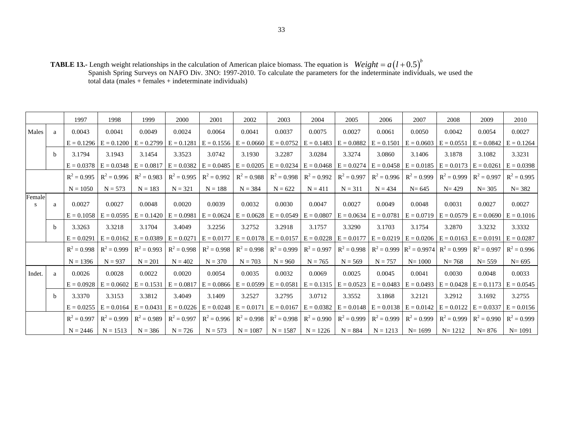**TABLE 13.-** Length weight relationships in the calculation of American plaice biomass. The equation is Spanish Spring Surveys on NAFO Div. 3NO: 1997-2010. To calculate the parameters for the indeterminate individuals, we used the total data (males + females + indeterminate individuals)  $Weight = a(l + 0.5)^b$ 

|              |              | 1997          | 1998                                   | 1999                                                | 2000          | 2001                      | 2002                      | 2003                      | 2004          | 2005          | 2006          | 2007                                                             | 2008          | 2009          | 2010          |
|--------------|--------------|---------------|----------------------------------------|-----------------------------------------------------|---------------|---------------------------|---------------------------|---------------------------|---------------|---------------|---------------|------------------------------------------------------------------|---------------|---------------|---------------|
| Males        | a            | 0.0043        | 0.0041                                 | 0.0049                                              | 0.0024        | 0.0064                    | 0.0041                    | 0.0037                    | 0.0075        | 0.0027        | 0.0061        | 0.0050                                                           | 0.0042        | 0.0054        | 0.0027        |
|              |              | $E = 0.1296$  |                                        | $E = 0.1200$ $E = 0.2799$                           | $E = 0.1281$  | $E = 0.1556$              | $E = 0.0660$              | $E = 0.0752$              | $E = 0.1483$  | $E = 0.0882$  |               | $E = 0.1501$ $E = 0.0603$                                        | $E = 0.0551$  | $E = 0.0842$  | $E = 0.1264$  |
|              | $\mathbf b$  | 3.1794        | 3.1943                                 | 3.1454                                              | 3.3523        | 3.0742                    | 3.1930                    | 3.2287                    | 3.0284        | 3.3274        | 3.0860        | 3.1406                                                           | 3.1878        | 3.1082        | 3.3231        |
|              |              |               | $E = 0.0378$ $E = 0.0348$ $E = 0.0817$ |                                                     | $E = 0.0382$  | $E = 0.0485$ $E = 0.0205$ |                           | $E = 0.0234$              | $E = 0.0468$  | $E = 0.0274$  |               | $E = 0.0458$ $E = 0.0185$ $E = 0.0173$ $E = 0.0261$              |               |               | $E = 0.0398$  |
|              |              | $R^2 = 0.995$ | $R^2 = 0.996$                          | $R^2 = 0.983$                                       | $R^2 = 0.995$ | $R^2 = 0.992$             | $R^2 = 0.988$             | $R^2 = 0.998$             | $R^2 = 0.992$ | $R^2 = 0.997$ | $R^2 = 0.996$ | $R^2 = 0.999$                                                    | $R^2 = 0.999$ | $R^2 = 0.997$ | $R^2 = 0.995$ |
|              |              | $N = 1050$    | $N = 573$                              | $N = 183$                                           | $N = 321$     | $N = 188$                 | $N = 384$                 | $N = 622$                 | $N = 411$     | $N = 311$     | $N = 434$     | $N = 645$                                                        | $N = 429$     | $N = 305$     | $N = 382$     |
| Female<br>-S | a            | 0.0027        | 0.0027                                 | 0.0048                                              | 0.0020        | 0.0039                    | 0.0032                    | 0.0030                    | 0.0047        | 0.0027        | 0.0049        | 0.0048                                                           | 0.0031        | 0.0027        | 0.0027        |
|              |              | $E = 0.1058$  |                                        | $E = 0.0595$ $E = 0.1420$ $E = 0.0981$              |               | $E = 0.0624$              |                           | $E = 0.0628$ $E = 0.0549$ | $E = 0.0807$  | $E = 0.0634$  |               | $E = 0.0781$   $E = 0.0719$   $E = 0.0579$                       |               | $E = 0.0690$  | $E = 0.1016$  |
|              | <sub>b</sub> | 3.3263        | 3.3218                                 | 3.1704                                              | 3.4049        | 3.2256                    | 3.2752                    | 3.2918                    | 3.1757        | 3.3290        | 3.1703        | 3.1754                                                           | 3.2870        | 3.3232        | 3.3332        |
|              |              | $E = 0.0291$  |                                        | $E = 0.0162$ $E = 0.0389$ $E = 0.0271$              |               | $E = 0.0177$              | $E = 0.0178$ $E = 0.0157$ |                           | $E = 0.0228$  | $E = 0.0177$  |               | $E = 0.0219$ $E = 0.0206$ $E = 0.0163$ $E = 0.0191$              |               |               | $E = 0.0287$  |
|              |              | $R^2 = 0.998$ | $R^2 = 0.999$                          | $R^2 = 0.993$                                       | $R^2 = 0.998$ | $R^2 = 0.998$             | $R^2 = 0.998$             | $R^2 = 0.999$             | $R^2 = 0.997$ | $R^2 = 0.998$ |               | $R^2 = 0.999$ $R^2 = 0.9974$                                     | $R^2 = 0.999$ | $R^2 = 0.997$ | $R^2 = 0.996$ |
|              |              | $N = 1396$    | $N = 937$                              | $N = 201$                                           | $N = 402$     | $N = 370$                 | $N = 703$                 | $N = 960$                 | $N = 765$     | $N = 569$     | $N = 757$     | $N = 1000$                                                       | $N = 768$     | $N = 559$     | $N = 695$     |
| Indet.       | a            | 0.0026        | 0.0028                                 | 0.0022                                              | 0.0020        | 0.0054                    | 0.0035                    | 0.0032                    | 0.0069        | 0.0025        | 0.0045        | 0.0041                                                           | 0.0030        | 0.0048        | 0.0033        |
|              |              | $E = 0.0928$  | $E = 0.0602$                           | $E = 0.1531$ $E = 0.0817$                           |               | $E = 0.0866$              | $E = 0.0599$              | $E = 0.0581$              | $E = 0.1315$  | $E = 0.0523$  |               | $E = 0.0483$ $E = 0.0493$ $E = 0.0428$ $E = 0.1173$ $E = 0.0545$ |               |               |               |
|              | b            | 3.3370        | 3.3153                                 | 3.3812                                              | 3.4049        | 3.1409                    | 3.2527                    | 3.2795                    | 3.0712        | 3.3552        | 3.1868        | 3.2121                                                           | 3.2912        | 3.1692        | 3.2755        |
|              |              | $E = 0.0255$  |                                        | $E = 0.0164$ $E = 0.0431$ $E = 0.0226$ $E = 0.0248$ |               |                           | $E = 0.0171$              | $E = 0.0167$              | $E = 0.0382$  | $E = 0.0148$  |               | $E = 0.0138$ $E = 0.0142$ $E = 0.0122$ $E = 0.0337$              |               |               | $E = 0.0156$  |
|              |              | $R^2 = 0.997$ | $R^2 = 0.999$                          | $R^2 = 0.989$                                       | $R^2 = 0.997$ | $R^2 = 0.996$             | $R^2 = 0.998$             | $R^2 = 0.998$             | $R^2 = 0.990$ | $R^2 = 0.999$ | $R^2 = 0.999$ | $R^2 = 0.999$                                                    | $R^2 = 0.999$ | $R^2 = 0.990$ | $R^2 = 0.999$ |
|              |              | $N = 2446$    | $N = 1513$                             | $N = 386$                                           | $N = 726$     | $N = 573$                 | $N = 1087$                | $N = 1587$                | $N = 1226$    | $N = 884$     | $N = 1213$    | $N = 1699$                                                       | $N = 1212$    | $N = 876$     | $N = 1091$    |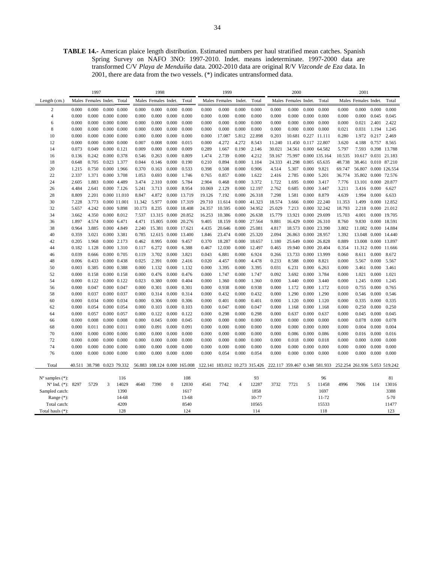**TABLE 14.-** American plaice length distribution. Estimated numbers per haul stratified mean catches. Spanish Spring Survey on NAFO 3NO: 1997-2010. Indet. means indeterminate. 1997-2000 data are transformed C/V *Playa de Menduíña* data. 2002-2010 data are original R/V *Vizconde de Eza* data. In 2001, there are data from the two vessels. (\*) indicates untransformed data.

|                             |                |                      | 1998                 |                     |                |                              | 1999           |                |                |                | 2000           |                                |                |                               | 2001           |                |                               |                      |                |                      |
|-----------------------------|----------------|----------------------|----------------------|---------------------|----------------|------------------------------|----------------|----------------|----------------|----------------|----------------|--------------------------------|----------------|-------------------------------|----------------|----------------|-------------------------------|----------------------|----------------|----------------------|
| Length (cm.)                |                | Males Females Indet. |                      | Total               |                | Males Females Indet.         |                | Total          |                | Males Females  | Indet.         | Total                          |                | Males Females Indet.          |                | Total          |                               | Males Females Indet. |                | Total                |
| 2                           | 0.000          | 0.000                |                      | $0.000 \quad 0.000$ | 0.000          | 0.000                        | 0.000          | 0.000          | 0.000          | 0.000          | 0.000          | 0.000                          | 0.000          | 0.000                         | 0.000          | 0.000          | 0.000                         | 0.000                | 0.000          | 0.000                |
| $\overline{4}$              | 0.000          | 0.000                | 0.000                | 0.000               | 0.000          | 0.000                        | 0.000          | 0.000          | 0.000          | 0.000          | 0.000          | 0.000                          | 0.000          | 0.000                         | 0.000          | 0.000          | 0.000                         | 0.000                | 0.045          | 0.045                |
| 6                           | 0.000          | 0.000                |                      | $0.000 \quad 0.000$ | 0.000          | 0.000                        | 0.000          | 0.000          | 0.000          | 0.000          | 0.000          | 0.000                          | 0.000          | 0.000                         | 0.000          | 0.000          | 0.000                         | 0.021                | 2.401          | 2.422                |
| 8                           | 0.000          | 0.000                | 0.000                | 0.000               | 0.000          | 0.000                        | 0.000          | 0.000          | 0.000          | 0.000          | 0.000          | 0.000                          | 0.000          | 0.000                         | 0.000          | 0.000          | 0.021                         | 0.031                | 1.194          | 1.245                |
| 10                          | 0.000          | 0.000                |                      | $0.000 \quad 0.000$ | 0.000          | 0.000                        | 0.000          | 0.000          | 0.000          | 17.087         | 5.812          | 22.898                         | 0.203          | 10.681                        |                | 0.227 11.111   | 0.280                         | 1.972                | 0.217          | 2.469                |
| 12                          | 0.000          | 0.000                | 0.000                | 0.000               | 0.007          | 0.008                        | 0.000          | 0.015          | 0.000          | 4.272          | 4.272          | 8.543                          | 11.240         | 11.450 0.117 22.807           |                |                | 3.620                         | 4.188                | 0.757          | 8.565                |
| 14                          | 0.073          | 0.049                | $0.000 \quad 0.121$  |                     | 0.009          | 0.000                        | 0.000          | 0.009          | 0.289          | 1.667          | 0.190          | 2.146                          | 30.021         | 34.561 0.000 64.582           |                |                | 5.797                         | 7.593                |                | 0.398 13.788         |
| 16                          | 0.136          | 0.242                |                      | 0.000 0.378         | 0.546          | 0.263                        | 0.000          | 0.809          | 1.474          | 2.739          | 0.000          | 4.212                          | 59.167         | 75.997                        |                | 0.000 135.164  | 10.535                        | 10.617 0.031 21.183  |                |                      |
| 18                          | 0.648          | 0.705                | 0.023 1.377          |                     | 0.044          | 0.146                        | 0.000          | 0.190          | 0.210          | 0.894          | 0.000          | 1.104                          | 24.333         | 41.298                        |                | 0.005 65.635   | 48.738                        | 38.461 0.010 87.210  |                |                      |
| 20                          | 1.215          | 0.750                |                      | 0.000 1.966         | 0.370          | 0.163                        | 0.000          | 0.533          | 0.398          | 0.508          | 0.000          | 0.906                          | 4.514          | 5.307                         | 0.000          | 9.821          | 69.747                        |                      |                | 56.807 0.000 126.554 |
| 22                          | 2.337          | 1.371                |                      | 0.000 3.708         | 1.053          | 0.693                        | 0.000          | 1.746          | 0.765          | 0.857          | 0.000          | 1.622                          | 2.416          | 2.785                         | 0.000          | 5.201          | 36.774                        | 35.802 0.000 72.576  |                |                      |
| 24                          | 2.605          | 1.883                | 0.000 4.489          |                     | 3.474          | 2.310                        | 0.000          | 5.784          | 2.904          | 0.468          | 0.000          | 3.372                          | 1.722          | 1.695                         | 0.000          | 3.417          | 7.776                         | 13.101 0.000 20.877  |                |                      |
| 26                          | 4.484          | 2.641                |                      | 0.000 7.126         | 5.241          | 3.713                        | 0.000          | 8.954          | 10.069         | 2.129          | 0.000          | 12.197                         | 2.762          | 0.685                         | 0.000          | 3.447          | 3.211                         | 3.416                | 0.000          | 6.627                |
| 28                          | 8.809          | 2.201                |                      | 0.000 11.010        | 8.847          | 4.872                        |                | 0.000 13.719   | 19.126         | 7.192          | 0.000          | 26.318                         | 7.298          | 1.581                         | 0.000          | 8.879          | 4.639                         | 1.994                | 0.000          | 6.633                |
| 30                          | 7.228          | 3.773                |                      | 0.000 11.001        | 11.342         | 5.977                        |                | 0.000 17.319   | 29.710         | 11.614         | 0.000          | 41.323                         | 18.574         | 3.666                         |                | 0.000 22.240   | 11.353                        | 1.499                | 0.000          | 12.852               |
| 32                          | 5.657          | 4.242                |                      | 0.000 9.898         | 10.173         | 8.235                        |                | 0.000 18.408   | 24.357         | 10.595         | 0.000          | 34.952                         | 25.029         | 7.213                         |                | 0.000 32.242   | 18.793                        | 2.218                |                | 0.000 21.012         |
| 34                          | 3.662          | 4.350                | 0.000 8.012          |                     | 7.537          | 13.315 0.000 20.852          |                |                | 16.253         | 10.386         | 0.000          | 26.638                         | 15.779         | 13.921                        |                | 0.000 29.699   | 15.703                        | 4.001                | 0.000          | 19.705               |
| 36                          | 1.897          | 4.574                | 0.000 6.471          |                     | 4.471          | 15.805 0.000 20.276          |                |                | 9.405          | 18.159         | 0.000          | 27.564                         | 9.881          | 16.429                        |                | 0.000 26.310   | 8.760                         | 9.830                | 0.000          | 18.591               |
| 38                          | 0.964          | 3.885                | 0.000 4.849          |                     | 2.240          | 15.381 0.000 17.621          |                |                | 4.435          | 20.646         | 0.000          | 25.081                         | 4.817          | 18.573                        |                | 0.000 23.390   | 3.802                         | 11.082               | 0.000          | 14.884               |
| 40                          | 0.359          | 3.021                | 0.000 3.381          |                     | 0.785          | 12.615 0.000 13.400          |                |                | 1.846          | 23.474         | 0.000          | 25.320                         | 2.094          | 26.863                        |                | 0.000 28.957   | 1.392                         | 13.048 0.000 14.440  |                |                      |
| 42                          | 0.205          | 1.968                | 0.000 2.173          |                     | 0.462          | 8.995                        | 0.000          | 9.457          | 0.370          | 18.287         | 0.000          | 18.657                         | 1.180          | 25.649                        |                | 0.000 26.828   | 0.889                         | 13.008               | 0.000          | 13.897               |
| 44                          | 0.182          | 1.128                |                      | 0.000 1.310         | 0.117          | 6.272                        | 0.000          | 6.388          | 0.467          | 12.030         | 0.000          | 12.497                         | 0.465          | 19.940                        |                | 0.000 20.404   | 0.354                         | 11.312 0.000 11.666  |                |                      |
| 46                          | 0.039          | 0.666                | 0.000 0.705          |                     | 0.119          | 3.702                        | 0.000          | 3.821          | 0.043          | 6.881          | 0.000          | 6.924                          | 0.266          | 13.733                        | 0.000          | 13.999         | 0.060                         | 8.611                | 0.000          | 8.672                |
| 48                          | 0.006          | 0.433                | 0.000 0.438          |                     | 0.025          | 2.391                        | 0.000          | 2.416          | 0.020          | 4.457          | 0.000          | 4.478                          | 0.233          | 8.588                         | 0.000          | 8.821          | 0.000                         | 5.567                | 0.000          | 5.567                |
| 50                          | 0.003          | 0.385                | 0.000 0.388          |                     | 0.000          | 1.132                        | 0.000          | 1.132          | 0.000          | 3.395          | 0.000          | 3.395                          | 0.031          | 6.231                         | 0.000          | 6.263          | 0.000                         | 3.461                | 0.000          | 3.461                |
| 52                          | 0.000          | 0.158<br>0.122       | $0.000 \quad 0.158$  |                     | 0.000          | 0.476<br>0.380               | 0.000<br>0.000 | 0.476<br>0.404 | 0.000<br>0.000 | 1.747          | 0.000<br>0.000 | 1.747                          | 0.092          | 3.692                         | 0.000          | 3.784          | 0.000                         | 1.021                | 0.000          | 1.021                |
| 54<br>56                    | 0.000          | 0.047                | 0.000<br>0.000 0.047 | 0.122               | 0.023<br>0.000 | 0.301                        | 0.000          | 0.301          | 0.000          | 1.360<br>0.938 | 0.000          | 1.360                          | 0.000          | 3.440                         | 0.000<br>0.000 | 3.440<br>1.172 | 0.000                         | 1.245<br>0.755       | 0.000<br>0.000 | 1.245<br>0.765       |
| 58                          | 0.000<br>0.000 | 0.037                | 0.000                | 0.037               | 0.000          | 0.314                        | 0.000          | 0.314          | 0.000          | 0.432          | 0.000          | 0.938<br>0.432                 | 0.000<br>0.000 | 1.172<br>1.290                | 0.000          | 1.290          | 0.010<br>0.000                | 0.546                | 0.000          | 0.546                |
| 60                          | 0.000          | 0.034                |                      | 0.000 0.034         | 0.000          | 0.306                        | 0.000          | 0.306          | 0.000          | 0.401          | 0.000          | 0.401                          | 0.000          | 1.120                         | 0.000          | 1.120          | 0.000                         | 0.335                | 0.000          | 0.335                |
| 62                          | 0.000          | 0.054                | 0.000                | 0.054               | 0.000          | 0.103                        | 0.000          | 0.103          | 0.000          | 0.047          | 0.000          | 0.047                          | 0.000          | 1.168                         | 0.000          | 1.168          | 0.000                         | 0.250                | 0.000          | 0.250                |
| 64                          | 0.000          | 0.057                | 0.000 0.057          |                     | 0.000          | 0.122                        | 0.000          | 0.122          | 0.000          | 0.298          | 0.000          | 0.298                          | 0.000          | 0.637                         | 0.000          | 0.637          | 0.000                         | 0.045                | 0.000          | 0.045                |
| 66                          | 0.000          | 0.008                | 0.000                | 0.008               | 0.000          | 0.045                        | 0.000          | 0.045          | 0.000          | 0.000          | 0.000          | 0.000                          | 0.000          | 0.000                         | 0.000          | 0.000          | 0.000                         | 0.078                | 0.000          | 0.078                |
| 68                          | 0.000          | 0.011                | 0.000 0.011          |                     | 0.000          | 0.091                        | 0.000          | 0.091          | 0.000          | 0.000          | 0.000          | 0.000                          | 0.000          | 0.000                         | 0.000          | 0.000          | 0.000                         | 0.004                | 0.000          | 0.004                |
| 70                          | 0.000          | 0.000                |                      | $0.000 \quad 0.000$ | 0.000          | 0.000                        | 0.000          | 0.000          | 0.000          | 0.000          | 0.000          | 0.000                          | 0.000          | 0.086                         | 0.000          | 0.086          | 0.000                         | 0.016                | 0.000          | 0.016                |
| 72                          | 0.000          | 0.000                |                      | $0.000 \quad 0.000$ | 0.000          | 0.000                        | 0.000          | 0.000          | 0.000          | 0.000          | 0.000          | 0.000                          | 0.000          | 0.018                         | 0.000          | 0.018          | 0.000                         | 0.000                | 0.000          | 0.000                |
| 74                          | 0.000          | 0.000                |                      | $0.000 \quad 0.000$ | 0.000          | 0.000                        | 0.000          | 0.000          | 0.000          | 0.000          | 0.000          | 0.000                          | 0.000          | 0.000                         | 0.000          | 0.000          | 0.000                         | 0.000                | 0.000          | 0.000                |
| 76                          | 0.000          | 0.000                |                      | $0.000 \quad 0.000$ | 0.000          | 0.000                        | 0.000          | 0.000          | 0.000          | 0.054          | 0.000          | 0.054                          | 0.000          | 0.000                         | 0.000          | 0.000          | 0.000                         | 0.000                | 0.000          | 0.000                |
|                             |                |                      |                      |                     |                |                              |                |                |                |                |                |                                |                |                               |                |                |                               |                      |                |                      |
| Total                       | 40.511         | 38.798 0.023 79.332  |                      |                     |                | 56.883 108.124 0.000 165.008 |                |                |                |                |                | 122.141 183.012 10.273 315.426 |                | 222.117 359.467 0.348 581.933 |                |                | 252.254 261.936 5.053 519.242 |                      |                |                      |
|                             |                |                      |                      |                     |                |                              |                |                |                |                |                |                                |                |                               |                |                |                               |                      |                |                      |
| $N^{\circ}$ samples $(*)$ : |                |                      |                      | 116                 |                |                              |                | 108            |                |                |                | 93                             |                |                               |                | 96             |                               |                      |                | 81                   |
| $N^{\circ}$ Ind. $(*)$ :    | 8297           | 5729                 | 3                    | 14029               | 4640           | 7390                         | $\mathbf{0}$   | 12030          | 4541           | 7742           | 4              | 12287                          | 3732           | 7721                          | 5              | 11458          | 4996                          | 7906                 | 114            | 13016                |
| Sampled catch:              |                |                      |                      | 1390                |                |                              |                | 1617           |                |                |                | 1858                           |                |                               |                | 1697           |                               |                      |                | 3388                 |
| Range $(*)$ :               |                |                      |                      | 14-68               |                |                              |                | 13-68          |                |                |                | 10-77                          |                |                               |                | 11-72          |                               |                      |                | $5 - 70$             |
| Total catch:                |                |                      |                      | 4209                |                |                              |                | 8540           |                |                |                | 10565                          |                |                               |                | 15533          |                               |                      |                | 11477                |
| Total hauls (*):            |                |                      |                      | 128                 |                |                              |                | 124            |                |                |                | 114                            |                |                               |                | 118            |                               |                      |                | 123                  |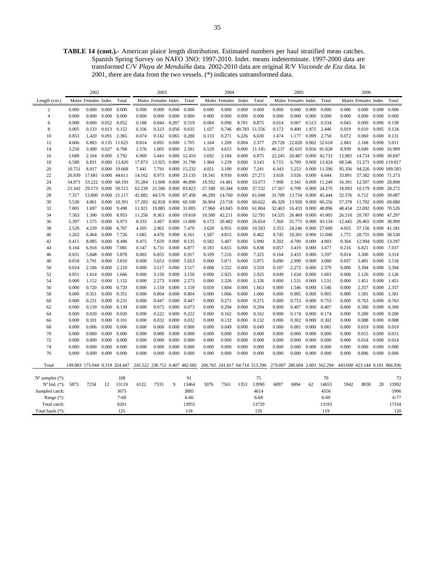**TABLE 14 (cont.).-** American plaice length distribution. Estimated numbers per haul stratified mean catches. Spanish Spring Survey on NAFO 3NO: 1997-2010. Indet. means indeterminate. 1997-2000 data are transformed C/V *Playa de Menduíña* data. 2002-2010 data are original R/V *Vizconde de Eza* data. In 2001, there are data from the two vessels. (\*) indicates untransformed data.

|                             |                | 2002                          |                |                |                               | 2003                 |                |                     |                                | 2004           |                |                |                | 2005                 |                |                               |                               | 2006                 |                |                |
|-----------------------------|----------------|-------------------------------|----------------|----------------|-------------------------------|----------------------|----------------|---------------------|--------------------------------|----------------|----------------|----------------|----------------|----------------------|----------------|-------------------------------|-------------------------------|----------------------|----------------|----------------|
| Length (cm.)                |                | Males Females Indet.          |                | Total          |                               | Males Females Indet. |                | Total               |                                | Males Females  | Indet.         | Total          |                | Males Females Indet. |                | Total                         |                               | Males Females Indet. |                | Total          |
| $\overline{2}$              | 0.000          | 0.000                         | 0.000          | 0.000          | 0.000                         | 0.000                | 0.000          | 0.000               | 0.000                          | 0.000          | 0.000          | 0.000          | 0.000          | 0.000                | 0.000          | 0.000                         | 0.000                         | 0.000                | 0.000          | 0.000          |
| 4                           | 0.000          | 0.000                         | 0.000          | 0.000          | 0.000                         | 0.000                | 0.000          | 0.000               | 0.000                          | 0.000          | 0.000          | 0.000          | 0.000          | 0.000                | 0.000          | 0.000                         | 0.000                         | 0.000                | 0.000          | 0.000          |
| 6                           | 0.000          | 0.000                         | 0.052          | 0.052          | 0.188                         | 0.044                | 0.287          | 0.519               | 0.084                          | 0.090          | 8.701          | 8.875          | 0.014          | 0.007                | 0.513          | 0.534                         | 0.043                         | 0.000                | 0.096          | 0.139          |
| 8                           | 0.005          | 0.133                         | 0.013          | 0.152          | 0.356                         | 0.223                | 0.056          | 0.635               | 1.027                          | 0.746          | 49.783         | 51.556         | 0.172          | 0.400                | 1.875          | 2.446                         | 0.019                         | 0.010                | 0.095          | 0.124          |
| 10                          | 0.853          | 1.420                         | 0.091          | 2.365          | 0.074                         | 0.142                | 0.065          | 0.280               | 0.133                          | 0.271          | 6.226          | 6.630          | 1.474          | 1.177                | 0.099          | 2.750                         | 0.072                         | 0.060                | 0.000          | 0.131          |
| 12                          | 4.606          | 6.883                         |                | 0.135 11.625   | 0.814                         | 0.891                | 0.000          | 1.705               | 1.164                          | 1.209          | 0.004          | 2.377          | 29.728         | 22.828               |                | 0.062 52.618                  | 2.843                         | 2.168                | 0.000          | 5.011          |
| 14                          | 3.250          | 3.490                         | 0.027          | 6.768          | 1.576                         | 1.005                | 0.000          | 2.581               | 6.529                          | 4.615          | 0.000          | 11.145         | 46.137         | 45.635               | 0.056          | 91.828                        | 8.939                         | 8.049                | 0.000          | 16.989         |
| 16                          | 1.688          | 2.104                         | 0.000          | 3.792          | 6.969                         | 5.441                |                | 0.000 12.410        | 3.692                          | 3.184          | 0.000          | 6.875          | 22.245         | 20.487               |                | 0.000 42.733                  | 15.983                        | 14.714 0.000         |                | 30.697         |
| 18                          | 6.588          | 6.831                         |                | 0.000 13.420   | 17.873                        | 13.925               |                | 0.000 31.798        | 1.904                          | 1.239          | 0.000          | 3.143          | 6.715          | 6.709                | 0.000          | 13.424                        | 68.546                        | 51.271               |                | 0.000 119.817  |
| 20                          | 10.751         | 8.917                         |                | 0.000 19.668   | 7.441                         | 7.791                |                | 0.000 15.232        | 4.051                          | 3.190          | 0.000          | 7.241          | 6.343          | 5.253                | 0.000          | 11.596                        | 95.356                        | 94.226 0.000 189.583 |                |                |
| 22                          | 26.930         | 17.681                        | 0.000          | 44.611         | 14.162                        | 8.973                |                | 0.000 23.135        | 18.341                         | 8.930          | 0.000          | 27.271         | 3.618          | 3.026                | 0.000          | 6.644                         | 33.891                        | 37.382               | 0.000          | 71.273         |
| 24                          | 34.971         | 33.222 0.000                  |                | 68.193         | 35.284                        |                      |                | 11.606 0.000 46.890 | 18.592                         | 14.481         | 0.000          | 33.073         | 7.908          | 3.341                | 0.000          | 11.249                        | 16.301                        | 12.507 0.000         |                | 28.808         |
| 26                          | 21.342         | 29.173 0.000                  |                | 50.515         | 62.238                        | 21.586 0.000         |                | 83.823              | 27.188                         | 10.344         | 0.000          | 37.532         | 17.567         | 6.709                | 0.000          | 24.276                        | 18.093                        | 10.179               | 0.000          | 28.272         |
| 28                          | 7.317          | 13.800                        |                | 0.000 21.117   | 42.882                        | 44.576 0.000         |                | 87.458              | 46.289                         | 14.760         | 0.000          | 61.048         | 31.709         | 13.734 0.000         |                | 45.444                        | 32.376                        | 6.712                | 0.000          | 39,087         |
| 30                          | 5.530          | 4.861                         | 0.000          | 10.391         | 17.283                        | 42.818 0.000         |                | 60.100              | 36.904                         | 23.718         | 0.000          | 60.622         | 46.328         | 13.928               | 0.000          | 60.256                        | 57.378                        | 11.702               | 0.000          | 69.080         |
| 32                          | 7.801          | 1.697                         | 0.000          | 9.498          | 11.921                        | 19.885 0.000 31.805  |                |                     | 17.960                         | 43.845         | 0.000          | 61.804         | 32.463         | 16.433 0.000         |                | 48.896                        | 48.434                        | 22.092 0.000         |                | 70.526         |
| 34                          | 7.563          | 1.390                         | 0.000          | 8.953          | 11.256                        | 8.363                | 0.000          | 19.618              | 10.580                         | 42.211         | 0.000          | 52.791         | 14.535         | 26.469               | 0.000          | 41.005                        | 26.510                        | 20.787               | 0.000          | 47.297         |
| 36                          | 5.397          | 1.575                         | 0.000          | 6.973          | 8.333                         | 3.467                | 0.000          | 11.800              | 6.172                          | 20.482         | 0.000          | 26.654         | 7.360          | 35.775 0.000         |                | 43.134                        | 12.445                        | 26.465               | 0.000          | 38.909         |
| 38                          | 2.528          | 4.239                         | 0.000          | 6.767          | 4.505                         | 2.965                | 0.000          | 7.470               | 3.628                          | 6.955          | 0.000          | 10.583         | 3.353          | 24.246               | 0.000          | 27.600                        | 4.025                         | 37.156               | 0.000          | 41.181         |
| 40                          | 1.263          | 6.464                         | 0.000          | 7.726          | 1.685                         | 4.476                | 0.000          | 6.161               | 1.587                          | 4.815          | 0.000          | 6.402          | 0.745          | 10.301               | 0.000          | 11.046                        | 1.775                         | 28.755               | 0.000          | 30.530         |
| 42                          | 0.411          | 8.085                         | 0.000          | 8.496          | 0.475                         | 7.659                | 0.000          | 8.135               | 0.582                          | 5.407          | 0.000          | 5.990          | 0.202          | 4.700                | 0.000          | 4.903                         | 0.304                         | 12.994               | 0.000          | 13.297         |
| 44                          | 0.164          | 6.918                         | 0.000          | 7.081          | 0.147                         | 6.731                | 0.000          | 6.877               | 0.183                          | 6.655          | 0.000          | 6.838          | 0.057          | 3.419                | 0.000          | 3.477                         | 0.216                         | 6.821                | 0.000          | 7.037          |
| 46                          | 0.031          | 5.848                         | 0.000          | 5.878          | 0.063                         | 6.855                | 0.000          | 6.917               | 0.109                          | 7.216          | 0.000          | 7.325          | 0.164          | 3.433                | 0.000          | 3.597                         | 0.014                         | 3.300                | 0.000          | 3.314          |
| 48                          | 0.018          | 3.791                         | 0.000          | 3.810          | 0.000                         | 5.653                | 0.000          | 5.653               | 0.000                          | 5.071          | 0.000          | 5.071          | 0.090          | 2.990                | 0.000          | 3.080                         | 0.037                         | 3.481                | 0.000          | 3.518          |
| 50                          | 0.024          | 2.186                         | 0.000          | 2.210          | 0.000                         | 3.517                | 0.000          | 3.517               | 0.008                          | 3.552          | 0.000          | 3.559          | 0.107          | 2.272                | 0.000          | 2.379                         | 0.000                         | 3.394                | 0.000          | 3.394          |
| 52                          | 0.051          | 1.614                         | 0.000          | 1.666          | 0.000                         | 3.150                | 0.000          | 3.150               | 0.000                          | 2.925          | 0.000          | 2.925          | 0.049          | 1.634                | 0.000          | 1.683                         | 0.000                         | 2.126                | 0.000          | 2.126          |
| 54                          | 0.000          | 1.152                         | 0.000          | 1.152          | 0.000                         | 2.273                | 0.000          | 2.273               | 0.000                          | 2.326          | 0.000          | 2.326          | 0.000          | 1.531                | 0.000          | 1.531                         | 0.000                         | 1.451                | 0.000          | 1.451          |
| 56                          | 0.000          | 0.720                         | 0.000          | 0.720          | 0.000                         | 1.159                | 0.000          | 1.159               | 0.059                          | 1.604          | 0.000          | 1.663          | 0.000          | 1.546                | 0.000          | 1.546                         | 0.000                         | 2.357                | 0.000          | 2.357          |
| 58                          | 0.000          | 0.351                         | 0.000          | 0.351          | 0.000                         | 0.804                | 0.000          | 0.804               | 0.000                          | 1.066          | 0.000          | 1.066          | 0.000          | 0.905                | 0.000          | 0.905                         | 0.000                         | 1.581                | 0.000          | 1.581          |
| 60                          | 0.000          | 0.231                         | 0.000          | 0.231          | 0.000                         | 0.447                | 0.000          | 0.447               | 0.000                          | 0.271          | 0.000          | 0.271          | 0.000          | 0.753                | 0.000          | 0.753                         | 0.000                         | 0.763                | 0.000          | 0.763          |
| 62                          | 0.000          | 0.139                         | 0.000          | 0.139          | 0.000                         | 0.073                | 0.000          | 0.073               | 0.000                          | 0.294          | 0.000          | 0.294          | 0.000          | 0.407                | 0.000          | 0.407                         | 0.000                         | 0.300                | 0.000          | 0.300          |
| 64                          | 0.000          | 0.020                         | 0.000          | 0.020          | 0.000                         | 0.222                | 0.000          | 0.222               | 0.000                          | 0.162          | 0.000          | 0.162          | 0.000          | 0.174                | 0.000          | 0.174                         | 0.000                         | 0.200                | 0.000          | 0.200          |
| 66                          | 0.000          | 0.101                         | 0.000          | 0.101          | 0.000                         | 0.032                | 0.000          | 0.032               | 0.000                          | 0.132          | 0.000          | 0.132          | 0.000          | 0.302                | 0.000          | 0.302                         | 0.000                         | 0.088                | 0.000          | 0.088          |
| 68<br>70                    | 0.000          | 0.006<br>0.000                | 0.000<br>0.000 | 0.006<br>0.000 | 0.000<br>0.000                | 0.000<br>0.000       | 0.000          | 0.000<br>0.000      | 0.000                          | 0.049<br>0.000 | 0.000<br>0.000 | 0.049<br>0.000 | 0.000<br>0.000 | 0.081                | 0.000          | 0.081                         | 0.000                         | 0.019<br>0.015       | 0.000<br>0.000 | 0.019<br>0.015 |
| 72                          | 0.000<br>0.000 | 0.000                         | 0.000          | 0.000          | 0.000                         | 0.000                | 0.000<br>0.000 | 0.000               | 0.000<br>0.000                 | 0.000          | 0.000          | 0.000          | 0.000          | 0.000<br>0.000       | 0.000<br>0.000 | 0.000<br>0.000                | 0.000<br>0.000                | 0.014                | 0.000          | 0.014          |
| 74                          |                | 0.000                         | 0.000          | 0.000          | 0.000                         | 0.000                | 0.000          | 0.000               | 0.000                          | 0.000          | 0.000          | 0.000          | 0.000          | 0.000                | 0.000          | 0.000                         | 0.000                         | 0.000                | 0.000          | 0.000          |
| 76                          | 0.000          | 0.000                         | 0.000          | 0.000          | 0.000                         | 0.000                | 0.000          | 0.000               | 0.000                          | 0.000          | 0.000          | 0.000          | 0.000          | 0.000                | 0.000          | 0.000                         |                               | 0.006                |                | 0.006          |
|                             | 0.000          |                               |                |                |                               |                      |                |                     |                                |                |                |                |                |                      |                |                               | 0.000                         |                      | 0.000          |                |
| Total                       |                | 149.083 175.044 0.319 324.447 |                |                | 245.522 236.752 0.407 482.682 |                      |                |                     | 206.765 241.817 64.714 513.296 |                |                |                |                |                      |                | 279.087 280.604 2.603 562.294 | 443.600 423.144 0.191 866.936 |                      |                |                |
|                             |                |                               |                |                |                               |                      |                |                     |                                |                |                |                |                |                      |                |                               |                               |                      |                |                |
| $N^{\circ}$ samples $(*)$ : |                |                               |                | 108            |                               |                      |                | 91                  |                                |                |                | 75             |                |                      |                | 70                            |                               |                      |                | 73             |
| $N^{\circ}$ Ind. $(*)$ :    | 5873           | 7234                          | 12             | 13119          | 6122                          | 7333                 | 9              | 13464               | 5076                           | 7561           | 1353           | 13990          | 6097           | 8494                 | 62             | 14653                         | 5942                          | 8030                 | 20             | 13992          |
| Sampled catch:              |                |                               |                | 3675           |                               |                      |                | 3885                |                                |                |                | 4614           |                |                      |                | 4556                          |                               |                      |                | 5906           |
| Range $(*)$ :               |                |                               |                | $7 - 68$       |                               |                      |                | 6-66                |                                |                |                | $6 - 68$       |                |                      |                | $6 - 69$                      |                               |                      |                | $6 - 77$       |
| Total catch:                |                |                               |                | 9201           |                               |                      |                | 13955               |                                |                |                | 13729          |                |                      |                | 13193                         |                               |                      |                | 17334          |
| Total hauls $(*)$ :         |                |                               |                | 125            |                               |                      |                | 118                 |                                |                |                | 120            |                |                      |                | 119                           |                               |                      |                | 120            |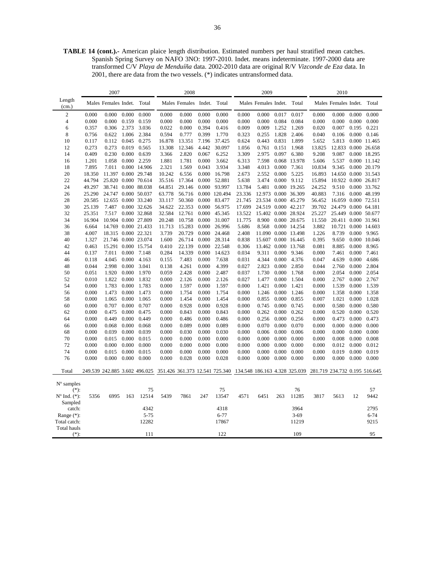**TABLE 14 (cont.).-** American plaice length distribution. Estimated numbers per haul stratified mean catches. Spanish Spring Survey on NAFO 3NO: 1997-2010. Indet. means indeterminate. 1997-2000 data are transformed C/V *Playa de Menduíña* data. 2002-2010 data are original R/V *Vizconde de Eza* data. In 2001, there are data from the two vessels. (\*) indicates untransformed data.

|                         |        | 2007                 |       |                               |        | 2008          |        |                                |                               | 2009                 |       |              |                               | 2010                 |       |              |
|-------------------------|--------|----------------------|-------|-------------------------------|--------|---------------|--------|--------------------------------|-------------------------------|----------------------|-------|--------------|-------------------------------|----------------------|-------|--------------|
| Length<br>(cm.)         |        | Males Females Indet. |       | Total                         |        | Males Females | Indet. | Total                          |                               | Males Females Indet. |       | Total        |                               | Males Females Indet. |       | Total        |
| $\mathbf{2}$            | 0.000  | 0.000                | 0.000 | 0.000                         | 0.000  | 0.000         | 0.000  | 0.000                          | 0.000                         | 0.000                | 0.017 | 0.017        | 0.000                         | 0.000                | 0.000 | 0.000        |
| $\overline{4}$          | 0.000  | 0.000                | 0.159 | 0.159                         | 0.000  | 0.000         | 0.000  | 0.000                          | 0.000                         | 0.000                | 0.084 | 0.084        | 0.000                         | 0.000                | 0.000 | 0.000        |
| 6                       | 0.357  | 0.306                | 2.373 | 3.036                         | 0.022  | 0.000         | 0.394  | 0.416                          | 0.009                         | 0.009                | 1.252 | 1.269        | 0.020                         | 0.007                | 0.195 | 0.221        |
| 8                       | 0.756  | 0.622                | 1.006 | 2.384                         | 0.594  | 0.777         | 0.399  | 1.770                          | 0.323                         | 0.255                | 1.828 | 2.406        | 0.040                         | 0.106                | 0.000 | 0.146        |
| 10                      | 0.117  | 0.112                | 0.045 | 0.275                         | 16.878 | 13.351        | 7.196  | 37.425                         | 0.624                         | 0.443                | 0.831 | 1.899        | 5.652                         | 5.813                |       | 0.000 11.465 |
| 12                      | 0.273  | 0.273                | 0.019 | 0.565                         | 13.308 | 12.346        | 4.442  | 30.097                         | 1.056                         | 0.761                | 0.151 | 1.968        | 13.825                        | 12.833 0.000 26.658  |       |              |
| 14                      | 0.409  | 0.230                | 0.000 | 0.639                         | 3.366  | 2.820         | 0.067  | 6.252                          | 3.309                         | 2.975                | 0.097 | 6.380        | 9.208                         | 9.087                |       | 0.000 18.295 |
| 16                      | 1.201  | 1.058                | 0.000 | 2.259                         | 1.881  | 1.781         | 0.000  | 3.662                          | 6.313                         | 7.598                | 0.068 | 13.978       | 5.606                         | 5.537                |       | 0.000 11.142 |
| 18                      | 7.895  | 7.011                |       | 0.000 14.906                  | 2.321  | 1.569         | 0.043  | 3.934                          | 3.348                         | 4.013                | 0.000 | 7.361        | 10.834                        | 9.345                |       | 0.000 20.179 |
| 20                      | 18.350 | 11.397               |       | 0.000 29.748                  | 10.242 | 6.556         | 0.000  | 16.798                         | 2.673                         | 2.552                | 0.000 | 5.225        | 16.893                        | 14.650 0.000 31.543  |       |              |
| 22                      | 44.794 | 25.820 0.000 70.614  |       |                               | 35.516 | 17.364        | 0.000  | 52.881                         | 5.638                         | 3.474                | 0.000 | 9.112        | 15.894                        | 10.922 0.000 26.817  |       |              |
| 24                      | 49.297 | 38.741 0.000 88.038  |       |                               | 64.851 | 29.146        | 0.000  | 93.997                         | 13.784                        | 5.481                |       | 0.000 19.265 | 24.252                        | 9.510                |       | 0.000 33.762 |
| 26                      | 25.290 | 24.747 0.000 50.037  |       |                               | 63.778 | 56.716        |        | 0.000 120.494                  | 23.336                        | 12.973               |       | 0.000 36.309 | 40.883                        | 7.316                |       | 0.000 48.199 |
| 28                      | 20.585 | 12.655 0.000 33.240  |       |                               | 33.117 | 50.360        | 0.000  | 83.477                         | 21.745                        | 23.534 0.000 45.279  |       |              | 56.452                        | 16.059 0.000 72.511  |       |              |
| 30                      | 25.139 | 7.487                |       | 0.000 32.626                  | 34.622 | 22.353        | 0.000  | 56.975                         | 17.699                        | 24.519               |       | 0.000 42.217 | 39.702                        | 24.479 0.000 64.181  |       |              |
| 32                      | 25.351 | 7.517                |       | 0.000 32.868                  | 32.584 | 12.761        | 0.000  | 45.345                         | 13.522                        | 15.402 0.000 28.924  |       |              | 25.227                        | 25.449 0.000 50.677  |       |              |
| 34                      | 16.904 |                      |       | 10.904 0.000 27.809           | 20.248 | 10.758        | 0.000  | 31.007                         | 11.775                        | 8.900                |       | 0.000 20.675 | 11.550                        | 20.411 0.000 31.961  |       |              |
| 36                      | 6.664  |                      |       | 14.769 0.000 21.433           | 11.713 | 15.283        | 0.000  | 26.996                         | 5.686                         | 8.568                |       | 0.000 14.254 | 3.882                         | 10.721               | 0.000 | 14.603       |
| 38                      | 4.007  | 18.315 0.000 22.321  |       |                               | 3.739  | 20.729        | 0.000  | 24.468                         | 2.408                         | 11.090               |       | 0.000 13.498 | 1.226                         | 8.739                | 0.000 | 9.965        |
| 40                      | 1.327  | 21.746 0.000 23.074  |       |                               | 1.600  | 26.714        | 0.000  | 28.314                         | 0.838                         | 15.607               |       | 0.000 16.445 | 0.395                         | 9.650                |       | 0.000 10.046 |
| 42                      | 0.463  |                      |       | 15.291 0.000 15.754           | 0.410  | 22.139        | 0.000  | 22.548                         | 0.306                         | 13.462 0.000 13.768  |       |              | 0.081                         | 8.885                | 0.000 | 8.965        |
| 44                      | 0.137  | 7.011                | 0.000 | 7.148                         | 0.284  | 14.339        | 0.000  | 14.623                         | 0.034                         | 9.311                | 0.000 | 9.346        | 0.000                         | 7.461                | 0.000 | 7.461        |
| 46                      | 0.118  | 4.045                | 0.000 | 4.163                         | 0.155  | 7.483         | 0.000  | 7.638                          | 0.031                         | 4.344                | 0.000 | 4.376        | 0.047                         | 4.639                | 0.000 | 4.686        |
| 48                      | 0.044  | 2.998                | 0.000 | 3.041                         | 0.138  | 4.261         | 0.000  | 4.399                          | 0.027                         | 2.823                | 0.000 | 2.850        | 0.044                         | 2.760                | 0.000 | 2.804        |
| 50                      | 0.051  | 1.920                | 0.000 | 1.970                         | 0.059  | 2.428         | 0.000  | 2.487                          | 0.037                         | 1.730                | 0.000 | 1.768        | 0.000                         | 2.054                | 0.000 | 2.054        |
| 52                      | 0.010  | 1.822                | 0.000 | 1.832                         | 0.000  | 2.126         | 0.000  | 2.126                          | 0.027                         | 1.477                | 0.000 | 1.504        | 0.000                         | 2.767                | 0.000 | 2.767        |
| 54                      | 0.000  | 1.783                | 0.000 | 1.783                         | 0.000  | 1.597         | 0.000  | 1.597                          | 0.000                         | 1.421                | 0.000 | 1.421        | 0.000                         | 1.539                | 0.000 | 1.539        |
| 56                      | 0.000  | 1.473                | 0.000 | 1.473                         | 0.000  | 1.754         | 0.000  | 1.754                          | 0.000                         | 1.246                | 0.000 | 1.246        | 0.000                         | 1.358                | 0.000 | 1.358        |
| 58                      | 0.000  | 1.065                | 0.000 | 1.065                         | 0.000  | 1.454         | 0.000  | 1.454                          | 0.000                         | 0.855                | 0.000 | 0.855        | 0.007                         | 1.021                | 0.000 | 1.028        |
| 60                      | 0.000  | 0.707                | 0.000 | 0.707                         | 0.000  | 0.928         | 0.000  | 0.928                          | 0.000                         | 0.745                | 0.000 | 0.745        | 0.000                         | 0.580                | 0.000 | 0.580        |
| 62                      | 0.000  | 0.475                | 0.000 | 0.475                         | 0.000  | 0.843         | 0.000  | 0.843                          | 0.000                         | 0.262                | 0.000 | 0.262        | 0.000                         | 0.520                | 0.000 | 0.520        |
| 64                      | 0.000  | 0.449                | 0.000 | 0.449                         | 0.000  | 0.486         | 0.000  | 0.486                          | 0.000                         | 0.256                | 0.000 | 0.256        | 0.000                         | 0.473                | 0.000 | 0.473        |
| 66                      | 0.000  | 0.068                | 0.000 | 0.068                         | 0.000  | 0.089         | 0.000  | 0.089                          | 0.000                         | 0.070                | 0.000 | 0.070        | 0.000                         | 0.000                | 0.000 | 0.000        |
| 68                      | 0.000  | 0.039                | 0.000 | 0.039                         | 0.000  | 0.030         | 0.000  | 0.030                          | 0.000                         | 0.006                | 0.000 | 0.006        | 0.000                         | 0.000                | 0.000 | 0.000        |
| 70                      | 0.000  | 0.015                | 0.000 | 0.015                         | 0.000  | 0.000         | 0.000  | 0.000                          | 0.000                         | 0.000                | 0.000 | 0.000        | 0.000                         | 0.008                | 0.000 | 0.008        |
| 72                      | 0.000  | 0.000                | 0.000 | 0.000                         | 0.000  | 0.000         | 0.000  | 0.000                          | 0.000                         | 0.000                | 0.000 | 0.000        | 0.000                         | 0.012                | 0.000 | 0.012        |
| 74                      | 0.000  | 0.015                | 0.000 | 0.015                         | 0.000  | 0.000         | 0.000  | 0.000                          | 0.000                         | 0.000                | 0.000 | 0.000        | 0.000                         | 0.019                | 0.000 | 0.019        |
| 76                      | 0.000  | 0.000                | 0.000 | 0.000                         | 0.000  | 0.028         | 0.000  | 0.028                          | 0.000                         | 0.000                | 0.000 | 0.000        | 0.000                         | 0.000                | 0.000 | 0.000        |
| Total                   |        |                      |       | 249.539 242.885 3.602 496.025 |        |               |        | 351.426 361.373 12.541 725.340 | 134.548 186.163 4.328 325.039 |                      |       |              | 281.719 234.732 0.195 516.645 |                      |       |              |
|                         |        |                      |       |                               |        |               |        |                                |                               |                      |       |              |                               |                      |       |              |
| $No$ samples            |        |                      |       |                               |        |               |        |                                |                               |                      |       |              |                               |                      |       |              |
| $(*)$ :                 |        |                      |       | 75                            |        |               |        | 75                             |                               |                      |       | 76           |                               |                      |       | 57           |
| $N^{\circ}$ Ind. $(*):$ | 5356   | 6995                 | 163   | 12514                         | 5439   | 7861          | 247    | 13547                          | 4571                          | 6451                 | 263   | 11285        | 3817                          | 5613                 | 12    | 9442         |
| Sampled                 |        |                      |       |                               |        |               |        |                                |                               |                      |       |              |                               |                      |       |              |
| catch:                  |        |                      |       | 4342                          |        |               |        | 4318                           |                               |                      |       | 3964         |                               |                      |       | 2795         |
| Range $(*)$ :           |        |                      |       | $5 - 75$                      |        |               |        | $6 - 77$                       |                               |                      |       | $3 - 69$     |                               |                      |       | $6 - 74$     |
| Total catch:            |        |                      |       | 12282                         |        |               |        | 17867                          |                               |                      |       | 11219        |                               |                      |       | 9215         |
| Total hauls             |        |                      |       |                               |        |               |        |                                |                               |                      |       |              |                               |                      |       |              |
| $(*):$                  |        |                      |       | 111                           |        |               |        | 122                            |                               |                      |       | 109          |                               |                      |       | 95           |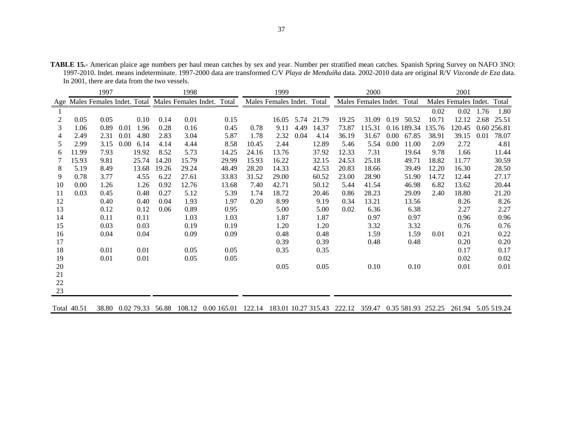**TABLE 15.-** American plaice age numbers per haul mean catches by sex and year. Number per stratified mean catches. Spanish Spring Survey on NAFO 3NO: 1997-2010. Indet. means indeterminate. 1997-2000 data are transformed C/V *Playa de Menduíña* data. 2002-2010 data are original R/V *Vizconde de Eza* data. In 2001, there are data from the two vessels.

|    |       | 1997                           |      |       |       | 1998                       |       |       | 1999                       |      |       |       | 2000                       |          |             |        | 2001                 |      |             |
|----|-------|--------------------------------|------|-------|-------|----------------------------|-------|-------|----------------------------|------|-------|-------|----------------------------|----------|-------------|--------|----------------------|------|-------------|
|    |       | Age Males Females Indet. Total |      |       |       | Males Females Indet. Total |       |       | Males Females Indet. Total |      |       |       | Males Females Indet. Total |          |             |        | Males Females Indet. |      | Total       |
|    |       |                                |      |       |       |                            |       |       |                            |      |       |       |                            |          |             | 0.02   | 0.02                 | 1.76 | 1.80        |
| 2  | 0.05  | 0.05                           |      | 0.10  | 0.14  | 0.01                       | 0.15  |       | 16.05                      | 5.74 | 21.79 | 19.25 | 31.09                      | 0.19     | 50.52       | 10.71  | 12.12                | 2.68 | 25.51       |
| 3  | 1.06  | 0.89                           | 0.01 | 1.96  | 0.28  | 0.16                       | 0.45  | 0.78  | 9.11                       | 4.49 | 14.37 | 73.87 | 115.31                     |          | 0.16 189.34 | 135.76 | 120.45               |      | 0.60 256.81 |
| 4  | 2.49  | 2.31                           | 0.01 | 4.80  | 2.83  | 3.04                       | 5.87  | 1.78  | 2.32                       | 0.04 | 4.14  | 36.19 | 31.67                      | $0.00\,$ | 67.85       | 38.91  | 39.15                | 0.01 | 78.07       |
| 5  | 2.99  | 3.15                           | 0.00 | 6.14  | 4.14  | 4.44                       | 8.58  | 10.45 | 2.44                       |      | 12.89 | 5.46  | 5.54                       | 0.00     | 11.00       | 2.09   | 2.72                 |      | 4.81        |
| 6  | 11.99 | 7.93                           |      | 19.92 | 8.52  | 5.73                       | 14.25 | 24.16 | 13.76                      |      | 37.92 | 12.33 | 7.31                       |          | 19.64       | 9.78   | 1.66                 |      | 11.44       |
|    | 15.93 | 9.81                           |      | 25.74 | 14.20 | 15.79                      | 29.99 | 15.93 | 16.22                      |      | 32.15 | 24.53 | 25.18                      |          | 49.71       | 18.82  | 11.77                |      | 30.59       |
| 8  | 5.19  | 8.49                           |      | 13.68 | 19.26 | 29.24                      | 48.49 | 28.20 | 14.33                      |      | 42.53 | 20.83 | 18.66                      |          | 39.49       | 12.20  | 16.30                |      | 28.50       |
| 9  | 0.78  | 3.77                           |      | 4.55  | 6.22  | 27.61                      | 33.83 | 31.52 | 29.00                      |      | 60.52 | 23.00 | 28.90                      |          | 51.90       | 14.72  | 12.44                |      | 27.17       |
| 10 | 0.00  | 1.26                           |      | 1.26  | 0.92  | 12.76                      | 13.68 | 7.40  | 42.71                      |      | 50.12 | 5.44  | 41.54                      |          | 46.98       | 6.82   | 13.62                |      | 20.44       |
| 11 | 0.03  | 0.45                           |      | 0.48  | 0.27  | 5.12                       | 5.39  | 1.74  | 18.72                      |      | 20.46 | 0.86  | 28.23                      |          | 29.09       | 2.40   | 18.80                |      | 21.20       |
| 12 |       | 0.40                           |      | 0.40  | 0.04  | 1.93                       | 1.97  | 0.20  | 8.99                       |      | 9.19  | 0.34  | 13.21                      |          | 13.56       |        | 8.26                 |      | 8.26        |
| 13 |       | 0.12                           |      | 0.12  | 0.06  | 0.89                       | 0.95  |       | 5.00                       |      | 5.00  | 0.02  | 6.36                       |          | 6.38        |        | 2.27                 |      | 2.27        |
| 14 |       | 0.11                           |      | 0.11  |       | 1.03                       | 1.03  |       | 1.87                       |      | 1.87  |       | 0.97                       |          | 0.97        |        | 0.96                 |      | 0.96        |
| 15 |       | 0.03                           |      | 0.03  |       | 0.19                       | 0.19  |       | 1.20                       |      | 1.20  |       | 3.32                       |          | 3.32        |        | 0.76                 |      | 0.76        |
| 16 |       | 0.04                           |      | 0.04  |       | 0.09                       | 0.09  |       | 0.48                       |      | 0.48  |       | 1.59                       |          | 1.59        | 0.01   | 0.21                 |      | 0.22        |
| 17 |       |                                |      |       |       |                            |       |       | 0.39                       |      | 0.39  |       | 0.48                       |          | 0.48        |        | 0.20                 |      | 0.20        |
| 18 |       | 0.01                           |      | 0.01  |       | 0.05                       | 0.05  |       | 0.35                       |      | 0.35  |       |                            |          |             |        | 0.17                 |      | 0.17        |
| 19 |       | 0.01                           |      | 0.01  |       | 0.05                       | 0.05  |       |                            |      |       |       |                            |          |             |        | 0.02                 |      | 0.02        |
| 20 |       |                                |      |       |       |                            |       |       | 0.05                       |      | 0.05  |       | 0.10                       |          | 0.10        |        | 0.01                 |      | 0.01        |
| 21 |       |                                |      |       |       |                            |       |       |                            |      |       |       |                            |          |             |        |                      |      |             |
| 22 |       |                                |      |       |       |                            |       |       |                            |      |       |       |                            |          |             |        |                      |      |             |
| 23 |       |                                |      |       |       |                            |       |       |                            |      |       |       |                            |          |             |        |                      |      |             |
|    |       |                                |      |       |       |                            |       |       |                            |      |       |       |                            |          |             |        |                      |      |             |

Total 40.51 38.80 0.02 79.33 56.88 108.12 0.00 165.01 122.14 183.01 10.27 315.43 222.12 359.47 0.35 581.93 252.25 261.94 5.05 519.24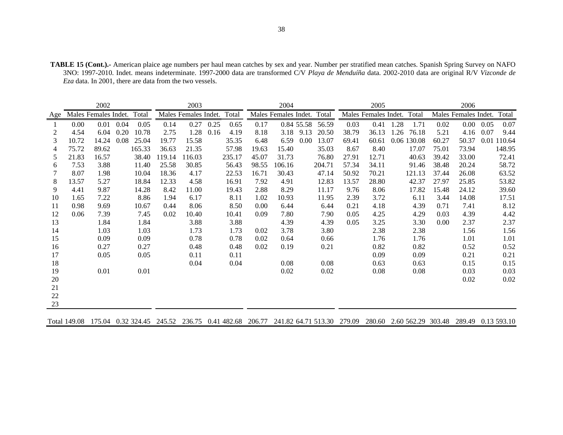**TABLE 15 (Cont.).-** American plaice age numbers per haul mean catches by sex and year. Number per stratified mean catches. Spanish Spring Survey on NAFO 3NO: 1997-2010. Indet. means indeterminate. 1997-2000 data are transformed C/V *Playa de Menduíña* data. 2002-2010 data are original R/V *Vizconde de Eza* data. In 2001, there are data from the two vessels.

|     |              | 2002                 |      |        |        | 2003                 |                                                             |       | 2004                 |            |        |       | 2005                      |             |        |       | 2006                 |      |             |
|-----|--------------|----------------------|------|--------|--------|----------------------|-------------------------------------------------------------|-------|----------------------|------------|--------|-------|---------------------------|-------------|--------|-------|----------------------|------|-------------|
| Age |              | Males Females Indet. |      | Total  |        | Males Females Indet. | Total                                                       |       | Males Females Indet. |            | Total  |       | Males Females Indet.      |             | Total  |       | Males Females Indet. |      | Total       |
|     | 0.00         | 0.01                 | 0.04 | 0.05   | 0.14   | 0.27                 | 0.25<br>0.65                                                | 0.17  |                      | 0.84 55.58 | 56.59  | 0.03  | 0.41                      | 1.28        | 1.71   | 0.02  | $0.00\,$             | 0.05 | 0.07        |
| 2   | 4.54         | 6.04                 | 0.20 | 10.78  | 2.75   | 1.28                 | 0.16<br>4.19                                                | 8.18  | 3.18                 | 9.13       | 20.50  | 38.79 | 36.13                     | 1.26        | 76.18  | 5.21  | 4.16                 | 0.07 | 9.44        |
| 3   | 10.72        | 14.24                | 0.08 | 25.04  | 19.77  | 15.58                | 35.35                                                       | 6.48  | 6.59                 | 0.00       | 13.07  | 69.41 | 60.61                     | 0.06 130.08 |        | 60.27 | 50.37                |      | 0.01 110.64 |
| 4   | 75.72        | 89.62                |      | 165.33 | 36.63  | 21.35                | 57.98                                                       | 19.63 | 15.40                |            | 35.03  | 8.67  | 8.40                      |             | 17.07  | 75.01 | 73.94                |      | 148.95      |
| 5   | 21.83        | 16.57                |      | 38.40  | 119.14 | 116.03               | 235.17                                                      | 45.07 | 31.73                |            | 76.80  | 27.91 | 12.71                     |             | 40.63  | 39.42 | 33.00                |      | 72.41       |
| 6   | 7.53         | 3.88                 |      | 11.40  | 25.58  | 30.85                | 56.43                                                       | 98.55 | 106.16               |            | 204.71 | 57.34 | 34.11                     |             | 91.46  | 38.48 | 20.24                |      | 58.72       |
|     | 8.07         | 1.98                 |      | 10.04  | 18.36  | 4.17                 | 22.53                                                       | 16.71 | 30.43                |            | 47.14  | 50.92 | 70.21                     |             | 121.13 | 37.44 | 26.08                |      | 63.52       |
| 8   | 13.57        | 5.27                 |      | 18.84  | 12.33  | 4.58                 | 16.91                                                       | 7.92  | 4.91                 |            | 12.83  | 13.57 | 28.80                     |             | 42.37  | 27.97 | 25.85                |      | 53.82       |
| 9   | 4.41         | 9.87                 |      | 14.28  | 8.42   | 11.00                | 19.43                                                       | 2.88  | 8.29                 |            | 11.17  | 9.76  | 8.06                      |             | 17.82  | 15.48 | 24.12                |      | 39.60       |
| 10  | 1.65         | 7.22                 |      | 8.86   | 1.94   | 6.17                 | 8.11                                                        | 1.02  | 10.93                |            | 11.95  | 2.39  | 3.72                      |             | 6.11   | 3.44  | 14.08                |      | 17.51       |
| 11  | 0.98         | 9.69                 |      | 10.67  | 0.44   | 8.06                 | 8.50                                                        | 0.00  | 6.44                 |            | 6.44   | 0.21  | 4.18                      |             | 4.39   | 0.71  | 7.41                 |      | 8.12        |
| 12  | 0.06         | 7.39                 |      | 7.45   | 0.02   | 10.40                | 10.41                                                       | 0.09  | 7.80                 |            | 7.90   | 0.05  | 4.25                      |             | 4.29   | 0.03  | 4.39                 |      | 4.42        |
| 13  |              | 1.84                 |      | 1.84   |        | 3.88                 | 3.88                                                        |       | 4.39                 |            | 4.39   | 0.05  | 3.25                      |             | 3.30   | 0.00  | 2.37                 |      | 2.37        |
| 14  |              | 1.03                 |      | 1.03   |        | 1.73                 | 1.73                                                        | 0.02  | 3.78                 |            | 3.80   |       | 2.38                      |             | 2.38   |       | 1.56                 |      | 1.56        |
| 15  |              | 0.09                 |      | 0.09   |        | 0.78                 | 0.78                                                        | 0.02  | 0.64                 |            | 0.66   |       | 1.76                      |             | 1.76   |       | 1.01                 |      | 1.01        |
| 16  |              | 0.27                 |      | 0.27   |        | 0.48                 | 0.48                                                        | 0.02  | 0.19                 |            | 0.21   |       | 0.82                      |             | 0.82   |       | 0.52                 |      | 0.52        |
| 17  |              | 0.05                 |      | 0.05   |        | 0.11                 | 0.11                                                        |       |                      |            |        |       | 0.09                      |             | 0.09   |       | 0.21                 |      | 0.21        |
| 18  |              |                      |      |        |        | 0.04                 | 0.04                                                        |       | 0.08                 |            | 0.08   |       | 0.63                      |             | 0.63   |       | 0.15                 |      | 0.15        |
| 19  |              | 0.01                 |      | 0.01   |        |                      |                                                             |       | 0.02                 |            | 0.02   |       | 0.08                      |             | 0.08   |       | 0.03                 |      | 0.03        |
| 20  |              |                      |      |        |        |                      |                                                             |       |                      |            |        |       |                           |             |        |       | 0.02                 |      | $0.02\,$    |
| 21  |              |                      |      |        |        |                      |                                                             |       |                      |            |        |       |                           |             |        |       |                      |      |             |
| 22  |              |                      |      |        |        |                      |                                                             |       |                      |            |        |       |                           |             |        |       |                      |      |             |
| 23  |              |                      |      |        |        |                      |                                                             |       |                      |            |        |       |                           |             |        |       |                      |      |             |
|     |              |                      |      |        |        |                      |                                                             |       |                      |            |        |       |                           |             |        |       |                      |      |             |
|     | Total 149.08 | 175.04 0.32 324.45   |      |        |        |                      | 245.52 236.75 0.41 482.68 206.77 241.82 64.71 513.30 279.09 |       |                      |            |        |       | 280.60 2.60 562.29 303.48 |             |        |       | 289.49 0.13 593.10   |      |             |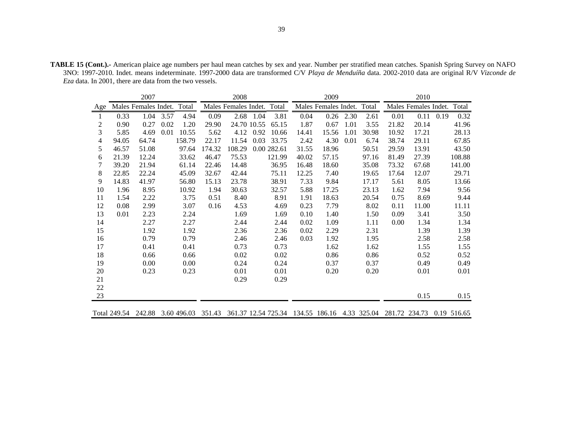**TABLE 15 (Cont.).-** American plaice age numbers per haul mean catches by sex and year. Number per stratified mean catches. Spanish Spring Survey on NAFO 3NO: 1997-2010. Indet. means indeterminate. 1997-2000 data are transformed C/V *Playa de Menduíña* data. 2002-2010 data are original R/V *Vizconde de Eza* data. In 2001, there are data from the two vessels.

|     |              | 2007                 |      |        |                           | 2008                 |             |             |                           | 2009                 |      |       |                           | 2010                 |      |        |
|-----|--------------|----------------------|------|--------|---------------------------|----------------------|-------------|-------------|---------------------------|----------------------|------|-------|---------------------------|----------------------|------|--------|
| Age |              | Males Females Indet. |      | Total  |                           | Males Females Indet. |             | Total       |                           | Males Females Indet. |      | Total |                           | Males Females Indet. |      | Total  |
| 1   | 0.33         | 1.04                 | 3.57 | 4.94   | 0.09                      | 2.68                 | 1.04        | 3.81        | 0.04                      | 0.26                 | 2.30 | 2.61  | 0.01                      | 0.11                 | 0.19 | 0.32   |
| 2   | 0.90         | 0.27                 | 0.02 | 1.20   | 29.90                     |                      | 24.70 10.55 | 65.15       | 1.87                      | 0.67                 | 1.01 | 3.55  | 21.82                     | 20.14                |      | 41.96  |
| 3   | 5.85         | 4.69                 | 0.01 | 10.55  | 5.62                      | 4.12                 | 0.92        | 10.66       | 14.41                     | 15.56                | 1.01 | 30.98 | 10.92                     | 17.21                |      | 28.13  |
| 4   | 94.05        | 64.74                |      | 158.79 | 22.17                     | 11.54                | 0.03        | 33.75       | 2.42                      | 4.30                 | 0.01 | 6.74  | 38.74                     | 29.11                |      | 67.85  |
| 5   | 46.57        | 51.08                |      | 97.64  | 174.32                    | 108.29               |             | 0.00 282.61 | 31.55                     | 18.96                |      | 50.51 | 29.59                     | 13.91                |      | 43.50  |
| 6   | 21.39        | 12.24                |      | 33.62  | 46.47                     | 75.53                |             | 121.99      | 40.02                     | 57.15                |      | 97.16 | 81.49                     | 27.39                |      | 108.88 |
| 7   | 39.20        | 21.94                |      | 61.14  | 22.46                     | 14.48                |             | 36.95       | 16.48                     | 18.60                |      | 35.08 | 73.32                     | 67.68                |      | 141.00 |
| 8   | 22.85        | 22.24                |      | 45.09  | 32.67                     | 42.44                |             | 75.11       | 12.25                     | 7.40                 |      | 19.65 | 17.64                     | 12.07                |      | 29.71  |
| 9   | 14.83        | 41.97                |      | 56.80  | 15.13                     | 23.78                |             | 38.91       | 7.33                      | 9.84                 |      | 17.17 | 5.61                      | 8.05                 |      | 13.66  |
| 10  | 1.96         | 8.95                 |      | 10.92  | 1.94                      | 30.63                |             | 32.57       | 5.88                      | 17.25                |      | 23.13 | 1.62                      | 7.94                 |      | 9.56   |
| 11  | 1.54         | 2.22                 |      | 3.75   | 0.51                      | 8.40                 |             | 8.91        | 1.91                      | 18.63                |      | 20.54 | 0.75                      | 8.69                 |      | 9.44   |
| 12  | 0.08         | 2.99                 |      | 3.07   | 0.16                      | 4.53                 |             | 4.69        | 0.23                      | 7.79                 |      | 8.02  | 0.11                      | 11.00                |      | 11.11  |
| 13  | 0.01         | 2.23                 |      | 2.24   |                           | 1.69                 |             | 1.69        | 0.10                      | 1.40                 |      | 1.50  | 0.09                      | 3.41                 |      | 3.50   |
| 14  |              | 2.27                 |      | 2.27   |                           | 2.44                 |             | 2.44        | 0.02                      | 1.09                 |      | 1.11  | 0.00                      | 1.34                 |      | 1.34   |
| 15  |              | 1.92                 |      | 1.92   |                           | 2.36                 |             | 2.36        | 0.02                      | 2.29                 |      | 2.31  |                           | 1.39                 |      | 1.39   |
| 16  |              | 0.79                 |      | 0.79   |                           | 2.46                 |             | 2.46        | 0.03                      | 1.92                 |      | 1.95  |                           | 2.58                 |      | 2.58   |
| 17  |              | 0.41                 |      | 0.41   |                           | 0.73                 |             | 0.73        |                           | 1.62                 |      | 1.62  |                           | 1.55                 |      | 1.55   |
| 18  |              | 0.66                 |      | 0.66   |                           | 0.02                 |             | 0.02        |                           | 0.86                 |      | 0.86  |                           | 0.52                 |      | 0.52   |
| 19  |              | 0.00                 |      | 0.00   |                           | 0.24                 |             | 0.24        |                           | 0.37                 |      | 0.37  |                           | 0.49                 |      | 0.49   |
| 20  |              | 0.23                 |      | 0.23   |                           | 0.01                 |             | 0.01        |                           | 0.20                 |      | 0.20  |                           | 0.01                 |      | 0.01   |
| 21  |              |                      |      |        |                           | 0.29                 |             | 0.29        |                           |                      |      |       |                           |                      |      |        |
| 22  |              |                      |      |        |                           |                      |             |             |                           |                      |      |       |                           |                      |      |        |
| 23  |              |                      |      |        |                           |                      |             |             |                           |                      |      |       |                           | 0.15                 |      | 0.15   |
|     |              |                      |      |        |                           |                      |             |             |                           |                      |      |       |                           |                      |      |        |
|     | Total 249.54 |                      |      |        | 242.88 3.60 496.03 351.43 | 361.37 12.54 725.34  |             |             | 134.55 186.16 4.33 325.04 |                      |      |       | 281.72 234.73 0.19 516.65 |                      |      |        |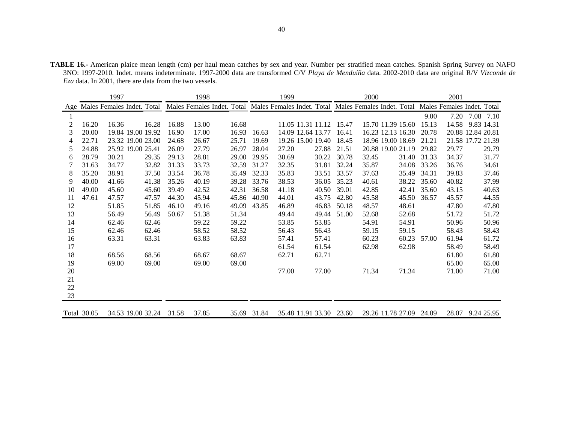**TABLE 16.-** American plaice mean length (cm) per haul mean catches by sex and year. Number per stratified mean catches. Spanish Spring Survey on NAFO 3NO: 1997-2010. Indet. means indeterminate. 1997-2000 data are transformed C/V *Playa de Menduíña* data. 2002-2010 data are original R/V *Vizconde de Eza* data. In 2001, there are data from the two vessels.

|    |             | 1997  |                                |       | 1998                                                                             |       |             | 1999  |                         |       | 2000  |                         |       | 2001  |                            |
|----|-------------|-------|--------------------------------|-------|----------------------------------------------------------------------------------|-------|-------------|-------|-------------------------|-------|-------|-------------------------|-------|-------|----------------------------|
|    |             |       | Age Males Females Indet. Total |       | Males Females Indet. Total Males Females Indet. Total Males Females Indet. Total |       |             |       |                         |       |       |                         |       |       | Males Females Indet. Total |
|    |             |       |                                |       |                                                                                  |       |             |       |                         |       |       |                         | 9.00  | 7.20  | 7.08 7.10                  |
| 2  | 16.20       | 16.36 | 16.28                          | 16.88 | 13.00                                                                            | 16.68 |             |       | 11.05 11.31 11.12       | 15.47 |       | 15.70 11.39 15.60       | 15.13 | 14.58 | 9.83 14.31                 |
| 3  | 20.00       |       | 19.84 19.00 19.92              | 16.90 | 17.00                                                                            | 16.93 | 16.63       |       | 14.09 12.64 13.77       | 16.41 |       | 16.23 12.13 16.30       | 20.78 |       | 20.88 12.84 20.81          |
| 4  | 22.71       |       | 23.32 19.00 23.00              | 24.68 | 26.67                                                                            | 25.71 | 19.69       |       | 19.26 15.00 19.40       | 18.45 |       | 18.96 19.00 18.69       | 21.21 |       | 21.58 17.72 21.39          |
| 5  | 24.88       |       | 25.92 19.00 25.41              | 26.09 | 27.79                                                                            | 26.97 | 28.04       | 27.20 | 27.88                   | 21.51 |       | 20.88 19.00 21.19       | 29.82 | 29.77 | 29.79                      |
| 6  | 28.79       | 30.21 | 29.35                          | 29.13 | 28.81                                                                            | 29.00 | 29.95       | 30.69 | 30.22                   | 30.78 | 32.45 | 31.40                   | 31.33 | 34.37 | 31.77                      |
|    | 31.63       | 34.77 | 32.82                          | 31.33 | 33.73                                                                            | 32.59 | 31.27       | 32.35 | 31.81                   | 32.24 | 35.87 | 34.08                   | 33.26 | 36.76 | 34.61                      |
| 8  | 35.20       | 38.91 | 37.50                          | 33.54 | 36.78                                                                            | 35.49 | 32.33       | 35.83 | 33.51                   | 33.57 | 37.63 | 35.49                   | 34.31 | 39.83 | 37.46                      |
| 9  | 40.00       | 41.66 | 41.38                          | 35.26 | 40.19                                                                            | 39.28 | 33.76       | 38.53 | 36.05                   | 35.23 | 40.61 | 38.22                   | 35.60 | 40.82 | 37.99                      |
| 10 | 49.00       | 45.60 | 45.60                          | 39.49 | 42.52                                                                            | 42.31 | 36.58       | 41.18 | 40.50                   | 39.01 | 42.85 | 42.41                   | 35.60 | 43.15 | 40.63                      |
| 11 | 47.61       | 47.57 | 47.57                          | 44.30 | 45.94                                                                            | 45.86 | 40.90       | 44.01 | 43.75                   | 42.80 | 45.58 | 45.50                   | 36.57 | 45.57 | 44.55                      |
| 12 |             | 51.85 | 51.85                          | 46.10 | 49.16                                                                            | 49.09 | 43.85       | 46.89 | 46.83                   | 50.18 | 48.57 | 48.61                   |       | 47.80 | 47.80                      |
| 13 |             | 56.49 | 56.49                          | 50.67 | 51.38                                                                            | 51.34 |             | 49.44 | 49.44                   | 51.00 | 52.68 | 52.68                   |       | 51.72 | 51.72                      |
| 14 |             | 62.46 | 62.46                          |       | 59.22                                                                            | 59.22 |             | 53.85 | 53.85                   |       | 54.91 | 54.91                   |       | 50.96 | 50.96                      |
| 15 |             | 62.46 | 62.46                          |       | 58.52                                                                            | 58.52 |             | 56.43 | 56.43                   |       | 59.15 | 59.15                   |       | 58.43 | 58.43                      |
| 16 |             | 63.31 | 63.31                          |       | 63.83                                                                            | 63.83 |             | 57.41 | 57.41                   |       | 60.23 | 60.23                   | 57.00 | 61.94 | 61.72                      |
| 17 |             |       |                                |       |                                                                                  |       |             | 61.54 | 61.54                   |       | 62.98 | 62.98                   |       | 58.49 | 58.49                      |
| 18 |             | 68.56 | 68.56                          |       | 68.67                                                                            | 68.67 |             | 62.71 | 62.71                   |       |       |                         |       | 61.80 | 61.80                      |
| 19 |             | 69.00 | 69.00                          |       | 69.00                                                                            | 69.00 |             |       |                         |       |       |                         |       | 65.00 | 65.00                      |
| 20 |             |       |                                |       |                                                                                  |       |             | 77.00 | 77.00                   |       | 71.34 | 71.34                   |       | 71.00 | 71.00                      |
| 21 |             |       |                                |       |                                                                                  |       |             |       |                         |       |       |                         |       |       |                            |
| 22 |             |       |                                |       |                                                                                  |       |             |       |                         |       |       |                         |       |       |                            |
| 23 |             |       |                                |       |                                                                                  |       |             |       |                         |       |       |                         |       |       |                            |
|    | Total 30.05 |       | 34.53 19.00 32.24              | 31.58 | 37.85                                                                            |       | 35.69 31.84 |       | 35.48 11.91 33.30 23.60 |       |       | 29.26 11.78 27.09 24.09 |       | 28.07 | 9.24 25.95                 |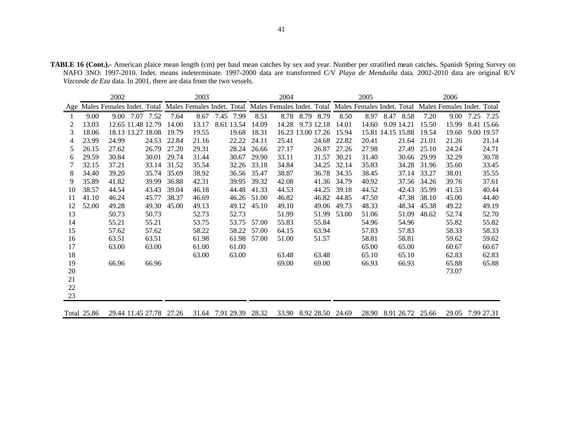**TABLE 16 (Cont.).-** American plaice mean length (cm) per haul mean catches by sex and year. Number per stratified mean catches. Spanish Spring Survey on NAFO 3NO: 1997-2010. Indet. means indeterminate. 1997-2000 data are transformed C/V *Playa de Menduíña* data. 2002-2010 data are original R/V *Vizconde de Eza* data. In 2001, there are data from the two vessels.

|     |             | 2002  |                            |       | 2003  |                                                                                                             |       | 2004  |                        |       | 2005  |                        |       | 2006  |                  |
|-----|-------------|-------|----------------------------|-------|-------|-------------------------------------------------------------------------------------------------------------|-------|-------|------------------------|-------|-------|------------------------|-------|-------|------------------|
| Age |             |       | Males Females Indet. Total |       |       | Males Females Indet. Total Males Females Indet. Total Males Females Indet. Total Males Females Indet. Total |       |       |                        |       |       |                        |       |       |                  |
|     | 9.00        |       | 7.52<br>9.00 7.07          | 7.64  | 8.67  | 7.99<br>7.45                                                                                                | 8.51  | 8.78  | 8.79<br>8.79           | 8.50  | 8.97  | 8.47<br>8.58           | 7.20  | 9.00  | 7.25 7.25        |
| 2   | 13.03       |       | 12.65 11.48 12.79          | 14.00 | 13.17 | 8.61 13.54                                                                                                  | 14.09 | 14.28 | 9.73 12.18             | 14.01 | 14.60 | 9.09 14.21             | 15.50 | 15.99 | 8.41 15.66       |
| 3   | 18.06       |       | 18.13 13.27 18.08          | 19.79 | 19.55 | 19.68                                                                                                       | 18.31 |       | 16.23 13.00 17.26      | 15.94 |       | 15.81 14.15 15.88      | 19.54 | 19.60 | 9.00 19.57       |
| 4   | 23.99       | 24.99 | 24.53                      | 22.84 | 21.16 | 22.22                                                                                                       | 24.11 | 25.41 | 24.68                  | 22.82 | 20.41 | 21.64                  | 21.01 | 21.26 | 21.14            |
| 5   | 26.15       | 27.62 | 26.79                      | 27.20 | 29.31 | 28.24                                                                                                       | 26.66 | 27.17 | 26.87                  | 27.26 | 27.98 | 27.49                  | 25.10 | 24.24 | 24.71            |
| 6   | 29.59       | 30.84 | 30.01                      | 29.74 | 31.44 | 30.67                                                                                                       | 29.90 | 33.11 | 31.57                  | 30.21 | 31.40 | 30.66                  | 29.99 | 32.29 | 30.78            |
| 7   | 32.15       | 37.21 | 33.14                      | 31.52 | 35.54 | 32.26                                                                                                       | 33.18 | 34.84 | 34.25                  | 32.14 | 35.83 | 34.28                  | 31.96 | 35.60 | 33.45            |
| 8   | 34.40       | 39.20 | 35.74                      | 35.69 | 38.92 | 36.56                                                                                                       | 35.47 | 38.87 | 36.78                  | 34.35 | 38.45 | 37.14                  | 33.27 | 38.01 | 35.55            |
| 9   | 35.89       | 41.82 | 39.99                      | 36.88 | 42.31 | 39.95                                                                                                       | 39.32 | 42.08 | 41.36                  | 34.79 | 40.92 | 37.56                  | 34.26 | 39.76 | 37.61            |
| 10  | 38.57       | 44.54 | 43.43                      | 39.04 | 46.18 | 44.48                                                                                                       | 41.33 | 44.53 | 44.25                  | 39.18 | 44.52 | 42.43                  | 35.99 | 41.53 | 40.44            |
| 11  | 41.10       | 46.24 | 45.77                      | 38.37 | 46.69 | 46.26                                                                                                       | 51.00 | 46.82 | 46.82                  | 44.85 | 47.50 | 47.38                  | 38.10 | 45.00 | 44.40            |
| 12  | 52.00       | 49.28 | 49.30                      | 45.00 | 49.13 | 49.12                                                                                                       | 45.10 | 49.10 | 49.06                  | 49.73 | 48.33 | 48.34                  | 45.38 | 49.22 | 49.19            |
| 13  |             | 50.73 | 50.73                      |       | 52.73 | 52.73                                                                                                       |       | 51.99 | 51.99                  | 53.00 | 51.06 | 51.09                  | 48.62 | 52.74 | 52.70            |
| 14  |             | 55.21 | 55.21                      |       | 53.75 | 53.75                                                                                                       | 57.00 | 55.83 | 55.84                  |       | 54.96 | 54.96                  |       | 55.82 | 55.82            |
| 15  |             | 57.62 | 57.62                      |       | 58.22 | 58.22                                                                                                       | 57.00 | 64.15 | 63.94                  |       | 57.83 | 57.83                  |       | 58.33 | 58.33            |
| 16  |             | 63.51 | 63.51                      |       | 61.98 | 61.98                                                                                                       | 57.00 | 51.00 | 51.57                  |       | 58.81 | 58.81                  |       | 59.62 | 59.62            |
| 17  |             | 63.00 | 63.00                      |       | 61.00 | 61.00                                                                                                       |       |       |                        |       | 65.00 | 65.00                  |       | 60.67 | 60.67            |
| 18  |             |       |                            |       | 63.00 | 63.00                                                                                                       |       | 63.48 | 63.48                  |       | 65.10 | 65.10                  |       | 62.83 | 62.83            |
| 19  |             | 66.96 | 66.96                      |       |       |                                                                                                             |       | 69.00 | 69.00                  |       | 66.93 | 66.93                  |       | 65.88 | 65.88            |
| 20  |             |       |                            |       |       |                                                                                                             |       |       |                        |       |       |                        |       | 73.07 |                  |
| 21  |             |       |                            |       |       |                                                                                                             |       |       |                        |       |       |                        |       |       |                  |
| 22  |             |       |                            |       |       |                                                                                                             |       |       |                        |       |       |                        |       |       |                  |
| 23  |             |       |                            |       |       |                                                                                                             |       |       |                        |       |       |                        |       |       |                  |
|     | Total 25.86 |       | 29.44 11.45 27.78          | 27.26 |       | 31.64 7.91 29.39                                                                                            | 28.32 |       | 33.90 8.92 28.50 24.69 |       |       | 28.90 8.91 26.72 25.66 |       |       | 29.05 7.99 27.31 |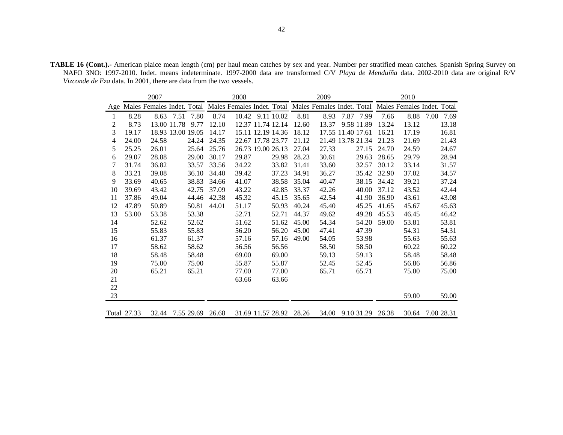**TABLE 16 (Cont.).-** American plaice mean length (cm) per haul mean catches by sex and year. Number per stratified mean catches. Spanish Spring Survey on NAFO 3NO: 1997-2010. Indet. means indeterminate. 1997-2000 data are transformed C/V *Playa de Menduíña* data. 2002-2010 data are original R/V *Vizconde de Eza* data. In 2001, there are data from the two vessels.

|     |             | 2007  |                                                                                                             |       | 2008              |                   |                         | 2009              |      |                   |       | 2010  |            |       |
|-----|-------------|-------|-------------------------------------------------------------------------------------------------------------|-------|-------------------|-------------------|-------------------------|-------------------|------|-------------------|-------|-------|------------|-------|
| Age |             |       | Males Females Indet. Total Males Females Indet. Total Males Females Indet. Total Males Females Indet. Total |       |                   |                   |                         |                   |      |                   |       |       |            |       |
| 1   | 8.28        | 8.63  | 7.51<br>7.80                                                                                                | 8.74  |                   | 10.42 9.11 10.02  | 8.81                    | 8.93              | 7.87 | 7.99              | 7.66  | 8.88  | 7.00       | 7.69  |
| 2   | 8.73        |       | 13.00 11.78<br>9.77                                                                                         | 12.10 |                   | 12.37 11.74 12.14 | 12.60                   | 13.37             |      | 9.58 11.89        | 13.24 | 13.12 |            | 13.18 |
| 3   | 19.17       |       | 18.93 13.00 19.05                                                                                           | 14.17 |                   | 15.11 12.19 14.36 | 18.12                   | 17.55 11.40 17.61 |      |                   | 16.21 | 17.19 |            | 16.81 |
| 4   | 24.00       | 24.58 | 24.24                                                                                                       | 24.35 | 22.67 17.78 23.77 |                   | 21.12                   |                   |      | 21.49 13.78 21.34 | 21.23 | 21.69 |            | 21.43 |
| 5   | 25.25       | 26.01 | 25.64                                                                                                       | 25.76 |                   | 26.73 19.00 26.13 | 27.04                   | 27.33             |      | 27.15             | 24.70 | 24.59 |            | 24.67 |
| 6   | 29.07       | 28.88 | 29.00                                                                                                       | 30.17 | 29.87             | 29.98             | 28.23                   | 30.61             |      | 29.63             | 28.65 | 29.79 |            | 28.94 |
| 7   | 31.74       | 36.82 | 33.57                                                                                                       | 33.56 | 34.22             | 33.82             | 31.41                   | 33.60             |      | 32.57             | 30.12 | 33.14 |            | 31.57 |
| 8   | 33.21       | 39.08 | 36.10                                                                                                       | 34.40 | 39.42             | 37.23             | 34.91                   | 36.27             |      | 35.42             | 32.90 | 37.02 |            | 34.57 |
| 9   | 33.69       | 40.65 | 38.83                                                                                                       | 34.66 | 41.07             | 38.58             | 35.04                   | 40.47             |      | 38.15             | 34.42 | 39.21 |            | 37.24 |
| 10  | 39.69       | 43.42 | 42.75                                                                                                       | 37.09 | 43.22             | 42.85             | 33.37                   | 42.26             |      | 40.00             | 37.12 | 43.52 |            | 42.44 |
| 11  | 37.86       | 49.04 | 44.46                                                                                                       | 42.38 | 45.32             | 45.15             | 35.65                   | 42.54             |      | 41.90             | 36.90 | 43.61 |            | 43.08 |
| 12  | 47.89       | 50.89 | 50.81                                                                                                       | 44.01 | 51.17             | 50.93             | 40.24                   | 45.40             |      | 45.25             | 41.65 | 45.67 |            | 45.63 |
| 13  | 53.00       | 53.38 | 53.38                                                                                                       |       | 52.71             | 52.71             | 44.37                   | 49.62             |      | 49.28             | 45.53 | 46.45 |            | 46.42 |
| 14  |             | 52.62 | 52.62                                                                                                       |       | 51.62             | 51.62             | 45.00                   | 54.34             |      | 54.20             | 59.00 | 53.81 |            | 53.81 |
| 15  |             | 55.83 | 55.83                                                                                                       |       | 56.20             | 56.20             | 45.00                   | 47.41             |      | 47.39             |       | 54.31 |            | 54.31 |
| 16  |             | 61.37 | 61.37                                                                                                       |       | 57.16             | 57.16             | 49.00                   | 54.05             |      | 53.98             |       | 55.63 |            | 55.63 |
| 17  |             | 58.62 | 58.62                                                                                                       |       | 56.56             | 56.56             |                         | 58.50             |      | 58.50             |       | 60.22 |            | 60.22 |
| 18  |             | 58.48 | 58.48                                                                                                       |       | 69.00             | 69.00             |                         | 59.13             |      | 59.13             |       | 58.48 |            | 58.48 |
| 19  |             | 75.00 | 75.00                                                                                                       |       | 55.87             | 55.87             |                         | 52.45             |      | 52.45             |       | 56.86 |            | 56.86 |
| 20  |             | 65.21 | 65.21                                                                                                       |       | 77.00             | 77.00             |                         | 65.71             |      | 65.71             |       | 75.00 |            | 75.00 |
| 21  |             |       |                                                                                                             |       | 63.66             | 63.66             |                         |                   |      |                   |       |       |            |       |
| 22  |             |       |                                                                                                             |       |                   |                   |                         |                   |      |                   |       |       |            |       |
| 23  |             |       |                                                                                                             |       |                   |                   |                         |                   |      |                   |       | 59.00 |            | 59.00 |
|     | Total 27.33 | 32.44 | 7.55 29.69                                                                                                  | 26.68 |                   |                   | 31.69 11.57 28.92 28.26 | 34.00             |      | 9.10 31.29        | 26.38 | 30.64 | 7.00 28.31 |       |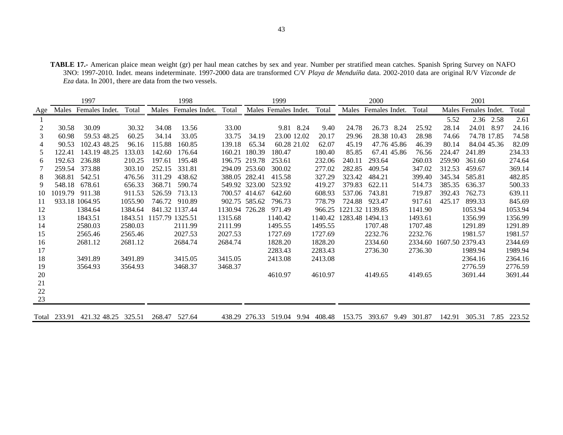**TABLE 17.-** American plaice mean weight (gr) per haul mean catches by sex and year. Number per stratified mean catches. Spanish Spring Survey on NAFO 3NO: 1997-2010. Indet. means indeterminate. 1997-2000 data are transformed C/V *Playa de Menduíña* data. 2002-2010 data are original R/V *Vizconde de Eza* data. In 2001, there are data from the two vessels.

|                |              | 1997                |         |                 | 1998                 |                |               | 1999                      |         |                         | 2000           |         |                         | 2001                 |      |         |
|----------------|--------------|---------------------|---------|-----------------|----------------------|----------------|---------------|---------------------------|---------|-------------------------|----------------|---------|-------------------------|----------------------|------|---------|
| Age            | Males        | Females Indet.      | Total   |                 | Males Females Indet. | Total          |               | Males Females Indet.      | Total   | Males                   | Females Indet. | Total   |                         | Males Females Indet. |      | Total   |
|                |              |                     |         |                 |                      |                |               |                           |         |                         |                |         | 5.52                    | 2.36 2.58            |      | 2.61    |
| $\overline{2}$ | 30.58        | 30.09               | 30.32   | 34.08           | 13.56                | 33.00          |               | 9.81 8.24                 | 9.40    | 24.78                   | 8.24<br>26.73  | 25.92   | 28.14                   | 24.01                | 8.97 | 24.16   |
| 3              | 60.98        | 59.53 48.25         | 60.25   | 34.14           | 33.05                | 33.75          | 34.19         | 23.00 12.02               | 20.17   | 29.96                   | 28.38 10.43    | 28.98   | 74.66                   | 74.78 17.85          |      | 74.58   |
| 4              | 90.53        | 102.43 48.25        | 96.16   | 115.88          | 160.85               | 139.18         | 65.34         | 60.28 21.02               | 62.07   | 45.19                   | 47.76 45.86    | 46.39   | 80.14                   | 84.04 45.36          |      | 82.09   |
| 5              | 122.41       | 143.19 48.25        | 133.03  | 142.60          | 176.64               |                | 160.21 180.39 | 180.47                    | 180.40  | 85.85                   | 67.41 45.86    | 76.56   | 224.47                  | 241.89               |      | 234.33  |
| 6              | 192.63       | 236.88              | 210.25  | 197.61          | 195.48               |                | 196.75 219.78 | 253.61                    | 232.06  | 240.11                  | 293.64         | 260.03  | 259.90                  | 361.60               |      | 274.64  |
|                | 259.54       | 373.88              | 303.10  | 252.15          | 331.81               |                | 294.09 253.60 | 300.02                    | 277.02  | 282.85                  | 409.54         | 347.02  | 312.53                  | 459.67               |      | 369.14  |
| 8              | 368.81       | 542.51              | 476.56  | 311.29          | 438.62               |                | 388.05 282.41 | 415.58                    | 327.29  | 323.42                  | 484.21         | 399.40  | 345.34                  | 585.81               |      | 482.85  |
| 9              | 548.18       | 678.61              | 656.33  | 368.71          | 590.74               |                | 549.92 323.00 | 523.92                    | 419.27  | 379.83                  | 622.11         | 514.73  | 385.35                  | 636.37               |      | 500.33  |
| 10             | 1019.79      | 911.38              | 911.53  | 526.59          | 713.13               |                | 700.57 414.67 | 642.60                    | 608.93  | 537.06                  | 743.81         | 719.87  | 392.43                  | 762.73               |      | 639.11  |
| -11            |              | 933.18 1064.95      | 1055.90 |                 | 746.72 910.89        |                | 902.75 585.62 | 796.73                    | 778.79  | 724.88                  | 923.47         | 917.61  | 425.17                  | 899.33               |      | 845.69  |
| 12             |              | 1384.64             | 1384.64 |                 | 841.32 1137.44       | 1130.94 726.28 |               | 971.49                    | 966.25  | 1221.32 1139.85         |                | 1141.90 |                         | 1053.94              |      | 1053.94 |
| 13             |              | 1843.51             | 1843.51 | 1157.79 1325.51 |                      | 1315.68        |               | 1140.42                   |         | 1140.42 1283.48 1494.13 |                | 1493.61 |                         | 1356.99              |      | 1356.99 |
| 14             |              | 2580.03             | 2580.03 |                 | 2111.99              | 2111.99        |               | 1495.55                   | 1495.55 |                         | 1707.48        | 1707.48 |                         | 1291.89              |      | 1291.89 |
| 15             |              | 2565.46             | 2565.46 |                 | 2027.53              | 2027.53        |               | 1727.69                   | 1727.69 |                         | 2232.76        | 2232.76 |                         | 1981.57              |      | 1981.57 |
| 16             |              | 2681.12             | 2681.12 |                 | 2684.74              | 2684.74        |               | 1828.20                   | 1828.20 |                         | 2334.60        |         | 2334.60 1607.50 2379.43 |                      |      | 2344.69 |
| 17             |              |                     |         |                 |                      |                |               | 2283.43                   | 2283.43 |                         | 2736.30        | 2736.30 |                         | 1989.94              |      | 1989.94 |
| 18             |              | 3491.89             | 3491.89 |                 | 3415.05              | 3415.05        |               | 2413.08                   | 2413.08 |                         |                |         |                         | 2364.16              |      | 2364.16 |
| 19             |              | 3564.93             | 3564.93 |                 | 3468.37              | 3468.37        |               |                           |         |                         |                |         |                         | 2776.59              |      | 2776.59 |
| 20             |              |                     |         |                 |                      |                |               | 4610.97                   | 4610.97 |                         | 4149.65        | 4149.65 |                         | 3691.44              |      | 3691.44 |
| 21             |              |                     |         |                 |                      |                |               |                           |         |                         |                |         |                         |                      |      |         |
| 22             |              |                     |         |                 |                      |                |               |                           |         |                         |                |         |                         |                      |      |         |
| 23             |              |                     |         |                 |                      |                |               |                           |         |                         |                |         |                         |                      |      |         |
|                |              |                     |         |                 |                      |                |               |                           |         |                         |                |         |                         |                      |      |         |
|                | Total 233.91 | 421.32 48.25 325.51 |         |                 | 268.47 527.64        |                |               | 438.29 276.33 519.04 9.94 | 408.48  | 153.75                  | 393.67<br>9.49 | 301.87  | 142.91                  | 305.31 7.85 223.52   |      |         |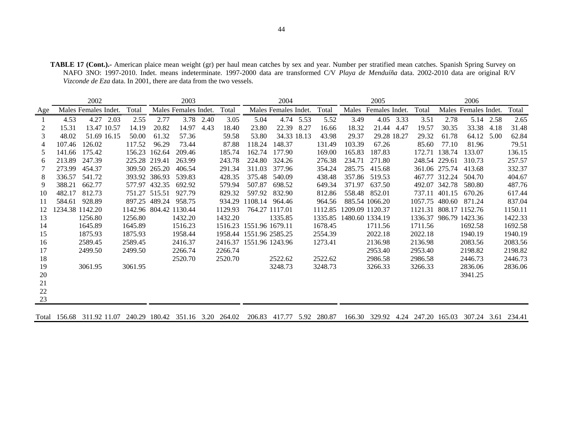**TABLE 17 (Cont.).-** American plaice mean weight (gr) per haul mean catches by sex and year. Number per stratified mean catches. Spanish Spring Survey on NAFO 3NO: 1997-2010. Indet. means indeterminate. 1997-2000 data are transformed C/V *Playa de Menduíña* data. 2002-2010 data are original R/V *Vizconde de Eza* data. In 2001, there are data from the two vessels.

|     | 2002<br>2003 |                      |  |               |               |                        |           |         |                         | 2004                 |           |         |                 | 2005                 |           |                |               | 2006                   |           |         |
|-----|--------------|----------------------|--|---------------|---------------|------------------------|-----------|---------|-------------------------|----------------------|-----------|---------|-----------------|----------------------|-----------|----------------|---------------|------------------------|-----------|---------|
| Age |              | Males Females Indet. |  | Total         |               | Males Females Indet.   |           | Total   |                         | Males Females Indet. |           | Total   |                 | Males Females Indet. |           | Total          |               | Males Females Indet.   |           | Total   |
|     | 4.53         | 4.27 2.03            |  | 2.55          | 2.77          |                        | 3.78 2.40 | 3.05    | 5.04                    |                      | 4.74 5.53 | 5.52    | 3.49            |                      | 4.05 3.33 | 3.51           | 2.78          |                        | 5.14 2.58 | 2.65    |
| 2   | 15.31        | 13.47 10.57          |  | 14.19         | 20.82         | 14.97                  | 4.43      | 18.40   | 23.80                   | 22.39                | 8.27      | 16.66   | 18.32           | 21.44                | -4.47     | 19.57          | 30.35         | 33.38                  | 4.18      | 31.48   |
| 3   | 48.02        | 51.69 16.15          |  | 50.00         | 61.32         | 57.36                  |           | 59.58   | 53.80                   | 34.33 18.13          |           | 43.98   | 29.37           | 29.28 18.27          |           | 29.32          | 61.78         | 64.12                  | 5.00      | 62.84   |
| 4   | 107.46       | 126.02               |  | 117.52        | 96.29         | 73.44                  |           | 87.88   | 118.24                  | 148.37               |           | 131.49  | 103.39          | 67.26                |           | 85.60          | 77.10         | 81.96                  |           | 79.51   |
| 5   | 141.66       | 175.42               |  |               | 156.23 162.64 | 209.46                 |           | 185.74  | 162.74                  | 177.90               |           | 169.00  | 165.83          | 187.83               |           |                | 172.71 138.74 | 133.07                 |           | 136.15  |
| 6   | 213.89       | 247.39               |  | 225.28 219.41 |               | 263.99                 |           | 243.78  | 224.80                  | 324.26               |           | 276.38  | 234.71          | 271.80               |           |                | 248.54 229.61 | 310.73                 |           | 257.57  |
|     | 273.99       | 454.37               |  |               | 309.50 265.20 | 406.54                 |           | 291.34  | 311.03                  | 377.96               |           | 354.24  | 285.75          | 415.68               |           |                | 361.06 275.74 | 413.68                 |           | 332.37  |
| 8   | 336.57       | 541.72               |  |               | 393.92 386.93 | 539.83                 |           | 428.35  | 375.48                  | 540.09               |           | 438.48  | 357.86          | 519.53               |           |                | 467.77 312.24 | 504.70                 |           | 404.67  |
| 9   | 388.21       | 662.77               |  |               | 577.97 432.35 | 692.92                 |           | 579.94  | 507.87                  | 698.52               |           | 649.34  | 371.97          | 637.50               |           |                | 492.07 342.78 | 580.80                 |           | 487.76  |
| 10  | 482.17       | 812.73               |  |               | 751.27 515.51 | 927.79                 |           | 829.32  | 597.92                  | 832.90               |           | 812.86  | 558.48          | 852.01               |           | 737.11         | 401.15        | 670.26                 |           | 617.44  |
| 11  | 584.61       | 928.89               |  | 897.25 489.24 |               | 958.75                 |           | 934.29  | 1108.14                 | 964.46               |           | 964.56  |                 | 885.54 1066.20       |           | 1057.75 480.60 |               | 871.24                 |           | 837.04  |
| 12  |              | 1234.38 1142.20      |  |               |               | 1142.96 804.42 1130.44 |           | 1129.93 |                         | 764.27 1117.01       |           | 1112.85 | 1209.09 1120.37 |                      |           |                |               | 1121.31 808.17 1152.76 |           | 1150.11 |
| 13  |              | 1256.80              |  | 1256.80       |               | 1432.20                |           | 1432.20 |                         | 1335.85              |           | 1335.85 | 1480.60 1334.19 |                      |           |                |               | 1336.37 986.79 1423.36 |           | 1422.33 |
| 14  |              | 1645.89              |  | 1645.89       |               | 1516.23                |           |         | 1516.23 1551.96 1679.11 |                      |           | 1678.45 |                 | 1711.56              |           | 1711.56        |               | 1692.58                |           | 1692.58 |
| 15  |              | 1875.93              |  | 1875.93       |               | 1958.44                |           |         | 1958.44 1551.96 2585.25 |                      |           | 2554.39 |                 | 2022.18              |           | 2022.18        |               | 1940.19                |           | 1940.19 |
| 16  |              | 2589.45              |  | 2589.45       |               | 2416.37                |           |         | 2416.37 1551.96 1243.96 |                      |           | 1273.41 |                 | 2136.98              |           | 2136.98        |               | 2083.56                |           | 2083.56 |
| 17  |              | 2499.50              |  | 2499.50       |               | 2266.74                |           | 2266.74 |                         |                      |           |         |                 | 2953.40              |           | 2953.40        |               | 2198.82                |           | 2198.82 |
| 18  |              |                      |  |               |               | 2520.70                |           | 2520.70 |                         | 2522.62              |           | 2522.62 |                 | 2986.58              |           | 2986.58        |               | 2446.73                |           | 2446.73 |
| 19  |              | 3061.95              |  | 3061.95       |               |                        |           |         |                         | 3248.73              |           | 3248.73 |                 | 3266.33              |           | 3266.33        |               | 2836.06                |           | 2836.06 |
| 20  |              |                      |  |               |               |                        |           |         |                         |                      |           |         |                 |                      |           |                |               | 3941.25                |           |         |
| 21  |              |                      |  |               |               |                        |           |         |                         |                      |           |         |                 |                      |           |                |               |                        |           |         |
| 22  |              |                      |  |               |               |                        |           |         |                         |                      |           |         |                 |                      |           |                |               |                        |           |         |
| 23  |              |                      |  |               |               |                        |           |         |                         |                      |           |         |                 |                      |           |                |               |                        |           |         |
|     |              |                      |  |               |               |                        |           |         |                         |                      |           |         |                 |                      |           |                |               |                        |           |         |

Total 156.68 311.92 11.07 240.29 180.42 351.16 3.20 264.02 206.83 417.77 5.92 280.87 166.30 329.92 4.24 247.20 165.03 307.24 3.61 234.41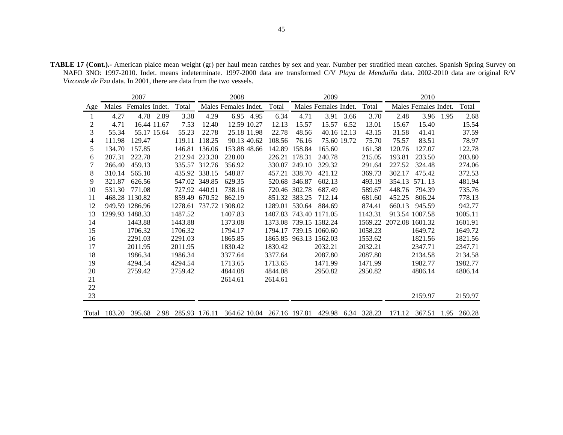**TABLE 17 (Cont.).-** American plaice mean weight (gr) per haul mean catches by sex and year. Number per stratified mean catches. Spanish Spring Survey on NAFO 3NO: 1997-2010. Indet. means indeterminate. 1997-2000 data are transformed C/V *Playa de Menduíña* data. 2002-2010 data are original R/V *Vizconde de Eza* data. In 2001, there are data from the two vessels.

|        |              | 2007            |           |                                                                         |               | 2008                 |           |                        |               | 2009                 |             |         |                         | 2010                 |           |             |
|--------|--------------|-----------------|-----------|-------------------------------------------------------------------------|---------------|----------------------|-----------|------------------------|---------------|----------------------|-------------|---------|-------------------------|----------------------|-----------|-------------|
| Age    | Males        | Females Indet.  |           | Total                                                                   |               | Males Females Indet. |           | Total                  |               | Males Females Indet. |             | Total   |                         | Males Females Indet. |           | Total       |
| 1      | 4.27         |                 | 4.78 2.89 | 3.38                                                                    | 4.29          |                      | 6.95 4.95 | 6.34                   | 4.71          | 3.91                 | 3.66        | 3.70    | 2.48                    |                      | 3.96 1.95 | 2.68        |
| 2      | 4.71         | 16.44 11.67     |           | 7.53                                                                    | 12.40         | 12.59 10.27          |           | 12.13                  | 15.57         | 15.57                | 6.52        | 13.01   | 15.67                   | 15.40                |           | 15.54       |
| 3      | 55.34        | 55.17 15.64     |           | 55.23                                                                   | 22.78         | 25.18 11.98          |           | 22.78                  | 48.56         |                      | 40.16 12.13 | 43.15   | 31.58                   | 41.41                |           | 37.59       |
| 4      | 111.98       | 129.47          |           | 119.11                                                                  | 118.25        | 90.13 40.62          |           | 108.56                 | 76.16         |                      | 75.60 19.72 | 75.70   | 75.57                   | 83.51                |           | 78.97       |
| 5      | 134.70       | 157.85          |           |                                                                         | 146.81 136.06 | 153.88 48.66         |           | 142.89                 | 158.84        | 165.60               |             | 161.38  | 120.76                  | 127.07               |           | 122.78      |
| 6      | 207.31       | 222.78          |           |                                                                         | 212.94 223.30 | 228.00               |           |                        | 226.21 178.31 | 240.78               |             | 215.05  | 193.81                  | 233.50               |           | 203.80      |
| 7      | 266.40       | 459.13          |           |                                                                         | 335.57 312.76 | 356.92               |           | 330.07                 | 249.10        | 329.32               |             | 291.64  | 227.52                  | 324.48               |           | 274.06      |
| 8      | 310.14       | 565.10          |           |                                                                         | 435.92 338.15 | 548.87               |           |                        | 457.21 338.70 | 421.12               |             | 369.73  | 302.17                  | 475.42               |           | 372.53      |
| 9      | 321.87       | 626.56          |           |                                                                         | 547.02 349.85 | 629.35               |           |                        | 520.68 346.87 | 602.13               |             | 493.19  | 354.13                  | 571.13               |           | 481.94      |
| 10     | 531.30       | 771.08          |           |                                                                         | 727.92 440.91 | 738.16               |           |                        | 720.46 302.78 | 687.49               |             | 589.67  | 448.76                  | 794.39               |           | 735.76      |
| 11     |              | 468.28 1130.82  |           |                                                                         | 859.49 670.52 | 862.19               |           |                        | 851.32 383.25 | 712.14               |             | 681.60  | 452.25                  | 806.24               |           | 778.13      |
| 12     |              | 949.59 1286.96  |           | 1278.61 737.72 1308.02                                                  |               |                      |           | 1289.01 530.64         |               | 884.69               |             | 874.41  | 660.13                  | 945.59               |           | 942.77      |
| 13     |              | 1299.93 1488.33 |           | 1487.52                                                                 |               | 1407.83              |           | 1407.83 743.40 1171.05 |               |                      |             | 1143.31 |                         | 913.54 1007.58       |           | 1005.11     |
| 14     |              | 1443.88         |           | 1443.88                                                                 |               | 1373.08              |           | 1373.08 739.15 1582.24 |               |                      |             |         | 1569.22 2072.08 1601.32 |                      |           | 1601.91     |
| 15     |              | 1706.32         |           | 1706.32                                                                 |               | 1794.17              |           | 1794.17                |               | 739.15 1060.60       |             | 1058.23 |                         | 1649.72              |           | 1649.72     |
| 16     |              | 2291.03         |           | 2291.03                                                                 |               | 1865.85              |           | 1865.85 963.13 1562.03 |               |                      |             | 1553.62 |                         | 1821.56              |           | 1821.56     |
| 17     |              | 2011.95         |           | 2011.95                                                                 |               | 1830.42              |           | 1830.42                |               | 2032.21              |             | 2032.21 |                         | 2347.71              |           | 2347.71     |
| 18     |              | 1986.34         |           | 1986.34                                                                 |               | 3377.64              |           | 3377.64                |               | 2087.80              |             | 2087.80 |                         | 2134.58              |           | 2134.58     |
| 19     |              | 4294.54         |           | 4294.54                                                                 |               | 1713.65              |           | 1713.65                |               | 1471.99              |             | 1471.99 |                         | 1982.77              |           | 1982.77     |
| 20     |              | 2759.42         |           | 2759.42                                                                 |               | 4844.08              |           | 4844.08                |               | 2950.82              |             | 2950.82 |                         | 4806.14              |           | 4806.14     |
| 21     |              |                 |           |                                                                         |               | 2614.61              |           | 2614.61                |               |                      |             |         |                         |                      |           |             |
| $22\,$ |              |                 |           |                                                                         |               |                      |           |                        |               |                      |             |         |                         |                      |           |             |
| 23     |              |                 |           |                                                                         |               |                      |           |                        |               |                      |             |         |                         | 2159.97              |           | 2159.97     |
|        |              |                 |           |                                                                         |               |                      |           |                        |               |                      |             |         |                         |                      |           |             |
|        | Total 183.20 |                 |           | 395.68 2.98 285.93 176.11 364.62 10.04 267.16 197.81 429.98 6.34 328.23 |               |                      |           |                        |               |                      |             |         |                         | 171.12 367.51        |           | 1.95 260.28 |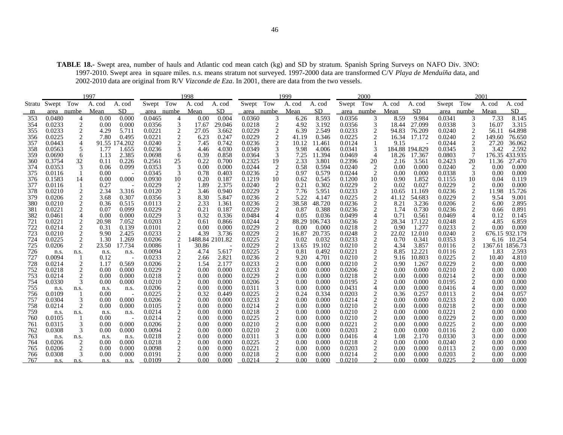**TABLE 18.-** Swept area, number of hauls and Atlantic cod mean catch (kg) and SD by stratum. Spanish Spring Surveys on NAFO Div. 3NO: 1997-2010. Swept area in square miles. n.s. means stratum not surveyed. 1997-2000 data are transformed C/V *Playa de Menduíña* data, and 2002-2010 data are original from R/V *Vizconde de Eza*. In 2001, there are data from the two vessels.

|            |                  |                     | 1997         |                |                  |                                  | 1998            |                |                  |                | 1999          |                 |                  | 2000                    |              |                |                  |                | 2001         |                |
|------------|------------------|---------------------|--------------|----------------|------------------|----------------------------------|-----------------|----------------|------------------|----------------|---------------|-----------------|------------------|-------------------------|--------------|----------------|------------------|----------------|--------------|----------------|
|            | Stratu Swept Tow |                     | A. cod       | A. cod         | Swept Tow        |                                  | A. cod          | A. cod         | Swept Tow        |                | A. cod        | A. cod          | Swept Tow        |                         | A. cod       | A. cod         | Swept Tow        |                | A. cod       | A. cod         |
| m          |                  | area numbe          | Mean         | <b>SD</b>      |                  | area numbe                       | Mean            | SD.            | area numbe       |                | Mean          | SD.             |                  | area numbe              | Mean         | <b>SD</b>      | area             | numbe          | Mean         | SD             |
| 353        | 0.0480           | 4                   | 0.00         | 0.000          | 0.0465           | 4                                | 0.00            | 0.004          | 0.0360           | 3              | 6.26          | 8.593           | 0.0356           | 3                       | 8.59         | 9.984          | 0.0341           | 3              | 7.33         | 8.145          |
| 354        | 0.0233           | $\sqrt{2}$          | 0.00         | 0.000          | 0.0356           | 3                                | 17.67           | 29.046         | 0.0218           | $\sqrt{2}$     | 4.92          | 3.192           | 0.0356           | 3                       | 18.44        | 27.099         | 0.0338           | 3              | 16.07        | 3.315          |
| 355        | 0.0233           | 2                   | 4.29         | 5.711          | 0.0221           | $\boldsymbol{2}$                 | 27.05           | 3.662          | 0.0229           | $\frac{2}{2}$  | 6.39          | 2.549           | 0.0233           | $\overline{c}$          | 94.83        | 76.209         | 0.0240           | 2              | 56.11        | 64.898         |
| 356        | 0.0225           | $\overline{c}$      | 7.80         | 0.495          | 0.0221           | $\boldsymbol{2}$                 | 6.23            | 0.247          | 0.0229           |                | 41.19         | 0.346           | 0.0225           | $\overline{2}$          | 16.34        | 17.172         | 0.0240           |                | 149.60       | 76.650         |
| 357        | 0.0443           | 4                   | 91.55        | 174.202        | 0.0240           | $\overline{2}$                   | 7.45            | 0.742          | 0.0236           | $\sqrt{2}$     | 10.12         | 11.461          | 0.0124           |                         | 9.15         |                | 0.0244           | 2              | 27.20        | 36.062         |
| 358        | 0.0563           | 5                   | 1.77         | 1.655          | 0.0236           | 3                                | 4.46            | 4.030          | 0.0349           | $\mathfrak{Z}$ | 9.98          | 4.006           | 0.0341           | 3                       |              | 184.88 194.829 | 0.0345           |                | 3.42         | 2.592          |
| 359        | 0.0690           | 6                   | 1.13         | 2.385          | 0.0698           | 6                                | 0.39            | 0.858          | 0.0364           | 3              | 7.25          | 11.394          | 0.0469           | $\overline{4}$          | 18.26        | 17.367         | 0.0803           |                |              | 176.35 433.935 |
| 360        | 0.3754           | 32                  | 0.11         | 0.226          | 0.2561           | $25\,$                           | 0.22            | 0.700          | 0.2325           | 19             | 2.33          | 3.801           | 0.2396           | 20                      | 2.16         | 3.561          | 0.2423           | $20\,$         | 11.36        | 27.470         |
| 374        | 0.0353           | 3                   | 0.06         | 0.099          | 0.0353           | 3                                | 0.00            | 0.000          | 0.0244           | $\frac{2}{2}$  | 0.58          | 0.594           | 0.0240           | $\overline{c}$          | 0.00         | 0.000          | 0.0240           | $\overline{c}$ | 0.00         | 0.000          |
| 375        | 0.0116           | -1                  | 0.00         |                | 0.0345           | 3                                | 0.78            | 0.403          | 0.0236           |                | 0.97          | 0.579           | 0.0244           | $\overline{2}$          | 0.00         | 0.000          | 0.0338           | 3              | 0.00         | 0.000          |
| 376        | 0.1583           | 14                  | 0.00         | 0.000          | 0.0930           | 10                               | 0.20            | 0.187          | 0.1219           | 10             | 0.62          | 0.545           | 0.1200           | 10                      | 0.90         | 1.852          | 0.1155           | 10             | 0.04         | 0.119          |
| 377        | 0.0116           | -1                  | 0.27         |                | 0.0229           | $\overline{c}$                   | 1.89            | 2.375          | 0.0240           | $\overline{2}$ | 0.21          | 0.302           | 0.0229           | $\overline{c}$          | 0.02         | 0.027          | 0.0229           | 2              | 0.00         | 0.000          |
| 378        | 0.0210           | 2                   | 2.34         | 3.316          | 0.0120           | 2                                | 3.46            | 0.940          | 0.0229           | $\overline{c}$ | 7.76          | 5.951           | 0.0233           | $\overline{c}$          | 10.65        | 11.169         | 0.0236           | 2              | 11.98        | 15.726         |
| 379        | 0.0206           | $\boldsymbol{2}$    | 3.68         | 0.307          | 0.0356           | $\mathfrak{Z}$<br>$\overline{2}$ | 8.30            | 5.847          | 0.0236<br>0.0236 | $\frac{2}{2}$  | 5.22<br>38.58 | 4.147           | 0.0225<br>0.0236 | $\overline{c}$          | 41.12        | 54.683         | 0.0229<br>0.0206 | $\overline{c}$ | 9.54         | 9.001          |
| 380<br>381 | 0.0210<br>0.0221 | $\overline{c}$<br>2 | 0.36<br>0.07 | 0.515<br>0.099 | 0.0113<br>0.0229 | $\sqrt{2}$                       | 2.33<br>0.21    | 1.361<br>0.187 | 0.0229           | $\overline{2}$ | 0.87          | 48.720<br>0.388 | 0.0236           | 2<br>2                  | 8.21<br>1.74 | 3.236<br>0.730 | 0.0236           | 2<br>2         | 6.00<br>0.66 | 2.895<br>0.891 |
| 382        | 0.0461           | 4                   | 0.00         | 0.000          | 0.0229           | $\mathfrak{Z}$                   | 0.32            | 0.336          | 0.0484           | $\overline{4}$ | 0.05          | 0.036           | 0.0499           | $\overline{4}$          | 0.71         | 0.561          | 0.0469           | $\overline{4}$ | 0.12         | 0.145          |
| 721        | 0.0221           | 2                   | 20.98        | 7.052          | 0.0203           | $\overline{c}$                   | 0.61            | 0.866          | 0.0244           | $\overline{2}$ |               | 88.29 106.743   | 0.0236           | 2                       | 28.34        | 17.122         | 0.0248           | 2              | 4.85         | 6.859          |
| 722        | 0.0214           | 2                   | 0.31         | 0.139          | 0.0101           | $\overline{2}$                   | 0.00            | 0.000          | 0.0229           | $\overline{c}$ | 0.00          | 0.000           | 0.0218           | $\overline{c}$          | 0.90         | 1.277          | 0.0233           | $\overline{2}$ | 0.00         | 0.000          |
| 723        | 0.0210           | $\overline{c}$      | 9.90         | 2.425          | 0.0233           | $\overline{c}$                   | 4.39            | 3.736          | 0.0229           | $\overline{c}$ | 16.87         | 20.735          | 0.0248           | $\sqrt{2}$              | 22.02        | 12.010         | 0.0240           | 2              |              | 676.15 932.179 |
| 724        | 0.0225           | 2                   | 1.30         | 1.269          | 0.0206           | $\overline{c}$                   | 1488.84 2101.82 |                | 0.0225           | $\sqrt{2}$     | 0.02          | 0.032           | 0.0233           | $\overline{c}$          | 0.70         | 0.341          | 0.0353           |                | 6.16         | 10.254         |
| 725        | 0.0206           | 2                   | 23.50        | 17.734         | 0.0086           |                                  | 30.86           |                | 0.0229           | $\overline{c}$ | 13.65         | 19.102          | 0.0210           | $\overline{c}$          | 4.34         | 3.857          | 0.0116           | $\overline{2}$ | 1367.61      | 1856.73        |
| 726        | n.s.             | n.s.                | n.s.         | n.s.           | 0.0094           | $\overline{c}$                   | 4.74            | 5.617          | 0.0225           | $\sqrt{2}$     | 0.81          | 0.492           | 0.0221           | $\overline{c}$          | 8.85         | 12.221         | 0.0116           | 2              | 1.83         | 2.593          |
| 727        | 0.0094           | -1                  | 0.12         |                | 0.0233           | 2                                | 2.66            | 2.821          | 0.0236           | $\sqrt{2}$     | 9.20          | 4.701           | 0.0210           | $\overline{c}$          | 9.16         | 10.803         | 0.0225           | 2              | 10.40        | 4.810          |
| 728        | 0.0214           | 2                   | 1.17         | 0.569          | 0.0206           | $\boldsymbol{2}$                 | 1.54            | 2.177          | 0.0233           | $\overline{c}$ | 0.00          | 0.000           | 0.0210           | $\overline{c}$          | 0.90         | 1.267          | 0.0229           | 2              | 0.00         | 0.000          |
| 752        | 0.0218           | $\overline{c}$      | 0.00         | 0.000          | 0.0229           | $\overline{c}$                   | 0.00            | 0.000          | 0.0233           | $\sqrt{2}$     | 0.00          | 0.000           | 0.0206           | $\overline{c}$          | 0.00         | 0.000          | 0.0210           | $\overline{c}$ | 0.00         | 0.000          |
| 753        | 0.0214           | 2                   | 0.00         | 0.000          | 0.0218           |                                  | 0.00            | 0.000          | 0.0229           | $\frac{2}{2}$  | 0.00          | 0.000           | 0.0218           | $\sqrt{2}$              | 0.00         | 0.000          | 0.0214           | $\overline{c}$ | 0.00         | 0.000          |
| 754        | 0.0330           | 3                   | 0.00         | 0.000          | 0.0210           | $\frac{2}{2}$                    | 0.00            | 0.000          | 0.0206           |                | 0.00          | 0.000           | 0.0195           | $\overline{c}$          | 0.00         | 0.000          | 0.0195           | $\overline{c}$ | 0.00         | 0.000          |
| 755        | n.s.             | n.s.                | n.s.         | n.s.           | 0.0206           |                                  | 0.00            | 0.000          | 0.0311           | 3              | 0.00          | 0.000           | 0.0431           |                         | 0.00         | 0.000          | 0.0416           | 4              | 0.00         | 0.000          |
| 756        | 0.0109           |                     | 0.00         |                | 0.0225           | $\frac{2}{2}$                    | 0.32            | 0.449          | 0.0225           | $\frac{2}{2}$  | 0.24          | 0.334           | 0.0203           | $\overline{\mathbf{c}}$ | 0.36         | 0.257          | 0.0113           | $\frac{2}{2}$  | 0.04         | 0.057          |
| 757        | 0.0304           | 3                   | 0.00         | 0.000          | 0.0206           |                                  | 0.00            | 0.000          | 0.0233           |                | 0.00          | 0.000           | 0.0214           | $\overline{c}$          | 0.00         | 0.000          | 0.0233           |                | 0.00         | 0.000          |
| 758        | 0.0214           | $\overline{2}$      | 0.00         | 0.000          | 0.0105           |                                  | 0.00            | 0.000          | 0.0214           | $\overline{2}$ | 0.00          | 0.000           | 0.0210           | 2                       | 0.00         | 0.000          | 0.0218           | 2              | 0.00         | 0.000          |
| 759        | n.s.             | n.s.                | n.s.         | n.s.           | 0.0214           | $\frac{2}{2}$                    | 0.00            | 0.000          | 0.0218           | $\frac{2}{2}$  | 0.00          | 0.000           | 0.0210           | $\overline{c}$          | 0.00         | 0.000          | 0.0221           | $\frac{2}{2}$  | 0.00         | 0.000          |
| 760        | 0.0105           |                     | 0.00         |                | 0.0214           |                                  | 0.00            | 0.000          | 0.0225           |                | 0.00          | 0.000           | 0.0210           | $\overline{c}$          | 0.00         | 0.000          | 0.0229           |                | 0.00         | 0.000          |
| 761        | 0.0315           | 3                   | 0.00         | 0.000          | 0.0206           |                                  | 0.00            | 0.000          | 0.0210           |                | 0.00          | 0.000           | 0.0221           | 2                       | 0.00         | 0.000          | 0.0225           | 2              | 0.00         | 0.000          |
| 762        | 0.0308           | 3                   | 0.00         | 0.000          | 0.0094           | $\frac{2}{2}$                    | 0.00            | 0.000          | 0.0210           | $rac{2}{3}$    | 0.00          | 0.000           | 0.0203           | $\overline{c}$          | 0.00         | 0.000          | 0.0116           | 2              | 0.00         | 0.000          |
| 763        | n.s.             | n.s.                | n.s.         | n.s.           | 0.0218           |                                  | 0.00            | 0.000          | 0.0311           |                | 0.00          | 0.000           | 0.0416           | 4                       | 1.08         | 2.170          | 0.0330           | 3              | 0.00         | 0.000          |
| 764        | 0.0206           | 2                   | 0.00         | 0.000          | 0.0218           |                                  | 0.00            | 0.000          | 0.0225           | $\overline{c}$ | 0.00          | 0.000           | 0.0218           | $\overline{c}$          | 0.00         | 0.000          | 0.0240           | 2              | 0.00         | 0.000          |
| 765        | 0.0206           | 2                   | 0.00         | 0.000          | 0.0098           | $\overline{c}$                   | 0.00            | 0.000          | 0.0221           | $\frac{2}{2}$  | 0.00          | 0.000           | 0.0203           | $\overline{c}$          | 0.00         | 0.000          | 0.0113           | 2              | 0.00         | 0.000          |
| 766        | 0.0308           | 3                   | 0.00         | 0.000          | 0.0191           | $\overline{c}$                   | 0.00            | 0.000          | 0.0218           |                | 0.00          | 0.000           | 0.0214           |                         | 0.00         | 0.000          | 0.0203           |                | 0.00         | 0.000          |
| 767        | n.s.             | n.s.                | n.s.         | n.s.           | 0.0109           |                                  | 0.00            | 0.000          | 0.0214           |                | 0.00          | 0.000           | 0.0210           |                         | 0.00         | 0.000          | 0.0225           |                | 0.00         | 0.000          |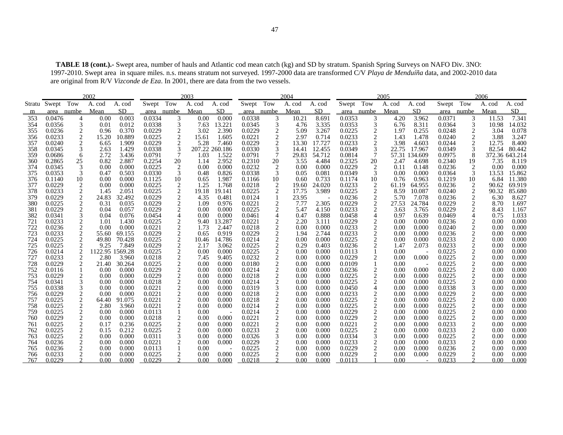**TABLE 18 (cont.).-** Swept area, number of hauls and Atlantic cod mean catch (kg) and SD by stratum. Spanish Spring Surveys on NAFO Div. 3NO: 1997-2010. Swept area in square miles. n.s. means stratum not surveyed. 1997-2000 data are transformed C/V *Playa de Menduíña* data, and 2002-2010 data are original from R/V *Vizconde de Eza*. In 2001, there are data from the two vessels.

|            |                  |                                | 2002         |                |                  |                | 2003           |                 |                  |                         | 2004         |                |                  |                              | 2005         |                |                  |                                               | 2006         |                |
|------------|------------------|--------------------------------|--------------|----------------|------------------|----------------|----------------|-----------------|------------------|-------------------------|--------------|----------------|------------------|------------------------------|--------------|----------------|------------------|-----------------------------------------------|--------------|----------------|
|            | Stratu Swept Tow |                                | A. cod       | A. cod         | Swept Tow        |                | A. cod         | A. cod          | Swept Tow        |                         | A. cod       | A. cod         | Swept Tow        |                              | A. cod       | A. cod         | Swept Tow        |                                               | A. cod       | A. cod         |
| m          |                  | area numbe                     | Mean         | SD.            | area numbe       |                | Mean           | SD              | area numbe       |                         | Mean         | SD.            | area numbe       |                              | Mean         | SD             |                  | area numbe                                    | Mean         | SD             |
| 353        | 0.0476           | 4                              | 0.00         | 0.003          | 0.0334           | 3              | 0.00           | 0.000           | 0.0338           | 3                       | 10.21        | 8.691          | 0.0353           | 3                            | 4.20         | 3.962          | 0.0371           | 3                                             | 11.53        | 7.341          |
| 354        | 0.0356           | 3                              | 0.01         | 0.012          | 0.0338           | 3              | 7.63           | 13.221          | 0.0345           | $\mathfrak{Z}$          | 4.76         | 3.335          | 0.0353           | 3                            | 6.76         | 8.311          | 0.0364           | 3                                             | 10.98        | 14.032         |
| 355        | 0.0236           | $\boldsymbol{2}$               | 0.96         | 0.370          | 0.0229           | $\frac{2}{2}$  | 3.02           | 2.390           | 0.0229           | $\boldsymbol{2}$        | 5.09         | 3.267          | 0.0225           | $\overline{2}$               | 1.97         | 0.255          | 0.0248           | $\overline{c}$                                | 3.04         | 0.078          |
| 356        | 0.0233           | $\overline{c}$                 | 15.20        | 10.889         | 0.0225           |                | 15.61          | 1.605           | 0.0221           | $\boldsymbol{2}$        | 2.97         | 0.714          | 0.0233           | 2                            | 1.43         | 1.478          | 0.0240           | $\overline{c}$                                | 3.88         | 3.247          |
| 357        | 0.0240           | $\overline{c}$                 | 6.65         | 1.909          | 0.0229           | $\overline{c}$ | 5.28           | 7.460           | 0.0229           | $\overline{c}$          | 13.30        | 17.727         | 0.0233           | $\overline{c}$               | 3.98         | 4.603          | 0.0244           | $\overline{c}$                                | 12.75        | 8.400          |
| 358        | 0.0345           | 3                              | 2.63         | 1.429          | 0.0338           | 3              | 207.22 260.186 |                 | 0.0330           | $\mathfrak 3$           | 14.41        | 12.455         | 0.0349           | 3                            | 22.75        | 17.967         | 0.0349           | 3                                             | 82.54        | 80.442         |
| 359        | 0.0686           | 6                              | 2.72         | 3.436          | 0.0791           | 7              | 1.03           | 1.522           | 0.0791           | $\overline{7}$          | 29.83        | 54.712         | 0.0814           | $\overline{7}$               |              | 57.31 134.609  | 0.0975           | 8                                             |              | 372.36 643.214 |
| 360        | 0.2865           | 25                             | 0.82         | 2.887          | 0.2254           | $20\,$         | 1.14           | 2.952           | 0.2310           | 20                      | 3.55         | 4.484          | 0.2325           | 20                           | 2.47         | 4.698          | 0.2340           | 19                                            | 7.35         | 8.119          |
| 374        | 0.0345           | 3                              | 0.00         | 0.000          | 0.0225           | $\sqrt{2}$     | 0.00           | 0.000           | 0.0232           | $\overline{2}$          | 0.00         | 0.000          | 0.0229           | $\overline{2}$               | 0.11         | 0.148          | 0.0236           | $\overline{2}$                                | 0.00         | 0.000          |
| 375        | 0.0353           | 3                              | 0.47         | 0.503          | 0.0330           | 3              | 0.48           | 0.826           | 0.0338           | 3                       | 0.05         | 0.081          | 0.0349           | 3                            | 0.00         | 0.000          | 0.0364           | 3                                             | 13.53        | 15.862         |
| 376        | 0.1140           | 10                             | 0.00         | 0.000          | 0.1125           | 10             | 0.65           | 1.987           | 0.1166           | 10                      | 0.60         | 0.733          | 0.1174           | 10                           | 0.76         | 0.963          | 0.1219           | 10                                            | 6.84         | 11.380         |
| 377        | 0.0229           | 2                              | 0.00         | 0.000          | 0.0225           | $\frac{2}{2}$  | 1.25           | 1.768           | 0.0218           | $\overline{2}$          | 19.60        | 24.020         | 0.0233           | 2                            | 61.19        | 64.955         | 0.0236           | 2                                             | 90.62        | 69.919         |
| 378        | 0.0233           | $\overline{c}$                 | 1.45         | 2.051          | 0.0225           |                | 19.18          | 19.141          | 0.0225           | $\overline{c}$          | 17.75        | 3.989          | 0.0225           | 2                            | 8.59         | 10.087         | 0.0240           | 2                                             | 90.32        | 85.680         |
| 379        | 0.0229           | 2                              | 24.83        | 32.492         | 0.0229           | $\frac{2}{2}$  | 4.35           | 0.481           | 0.0124           |                         | 23.95        |                | 0.0236           | $\sqrt{2}$                   | 5.70         | 7.078          | 0.0236           | $\overline{c}$                                | 6.30         | 8.627          |
| 380        | 0.0225           | 2                              | 0.31         | 0.035          | 0.0229           |                | 1.09           | 0.976           | 0.0221           | $\overline{\mathbf{c}}$ | 7.77         | 2.305          | 0.0229           | 2                            | 27.53        | 24.784         | 0.0229           | $\overline{c}$                                | 8.70         | 1.697          |
| 381        | 0.0229           | $\overline{c}$                 | 0.04         | 0.057          | 0.0229           |                | 0.00           | 0.000           | 0.0225           | $\boldsymbol{c}$        | 5.47         | 4.150          | 0.0233           | 2                            | 3.63         | 3.765          | 0.0229           | $\overline{2}$                                | 8.43         | 1.167          |
| 382        | 0.0341           | 3                              | 0.04         | 0.076          | 0.0454           | $\overline{4}$ | 0.00           | 0.000           | 0.0461           | $\overline{4}$          | 0.47         | 0.888          | 0.0458           | $\overline{4}$               | 0.97         | 0.639          | 0.0469           | 4                                             | 0.75         | 1.033          |
| 721<br>722 | 0.0233<br>0.0236 | $\boldsymbol{2}$<br>$\sqrt{2}$ | 1.01<br>0.00 | 1.430<br>0.000 | 0.0225<br>0.0221 | $\frac{2}{2}$  | 9.40<br>1.73   | 13.287<br>2.447 | 0.0221<br>0.0218 | $\frac{2}{2}$           | 2.20<br>0.00 | 3.111<br>0.000 | 0.0229<br>0.0233 | $\overline{2}$<br>$\sqrt{2}$ | 0.00<br>0.00 | 0.000<br>0.000 | 0.0236<br>0.0240 | $\overline{c}$<br>$\sqrt{2}$                  | 0.00<br>0.00 | 0.000<br>0.000 |
| 723        | 0.0233           | $\overline{c}$                 | 55.60        | 69.155         | 0.0229           |                | 0.65           | 0.919           | 0.0229           | $\boldsymbol{2}$        | 1.94         | 2.744          | 0.0233           | $\overline{2}$               | 0.00         | 0.000          | 0.0236           | $\boldsymbol{2}$                              | 0.00         | 0.000          |
| 724        | 0.0225           | $\overline{c}$                 | 49.80        | 70.428         | 0.0225           | 222222222222   | 10.46          | 14.786          | 0.0214           |                         | 0.00         | 0.000          | 0.0225           | 2                            | 0.00         | 0.000          | 0.0233           |                                               | 0.00         | 0.000          |
| 725        | 0.0225           | $\overline{c}$                 | 9.25         | 7.849          | 0.0229           |                | 2.17           | 3.062           | 0.0225           |                         | 0.29         | 0.403          | 0.0236           | 2                            | 1.47         | 2.073          | 0.0233           | $\frac{2}{2}$                                 | 0.00         | 0.000          |
| 726        | 0.0214           | $\overline{c}$                 | 1122.95      | 1569.28        | 0.0225           |                | 0.00           | 0.000           | 0.0225           | $\frac{2}{2}$           | 0.00         | 0.000          | 0.0113           |                              | 0.00         |                | 0.0225           | $\sqrt{2}$                                    | 0.00         | 0.000          |
| 727        | 0.0233           | 2                              | 2.80         | 3.960          | 0.0218           |                | 7.45           | 9.405           | 0.0232           |                         | 0.00         | 0.000          | 0.0229           | $\overline{c}$               | 0.00         | 0.000          | 0.0225           |                                               | 0.00         | 0.000          |
| 728        | 0.0229           | $\sqrt{2}$                     | 21.40        | 30.264         | 0.0225           |                | 0.00           | 0.000           | 0.0180           | $\frac{2}{2}$           | 0.00         | 0.000          | 0.0109           | $\mathbf{1}$                 | 0.00         |                | 0.0225           | $\frac{2}{2}$                                 | 0.00         | 0.000          |
| 752        | 0.0116           | 1                              | 0.00         | 0.000          | 0.0229           |                | 0.00           | 0.000           | 0.0214           | $\overline{c}$          | 0.00         | 0.000          | 0.0236           | $\overline{c}$               | 0.00         | 0.000          | 0.0225           | $\sqrt{2}$                                    | 0.00         | 0.000          |
| 753        | 0.0229           | 2                              | 0.00         | 0.000          | 0.0229           |                | 0.00           | 0.000           | 0.0218           |                         | 0.00         | 0.000          | 0.0225           | 2                            | 0.00         | 0.000          | 0.0225           |                                               | 0.00         | 0.000          |
| 754        | 0.0341           | $\mathfrak{Z}$                 | 0.00         | 0.000          | 0.0218           |                | 0.00           | 0.000           | 0.0214           | $\frac{2}{2}$           | 0.00         | 0.000          | 0.0225           | $\sqrt{2}$                   | 0.00         | 0.000          | 0.0225           | $\frac{2}{2}$                                 | 0.00         | 0.000          |
| 755        | 0.0338           | 3                              | 0.00         | 0.000          | 0.0221           |                | 0.00           | 0.000           | 0.0319           | 3                       | 0.00         | 0.000          | 0.0450           | $\overline{4}$               | 0.00         | 0.000          | 0.0338           | $\ensuremath{\mathfrak{Z}}$                   | 0.00         | 0.000          |
| 756        | 0.0229           | 2                              | 0.00         | 0.000          | 0.0221           |                | 0.00           | 0.000           | 0.0218           |                         | 0.00         | 0.000          | 0.0233           | $\overline{c}$               | 0.00         | 0.000          | 0.0229           |                                               | 0.00         | 0.000          |
| 757        | 0.0225           | $\sqrt{2}$                     | 64.40        | 91.075         | 0.0221           |                | 0.00           | 0.000           | 0.0218           | $\frac{2}{2}$           | 0.00         | 0.000          | 0.0225           | $\sqrt{2}$                   | 0.00         | 0.000          | 0.0225           | $\frac{2}{2}$                                 | 0.00         | 0.000          |
| 758        | 0.0225           | $\overline{c}$                 | 2.80         | 3.960          | 0.0221           | $\overline{c}$ | 0.00           | 0.000           | 0.0214           | $\overline{c}$          | 0.00         | 0.000          | 0.0225           | $\overline{2}$               | 0.00         | 0.000          | 0.0225           | $\sqrt{2}$                                    | 0.00         | 0.000          |
| 759        | 0.0225           | 2                              | 0.00         | 0.000          | 0.0113           |                | 0.00           |                 | 0.0214           | $\frac{2}{2}$           | 0.00         | 0.000          | 0.0229           | 2                            | 0.00         | 0.000          | 0.0225           | $\begin{smallmatrix}2\\2\\2\end{smallmatrix}$ | 0.00         | 0.000          |
| 760        | 0.0229           | $\overline{c}$                 | 0.00         | 0.000          | 0.0218           | $\sqrt{2}$     | 0.00           | 0.000           | 0.0221           |                         | 0.00         | 0.000          | 0.0229           | $\sqrt{2}$                   | 0.00         | 0.000          | 0.0225           |                                               | 0.00         | 0.000          |
| 761        | 0.0225           | $\overline{c}$                 | 0.17         | 0.236          | 0.0225           |                | 0.00           | 0.000           | 0.0221           | $\overline{c}$          | 0.00         | 0.000          | 0.0221           | $\overline{2}$               | 0.00         | 0.000          | 0.0233           |                                               | 0.00         | 0.000          |
| 762        | 0.0225           | 2                              | 0.15         | 0.212          | 0.0225           | $\frac{2}{3}$  | 0.00           | 0.000           | 0.0233           | $\frac{2}{3}$           | 0.00         | 0.000          | 0.0225           | $\overline{c}$               | 0.00         | 0.000          | 0.0233           | $\frac{2}{2}$                                 | 0.00         | 0.000          |
| 763        | 0.0225           | $\overline{c}$                 | 0.00         | 0.000          | 0.0311           |                | 0.00           | 0.000           | 0.0326           |                         | 0.00         | 0.000          | 0.0334           | 3                            | 0.00         | 0.000          | 0.0225           |                                               | 0.00         | 0.000          |
| 764        | 0.0236           | $\boldsymbol{2}$               | 0.00         | 0.000          | 0.0221           | $\overline{2}$ | 0.00           | 0.000           | 0.0229           | $\overline{c}$          | 0.00         | 0.000          | 0.0233           | $\overline{2}$               | 0.00         | 0.000          | 0.0233           | $\sqrt{2}$                                    | 0.00         | 0.000          |
| 765        | 0.0236           | $\boldsymbol{2}$               | 0.00         | 0.000          | 0.0113           |                | 0.00           |                 | 0.0225           | $\frac{2}{2}$           | 0.00         | 0.000          | 0.0229           | $\overline{2}$               | 0.00         | 0.000          | 0.0236           | $\frac{2}{2}$                                 | 0.00         | 0.000          |
| 766        | 0.0233           | $\overline{c}$                 | 0.00         | 0.000          | 0.0225           | 2              | 0.00           | 0.000           | 0.0225           |                         | 0.00         | 0.000          | 0.0229           | $\overline{2}$               | 0.00         | 0.000          | 0.0229           |                                               | 0.00         | 0.000          |
| 767        | 0.0229           |                                | 0.00         | 0.000          | 0.0229           |                | 0.00           | 0.000           | 0.0218           |                         | 0.00         | 0.000          | 0.0113           |                              | 0.00         |                | 0.0233           |                                               | 0.00         | 0.000          |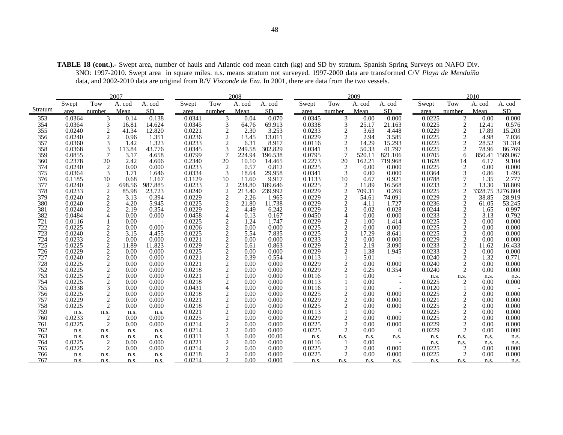|            |                  |                              | 2007          |                 |                  |                                               | 2008         |                |                  |                     | 2009         |                  |                  |                             | 2010         |                |
|------------|------------------|------------------------------|---------------|-----------------|------------------|-----------------------------------------------|--------------|----------------|------------------|---------------------|--------------|------------------|------------------|-----------------------------|--------------|----------------|
|            | Swept            | Tow                          | A. cod        | A. cod          | Swept            | Tow                                           | A. cod       | A. cod         | Swept            | Tow                 | A. cod       | A. cod           | Swept            | Tow                         | A. cod       | A. cod         |
| Stratum    | area             | number                       | Mean          | <b>SD</b>       | area             | number                                        | Mean         | <b>SD</b>      | area             | number              | Mean         | SD               | area             | number                      | Mean         | <b>SD</b>      |
| 353        | 0.0364           | 3                            | 0.14          | 0.138           | 0.0341           | 3                                             | 0.04         | 0.070          | 0.0345           | 3                   | 0.00         | 0.000            | 0.0225           | 2                           | 0.00         | 0.000          |
| 354        | 0.0364           | 3                            | 16.81         | 14.624          | 0.0345           | 3                                             | 64.76        | 69.913         | 0.0338           | 3                   | 25.17        | 21.163           | 0.0225           | $\overline{2}$              | 12.41        | 0.576          |
| 355        | 0.0240           | 2                            | 41.34         | 12.820          | 0.0221           |                                               | 2.30         | 3.253          | 0.0233           | 2                   | 3.63         | 4.448            | 0.0229           | $\overline{2}$              | 17.89        | 15.203         |
| 356        | 0.0240           | 2                            | 0.96          | 1.351           | 0.0236           | $\frac{2}{2}$                                 | 13.45        | 13.011         | 0.0229           | 2                   | 2.94         | 3.585            | 0.0225           | $\overline{2}$              | 4.98         | 7.036          |
| 357        | 0.0360           | 3                            | 1.42          | 1.323           | 0.0233           | $\overline{c}$                                | 6.31         | 8.917          | 0.0116           | 2                   | 14.29        | 15.293           | 0.0225           | $\overline{2}$              | 28.52        | 31.314         |
| 358        | 0.0368           | 3                            | 113.84        | 43.776          | 0.0345           | 3                                             | 249.58       | 302.829        | 0.0341           |                     | 50.33        | 41.797           | 0.0225           | $\overline{c}$              | 78.96        | 86.769         |
| 359        | 0.0855           | 7                            | 3.17          | 4.658           | 0.0799           | 7                                             | 224.94       | 196.538        | 0.0795           |                     | 520.11       | 821.106          | 0.0705           | 6                           | 850.41       | 1569.067       |
| 360        | 0.2378           | 20                           | 2.42          | 4.606           | 0.2340           | 20                                            | 10.10        | 14.465         | 0.2273           | 20                  | 162.21       | 719.968          | 0.1628           | 14                          | 6.17         | 9.104          |
| 374        | 0.0240           | 2                            | 0.00          | 0.000           | 0.0233           | $\overline{2}$                                | 0.57         | 0.812          | 0.0225           | $\overline{2}$      | 0.00         | 0.000            | 0.0225           | $\overline{2}$              | 0.00         | 0.000          |
| 375        | 0.0364           | 3                            | 1.71          | 1.646           | 0.0334           | 3                                             | 18.64        | 29.958         | 0.0341           | 3                   | 0.00         | 0.000            | 0.0364           | 3                           | 0.86         | 1.495          |
| 376        | 0.1185           | 10                           | 0.68          | 1.167           | 0.1129           | 10                                            | 11.60        | 9.917          | 0.1133           | 10                  | 0.67         | 0.921            | 0.0788           | 7                           | 1.35         | 2.777          |
| 377        | 0.0240           | $\frac{2}{2}$                | 698.56        | 987.885         | 0.0233           | $\frac{2}{2}$                                 | 234.80       | 189.646        | 0.0225           | $\overline{2}$      | 11.89        | 16.568           | 0.0233           | $\overline{2}$              | 13.30        | 18.809         |
| 378        | 0.0233           |                              | 85.98         | 23.723          | 0.0240           |                                               | 213.40       | 239.992        | 0.0229           | $\overline{2}$      | 709.31       | 0.269            | 0.0225           | $\overline{2}$              | 3328.75      | 3276.804       |
| 379        | 0.0240           | $\boldsymbol{2}$             | 3.13          | 0.394           | 0.0229           | $\sqrt{2}$                                    | 2.26         | 1.965          | 0.0229           | 2                   | 54.61        | 74.091           | 0.0229           | $\overline{c}$              | 38.85        | 28.919         |
| 380        | 0.0240           | $\mathbf{2}$                 | 4.20          | 5.945           | 0.0225           | $\overline{c}$                                | 21.80        | 11.738         | 0.0229           | $\overline{c}$      | 4.11         | 1.727            | 0.0236           | $\sqrt{2}$                  | 61.05        | 53.245         |
| 381        | 0.0240           | 2                            | 2.19          | 0.354           | 0.0229           | $\overline{2}$                                | 4.49         | 6.242          | 0.0229           | 2                   | 0.02         | 0.028            | 0.0244           | $\overline{2}$              | 1.65         | 0.997          |
| 382        | 0.0484           | 4                            | 0.00          | 0.000           | 0.0458           | $\overline{4}$                                | 0.13         | 0.167          | 0.0450           | $\overline{4}$      | 0.00         | 0.000            | 0.0233           | $\sqrt{2}$                  | 3.13         | 0.792          |
| 721        | 0.0116           |                              | 0.00          |                 | 0.0225           |                                               | 1.24         | 1.747          | 0.0229           |                     | 1.00         | 1.414            | 0.0225           |                             | 0.00         | 0.000          |
| 722        | 0.0225           | 2                            | 0.00          | 0.000           | 0.0206           | $\frac{2}{2}$                                 | 0.00         | 0.000          | 0.0225           | 2                   | 0.00         | 0.000            | 0.0225           | $\frac{2}{2}$               | 0.00         | 0.000          |
| 723        | 0.0240           | $\overline{c}$               | 3.15          | 4.455           | 0.0225           |                                               | 5.54         | 7.835          | 0.0225           | 2                   | 17.29        | 8.641            | 0.0225           |                             | 0.00         | 0.000          |
| 724        | 0.0233           | $\overline{c}$               | 0.00          | 0.000           | 0.0221           | $\overline{c}$                                | 0.00         | 0.000          | 0.0233           | 2                   | 0.00         | 0.000            | 0.0229           | $\sqrt{2}$                  | 0.00         | 0.000          |
| 725        | 0.0225<br>0.0229 | $\sqrt{2}$                   | 11.89<br>0.00 | 11.823<br>0.000 | 0.0229<br>0.0225 | $\frac{2}{2}$                                 | 0.61<br>0.00 | 0.863          | 0.0229<br>0.0229 | 2<br>$\overline{c}$ | 2.19         | 3.090            | 0.0233           | $\frac{2}{2}$               | 11.62        | 16.433         |
| 726        |                  | $\overline{c}$               |               |                 |                  |                                               |              | 0.000          |                  |                     | 1.38         | 1.945            | 0.0233           |                             | 0.00         | 0.000          |
| 727<br>728 | 0.0240<br>0.0225 | $\overline{c}$<br>$\sqrt{2}$ | 0.00<br>0.00  | 0.000<br>0.000  | 0.0221<br>0.0221 |                                               | 0.39<br>0.00 | 0.554<br>0.000 | 0.0113<br>0.0229 | 2                   | 5.01<br>0.00 | 0.000            | 0.0240<br>0.0240 | $\frac{2}{2}$               | 1.32<br>0.00 | 0.771<br>0.000 |
| 752        | 0.0225           | $\overline{c}$               | 0.00          | 0.000           | 0.0218           | $\begin{smallmatrix}2\\2\\2\end{smallmatrix}$ | 0.00         | 0.000          | 0.0229           |                     | 0.25         | 0.354            | 0.0240           | $\overline{2}$              | 0.00         | 0.000          |
| 753        | 0.0225           | $\overline{c}$               | 0.00          | 0.000           | 0.0221           |                                               | 0.00         | 0.000          | 0.0116           |                     | 0.00         |                  |                  |                             |              |                |
| 754        | 0.0225           | $\overline{c}$               | 0.00          | 0.000           | 0.0218           | $\frac{2}{2}$                                 | 0.00         | 0.000          | 0.0113           |                     | 0.00         |                  | n.s.<br>0.0225   | n.s.<br>2                   | n.s.<br>0.00 | n.s.<br>0.000  |
| 755        | 0.0338           | 3                            | 0.00          | 0.000           | 0.0431           | $\overline{4}$                                | 0.00         | 0.000          | 0.0116           |                     | 0.00         |                  | 0.0120           |                             | 0.00         |                |
| 756        | 0.0225           | $\overline{c}$               | 0.00          | 0.000           | 0.0218           |                                               | 0.00         | 0.000          | 0.0225           |                     | 0.00         | 0.000            | 0.0225           |                             | 0.00         | 0.000          |
| 757        | 0.0229           | $\overline{c}$               | 0.00          | 0.000           | 0.0221           | $\frac{2}{2}$                                 | 0.00         | 0.000          | 0.0229           | 2                   | 0.00         | 0.000            | 0.0221           | $\frac{2}{2}$               | 0.00         | 0.000          |
| 758        | 0.0225           | 2                            | 0.00          | 0.000           | 0.0218           |                                               | 0.00         | 0.000          | 0.0225           | 2                   | 0.00         | 0.000            | 0.0225           | $\overline{c}$              | 0.00         | 0.000          |
| 759        | n.s.             | n.s.                         | n.s.          | n.s.            | 0.0221           |                                               | 0.00         | 0.000          | 0.0113           |                     | 0.00         |                  | 0.0225           | $\overline{c}$              | 0.00         | 0.000          |
| 760        | 0.0233           | 2                            | 0.00          | 0.000           | 0.0225           |                                               | 0.00         | 0.000          | 0.0229           | $\overline{2}$      | 0.00         | 0.000            | 0.0225           | $\overline{c}$              | 0.00         | 0.000          |
| 761        | 0.0225           | 2                            | 0.00          | 0.000           | 0.0214           | $\begin{array}{c} 2 \\ 2 \\ 2 \end{array}$    | 0.00         | 0.000          | 0.0225           | 2                   | 0.00         | 0.000            | 0.0229           | $\overline{2}$              | 0.00         | 0.000          |
| 762        | n.s.             | n.s.                         | n.s.          | n.s.            | 0.0214           |                                               | 0.00         | 0.000          | 0.0225           | $\overline{c}$      | 0.00         | $\boldsymbol{0}$ | 0.0229           | $\overline{2}$              | 0.00         | 0.000          |
| 763        | n.s.             | n.s.                         | n.s.          | n.s.            | 0.0311           | 3                                             | 0.00         | 00.00          | n.s.             | n.s.                | n.s.         | n.s.             | n.s.             | n.s.                        | n.s.         | n.s.           |
| 764        | 0.0225           | $\overline{\mathbf{c}}$      | 0.00          | 0.000           | 0.0221           |                                               | 0.00         | 0.000          | 0.0116           |                     | 0.00         |                  | n.s.             | n.s.                        | n.s.         | n.s.           |
| 765        | 0.0225           | $\overline{c}$               | 0.00          | 0.000           | 0.0214           | $\frac{2}{2}$                                 | 0.00         | 0.000          | 0.0225           | $\overline{2}$      | 0.00         | 0.000            | 0.0225           | $\overline{2}$              | 0.00         | $0.000\,$      |
| 766        | n.s.             | n.s.                         | n.s.          | n.s.            | 0.0218           | $\mathfrak{D}$                                | 0.00         | 0.000          | 0.0225           | $\mathfrak{D}$      | 0.00         | 0.000            | 0.0225           | $\mathcal{D}_{\mathcal{L}}$ | 0.00         | 0.000          |

n.s. n.s. n.s. n.s. n.s. n.s. n.s. n.s.

767 n.s. n.s. n.s. n.s. 0.0214 2 0.00 0.000

**TABLE 18 (cont.).-** Swept area, number of hauls and Atlantic cod mean catch (kg) and SD by stratum. Spanish Spring Surveys on NAFO Div. 3NO: 1997-2010. Swept area in square miles. n.s. means stratum not surveyed. 1997-2000 data are transformed C/V *Playa de Menduíña*  data, and 2002-2010 data are original from R/V *Vizconde de Eza*. In 2001, there are data from the two vessels.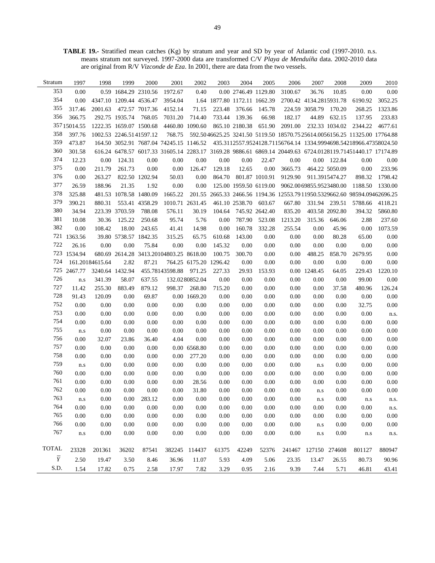**TABLE 19.-** Stratified mean catches (Kg) by stratum and year and SD by year of Atlantic cod (1997-2010. n.s. means stratum not surveyed. 1997-2000 data are transformed C/V *Playa de Menduíña* data. 2002-2010 data are original from R/V *Vizconde de Eza*. In 2001, there are data from the two vessels.

| Stratum        | 1997        | 1998            | 1999                    | 2000                    | 2001                                    | 2002                   | 2003                         | 2004                   | 2005           | 2006     | 2007                    | 2008           | 2009                                                                                                       | 2010    |
|----------------|-------------|-----------------|-------------------------|-------------------------|-----------------------------------------|------------------------|------------------------------|------------------------|----------------|----------|-------------------------|----------------|------------------------------------------------------------------------------------------------------------|---------|
| 353            | 0.00        |                 |                         | 0.59 1684.29 2310.56    | 1972.67                                 | 0.40                   |                              | 0.00 2746.49 1129.80   |                | 3100.67  | 36.76                   | 10.85          | 0.00                                                                                                       | 0.00    |
| 354            | 0.00        |                 | 4347.10 1209.44 4536.47 |                         | 3954.04                                 |                        | 1.64 1877.80 1172.11 1662.39 |                        |                |          | 2700.42 4134.2815931.78 |                | 6190.92                                                                                                    | 3052.25 |
| 355            | 317.46      | 2001.63         |                         | 472.57 7017.36          | 4152.14                                 | 71.15                  | 223.48                       | 376.66                 | 145.78         |          | 224.59 3058.79          | 170.20         | 268.25                                                                                                     | 1323.86 |
| 356            | 366.75      |                 | 292.75 1935.74          | 768.05                  | 7031.20                                 | 714.40                 | 733.44                       | 139.36                 | 66.98          | 182.17   | 44.89                   | 632.15         | 137.95                                                                                                     | 233.83  |
|                | 35715014.55 |                 |                         | 1222.35 1659.07 1500.68 |                                         | 4460.80 1090.60        |                              | 865.10 2180.38         | 651.90         | 2091.00  |                         | 232.33 1034.02 | 2344.22                                                                                                    | 4677.61 |
| 358            | 397.76      |                 |                         | 1002.53 2246.5141597.12 | 768.75                                  |                        |                              |                        |                |          |                         |                | 592.5046625.25 3241.50 5119.50 18570.75 25614.0056156.25 11325.00 17764.88                                 |         |
| 359            | 473.87      |                 |                         |                         |                                         |                        |                              |                        |                |          |                         |                | 164.50 3052.91 7687.04 74245.15 1146.52 435.3112557.9524128.71156764.14 1334.9994698.54218966.47358024.50  |         |
| 360            | 301.58      |                 |                         |                         |                                         |                        |                              |                        |                |          |                         |                | 616.24 6478.57 6017.33 31605.14 2283.17 3169.28 9886.61 6869.14 20449.63 6724.0128119.71451440.17 17174.89 |         |
| 374            | 12.23       | 0.00            | 124.31                  | 0.00                    | 0.00                                    | 0.00                   | 0.00                         | 0.00                   | 22.47          | 0.00     |                         | 0.00 122.84    | 0.00                                                                                                       | 0.00    |
| 375            | 0.00        | 211.79          | 261.73                  | 0.00                    | 0.00                                    | 126.47                 | 129.18                       | 12.65                  | 0.00           | 3665.73  |                         | 464.22 5050.09 | 0.00                                                                                                       | 233.96  |
| 376            | 0.00        | 263.27          |                         | 822.50 1202.94          | 50.03                                   | 0.00                   | 864.70                       |                        | 801.87 1010.91 | 9129.90  |                         | 911.3915474.27 | 898.32                                                                                                     | 1798.42 |
| 377            | 26.59       | 188.96          | 21.35                   | 1.92                    | 0.00                                    | 0.00                   |                              | 125.00 1959.50 6119.00 |                |          | 9062.0069855.9523480.00 |                | 1188.50                                                                                                    | 1330.00 |
| 378            | 325.88      |                 | 481.53 1078.58 1480.09  |                         | 1665.22                                 |                        |                              |                        |                |          |                         |                | 201.55 2665.33 2466.56 1194.36 12553.7911950.5329662.60 98594.09462696.25                                  |         |
| 379            | 390.21      | 880.31          |                         | 553.41 4358.29          |                                         | 1010.71 2631.45        |                              | 461.10 2538.70 603.67  |                | 667.80   |                         | 331.94 239.51  | 5788.66                                                                                                    | 4118.21 |
| 380            | 34.94       |                 | 223.39 3703.59          | 788.08                  | 576.11                                  | 30.19                  | 104.64                       |                        | 745.92 2642.40 | 835.20   |                         | 403.58 2092.80 | 394.32                                                                                                     | 5860.80 |
| 381            | 10.08       | 30.36           | 125.22                  | 250.68                  | 95.74                                   | 5.76                   | 0.00                         | 787.90                 | 523.08         | 1213.20  | 315.36                  | 646.06         | 2.88                                                                                                       | 237.60  |
| 382            | 0.00        | 108.42          | 18.00                   | 243.65                  | 41.41                                   | 14.98                  | 0.00                         | 160.78                 | 332.28         | 255.54   | 0.00                    | 45.96          | 0.00                                                                                                       | 1073.59 |
|                | 721 1363.56 |                 | 39.80 5738.57 1842.35   |                         | 315.25                                  | 65.75                  | 610.68                       | 143.00                 | 0.00           | $0.00\,$ | 0.00                    | 80.28          | 65.00                                                                                                      | 0.00    |
| 722            | 26.16       | 0.00            | 0.00                    | 75.84                   | 0.00                                    | 0.00                   | 145.32                       | 0.00                   | 0.00           | $0.00\,$ | 0.00                    | 0.00           | 0.00                                                                                                       | 0.00    |
|                | 723 1534.94 |                 |                         |                         | 680.69 2614.28 3413.20104803.25 8618.00 |                        | 100.75                       | 300.70                 | 0.00           | $0.00\,$ | 488.25                  | 858.70         | 2679.95                                                                                                    | 0.00    |
| 724            |             | 161.20184615.64 | 2.82                    | 87.21                   |                                         | 764.25 6175.20 1296.42 |                              | 0.00                   | 0.00           | $0.00\,$ | 0.00                    | 0.00           | 0.00                                                                                                       | 0.00    |
|                | 725 2467.77 | 3240.64 1432.94 |                         |                         | 455.78143598.88                         | 971.25                 | 227.33                       | 29.93                  | 153.93         |          | 0.00 1248.45            | 64.05          | 229.43                                                                                                     | 1220.10 |
| 726            | n.s         | 341.39          | 58.07                   | 637.55                  |                                         | 132.0280852.04         | 0.00                         | 0.00                   | 0.00           | 0.00     | 0.00                    | 0.00           | 99.00                                                                                                      | 0.00    |
| 727            | 11.42       | 255.30          | 883.49                  | 879.12                  | 998.37                                  | 268.80                 | 715.20                       | $0.00\,$               | 0.00           | $0.00\,$ | 0.00                    | 37.58          | 480.96                                                                                                     | 126.24  |
| 728            | 91.43       | 120.09          | 0.00                    | 69.87                   |                                         | 0.00 1669.20           | 0.00                         | $0.00\,$               | 0.00           | $0.00\,$ | 0.00                    | 0.00           | 0.00                                                                                                       | 0.00    |
| 752            | 0.00        | 0.00            | 0.00                    | 0.00                    | 0.00                                    | 0.00                   | 0.00                         | $0.00\,$               | 0.00           | 0.00     | 0.00                    | 0.00           | 32.75                                                                                                      | 0.00    |
| 753            | 0.00        | 0.00            | 0.00                    | 0.00                    | 0.00                                    | 0.00                   | 0.00                         | 0.00                   | 0.00           | 0.00     | 0.00                    | 0.00           | 0.00                                                                                                       | n.s.    |
| 754            | 0.00        | 0.00            | 0.00                    | 0.00                    | 0.00                                    | 0.00                   | 0.00                         | 0.00                   | 0.00           | $0.00\,$ | 0.00                    | 0.00           | 0.00                                                                                                       | 0.00    |
| 755            | n.s         | 0.00            | 0.00                    | 0.00                    | 0.00                                    | 0.00                   | 0.00                         | 0.00                   | 0.00           | 0.00     | 0.00                    | 0.00           | 0.00                                                                                                       | 0.00    |
| 756            | 0.00        | 32.07           | 23.86                   | 36.40                   | 4.04                                    | 0.00                   | 0.00                         | 0.00                   | 0.00           | $0.00\,$ | 0.00                    | 0.00           | 0.00                                                                                                       | 0.00    |
| 757            | 0.00        | 0.00            | 0.00                    | 0.00                    |                                         | 0.00 6568.80           | 0.00                         | 0.00                   | 0.00           | 0.00     | 0.00                    | 0.00           | 0.00                                                                                                       | 0.00    |
| 758            | 0.00        | 0.00            | 0.00                    | 0.00                    | 0.00                                    | 277.20                 | 0.00                         | 0.00                   | 0.00           | $0.00\,$ | 0.00                    | 0.00           | 0.00                                                                                                       | 0.00    |
| 759            | n.s         | 0.00            | 0.00                    | 0.00                    | 0.00                                    | 0.00                   | 0.00                         | 0.00                   | 0.00           | $0.00\,$ | n.s                     | 0.00           | 0.00                                                                                                       | 0.00    |
| 760            | 0.00        | 0.00            | 0.00                    | 0.00                    | 0.00                                    | 0.00                   | 0.00                         | 0.00                   | 0.00           | $0.00\,$ | 0.00                    | 0.00           | 0.00                                                                                                       | 0.00    |
| 761            | 0.00        | 0.00            | 0.00                    | 0.00                    | 0.00                                    | 28.56                  | 0.00                         | 0.00                   | 0.00           | 0.00     | 0.00                    | 0.00           | 0.00                                                                                                       | 0.00    |
| 762            | 0.00        | 0.00            | 0.00                    | 0.00                    | 0.00                                    | 31.80                  | 0.00                         | 0.00                   | 0.00           | 0.00     | n.s                     | 0.00           | 0.00                                                                                                       | 0.00    |
| 763            | n.s         | $0.00\,$        |                         | $0.00$ 283.12           | $0.00\,$                                | 0.00                   | $0.00\,$                     | $0.00\,$               | $0.00\,$       | $0.00\,$ | n.s                     | $0.00\,$       | n.s                                                                                                        | n.s.    |
| 764            | 0.00        | 0.00            | 0.00                    | 0.00                    | 0.00                                    | 0.00                   | 0.00                         | 0.00                   | 0.00           | 0.00     | 0.00                    | 0.00           | 0.00                                                                                                       | n.s.    |
| 765            | $0.00\,$    | 0.00            | $0.00\,$                | 0.00                    | 0.00                                    | 0.00                   | 0.00                         | $0.00\,$               | 0.00           | $0.00\,$ | 0.00                    | 0.00           | 0.00                                                                                                       | 0.00    |
| 766            | 0.00        | 0.00            | 0.00                    | 0.00                    | 0.00                                    | 0.00                   | 0.00                         | 0.00                   | 0.00           | 0.00     | n.s                     | 0.00           | 0.00                                                                                                       | 0.00    |
| 767            | n.s         | $0.00\,$        | 0.00                    | 0.00                    | 0.00                                    | 0.00                   | $0.00\,$                     | 0.00                   | 0.00           | $0.00\,$ | n.s                     | 0.00           | n.s                                                                                                        | n.s.    |
|                |             |                 |                         |                         |                                         |                        |                              |                        |                |          |                         |                |                                                                                                            |         |
| <b>TOTAL</b>   | 23328       | 201361          | 36202                   | 87541                   |                                         | 382245 114437          | 61375                        | 42249                  | 52376          | 241467   |                         | 127150 274608  | 801127                                                                                                     | 880947  |
| $\overline{Y}$ | 2.50        | 19.47           | 3.50                    | 8.46                    | 36.96                                   | 11.07                  | 5.93                         | 4.09                   | 5.06           | 23.35    | 13.47                   | 26.55          | 80.73                                                                                                      | 90.96   |
| S.D.           | 1.54        | 17.82           | 0.75                    | 2.58                    | 17.97                                   | 7.82                   | 3.29                         | 0.95                   | 2.16           | 9.39     | 7.44                    | 5.71           | 46.81                                                                                                      | 43.41   |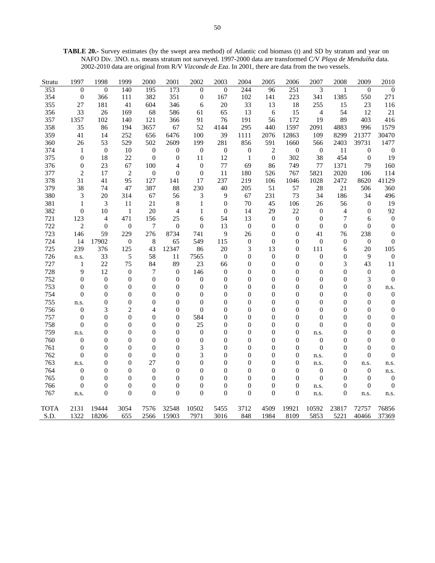**TABLE 20.-** Survey estimates (by the swept area method) of Atlantic cod biomass (t) and SD by stratum and year on NAFO Div. 3NO. n.s. means stratum not surveyed. 1997-2000 data are transformed C/V *Playa de Menduíña* data. 2002-2010 data are original from R/V *Vizconde de Eza*. In 2001, there are data from the two vessels.

| Stratu      | 1997             | 1998             | 1999             | 2000             | 2001             | 2002             | 2003             | 2004             | 2005             | 2006             | 2007           | 2008             | 2009             | 2010             |
|-------------|------------------|------------------|------------------|------------------|------------------|------------------|------------------|------------------|------------------|------------------|----------------|------------------|------------------|------------------|
| 353         | $\overline{0}$   | $\theta$         | 140              | 195              | 173              | $\overline{0}$   | $\Omega$         | 244              | 96               | 251              | 3              | $\mathbf{1}$     | $\mathbf{0}$     | $\theta$         |
| 354         | $\boldsymbol{0}$ | 366              | 111              | 382              | 351              | $\boldsymbol{0}$ | 167              | 102              | 141              | 223              | 341            | 1385             | 550              | 271              |
| 355         | 27               | 181              | 41               | 604              | 346              | 6                | 20               | 33               | 13               | 18               | 255            | 15               | 23               | 116              |
| 356         | 33               | 26               | 169              | 68               | 586              | 61               | 65               | 13               | 6                | 15               | $\overline{4}$ | 54               | 12               | 21               |
| 357         | 1357             | 102              | 140              | 121              | 366              | 91               | 76               | 191              | 56               | 172              | 19             | 89               | 403              | 416              |
| 358         | 35               | 86               | 194              | 3657             | 67               | 52               | 4144             | 295              | 440              | 1597             | 2091           | 4883             | 996              | 1579             |
| 359         | 41               | 14               | 252              | 656              | 6476             | 100              | 39               | 1111             | 2076             | 12863            | 109            | 8299             | 21377            | 30470            |
| 360         | 26               | 53               | 529              | 502              | 2609             | 199              | 281              | 856              | 591              | 1660             | 566            | 2403             | 39731            | 1477             |
| 374         | 1                | $\mathbf{0}$     | 10               | $\overline{0}$   | $\boldsymbol{0}$ | $\boldsymbol{0}$ | $\boldsymbol{0}$ | $\boldsymbol{0}$ | $\overline{2}$   | $\mathbf{0}$     | $\overline{0}$ | 11               | $\overline{0}$   | $\boldsymbol{0}$ |
| 375         | $\overline{0}$   | 18               | 22               | $\mathbf{0}$     | $\theta$         | 11               | 12               | $\mathbf{1}$     | $\boldsymbol{0}$ | 302              | 38             | 454              | $\mathbf{0}$     | 19               |
| 376         | $\theta$         | 23               | 67               | 100              | 4                | $\theta$         | 77               | 69               | 86               | 749              | 77             | 1371             | 79               | 160              |
| 377         | $\overline{2}$   | 17               | $\overline{2}$   | $\boldsymbol{0}$ | $\Omega$         | $\theta$         | 11               | 180              | 526              | 767              | 5821           | 2020             | 106              | 114              |
| 378         | 31               | 41               | 95               | 127              | 141              | 17               | 237              | 219              | 106              | 1046             | 1028           | 2472             | 8620             | 41129            |
| 379         | 38               | 74               | 47               | 387              | 88               | 230              | 40               | 205              | 51               | 57               | 28             | 21               | 506              | 360              |
| 380         | 3                | 20               | 314              | 67               | 56               | 3                | 9                | 67               | 231              | 73               | 34             | 186              | 34               | 496              |
| 381         | $\mathbf{1}$     | 3                | 11               | 21               | 8                | 1                | $\theta$         | 70               | 45               | 106              | 26             | 56               | $\mathbf{0}$     | 19               |
| 382         | $\theta$         | 10               | 1                | 20               | $\overline{4}$   | 1                | $\mathbf{0}$     | 14               | 29               | 22               | $\theta$       | 4                | $\mathbf{0}$     | 92               |
| 721         | 123              | 4                | 471              | 156              | 25               | 6                | 54               | 13               | $\boldsymbol{0}$ | $\boldsymbol{0}$ | $\overline{0}$ | 7                | 6                | $\boldsymbol{0}$ |
| 722         | $\overline{2}$   | $\theta$         | $\boldsymbol{0}$ | $\overline{7}$   | $\boldsymbol{0}$ | $\overline{0}$   | 13               | $\boldsymbol{0}$ | $\theta$         | $\boldsymbol{0}$ | $\overline{0}$ | $\boldsymbol{0}$ | $\theta$         | $\boldsymbol{0}$ |
| 723         | 146              | 59               | 229              | 276              | 8734             | 741              | 9                | 26               | $\theta$         | $\overline{0}$   | 41             | 76               | 238              | $\overline{0}$   |
| 724         | 14               | 17902            | $\boldsymbol{0}$ | 8                | 65               | 549              | 115              | $\boldsymbol{0}$ | $\theta$         | $\theta$         | $\mathbf{0}$   | $\boldsymbol{0}$ | $\boldsymbol{0}$ | $\theta$         |
| 725         | 239              | 376              | 125              | 43               | 12347            | 86               | 20               | 3                | 13               | $\theta$         | 111            | 6                | 20               | 105              |
| 726         | n.s.             | 33               | 5                | 58               | 11               | 7565             | $\boldsymbol{0}$ | $\boldsymbol{0}$ | $\boldsymbol{0}$ | $\overline{0}$   | 0              | 0                | 9                | $\boldsymbol{0}$ |
| 727         | $\mathbf{1}$     | 22               | 75               | 84               | 89               | 23               | 66               | 0                | $\boldsymbol{0}$ | $\boldsymbol{0}$ | $\overline{0}$ | 3                | 43               | 11               |
| 728         | 9                | 12               | $\boldsymbol{0}$ | $\tau$           | $\mathbf{0}$     | 146              | $\boldsymbol{0}$ | 0                | $\overline{0}$   | $\overline{0}$   | $\overline{0}$ | $\boldsymbol{0}$ | $\boldsymbol{0}$ | $\boldsymbol{0}$ |
| 752         | $\overline{0}$   | $\mathbf{0}$     | $\theta$         | $\mathbf{0}$     | $\theta$         | $\boldsymbol{0}$ | $\theta$         | $\overline{0}$   | $\overline{0}$   | $\overline{0}$   | $\overline{0}$ | $\boldsymbol{0}$ | 3                | $\boldsymbol{0}$ |
| 753         | $\overline{0}$   | $\boldsymbol{0}$ | $\theta$         | $\overline{0}$   | $\overline{0}$   | $\boldsymbol{0}$ | $\overline{0}$   | 0                | $\overline{0}$   | $\theta$         | $\overline{0}$ | $\boldsymbol{0}$ | $\overline{0}$   | n.s.             |
| 754         | $\boldsymbol{0}$ | $\boldsymbol{0}$ | $\theta$         | $\mathbf{0}$     | $\overline{0}$   | $\theta$         | $\overline{0}$   | 0                | $\overline{0}$   | $\theta$         | $\overline{0}$ | $\boldsymbol{0}$ | $\overline{0}$   | $\boldsymbol{0}$ |
| 755         | n.s.             | $\boldsymbol{0}$ | $\boldsymbol{0}$ | $\boldsymbol{0}$ | $\boldsymbol{0}$ | $\boldsymbol{0}$ | $\boldsymbol{0}$ | 0                | $\overline{0}$   | $\boldsymbol{0}$ | $\overline{0}$ | $\boldsymbol{0}$ | $\overline{0}$   | $\boldsymbol{0}$ |
| 756         | $\boldsymbol{0}$ | 3                | $\overline{2}$   | 4                | $\theta$         | $\Omega$         | $\theta$         | 0                | $\Omega$         | $\boldsymbol{0}$ | $\theta$       | $\boldsymbol{0}$ | $\theta$         | $\boldsymbol{0}$ |
| 757         | $\boldsymbol{0}$ | $\boldsymbol{0}$ | $\theta$         | $\theta$         | $\theta$         | 584              | $\overline{0}$   | 0                | $\theta$         | $\boldsymbol{0}$ | $\theta$       | $\boldsymbol{0}$ | $\theta$         | $\boldsymbol{0}$ |
| 758         | $\boldsymbol{0}$ | $\boldsymbol{0}$ | $\boldsymbol{0}$ | $\boldsymbol{0}$ | $\boldsymbol{0}$ | 25               | $\boldsymbol{0}$ | 0                | $\theta$         | $\boldsymbol{0}$ | $\theta$       | $\boldsymbol{0}$ | $\theta$         | $\boldsymbol{0}$ |
| 759         | n.s.             | $\overline{0}$   | $\Omega$         | $\theta$         | $\theta$         | $\theta$         | $\theta$         | 0                | $\Omega$         | $\theta$         | n.s.           | $\overline{0}$   | $\theta$         | $\mathbf{0}$     |
| 760         | $\mathbf{0}$     | $\overline{0}$   | $\Omega$         | $\Omega$         | $\theta$         | $\theta$         | $\theta$         | 0                | $\theta$         | $\theta$         | $\theta$       | $\overline{0}$   | $\theta$         | $\overline{0}$   |
| 761         | $\boldsymbol{0}$ | $\overline{0}$   | $\theta$         | $\theta$         | $\theta$         | 3                | $\overline{0}$   | 0                | $\theta$         | $\theta$         | $\Omega$       | $\overline{0}$   | $\theta$         | $\overline{0}$   |
| 762         | $\overline{0}$   | $\overline{0}$   | $\theta$         | $\mathbf{0}$     | $\overline{0}$   | 3                | $\overline{0}$   | 0                | $\overline{0}$   | $\theta$         | n.s.           | $\overline{0}$   | $\overline{0}$   | $\overline{0}$   |
| 763         | n.s.             | $\overline{0}$   | $\Omega$         | 27               | $\theta$         | $\overline{0}$   | $\theta$         | 0                | $\theta$         | $\theta$         | n.s.           | $\overline{0}$   | n.s.             | n.s.             |
| 764         | $\boldsymbol{0}$ | $\overline{0}$   | $\mathbf{0}$     | $\mathbf{0}$     | $\Omega$         | $\overline{0}$   | $\theta$         | 0                | $\Omega$         | $\theta$         | $\overline{0}$ | $\overline{0}$   | $\theta$         | n.s.             |
| 765         | $\overline{0}$   | $\overline{0}$   | $\theta$         | $\mathbf{0}$     | $\theta$         | $\overline{0}$   | $\overline{0}$   | 0                | $\overline{0}$   | $\theta$         | $\Omega$       | $\overline{0}$   | $\overline{0}$   | $\mathbf{0}$     |
| 766         | $\theta$         | $\overline{0}$   | $\theta$         | $\overline{0}$   | $\Omega$         | $\overline{0}$   | $\overline{0}$   | 0                | $\overline{0}$   | $\theta$         | n.s.           | $\overline{0}$   | $\theta$         | $\overline{0}$   |
| 767         | n.s.             | $\overline{0}$   | $\mathbf{0}$     | $\theta$         | $\theta$         | $\overline{0}$   | $\theta$         | $\theta$         | $\theta$         | $\theta$         | n.s.           | $\boldsymbol{0}$ | n.s.             | n.s.             |
|             |                  |                  |                  |                  |                  |                  |                  |                  |                  |                  |                |                  |                  |                  |
| <b>TOTA</b> | 2131             | 19444            | 3054             | 7576             | 32548            | 10502            | 5455             | 3712             | 4509             | 19921            | 10592          | 23817            | 72757            | 76856            |
| S.D.        | 1322             | 18206            | 655              | 2566             | 15903            | 7971             | 3016             | 848              | 1984             | 8109             | 5853           | 5221             | 40466            | 37369            |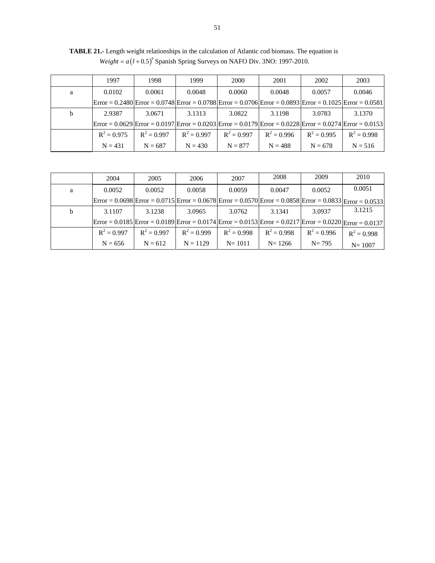|   | 1997          | 1998          | 1999          | 2000                                                                                                                                                        | 2001          | 2002          | 2003          |
|---|---------------|---------------|---------------|-------------------------------------------------------------------------------------------------------------------------------------------------------------|---------------|---------------|---------------|
| a | 0.0102        | 0.0061        | 0.0048        | 0.0060                                                                                                                                                      | 0.0048        | 0.0057        | 0.0046        |
|   |               |               |               | $\text{Error} = 0.2480 \text{Error} = 0.0748 \text{Error} = 0.0788 \text{Error} = 0.0706 \text{Error} = 0.0893 \text{Error} = 0.1025 \text{Error} = 0.0581$ |               |               |               |
| b | 2.9387        | 3.0671        | 3.1313        | 3.0822                                                                                                                                                      | 3.1198        | 3.0783        | 3.1370        |
|   |               |               |               | $\text{Error} = 0.0629 \text{Error} = 0.0197 \text{Error} = 0.0203 \text{Error} = 0.0179 \text{Error} = 0.0228 \text{Error} = 0.0274 \text{Error} = 0.0153$ |               |               |               |
|   | $R^2 = 0.975$ | $R^2 = 0.997$ | $R^2 = 0.997$ | $R^2 = 0.997$                                                                                                                                               | $R^2 = 0.996$ | $R^2 = 0.995$ | $R^2 = 0.998$ |
|   | $N = 431$     | $N = 687$     | $N = 430$     | $N = 877$                                                                                                                                                   | $N = 488$     | $N = 678$     | $N = 516$     |

**TABLE 21.-** Length weight relationships in the calculation of Atlantic cod biomass. The equation is  $Weight = a(I + 0.5)^b$  Spanish Spring Surveys on NAFO Div. 3NO: 1997-2010.

|   | 2004                                                                                                                                                        | 2005          | 2006          | 2007          | 2008          | 2009          | 2010          |
|---|-------------------------------------------------------------------------------------------------------------------------------------------------------------|---------------|---------------|---------------|---------------|---------------|---------------|
| a | 0.0052                                                                                                                                                      | 0.0052        | 0.0058        | 0.0059        | 0.0047        | 0.0052        | 0.0051        |
|   | $\text{Error} = 0.0698 \text{Error} = 0.0715 \text{Error} = 0.0678 \text{Error} = 0.0570 \text{Error} = 0.0858 \text{Error} = 0.0833 \text{Error} = 0.0533$ |               |               |               |               |               |               |
| b | 3.1107                                                                                                                                                      | 3.1238        | 3.0965        | 3.0762        | 3.1341        | 3.0937        | 3.1215        |
|   | $\text{Error} = 0.0185 \text{Error} = 0.0189 \text{Error} = 0.0174 \text{Error} = 0.0153 \text{Error} = 0.0217 \text{Error} = 0.0220 \text{Error} = 0.0137$ |               |               |               |               |               |               |
|   | $R^2 = 0.997$                                                                                                                                               | $R^2 = 0.997$ | $R^2 = 0.999$ | $R^2 = 0.998$ | $R^2 = 0.998$ | $R^2 = 0.996$ | $R^2 = 0.998$ |
|   | $N = 656$                                                                                                                                                   | $N = 612$     | $N = 1129$    | $N = 1011$    | $N = 1266$    | $N = 795$     | $N = 1007$    |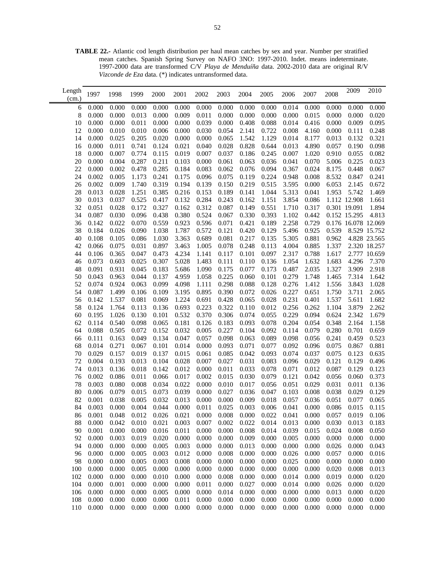**TABLE 22.-** Atlantic cod length distribution per haul mean catches by sex and year. Number per stratified mean catches. Spanish Spring Survey on NAFO 3NO: 1997-2010. Indet. means indeterminate. 1997-2000 data are transformed C/V *Playa de Menduíña* data. 2002-2010 data are original R/V *Vizconde de Eza* data. (\*) indicates untransformed data.

| Length<br>(cm.) | 1997           | 1998           | 1999           | 2000           | 2001           | 2002           | 2003           | 2004           | 2005           | 2006           | 2007           | 2008           | 2009                | 2010           |
|-----------------|----------------|----------------|----------------|----------------|----------------|----------------|----------------|----------------|----------------|----------------|----------------|----------------|---------------------|----------------|
| 6               | 0.000          | 0.000          | 0.000          | 0.000          | 0.000          | 0.000          | 0.000          | 0.000          | 0.000          | 0.014          | 0.000          | 0.000          | 0.000               | 0.000          |
| 8               | 0.000          | 0.000          | 0.013          | 0.000          | 0.009          | 0.011          | 0.000          | 0.000          | 0.000          | 0.000          | 0.015          | 0.000          | 0.000               | 0.020          |
| 10              | 0.000          | 0.000          | 0.011          | 0.000          | 0.000          | 0.039          | 0.000          | 0.408          | 0.088          | 0.014          | 0.416          | 0.000          | 0.009               | 0.095          |
| 12              | 0.000          | 0.010          | 0.010          | 0.006          | 0.000          | 0.030          | 0.054          | 2.141          | 0.722          | 0.008          | 4.160          | 0.000          | 0.111               | 0.248          |
| 14              | 0.000          | 0.025          | 0.205          | 0.020          | 0.000          | 0.000          | 0.065          | 1.542          | 1.129          | 0.014          | 8.177          | 0.013          | 0.132               | 0.321          |
| 16              | 0.000          | 0.011          | 0.741          | 0.124          | 0.021          | 0.040          | 0.028          | 0.828          | 0.644          | 0.013          | 4.890          | 0.057          | 0.190               | 0.098          |
| 18              | 0.000          | 0.007          | 0.774          | 0.115          | 0.019          | 0.007          | 0.037          | 0.186          | 0.245          | 0.007          | 1.020          | 0.910          | 0.055               | 0.082          |
| 20              | 0.000          | 0.004          | 0.287          | 0.211          | 0.103          | 0.000          | 0.061          | 0.063          | 0.036          | 0.041          | 0.070          | 5.006          | 0.225               | 0.023          |
| 22              | 0.000          | 0.002          | 0.478          | 0.285          | 0.184          | 0.083          | 0.062          | 0.076          | 0.094          | 0.367          | 0.024          | 8.175          | 0.448               | 0.067          |
| 24              | 0.002          | 0.005          | 1.173          | 0.241          | 0.175          | 0.096          | 0.075          | 0.119          | 0.224          | 0.948          | 0.008          | 8.532          | 0.847               | 0.241          |
| 26              | 0.002          | 0.009          | 1.740          | 0.319          | 0.194          | 0.139          | 0.150          | 0.219          | 0.515          | 3.595          | 0.000          | 6.053          | 2.145               | 0.672          |
| 28              | 0.013          | 0.028          | 1.251          | 0.385          | 0.216          | 0.153          | 0.189          | 0.141          | 1.044          | 5.313          | 0.041          | 1.953          | 5.742               | 1.469          |
| 30              | 0.013          | 0.037          | 0.525          | 0.417          | 0.132          | 0.284          | 0.243          | 0.162          | 1.151          | 3.854          | 0.086          |                | 1.112 12.908        | 1.661          |
| 32              | 0.051          | 0.028          | 0.172          | 0.327          | 0.162          | 0.312          | 0.087          | 0.149          | 0.551          | 1.710          | 0.317          |                | 0.301 19.091        | 1.894          |
| 34              | 0.087          | 0.030          | 0.096          | 0.438          | 0.380          | 0.524          | 0.067          | 0.330          | 0.393          | 1.102          | 0.442          |                | 0.152 15.295        | 4.813          |
| 36              | 0.142          | 0.022          | 0.070          | 0.559          | 0.923          | 0.596          | 0.071          | 0.421          | 0.189          | 2.258          | 0.729          |                | 0.176 16.078 12.069 |                |
| 38              | 0.184          | 0.026          | 0.090          | 1.038          | 1.787          | 0.572          | 0.121          | 0.420          | 0.129          | 5.496          | 0.925          | 0.539          |                     | 8.529 15.752   |
| 40              | 0.108          | 0.105          | 0.086          | 1.030          | 3.363          | 0.689          | 0.081          | 0.217          | 0.135          | 5.305          | 0.881          | 0.962          |                     | 4.828 23.565   |
| 42              | 0.066          | 0.075          | 0.031          | 0.897          | 3.463          | 1.005          | 0.078          | 0.248          | 0.113          | 4.004          | 0.885          | 1.337          |                     | 2.320 18.257   |
| 44              | 0.106          | 0.365          | 0.047          | 0.473          | 4.234          | 1.141          | 0.117          | 0.101          | 0.097          | 2.317          | 0.788          | 1.617          |                     | 2.777 10.659   |
| 46              | 0.073          | 0.603          | 0.025          | 0.307          | 5.028          | 1.483          | 0.111          | 0.110          | 0.136          | 1.054          | 1.632          | 1.683          | 4.296               | 7.370          |
| 48              | 0.091          | 0.931          | 0.045          | 0.183          | 5.686          | 1.090          | 0.175          | 0.077          | 0.173          | 0.487          | 2.035          | 1.327          | 3.909               | 2.918          |
| 50              | 0.043          | 0.963          | 0.044          | 0.137          | 4.959          | 1.058          | 0.225          | 0.060          | 0.101          | 0.279          | 1.748          | 1.465          | 7.314               | 1.642          |
| 52              | 0.074          | 0.924          | 0.063          | 0.099          | 4.098          | 1.111          | 0.298          | 0.088          | 0.128          | 0.276          | 1.412          | 1.556          | 3.843               | 1.028          |
| 54              | 0.087          | 1.499          | 0.106          | 0.109          | 3.195          | 0.895          | 0.390          | 0.072          | 0.026          | 0.227          | 0.651          | 1.750          | 3.711               | 2.065          |
| 56              | 0.142          | 1.537          | 0.081          | 0.069          | 1.224          | 0.691          | 0.428          | 0.065          | 0.028          | 0.231          | 0.401          | 1.537          | 5.611               | 1.682          |
| 58              | 0.124          | 1.764          | 0.113          | 0.136          | 0.693          | 0.223          | 0.322          | 0.110          | 0.012          | 0.256          | 0.262          | 1.104          | 3.879               | 2.262          |
| 60              | 0.195          | 1.026          | 0.130          | 0.101          | 0.532          | 0.370          | 0.306          | 0.074          | 0.055          | 0.229          | 0.094          | 0.624          | 2.342               | 1.679          |
| 62              | 0.114          | 0.540          | 0.098          | 0.065          | 0.181          | 0.126          | 0.183          | 0.093          | 0.078          | 0.204          | 0.054          | 0.348          | 2.164               | 1.158          |
| 64              | 0.088          | 0.505          | 0.072          | 0.152          | 0.032          | 0.005          | 0.227          | 0.104          | 0.092          | 0.114          | 0.079          | 0.280          | 0.701               | 0.659          |
| 66              | 0.111          | 0.163          | 0.049          | 0.134          | 0.047          | 0.057          | 0.098          | 0.063          | 0.089          | 0.098          | 0.056          | 0.241          | 0.459               | 0.523          |
| 68              | 0.014          | 0.271          | 0.067          | 0.101          | 0.014          | 0.000          | 0.093          | 0.071          | 0.077          | 0.092          | 0.096          | 0.075          | 0.867               | 0.881          |
| 70              | 0.029          | 0.157          | 0.019          | 0.137          | 0.015          | 0.061          | 0.085          | 0.042          | 0.093          | 0.074          | 0.037          | 0.075          | 0.123               | 0.635          |
| 72              | 0.004          | 0.193          | 0.013          | 0.104          | 0.028          | 0.007          | 0.027          | 0.031          | 0.083          | 0.096          | 0.029          | 0.121          | 0.129               | 0.496          |
| 74              | 0.013          | 0.136          | 0.018          | 0.142          | 0.012          | 0.000          | 0.011          | 0.033          | 0.078          | 0.071          | 0.012          | 0.087          | 0.129               | 0.123          |
| 76              | 0.002          | 0.086          | 0.011          | 0.066          | 0.017          | 0.002          | 0.015          | 0.030          | 0.079          | 0.121          | 0.042          | 0.056          | 0.060               | 0.373          |
| 78              | 0.003          | 0.080          | 0.008          | 0.034          | 0.022          | 0.000          | 0.010          | 0.017          | 0.056          | 0.051          | 0.029          | 0.031          | 0.011               | 0.136          |
| 80              | 0.006          | 0.079          | 0.015          | 0.073          | 0.039          | 0.000          | 0.027          | 0.036          | 0.047          | 0.103          | 0.008          | 0.038          | 0.029               | 0.129          |
| 82              | 0.001          | 0.038          | 0.005          | 0.032          | 0.013          | 0.000          | 0.000          | 0.009<br>0.003 | 0.018          | 0.057          | 0.036          | 0.051          | 0.077               | 0.065          |
| 84              | 0.003          | 0.000          | 0.004          | 0.044          | 0.000          | 0.011          | 0.025          |                | 0.006          | 0.041          | 0.000          | 0.086          | 0.015               | 0.115          |
| 86              | 0.001          | 0.048          | 0.012          | 0.026          | 0.021          | 0.000          | 0.008          | 0.000          | 0.022          | 0.041          | 0.000          | 0.057          | 0.019               | 0.106          |
| 88              | 0.000          | 0.042          | 0.010          | 0.021          | 0.003          | 0.007          | 0.002          | 0.022          | 0.014          | 0.013          | 0.000          | 0.030          | 0.013               | 0.183          |
| 90<br>92        | 0.001<br>0.000 | 0.000<br>0.003 | 0.000<br>0.019 | 0.016<br>0.020 | 0.011<br>0.000 | 0.000<br>0.000 | 0.000<br>0.000 | 0.008<br>0.009 | 0.014<br>0.000 | 0.039<br>0.005 | 0.015<br>0.000 | 0.024<br>0.000 | 0.008<br>0.000      | 0.050<br>0.000 |
| 94              | 0.000          | 0.000          | 0.000          | 0.005          | 0.003          | 0.000          | 0.000          | 0.013          | 0.000          | 0.000          | 0.000          | 0.026          | 0.000               | 0.043          |
| 96              | 0.000          | 0.000          | 0.005          | 0.003          | 0.012          | 0.000          | 0.008          | 0.000          | 0.000          | 0.026          | 0.000          | 0.057          | 0.000               | 0.016          |
| 98              | 0.000          | 0.000          | 0.005          | 0.003          | 0.008          | 0.000          | 0.000          | 0.000          | 0.000          | 0.025          | 0.000          | 0.000          | 0.000               | 0.000          |
| 100             | 0.000          | 0.000          | 0.005          | 0.000          | 0.000          | 0.000          | 0.000          | 0.000          | 0.000          | 0.000          | 0.000          | 0.020          | 0.008               | 0.013          |
| 102             | 0.000          | 0.000          | 0.000          | 0.010          | 0.000          | 0.000          | 0.008          | 0.000          | 0.000          | 0.014          | 0.000          | 0.019          | 0.000               | 0.020          |
| 104             | 0.000          | 0.001          | 0.000          | 0.000          | 0.000          | 0.011          | 0.000          | 0.027          | 0.000          | 0.014          | 0.000          | 0.026          | 0.000               | 0.020          |
| 106             | 0.000          | 0.000          | 0.000          | 0.005          | 0.000          | 0.000          | 0.014          | 0.000          | 0.000          | 0.000          | 0.000          | 0.013          | 0.000               | 0.020          |
| 108             | 0.000          | 0.000          | 0.000          | 0.000          | 0.011          | 0.000          | 0.000          | 0.000          | 0.000          | 0.000          | 0.000          | 0.000          | 0.000               | 0.000          |
| 110             | 0.000          | 0.000          | 0.000          | 0.000          | 0.000          | 0.000          | 0.000          | 0.000          | 0.000          | 0.000          | 0.000          | 0.000          | 0.000               | 0.000          |
|                 |                |                |                |                |                |                |                |                |                |                |                |                |                     |                |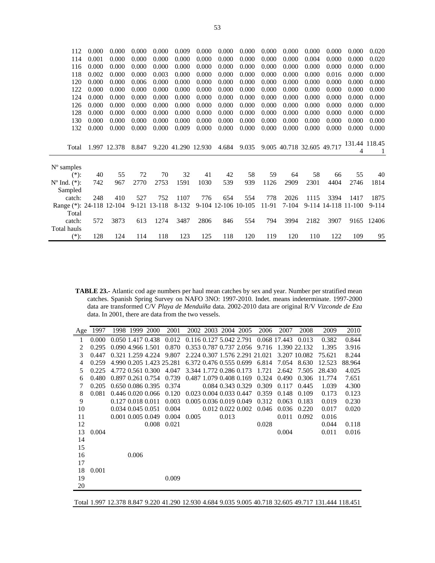| 112                      | 0.000 | 0.000        | 0.000 | 0.000        | 0.009               | 0.000 | 0.000               | 0.000 | 0.000 | 0.000   | 0.000 | 0.000                      | 0.000         | 0.020     |
|--------------------------|-------|--------------|-------|--------------|---------------------|-------|---------------------|-------|-------|---------|-------|----------------------------|---------------|-----------|
| 114                      | 0.001 | 0.000        | 0.000 | 0.000        | 0.000               | 0.000 | 0.000               | 0.000 | 0.000 | 0.000   | 0.004 | 0.000                      | 0.000         | 0.020     |
| 116                      | 0.000 | 0.000        | 0.000 | 0.000        | 0.000               | 0.000 | 0.000               | 0.000 | 0.000 | 0.000   | 0.000 | 0.000                      | 0.000         | 0.000     |
| 118                      | 0.002 | 0.000        | 0.000 | 0.003        | 0.000               | 0.000 | 0.000               | 0.000 | 0.000 | 0.000   | 0.000 | 0.016                      | 0.000         | 0.000     |
| 120                      | 0.000 | 0.000        | 0.006 | 0.000        | 0.000               | 0.000 | 0.000               | 0.000 | 0.000 | 0.000   | 0.000 | 0.000                      | 0.000         | 0.000     |
| 122                      | 0.000 | 0.000        | 0.000 | 0.000        | 0.000               | 0.000 | 0.000               | 0.000 | 0.000 | 0.000   | 0.000 | 0.000                      | 0.000         | 0.000     |
| 124                      | 0.000 | 0.000        | 0.000 | 0.000        | 0.000               | 0.000 | 0.000               | 0.000 | 0.000 | 0.000   | 0.000 | 0.000                      | 0.000         | 0.000     |
| 126                      | 0.000 | 0.000        | 0.000 | 0.000        | 0.000               | 0.000 | 0.000               | 0.000 | 0.000 | 0.000   | 0.000 | 0.000                      | 0.000         | 0.000     |
| 128                      | 0.000 | 0.000        | 0.000 | 0.000        | 0.000               | 0.000 | 0.000               | 0.000 | 0.000 | 0.000   | 0.000 | 0.000                      | 0.000         | 0.000     |
| 130                      | 0.000 | 0.000        | 0.000 | 0.000        | 0.000               | 0.000 | 0.000               | 0.000 | 0.000 | 0.000   | 0.000 | 0.000                      | 0.000         | 0.000     |
| 132                      | 0.000 | 0.000        | 0.000 | 0.000        | 0.009               | 0.000 | 0.000               | 0.000 | 0.000 | 0.000   | 0.000 | 0.000                      | 0.000         | 0.000     |
|                          |       |              |       |              |                     |       |                     |       |       |         |       |                            |               |           |
|                          |       |              |       |              |                     |       |                     |       |       |         |       | 9.005 40.718 32.605 49.717 | 131.44 118.45 |           |
| Total                    |       | 1.997 12.378 | 8.847 |              | 9.220 41.290 12.930 |       | 4.684               | 9.035 |       |         |       |                            | 4             | 1         |
|                          |       |              |       |              |                     |       |                     |       |       |         |       |                            |               |           |
| $No$ samples             |       |              |       |              |                     |       |                     |       |       |         |       |                            |               |           |
| $(*)$ :                  | 40    | 55           | 72    | 70           | 32                  | 41    | 42                  | 58    | 59    | 64      | 58    | 66                         | 55            | 40        |
| $N^{\circ}$ Ind. $(*)$ : | 742   | 967          | 2770  | 2753         | 1591                | 1030  | 539                 | 939   | 1126  | 2909    | 2301  | 4404                       | 2746          | 1814      |
| Sampled                  |       |              |       |              |                     |       |                     |       |       |         |       |                            |               |           |
| catch:                   | 248   | 410          | 527   | 752          | 1107                | 776   | 654                 | 554   | 778   | 2026    | 1115  | 3394                       | 1417          | 1875      |
| Range (*): 24-118 12-104 |       |              |       | 9-121 13-118 | 8-132               |       | 9-104 12-106 10-105 |       | 11-91 | $7-104$ |       | 9-114 14-118 11-100        |               | $9 - 114$ |
| Total                    |       |              |       |              |                     |       |                     |       |       |         |       |                            |               |           |
| catch:                   | 572   | 3873         | 613   | 1274         | 3487                | 2806  | 846                 | 554   | 794   | 3994    | 2182  | 3907                       | 9165          | 12406     |
| Total hauls              |       |              |       |              |                     |       |                     |       |       |         |       |                            |               |           |
| $(*)$ :                  | 128   | 124          | 114   | 118          | 123                 | 125   | 118                 | 120   | 119   | 120     | 110   | 122                        | 109           | 95        |

**TABLE 23.-** Atlantic cod age numbers per haul mean catches by sex and year. Number per stratified mean catches. Spanish Spring Survey on NAFO 3NO: 1997-2010. Indet. means indeterminate. 1997-2000 data are transformed C/V *Playa de Menduíña* data. 2002-2010 data are original R/V *Vizconde de Eza*  data. In 2001, there are data from the two vessels.

Ē,

| Age | 1997  |                   | 1998 1999 2000 | 2001                                    |                         | 2002 2003 2004 2005     |       | 2006                           | 2007               | 2008         | 2009   | 2010   |
|-----|-------|-------------------|----------------|-----------------------------------------|-------------------------|-------------------------|-------|--------------------------------|--------------------|--------------|--------|--------|
| 1   | 0.000 |                   |                | 0.050 1.417 0.438 0.012                 | 0.116 0.127 5.042 2.791 |                         |       |                                | 0.068 17.443 0.013 |              | 0.382  | 0.844  |
| 2   | 0.295 | 0.090 4.966 1.501 |                | 0.870                                   |                         | 0.353 0.787 0.737 2.056 |       | 9.716                          |                    | 1.390 22.132 | 1.395  | 3.916  |
| 3   | 0.447 |                   |                | 0.321 1.259 4.224 9.807                 |                         |                         |       | 2.224 0.307 1.576 2.291 21.021 |                    | 3.207 10.082 | 75.621 | 8.244  |
| 4   | 0.259 |                   |                | 4.990 0.205 1.423 25.281                |                         |                         |       | 6.372 0.476 0.555 0.699 6.814  | 7.054              | 8.630        | 12.523 | 88.964 |
| 5   | 0.225 | 4.772 0.561 0.300 |                | 4.047                                   |                         | 3.344 1.772 0.286 0.173 |       | 1.721                          | 2.642              | 7.505        | 28.430 | 4.025  |
| 6   | 0.480 | 0.897 0.261 0.754 |                | 0.739                                   | 0.487 1.079 0.408 0.169 |                         |       | 0.324                          | 0.490              | 0.306        | 11.774 | 7.651  |
| 7   | 0.205 |                   |                | 0.650 0.086 0.395 0.374                 |                         | 0.084 0.343 0.329       |       | 0.309                          | 0.117              | 0.445        | 1.039  | 4.300  |
| 8   | 0.081 | 0.446 0.020 0.066 |                | 0.120                                   |                         | 0.023 0.004 0.033 0.447 |       | 0.359                          | 0.148              | 0.109        | 0.173  | 0.123  |
| 9   |       | 0.127 0.018 0.011 |                | 0.003                                   |                         | 0.005 0.036 0.019 0.049 |       | 0.312                          | 0.063              | 0.183        | 0.019  | 0.230  |
| 10  |       | 0.034 0.045 0.051 |                | 0.004                                   |                         | 0.012 0.022 0.002       |       | 0.046                          | 0.036              | 0.220        | 0.017  | 0.020  |
| 11  |       |                   |                | $0.001$ $0.005$ $0.049$ $0.004$ $0.005$ |                         |                         | 0.013 |                                |                    | 0.011 0.092  | 0.016  |        |
| 12  |       |                   |                | 0.008 0.021                             |                         |                         |       | 0.028                          |                    |              | 0.044  | 0.118  |
| 13  | 0.004 |                   |                |                                         |                         |                         |       |                                | 0.004              |              | 0.011  | 0.016  |
| 14  |       |                   |                |                                         |                         |                         |       |                                |                    |              |        |        |
| 15  |       |                   |                |                                         |                         |                         |       |                                |                    |              |        |        |
| 16  |       |                   | 0.006          |                                         |                         |                         |       |                                |                    |              |        |        |
| 17  |       |                   |                |                                         |                         |                         |       |                                |                    |              |        |        |
| 18  | 0.001 |                   |                |                                         |                         |                         |       |                                |                    |              |        |        |
| 19  |       |                   |                | 0.009                                   |                         |                         |       |                                |                    |              |        |        |
| 20  |       |                   |                |                                         |                         |                         |       |                                |                    |              |        |        |

Total 1.997 12.378 8.847 9.220 41.290 12.930 4.684 9.035 9.005 40.718 32.605 49.717 131.444 118.451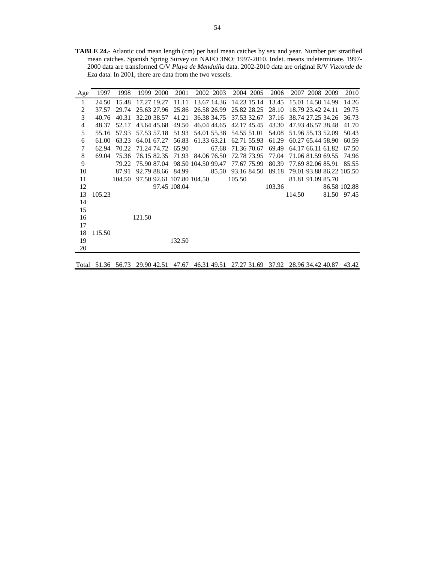**TABLE 24.-** Atlantic cod mean length (cm) per haul mean catches by sex and year. Number per stratified mean catches. Spanish Spring Survey on NAFO 3NO: 1997-2010. Indet. means indeterminate. 1997- 2000 data are transformed C/V *Playa de Menduíña* data. 2002-2010 data are original R/V *Vizconde de Eza* data. In 2001, there are data from the two vessels.

| Age | 1997   | 1998   |             | 1999 2000   | 2001                      |                    | 2002 2003   |                   | 2004 2005   | 2006   |                   | 2007 2008 2009    | 2010                     |
|-----|--------|--------|-------------|-------------|---------------------------|--------------------|-------------|-------------------|-------------|--------|-------------------|-------------------|--------------------------|
| 1   | 24.50  | 15.48  | 17.27 19.27 |             | 11.11                     |                    | 13.67 14.36 | 14.23 15.14       |             | 13.45  | 15.01 14.50 14.99 |                   | 14.26                    |
| 2   | 37.57  | 29.74  | 25.63 27.96 |             | 25.86                     |                    | 26.58 26.99 |                   | 25.82 28.25 | 28.10  |                   | 18.79 23.42 24.11 | 29.75                    |
| 3   | 40.76  | 40.31  | 32.20 38.57 |             | 41.21                     |                    | 36.38 34.75 | 37.53 32.67       |             | 37.16  |                   | 38.74 27.25 34.26 | 36.73                    |
| 4   | 48.37  | 52.17  | 43.64 45.68 |             | 49.50                     |                    | 46.04 44.65 |                   | 42.17 45.45 | 43.30  |                   | 47.93 46.57 38.48 | 41.70                    |
| 5   | 55.16  | 57.93  | 57.53 57.18 |             | 51.93                     |                    | 54.01 55.38 |                   | 54.55 51.01 | 54.08  |                   | 51.96 55.13 52.09 | 50.43                    |
| 6   | 61.00  | 63.23  | 64.01 67.27 |             | 56.83                     |                    | 61.33 63.21 |                   | 62.71 55.93 | 61.29  |                   | 60.27 65.44 58.90 | 60.59                    |
| 7   | 62.94  | 70.22  | 71.24 74.72 |             | 65.90                     |                    | 67.68       | 71.36 70.67       |             | 69.49  |                   | 64.17 66.11 61.82 | 67.50                    |
| 8   | 69.04  | 75.36  |             | 76.15 82.35 | 71.93                     |                    | 84.06 76.50 | 72.78 73.95       |             | 77.04  |                   | 71.06 81.59 69.55 | 74.96                    |
| 9   |        | 79.22  | 75.90 87.04 |             |                           | 98.50 104.50 99.47 |             | 77.67 75.99       |             | 80.39  | 77.69 82.06 85.91 |                   | 85.55                    |
| 10  |        | 87.91  |             |             | 92.79 88.66 84.99         |                    |             | 85.50 93.16 84.50 |             | 89.18  |                   |                   | 79.01 93.88 86.22 105.50 |
| 11  |        | 104.50 |             |             | 97.50 92.61 107.80 104.50 |                    |             | 105.50            |             |        |                   | 81.81 91.09 85.70 |                          |
| 12  |        |        |             |             | 97.45 108.04              |                    |             |                   |             | 103.36 |                   |                   | 86.58 102.88             |
| 13  | 105.23 |        |             |             |                           |                    |             |                   |             |        | 114.50            |                   | 81.50 97.45              |
| 14  |        |        |             |             |                           |                    |             |                   |             |        |                   |                   |                          |
| 15  |        |        |             |             |                           |                    |             |                   |             |        |                   |                   |                          |
| 16  |        |        | 121.50      |             |                           |                    |             |                   |             |        |                   |                   |                          |
| 17  |        |        |             |             |                           |                    |             |                   |             |        |                   |                   |                          |
| 18  | 115.50 |        |             |             |                           |                    |             |                   |             |        |                   |                   |                          |
| 19  |        |        |             |             | 132.50                    |                    |             |                   |             |        |                   |                   |                          |
| 20  |        |        |             |             |                           |                    |             |                   |             |        |                   |                   |                          |

Total 51.36 56.73 29.90 42.51 47.67 46.31 49.51 27.27 31.69 37.92 28.96 34.42 40.87 43.42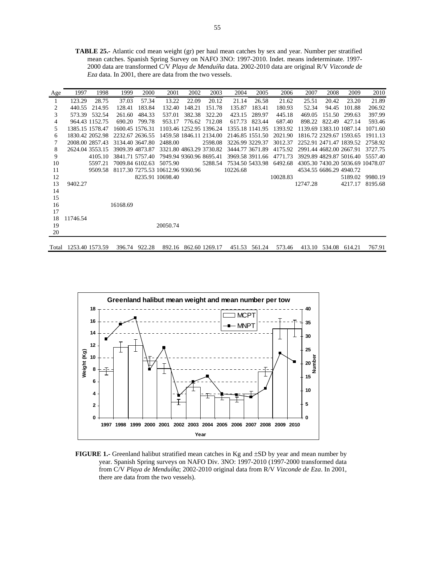**TABLE 25.-** Atlantic cod mean weight (gr) per haul mean catches by sex and year. Number per stratified mean catches. Spanish Spring Survey on NAFO 3NO: 1997-2010. Indet. means indeterminate. 1997- 2000 data are transformed C/V *Playa de Menduíña* data. 2002-2010 data are original R/V *Vizconde de Eza* data. In 2001, there are data from the two vessels.

| Age | 1997            | 1998           | 1999     | 2000            | 2001                             | 2002   | 2003                    | 2004            | 2005            | 2006     | 2007                    | 2008                    | 2009                    | 2010                             |
|-----|-----------------|----------------|----------|-----------------|----------------------------------|--------|-------------------------|-----------------|-----------------|----------|-------------------------|-------------------------|-------------------------|----------------------------------|
|     | 123.29          | 28.75          | 37.03    | 57.34           | 13.22                            | 22.09  | 20.12                   | 21.14           | 26.58           | 21.62    | 25.51                   | 20.42                   | 23.20                   | 21.89                            |
| 2   | 440.55          | 214.95         | 128.41   | 183.84          | 132.40                           | 148.21 | 151.78                  | 135.87          | 183.41          | 180.93   | 52.34                   | 94.45                   | 101.88                  | 206.92                           |
| 3   | 573.39          | 532.54         | 261.60   | 484.33          | 537.01                           | 382.38 | 322.20                  | 423.15          | 289.97          | 445.18   | 469.05                  | 151.50                  | 299.63                  | 397.99                           |
| 4   |                 | 964.43 1152.75 | 690.20   | 799.78          | 953.17                           | 776.62 | 712.08                  | 617.73          | 823.44          | 687.40   | 898.22                  | 822.49                  | 427.14                  | 593.46                           |
| 5   | 1385.15 1578.47 |                |          | 1600.45 1576.31 |                                  |        | 1103.46 1252.95 1396.24 |                 | 1355.18 1141.95 | 1393.92  | 1139.69 1383.10 1087.14 |                         |                         | 1071.60                          |
| 6   | 1830.42 2052.98 |                |          | 2232.67 2636.55 |                                  |        | 1459.58 1846.11 2134.00 | 2146.85 1551.50 |                 | 2021.90  |                         | 1816.72 2329.67 1593.65 |                         | 1911.13                          |
| 7   | 2008.00 2857.43 |                |          | 3134.40 3647.80 | 2488.00                          |        | 2598.08                 |                 | 3226.99 3229.37 | 3012.37  | 2252.91 2471.47 1839.52 |                         |                         | 2758.92                          |
| 8   | 2624.04 3553.15 |                |          | 3909.39 4873.87 |                                  |        | 3321.80 4863.29 3730.82 |                 | 3444.77 3671.89 | 4175.92  | 2991.44 4682.00 2667.91 |                         |                         | 3727.75                          |
| 9   |                 | 4105.10        |          | 3841.71 5757.40 |                                  |        | 7949.94 9360.96 8695.41 |                 | 3969.58 3911.66 | 4771.73  |                         |                         | 3929.89 4829.87 5016.40 | 5557.40                          |
| 10  |                 | 5597.21        |          | 7009.84 6102.63 | 5075.90                          |        | 5288.54                 | 7534.50 5433.98 |                 | 6492.68  |                         |                         |                         | 4305.30 7430.20 5036.69 10478.07 |
| 11  |                 | 9509.58        |          |                 | 8117.30 7275.53 10612.96 9360.96 |        |                         | 10226.68        |                 |          | 4534.55 6686.29 4940.72 |                         |                         |                                  |
| 12  |                 |                |          |                 | 8235.91 10698.40                 |        |                         |                 |                 | 10028.83 |                         |                         | 5189.02                 | 9980.19                          |
| 13  | 9402.27         |                |          |                 |                                  |        |                         |                 |                 |          | 12747.28                |                         | 4217.17                 | 8195.68                          |
| 14  |                 |                |          |                 |                                  |        |                         |                 |                 |          |                         |                         |                         |                                  |
| 15  |                 |                |          |                 |                                  |        |                         |                 |                 |          |                         |                         |                         |                                  |
| 16  |                 |                | 16168.69 |                 |                                  |        |                         |                 |                 |          |                         |                         |                         |                                  |
| 17  |                 |                |          |                 |                                  |        |                         |                 |                 |          |                         |                         |                         |                                  |
| 18  | 11746.54        |                |          |                 |                                  |        |                         |                 |                 |          |                         |                         |                         |                                  |
| 19  |                 |                |          |                 | 20050.74                         |        |                         |                 |                 |          |                         |                         |                         |                                  |
| 20  |                 |                |          |                 |                                  |        |                         |                 |                 |          |                         |                         |                         |                                  |
|     |                 |                |          |                 |                                  |        |                         |                 |                 |          |                         |                         |                         |                                  |

Total 1253.40 1573.59 396.74 922.28 892.16 862.60 1269.17 451.53 561.24 573.46 413.10 534.08 614.21 767.91



**FIGURE 1.-** Greenland halibut stratified mean catches in Kg and ±SD by year and mean number by year. Spanish Spring surveys on NAFO Div. 3NO: 1997-2010 (1997-2000 transformed data from C/V *Playa de Menduíña*; 2002-2010 original data from R/V *Vizconde de Eza*. In 2001, there are data from the two vessels).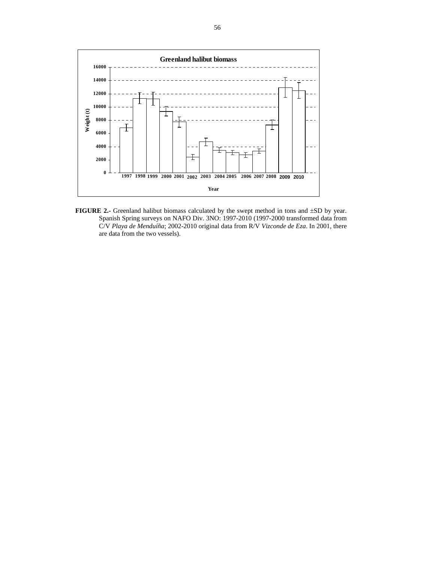

FIGURE 2.- Greenland halibut biomass calculated by the swept method in tons and  $\pm SD$  by year. Spanish Spring surveys on NAFO Div. 3NO: 1997-2010 (1997-2000 transformed data from C/V *Playa de Menduíña*; 2002-2010 original data from R/V *Vizconde de Eza*. In 2001, there are data from the two vessels).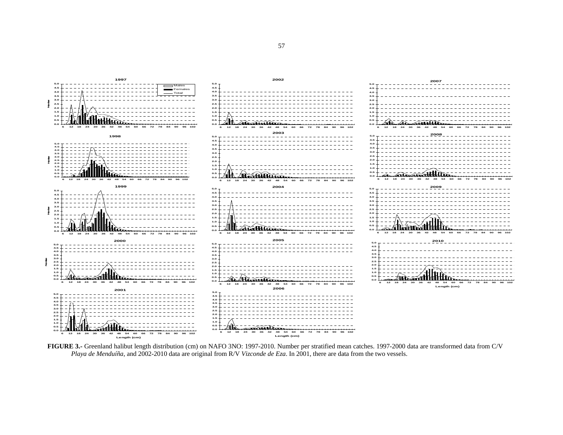

**FIGURE 3.-** Greenland halibut length distribution (cm) on NAFO 3NO: 1997-2010. Number per stratified mean catches. 1997-2000 data are transformed data from C/V *Playa de Menduíña*, and 2002-2010 data are original from R/V *Vizconde de Eza*. In 2001, there are data from the two vessels.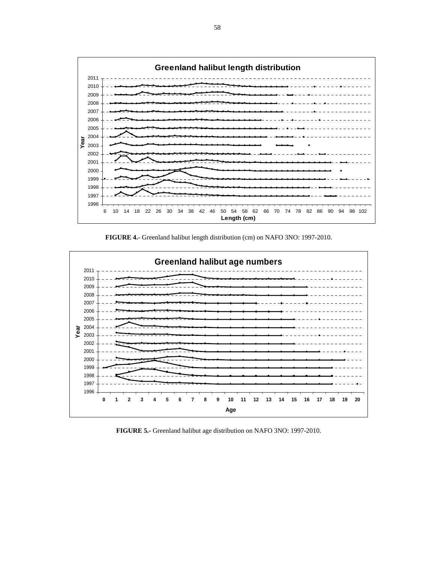

**FIGURE 4.-** Greenland halibut length distribution (cm) on NAFO 3NO: 1997-2010.



**FIGURE 5.-** Greenland halibut age distribution on NAFO 3NO: 1997-2010.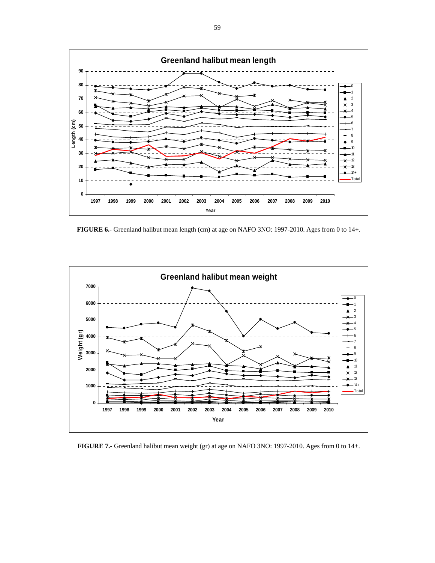

**FIGURE 6.-** Greenland halibut mean length (cm) at age on NAFO 3NO: 1997-2010. Ages from 0 to 14+.



**FIGURE 7.-** Greenland halibut mean weight (gr) at age on NAFO 3NO: 1997-2010. Ages from 0 to 14+.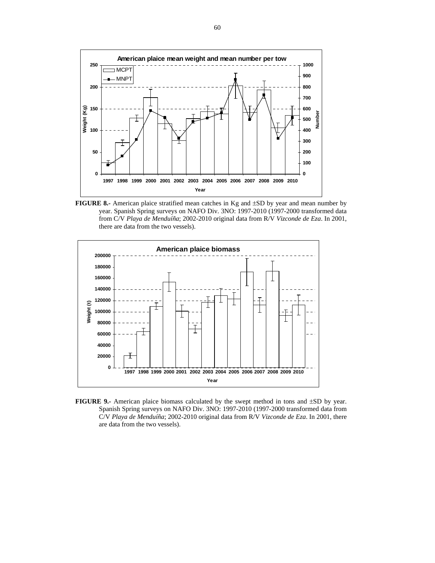

**FIGURE 8.-** American plaice stratified mean catches in Kg and  $\pm$ SD by year and mean number by year. Spanish Spring surveys on NAFO Div. 3NO: 1997-2010 (1997-2000 transformed data from C/V *Playa de Menduíña*; 2002-2010 original data from R/V *Vizconde de Eza*. In 2001, there are data from the two vessels).



**FIGURE 9.-** American plaice biomass calculated by the swept method in tons and ±SD by year. Spanish Spring surveys on NAFO Div. 3NO: 1997-2010 (1997-2000 transformed data from C/V *Playa de Menduíña*; 2002-2010 original data from R/V *Vizconde de Eza*. In 2001, there are data from the two vessels).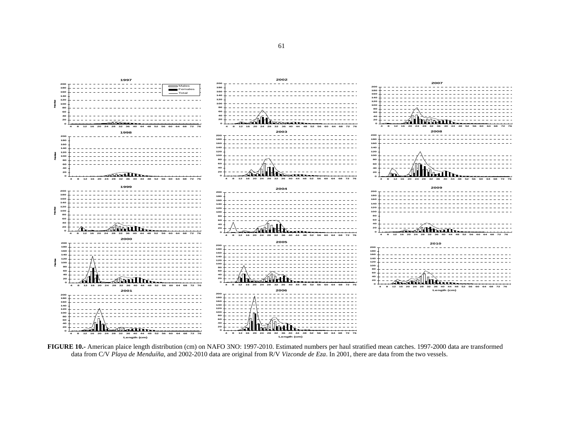

**FIGURE 10.-** American plaice length distribution (cm) on NAFO 3NO: 1997-2010. Estimated numbers per haul stratified mean catches. 1997-2000 data are transformed data from C/V *Playa de Menduíña*, and 2002-2010 data are original from R/V *Vizconde de Eza*. In 2001, there are data from the two vessels.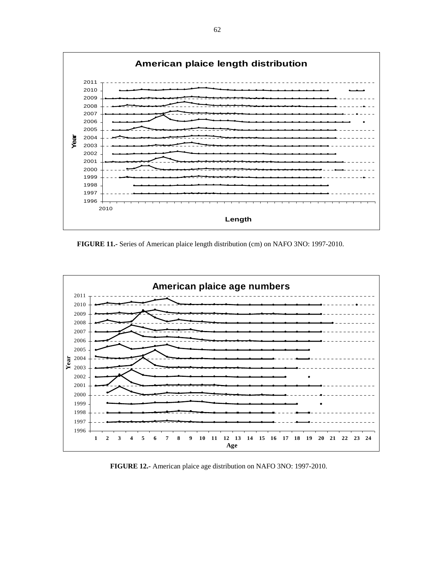

**FIGURE 11.-** Series of American plaice length distribution (cm) on NAFO 3NO: 1997-2010.



**FIGURE 12.-** American plaice age distribution on NAFO 3NO: 1997-2010.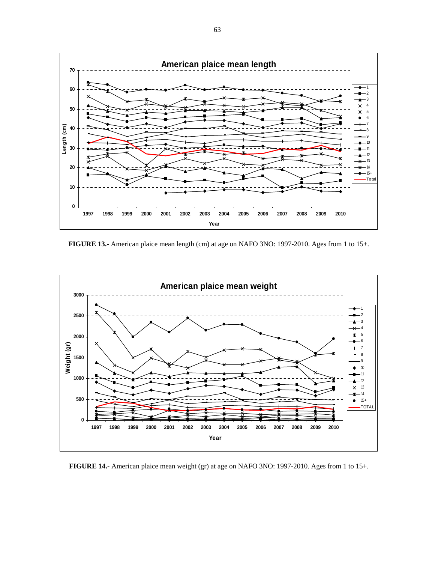

**FIGURE 13.-** American plaice mean length (cm) at age on NAFO 3NO: 1997-2010. Ages from 1 to 15+.



**FIGURE 14.-** American plaice mean weight (gr) at age on NAFO 3NO: 1997-2010. Ages from 1 to 15+.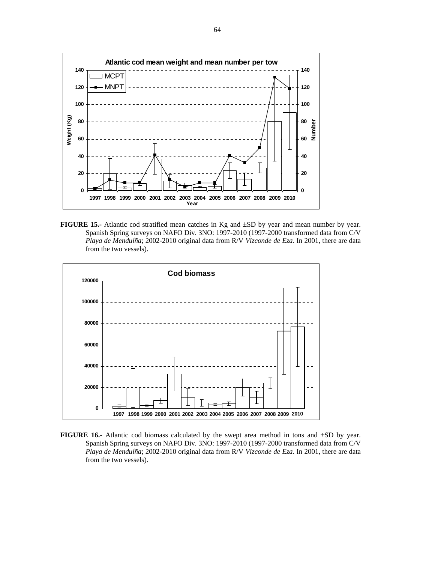

**FIGURE 15.-** Atlantic cod stratified mean catches in Kg and ±SD by year and mean number by year. Spanish Spring surveys on NAFO Div. 3NO: 1997-2010 (1997-2000 transformed data from C/V *Playa de Menduíña*; 2002-2010 original data from R/V *Vizconde de Eza*. In 2001, there are data from the two vessels).



**FIGURE 16.-** Atlantic cod biomass calculated by the swept area method in tons and ±SD by year. Spanish Spring surveys on NAFO Div. 3NO: 1997-2010 (1997-2000 transformed data from C/V *Playa de Menduíña*; 2002-2010 original data from R/V *Vizconde de Eza*. In 2001, there are data from the two vessels).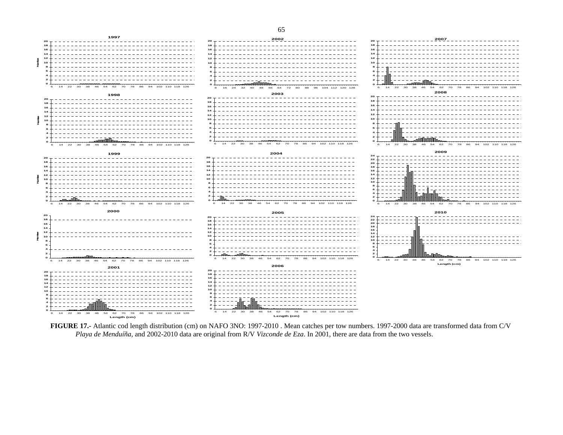



**FIGURE 17.-** Atlantic cod length distribution (cm) on NAFO 3NO: 1997-2010 . Mean catches per tow numbers. 1997-2000 data are transformed data from C/V *Playa de Menduíña*, and 2002-2010 data are original from R/V *Vizconde de Eza*. In 2001, there are data from the two vessels.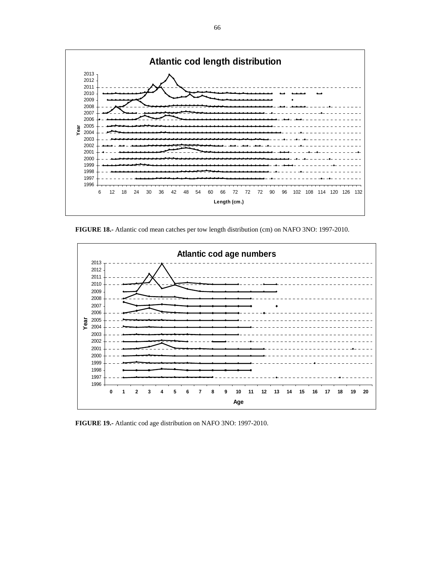

**FIGURE 18.-** Atlantic cod mean catches per tow length distribution (cm) on NAFO 3NO: 1997-2010.



**FIGURE 19.-** Atlantic cod age distribution on NAFO 3NO: 1997-2010.